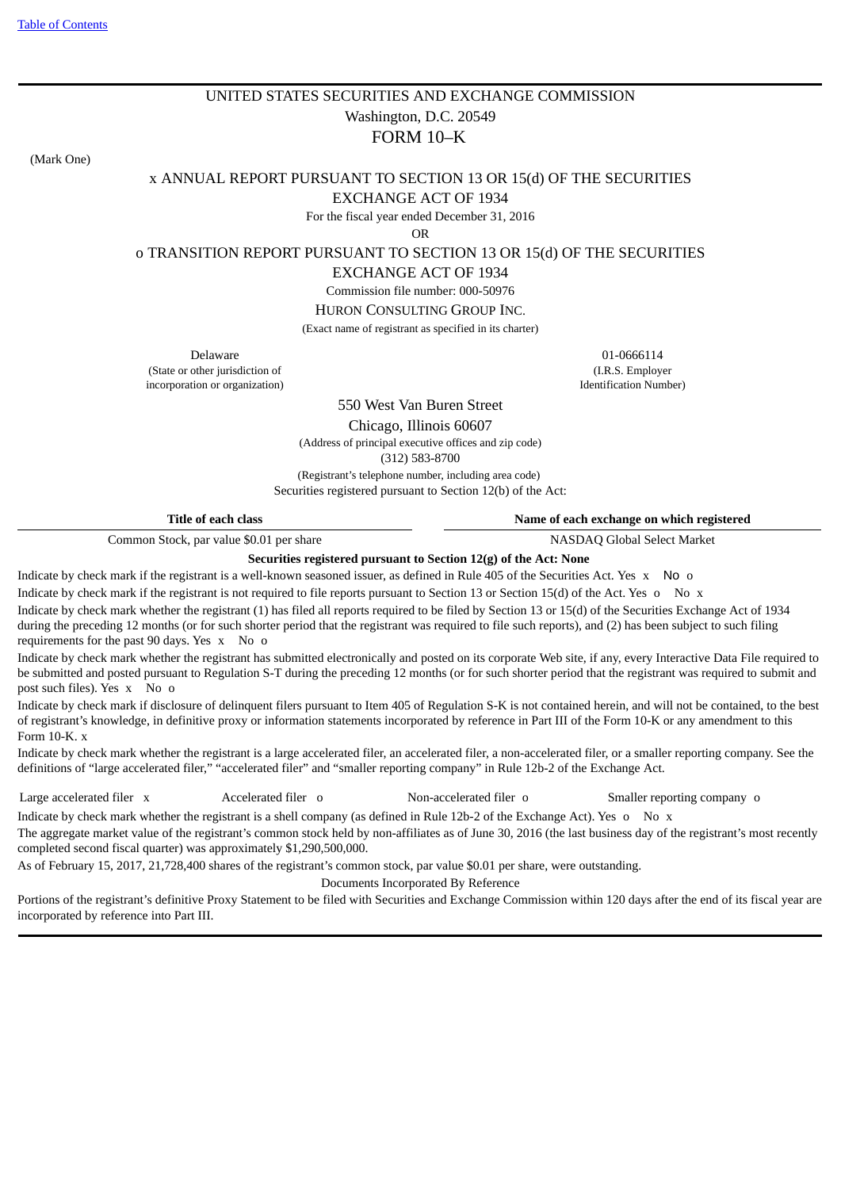# UNITED STATES SECURITIES AND EXCHANGE COMMISSION Washington, D.C. 20549 FORM 10–K

(Mark One)

x ANNUAL REPORT PURSUANT TO SECTION 13 OR 15(d) OF THE SECURITIES

EXCHANGE ACT OF 1934

For the fiscal year ended December 31, 2016

OR

o TRANSITION REPORT PURSUANT TO SECTION 13 OR 15(d) OF THE SECURITIES

EXCHANGE ACT OF 1934

Commission file number: 000-50976

HURON CONSULTING GROUP INC.

(Exact name of registrant as specified in its charter)

Delaware (State or other jurisdiction of incorporation or organization)

01-0666114 (I.R.S. Employer Identification Number)

550 West Van Buren Street Chicago, Illinois 60607 (Address of principal executive offices and zip code) (312) 583-8700 (Registrant's telephone number, including area code) Securities registered pursuant to Section 12(b) of the Act:

**Title of each class Name of each exchange on which registered**

Common Stock, par value \$0.01 per share NASDAQ Global Select Market

**Securities registered pursuant to Section 12(g) of the Act: None**

Indicate by check mark if the registrant is a well-known seasoned issuer, as defined in Rule 405 of the Securities Act. Yes x No o Indicate by check mark if the registrant is not required to file reports pursuant to Section 13 or Section 15(d) of the Act. Yes o No x Indicate by check mark whether the registrant (1) has filed all reports required to be filed by Section 13 or 15(d) of the Securities Exchange Act of 1934 during the preceding 12 months (or for such shorter period that the registrant was required to file such reports), and (2) has been subject to such filing requirements for the past 90 days. Yes x No o

Indicate by check mark whether the registrant has submitted electronically and posted on its corporate Web site, if any, every Interactive Data File required to be submitted and posted pursuant to Regulation S-T during the preceding 12 months (or for such shorter period that the registrant was required to submit and post such files). Yes x No o

Indicate by check mark if disclosure of delinquent filers pursuant to Item 405 of Regulation S-K is not contained herein, and will not be contained, to the best of registrant's knowledge, in definitive proxy or information statements incorporated by reference in Part III of the Form 10-K or any amendment to this Form 10-K. x

Indicate by check mark whether the registrant is a large accelerated filer, an accelerated filer, a non-accelerated filer, or a smaller reporting company. See the definitions of "large accelerated filer," "accelerated filer" and "smaller reporting company" in Rule 12b-2 of the Exchange Act.

Large accelerated filer x Accelerated filer o Non-accelerated filer o Smaller reporting company o

Indicate by check mark whether the registrant is a shell company (as defined in Rule 12b-2 of the Exchange Act). Yes o No x

The aggregate market value of the registrant's common stock held by non-affiliates as of June 30, 2016 (the last business day of the registrant's most recently completed second fiscal quarter) was approximately \$1,290,500,000.

As of February 15, 2017, 21,728,400 shares of the registrant's common stock, par value \$0.01 per share, were outstanding.

Documents Incorporated By Reference

Portions of the registrant's definitive Proxy Statement to be filed with Securities and Exchange Commission within 120 days after the end of its fiscal year are incorporated by reference into Part III.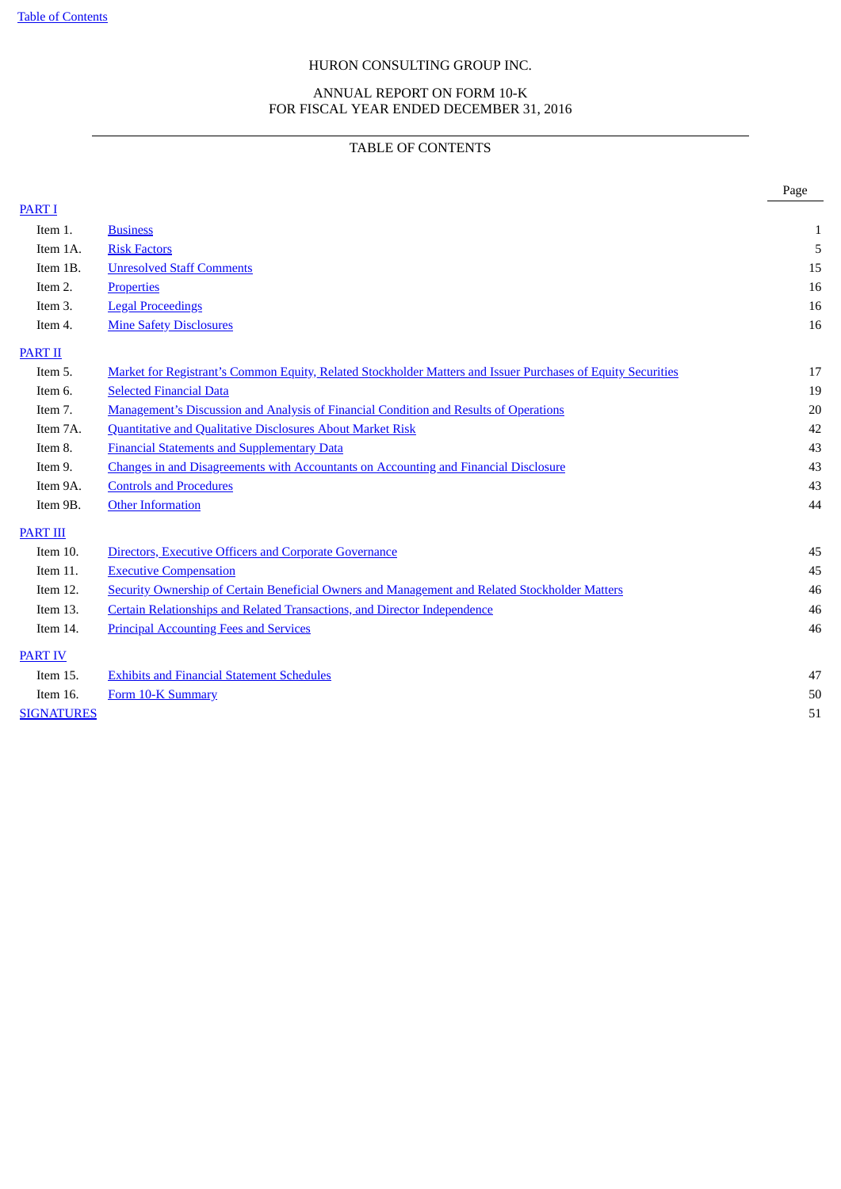# HURON CONSULTING GROUP INC.

# ANNUAL REPORT ON FORM 10-K FOR FISCAL YEAR ENDED DECEMBER 31, 2016

# TABLE OF CONTENTS

<span id="page-1-0"></span>

|                 |                                                                                                              | Page         |
|-----------------|--------------------------------------------------------------------------------------------------------------|--------------|
| <b>PART I</b>   |                                                                                                              |              |
| Item 1.         | <b>Business</b>                                                                                              | $\mathbf{1}$ |
| Item 1A.        | <b>Risk Factors</b>                                                                                          | 5            |
| Item 1B.        | <b>Unresolved Staff Comments</b>                                                                             | 15           |
| Item 2.         | <b>Properties</b>                                                                                            | 16           |
| Item 3.         | <b>Legal Proceedings</b>                                                                                     | 16           |
| Item 4.         | <b>Mine Safety Disclosures</b>                                                                               | 16           |
| <b>PART II</b>  |                                                                                                              |              |
| Item 5.         | Market for Registrant's Common Equity, Related Stockholder Matters and Issuer Purchases of Equity Securities | 17           |
| Item 6.         | <b>Selected Financial Data</b>                                                                               | 19           |
| Item 7.         | Management's Discussion and Analysis of Financial Condition and Results of Operations                        | 20           |
| Item 7A.        | <b>Quantitative and Qualitative Disclosures About Market Risk</b>                                            | 42           |
| Item 8.         | <b>Financial Statements and Supplementary Data</b>                                                           | 43           |
| Item 9.         | Changes in and Disagreements with Accountants on Accounting and Financial Disclosure                         | 43           |
| Item 9A.        | <b>Controls and Procedures</b>                                                                               | 43           |
| Item 9B.        | <b>Other Information</b>                                                                                     | 44           |
| <b>PART III</b> |                                                                                                              |              |
| Item 10.        | Directors, Executive Officers and Corporate Governance                                                       | 45           |
| Item 11.        | <b>Executive Compensation</b>                                                                                | 45           |
| Item 12.        | <b>Security Ownership of Certain Beneficial Owners and Management and Related Stockholder Matters</b>        | 46           |
| Item 13.        | <b>Certain Relationships and Related Transactions, and Director Independence</b>                             | 46           |
| Item 14.        | <b>Principal Accounting Fees and Services</b>                                                                | 46           |
| <b>PART IV</b>  |                                                                                                              |              |
| Item 15.        | <b>Exhibits and Financial Statement Schedules</b>                                                            | 47           |
| Item 16.        | Form 10-K Summary                                                                                            | 50           |

<u>[SIGNATURES](#page-52-0)</u> [51](#page-52-0)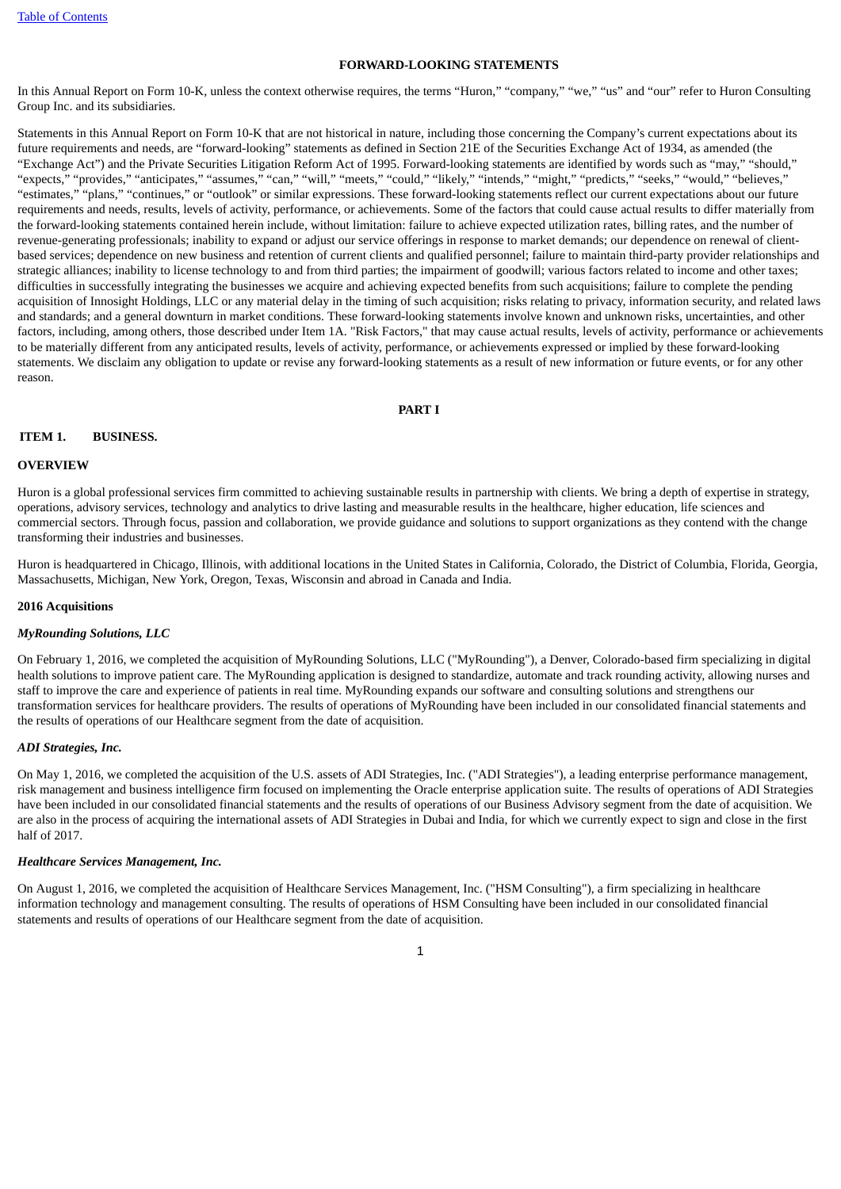### **FORWARD-LOOKING STATEMENTS**

In this Annual Report on Form 10-K, unless the context otherwise requires, the terms "Huron," "company," "we," "us" and "our" refer to Huron Consulting Group Inc. and its subsidiaries.

Statements in this Annual Report on Form 10-K that are not historical in nature, including those concerning the Company's current expectations about its future requirements and needs, are "forward-looking" statements as defined in Section 21E of the Securities Exchange Act of 1934, as amended (the "Exchange Act") and the Private Securities Litigation Reform Act of 1995. Forward-looking statements are identified by words such as "may," "should," "expects," "provides," "anticipates," "assumes," "can," "will," "meets," "could," "likely," "intends," "might," "predicts," "seeks," "would," "believes," "estimates," "plans," "continues," or "outlook" or similar expressions. These forward-looking statements reflect our current expectations about our future requirements and needs, results, levels of activity, performance, or achievements. Some of the factors that could cause actual results to differ materially from the forward-looking statements contained herein include, without limitation: failure to achieve expected utilization rates, billing rates, and the number of revenue-generating professionals; inability to expand or adjust our service offerings in response to market demands; our dependence on renewal of clientbased services; dependence on new business and retention of current clients and qualified personnel; failure to maintain third-party provider relationships and strategic alliances; inability to license technology to and from third parties; the impairment of goodwill; various factors related to income and other taxes; difficulties in successfully integrating the businesses we acquire and achieving expected benefits from such acquisitions; failure to complete the pending acquisition of Innosight Holdings, LLC or any material delay in the timing of such acquisition; risks relating to privacy, information security, and related laws and standards; and a general downturn in market conditions. These forward-looking statements involve known and unknown risks, uncertainties, and other factors, including, among others, those described under Item 1A. "Risk Factors," that may cause actual results, levels of activity, performance or achievements to be materially different from any anticipated results, levels of activity, performance, or achievements expressed or implied by these forward-looking statements. We disclaim any obligation to update or revise any forward-looking statements as a result of new information or future events, or for any other reason.

# **PART I**

#### <span id="page-2-1"></span><span id="page-2-0"></span>**ITEM 1. BUSINESS.**

#### **OVERVIEW**

Huron is a global professional services firm committed to achieving sustainable results in partnership with clients. We bring a depth of expertise in strategy, operations, advisory services, technology and analytics to drive lasting and measurable results in the healthcare, higher education, life sciences and commercial sectors. Through focus, passion and collaboration, we provide guidance and solutions to support organizations as they contend with the change transforming their industries and businesses.

Huron is headquartered in Chicago, Illinois, with additional locations in the United States in California, Colorado, the District of Columbia, Florida, Georgia, Massachusetts, Michigan, New York, Oregon, Texas, Wisconsin and abroad in Canada and India.

#### **2016 Acquisitions**

#### *MyRounding Solutions, LLC*

On February 1, 2016, we completed the acquisition of MyRounding Solutions, LLC ("MyRounding"), a Denver, Colorado-based firm specializing in digital health solutions to improve patient care. The MyRounding application is designed to standardize, automate and track rounding activity, allowing nurses and staff to improve the care and experience of patients in real time. MyRounding expands our software and consulting solutions and strengthens our transformation services for healthcare providers. The results of operations of MyRounding have been included in our consolidated financial statements and the results of operations of our Healthcare segment from the date of acquisition.

### *ADI Strategies, Inc.*

On May 1, 2016, we completed the acquisition of the U.S. assets of ADI Strategies, Inc. ("ADI Strategies"), a leading enterprise performance management, risk management and business intelligence firm focused on implementing the Oracle enterprise application suite. The results of operations of ADI Strategies have been included in our consolidated financial statements and the results of operations of our Business Advisory segment from the date of acquisition. We are also in the process of acquiring the international assets of ADI Strategies in Dubai and India, for which we currently expect to sign and close in the first half of 2017.

#### *Healthcare Services Management, Inc.*

On August 1, 2016, we completed the acquisition of Healthcare Services Management, Inc. ("HSM Consulting"), a firm specializing in healthcare information technology and management consulting. The results of operations of HSM Consulting have been included in our consolidated financial statements and results of operations of our Healthcare segment from the date of acquisition.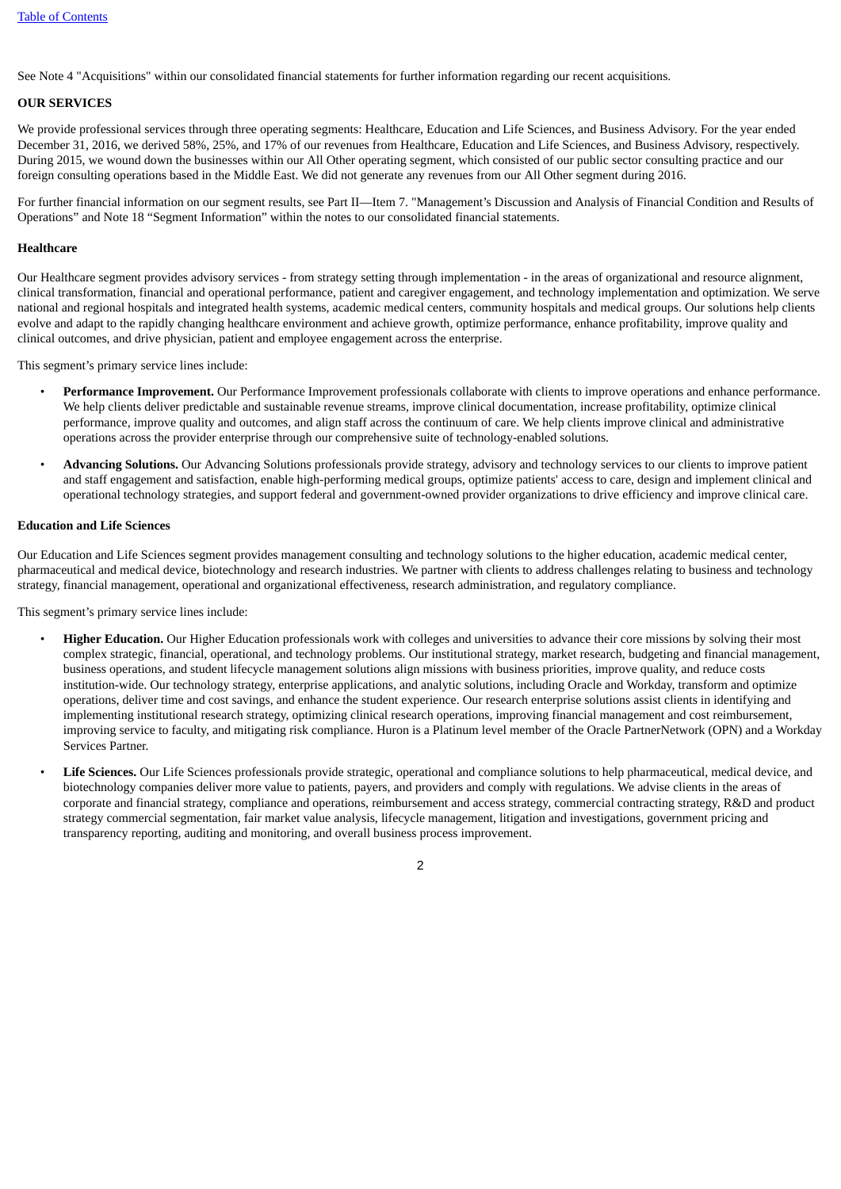See Note 4 "Acquisitions" within our consolidated financial statements for further information regarding our recent acquisitions.

# **OUR SERVICES**

We provide professional services through three operating segments: Healthcare, Education and Life Sciences, and Business Advisory. For the year ended December 31, 2016, we derived 58%, 25%, and 17% of our revenues from Healthcare, Education and Life Sciences, and Business Advisory, respectively. During 2015, we wound down the businesses within our All Other operating segment, which consisted of our public sector consulting practice and our foreign consulting operations based in the Middle East. We did not generate any revenues from our All Other segment during 2016.

For further financial information on our segment results, see Part II—Item 7. "Management's Discussion and Analysis of Financial Condition and Results of Operations" and Note 18 "Segment Information" within the notes to our consolidated financial statements.

### **Healthcare**

Our Healthcare segment provides advisory services - from strategy setting through implementation - in the areas of organizational and resource alignment, clinical transformation, financial and operational performance, patient and caregiver engagement, and technology implementation and optimization. We serve national and regional hospitals and integrated health systems, academic medical centers, community hospitals and medical groups. Our solutions help clients evolve and adapt to the rapidly changing healthcare environment and achieve growth, optimize performance, enhance profitability, improve quality and clinical outcomes, and drive physician, patient and employee engagement across the enterprise.

This segment's primary service lines include:

- **Performance Improvement.** Our Performance Improvement professionals collaborate with clients to improve operations and enhance performance. We help clients deliver predictable and sustainable revenue streams, improve clinical documentation, increase profitability, optimize clinical performance, improve quality and outcomes, and align staff across the continuum of care. We help clients improve clinical and administrative operations across the provider enterprise through our comprehensive suite of technology-enabled solutions.
- **Advancing Solutions.** Our Advancing Solutions professionals provide strategy, advisory and technology services to our clients to improve patient and staff engagement and satisfaction, enable high-performing medical groups, optimize patients' access to care, design and implement clinical and operational technology strategies, and support federal and government-owned provider organizations to drive efficiency and improve clinical care.

#### **Education and Life Sciences**

Our Education and Life Sciences segment provides management consulting and technology solutions to the higher education, academic medical center, pharmaceutical and medical device, biotechnology and research industries. We partner with clients to address challenges relating to business and technology strategy, financial management, operational and organizational effectiveness, research administration, and regulatory compliance.

This segment's primary service lines include:

- **Higher Education.** Our Higher Education professionals work with colleges and universities to advance their core missions by solving their most complex strategic, financial, operational, and technology problems. Our institutional strategy, market research, budgeting and financial management, business operations, and student lifecycle management solutions align missions with business priorities, improve quality, and reduce costs institution-wide. Our technology strategy, enterprise applications, and analytic solutions, including Oracle and Workday, transform and optimize operations, deliver time and cost savings, and enhance the student experience. Our research enterprise solutions assist clients in identifying and implementing institutional research strategy, optimizing clinical research operations, improving financial management and cost reimbursement, improving service to faculty, and mitigating risk compliance. Huron is a Platinum level member of the Oracle PartnerNetwork (OPN) and a Workday Services Partner.
- **Life Sciences.** Our Life Sciences professionals provide strategic, operational and compliance solutions to help pharmaceutical, medical device, and biotechnology companies deliver more value to patients, payers, and providers and comply with regulations. We advise clients in the areas of corporate and financial strategy, compliance and operations, reimbursement and access strategy, commercial contracting strategy, R&D and product strategy commercial segmentation, fair market value analysis, lifecycle management, litigation and investigations, government pricing and transparency reporting, auditing and monitoring, and overall business process improvement.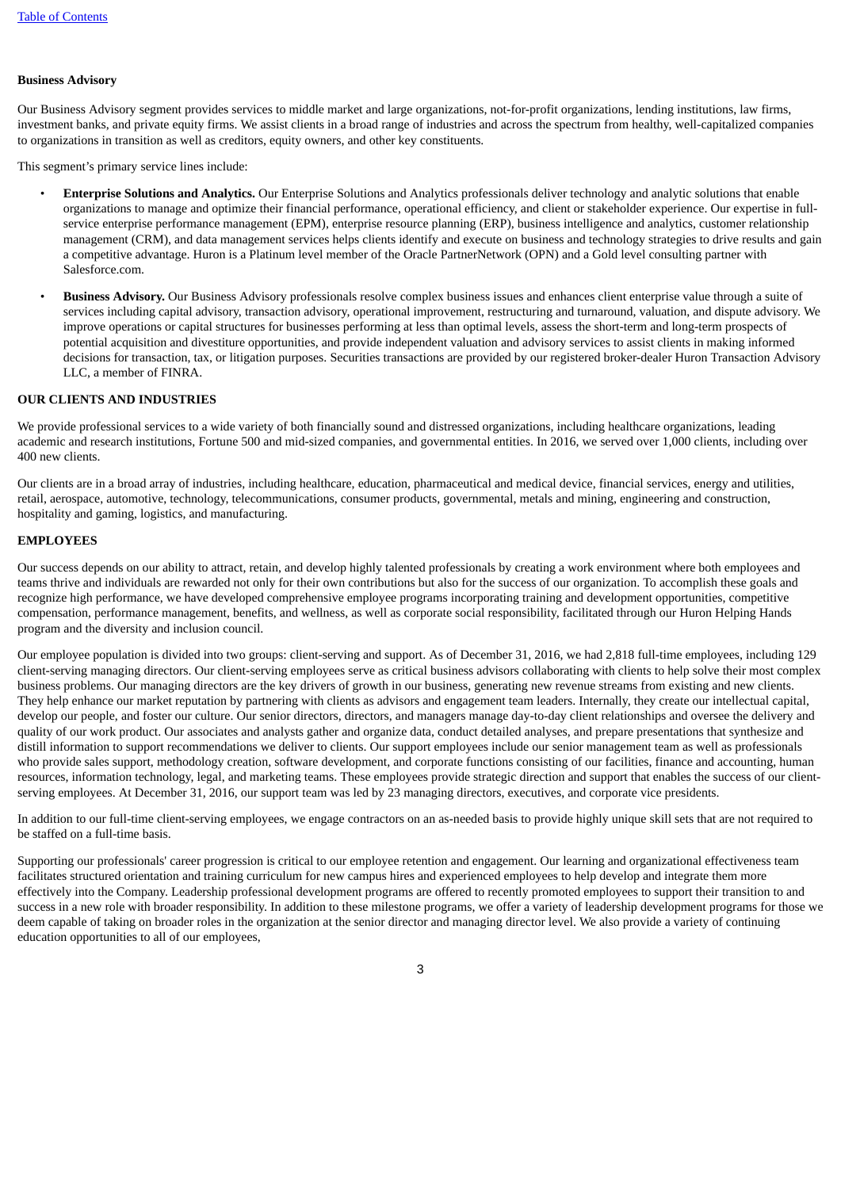### **Business Advisory**

Our Business Advisory segment provides services to middle market and large organizations, not-for-profit organizations, lending institutions, law firms, investment banks, and private equity firms. We assist clients in a broad range of industries and across the spectrum from healthy, well-capitalized companies to organizations in transition as well as creditors, equity owners, and other key constituents.

This segment's primary service lines include:

- **Enterprise Solutions and Analytics.** Our Enterprise Solutions and Analytics professionals deliver technology and analytic solutions that enable organizations to manage and optimize their financial performance, operational efficiency, and client or stakeholder experience. Our expertise in fullservice enterprise performance management (EPM), enterprise resource planning (ERP), business intelligence and analytics, customer relationship management (CRM), and data management services helps clients identify and execute on business and technology strategies to drive results and gain a competitive advantage. Huron is a Platinum level member of the Oracle PartnerNetwork (OPN) and a Gold level consulting partner with Salesforce.com.
- **Business Advisory.** Our Business Advisory professionals resolve complex business issues and enhances client enterprise value through a suite of services including capital advisory, transaction advisory, operational improvement, restructuring and turnaround, valuation, and dispute advisory. We improve operations or capital structures for businesses performing at less than optimal levels, assess the short-term and long-term prospects of potential acquisition and divestiture opportunities, and provide independent valuation and advisory services to assist clients in making informed decisions for transaction, tax, or litigation purposes. Securities transactions are provided by our registered broker-dealer Huron Transaction Advisory LLC, a member of FINRA.

### **OUR CLIENTS AND INDUSTRIES**

We provide professional services to a wide variety of both financially sound and distressed organizations, including healthcare organizations, leading academic and research institutions, Fortune 500 and mid-sized companies, and governmental entities. In 2016, we served over 1,000 clients, including over 400 new clients.

Our clients are in a broad array of industries, including healthcare, education, pharmaceutical and medical device, financial services, energy and utilities, retail, aerospace, automotive, technology, telecommunications, consumer products, governmental, metals and mining, engineering and construction, hospitality and gaming, logistics, and manufacturing.

#### **EMPLOYEES**

Our success depends on our ability to attract, retain, and develop highly talented professionals by creating a work environment where both employees and teams thrive and individuals are rewarded not only for their own contributions but also for the success of our organization. To accomplish these goals and recognize high performance, we have developed comprehensive employee programs incorporating training and development opportunities, competitive compensation, performance management, benefits, and wellness, as well as corporate social responsibility, facilitated through our Huron Helping Hands program and the diversity and inclusion council.

Our employee population is divided into two groups: client-serving and support. As of December 31, 2016, we had 2,818 full-time employees, including 129 client-serving managing directors. Our client-serving employees serve as critical business advisors collaborating with clients to help solve their most complex business problems. Our managing directors are the key drivers of growth in our business, generating new revenue streams from existing and new clients. They help enhance our market reputation by partnering with clients as advisors and engagement team leaders. Internally, they create our intellectual capital, develop our people, and foster our culture. Our senior directors, directors, and managers manage day-to-day client relationships and oversee the delivery and quality of our work product. Our associates and analysts gather and organize data, conduct detailed analyses, and prepare presentations that synthesize and distill information to support recommendations we deliver to clients. Our support employees include our senior management team as well as professionals who provide sales support, methodology creation, software development, and corporate functions consisting of our facilities, finance and accounting, human resources, information technology, legal, and marketing teams. These employees provide strategic direction and support that enables the success of our clientserving employees. At December 31, 2016, our support team was led by 23 managing directors, executives, and corporate vice presidents.

In addition to our full-time client-serving employees, we engage contractors on an as-needed basis to provide highly unique skill sets that are not required to be staffed on a full-time basis.

Supporting our professionals' career progression is critical to our employee retention and engagement. Our learning and organizational effectiveness team facilitates structured orientation and training curriculum for new campus hires and experienced employees to help develop and integrate them more effectively into the Company. Leadership professional development programs are offered to recently promoted employees to support their transition to and success in a new role with broader responsibility. In addition to these milestone programs, we offer a variety of leadership development programs for those we deem capable of taking on broader roles in the organization at the senior director and managing director level. We also provide a variety of continuing education opportunities to all of our employees,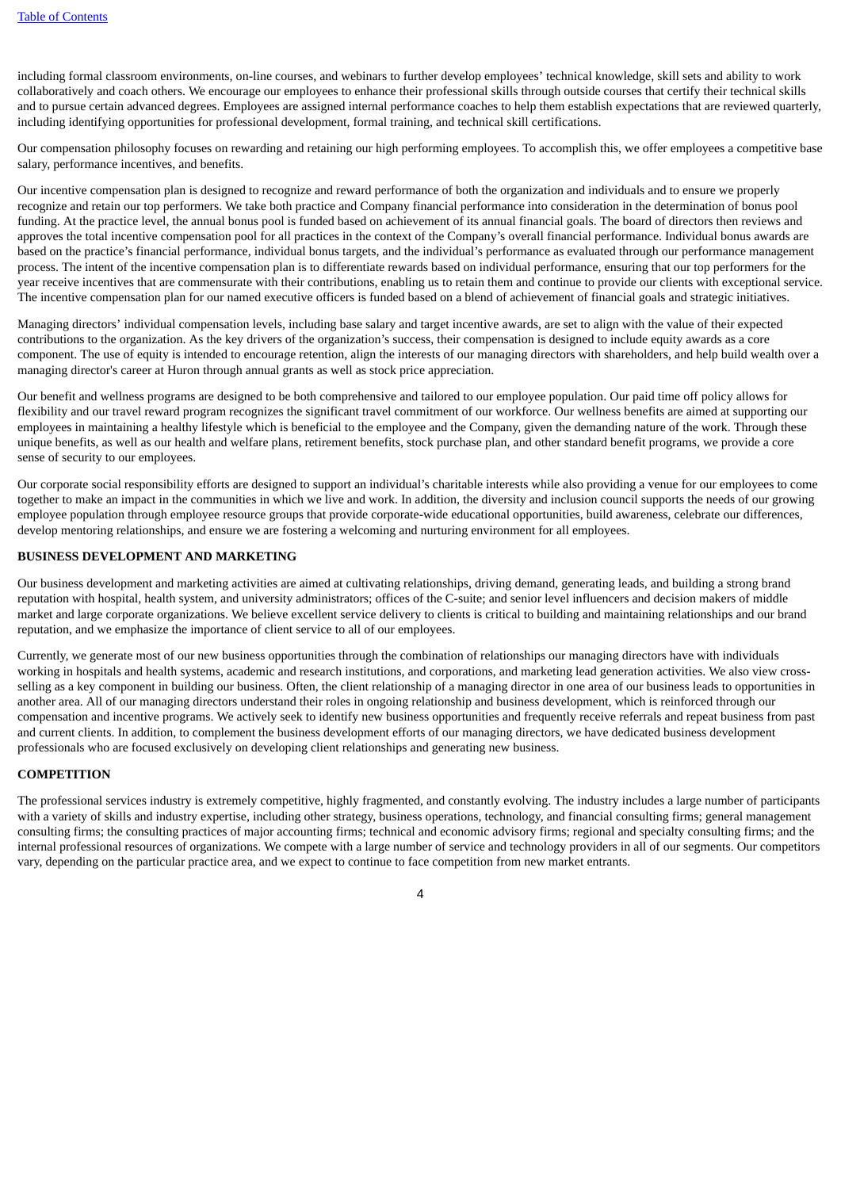including formal classroom environments, on-line courses, and webinars to further develop employees' technical knowledge, skill sets and ability to work collaboratively and coach others. We encourage our employees to enhance their professional skills through outside courses that certify their technical skills and to pursue certain advanced degrees. Employees are assigned internal performance coaches to help them establish expectations that are reviewed quarterly, including identifying opportunities for professional development, formal training, and technical skill certifications.

Our compensation philosophy focuses on rewarding and retaining our high performing employees. To accomplish this, we offer employees a competitive base salary, performance incentives, and benefits.

Our incentive compensation plan is designed to recognize and reward performance of both the organization and individuals and to ensure we properly recognize and retain our top performers. We take both practice and Company financial performance into consideration in the determination of bonus pool funding. At the practice level, the annual bonus pool is funded based on achievement of its annual financial goals. The board of directors then reviews and approves the total incentive compensation pool for all practices in the context of the Company's overall financial performance. Individual bonus awards are based on the practice's financial performance, individual bonus targets, and the individual's performance as evaluated through our performance management process. The intent of the incentive compensation plan is to differentiate rewards based on individual performance, ensuring that our top performers for the year receive incentives that are commensurate with their contributions, enabling us to retain them and continue to provide our clients with exceptional service. The incentive compensation plan for our named executive officers is funded based on a blend of achievement of financial goals and strategic initiatives.

Managing directors' individual compensation levels, including base salary and target incentive awards, are set to align with the value of their expected contributions to the organization. As the key drivers of the organization's success, their compensation is designed to include equity awards as a core component. The use of equity is intended to encourage retention, align the interests of our managing directors with shareholders, and help build wealth over a managing director's career at Huron through annual grants as well as stock price appreciation.

Our benefit and wellness programs are designed to be both comprehensive and tailored to our employee population. Our paid time off policy allows for flexibility and our travel reward program recognizes the significant travel commitment of our workforce. Our wellness benefits are aimed at supporting our employees in maintaining a healthy lifestyle which is beneficial to the employee and the Company, given the demanding nature of the work. Through these unique benefits, as well as our health and welfare plans, retirement benefits, stock purchase plan, and other standard benefit programs, we provide a core sense of security to our employees.

Our corporate social responsibility efforts are designed to support an individual's charitable interests while also providing a venue for our employees to come together to make an impact in the communities in which we live and work. In addition, the diversity and inclusion council supports the needs of our growing employee population through employee resource groups that provide corporate-wide educational opportunities, build awareness, celebrate our differences, develop mentoring relationships, and ensure we are fostering a welcoming and nurturing environment for all employees.

### **BUSINESS DEVELOPMENT AND MARKETING**

Our business development and marketing activities are aimed at cultivating relationships, driving demand, generating leads, and building a strong brand reputation with hospital, health system, and university administrators; offices of the C-suite; and senior level influencers and decision makers of middle market and large corporate organizations. We believe excellent service delivery to clients is critical to building and maintaining relationships and our brand reputation, and we emphasize the importance of client service to all of our employees.

Currently, we generate most of our new business opportunities through the combination of relationships our managing directors have with individuals working in hospitals and health systems, academic and research institutions, and corporations, and marketing lead generation activities. We also view crossselling as a key component in building our business. Often, the client relationship of a managing director in one area of our business leads to opportunities in another area. All of our managing directors understand their roles in ongoing relationship and business development, which is reinforced through our compensation and incentive programs. We actively seek to identify new business opportunities and frequently receive referrals and repeat business from past and current clients. In addition, to complement the business development efforts of our managing directors, we have dedicated business development professionals who are focused exclusively on developing client relationships and generating new business.

# **COMPETITION**

The professional services industry is extremely competitive, highly fragmented, and constantly evolving. The industry includes a large number of participants with a variety of skills and industry expertise, including other strategy, business operations, technology, and financial consulting firms; general management consulting firms; the consulting practices of major accounting firms; technical and economic advisory firms; regional and specialty consulting firms; and the internal professional resources of organizations. We compete with a large number of service and technology providers in all of our segments. Our competitors vary, depending on the particular practice area, and we expect to continue to face competition from new market entrants.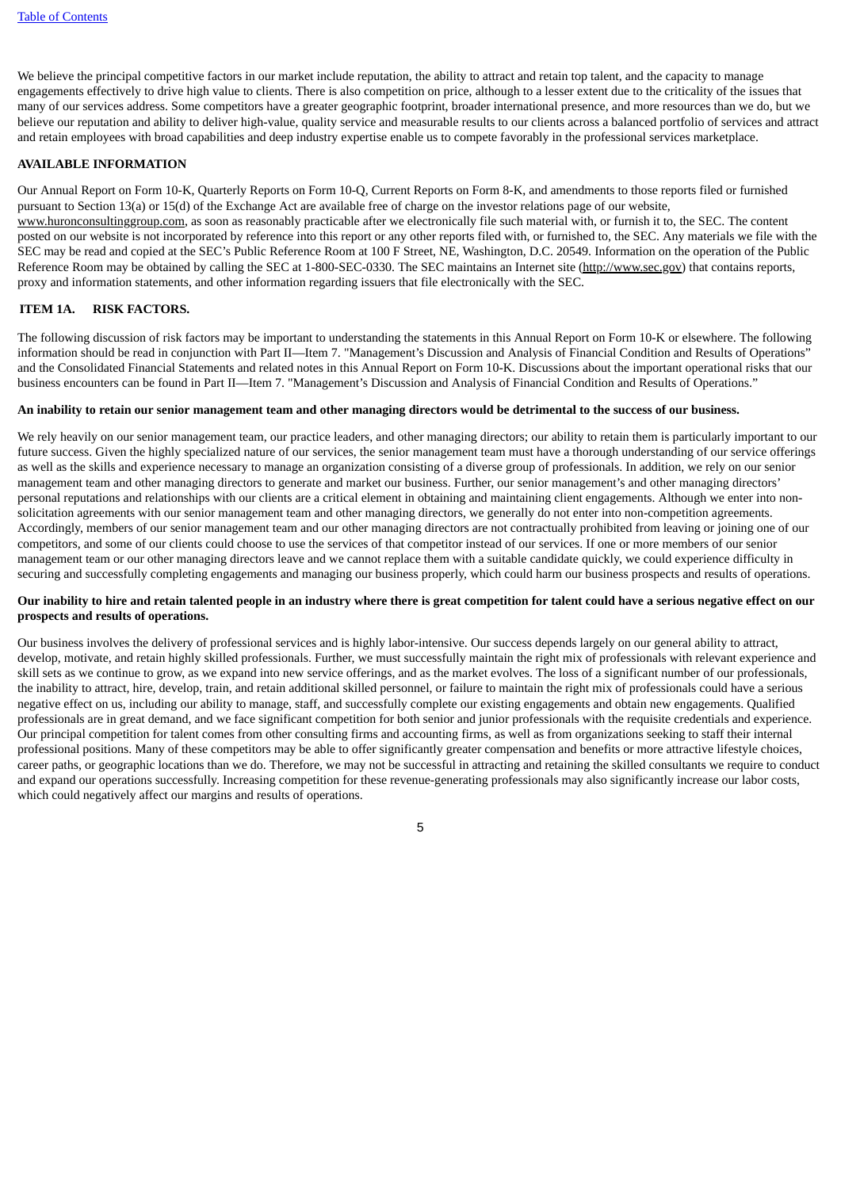We believe the principal competitive factors in our market include reputation, the ability to attract and retain top talent, and the capacity to manage engagements effectively to drive high value to clients. There is also competition on price, although to a lesser extent due to the criticality of the issues that many of our services address. Some competitors have a greater geographic footprint, broader international presence, and more resources than we do, but we believe our reputation and ability to deliver high-value, quality service and measurable results to our clients across a balanced portfolio of services and attract and retain employees with broad capabilities and deep industry expertise enable us to compete favorably in the professional services marketplace.

# **AVAILABLE INFORMATION**

Our Annual Report on Form 10-K, Quarterly Reports on Form 10-Q, Current Reports on Form 8-K, and amendments to those reports filed or furnished pursuant to Section 13(a) or 15(d) of the Exchange Act are available free of charge on the investor relations page of our website, www.huronconsultinggroup.com, as soon as reasonably practicable after we electronically file such material with, or furnish it to, the SEC. The content posted on our website is not incorporated by reference into this report or any other reports filed with, or furnished to, the SEC. Any materials we file with the SEC may be read and copied at the SEC's Public Reference Room at 100 F Street, NE, Washington, D.C. 20549. Information on the operation of the Public Reference Room may be obtained by calling the SEC at 1-800-SEC-0330. The SEC maintains an Internet site (http://www.sec.gov) that contains reports, proxy and information statements, and other information regarding issuers that file electronically with the SEC.

# <span id="page-6-0"></span>**ITEM 1A. RISK FACTORS.**

The following discussion of risk factors may be important to understanding the statements in this Annual Report on Form 10-K or elsewhere. The following information should be read in conjunction with Part II—Item 7. "Management's Discussion and Analysis of Financial Condition and Results of Operations" and the Consolidated Financial Statements and related notes in this Annual Report on Form 10-K. Discussions about the important operational risks that our business encounters can be found in Part II—Item 7. "Management's Discussion and Analysis of Financial Condition and Results of Operations."

### An inability to retain our senior management team and other managing directors would be detrimental to the success of our business.

We rely heavily on our senior management team, our practice leaders, and other managing directors; our ability to retain them is particularly important to our future success. Given the highly specialized nature of our services, the senior management team must have a thorough understanding of our service offerings as well as the skills and experience necessary to manage an organization consisting of a diverse group of professionals. In addition, we rely on our senior management team and other managing directors to generate and market our business. Further, our senior management's and other managing directors' personal reputations and relationships with our clients are a critical element in obtaining and maintaining client engagements. Although we enter into nonsolicitation agreements with our senior management team and other managing directors, we generally do not enter into non-competition agreements. Accordingly, members of our senior management team and our other managing directors are not contractually prohibited from leaving or joining one of our competitors, and some of our clients could choose to use the services of that competitor instead of our services. If one or more members of our senior management team or our other managing directors leave and we cannot replace them with a suitable candidate quickly, we could experience difficulty in securing and successfully completing engagements and managing our business properly, which could harm our business prospects and results of operations.

# Our inability to hire and retain talented people in an industry where there is great competition for talent could have a serious negative effect on our **prospects and results of operations.**

Our business involves the delivery of professional services and is highly labor-intensive. Our success depends largely on our general ability to attract, develop, motivate, and retain highly skilled professionals. Further, we must successfully maintain the right mix of professionals with relevant experience and skill sets as we continue to grow, as we expand into new service offerings, and as the market evolves. The loss of a significant number of our professionals, the inability to attract, hire, develop, train, and retain additional skilled personnel, or failure to maintain the right mix of professionals could have a serious negative effect on us, including our ability to manage, staff, and successfully complete our existing engagements and obtain new engagements. Qualified professionals are in great demand, and we face significant competition for both senior and junior professionals with the requisite credentials and experience. Our principal competition for talent comes from other consulting firms and accounting firms, as well as from organizations seeking to staff their internal professional positions. Many of these competitors may be able to offer significantly greater compensation and benefits or more attractive lifestyle choices, career paths, or geographic locations than we do. Therefore, we may not be successful in attracting and retaining the skilled consultants we require to conduct and expand our operations successfully. Increasing competition for these revenue-generating professionals may also significantly increase our labor costs, which could negatively affect our margins and results of operations.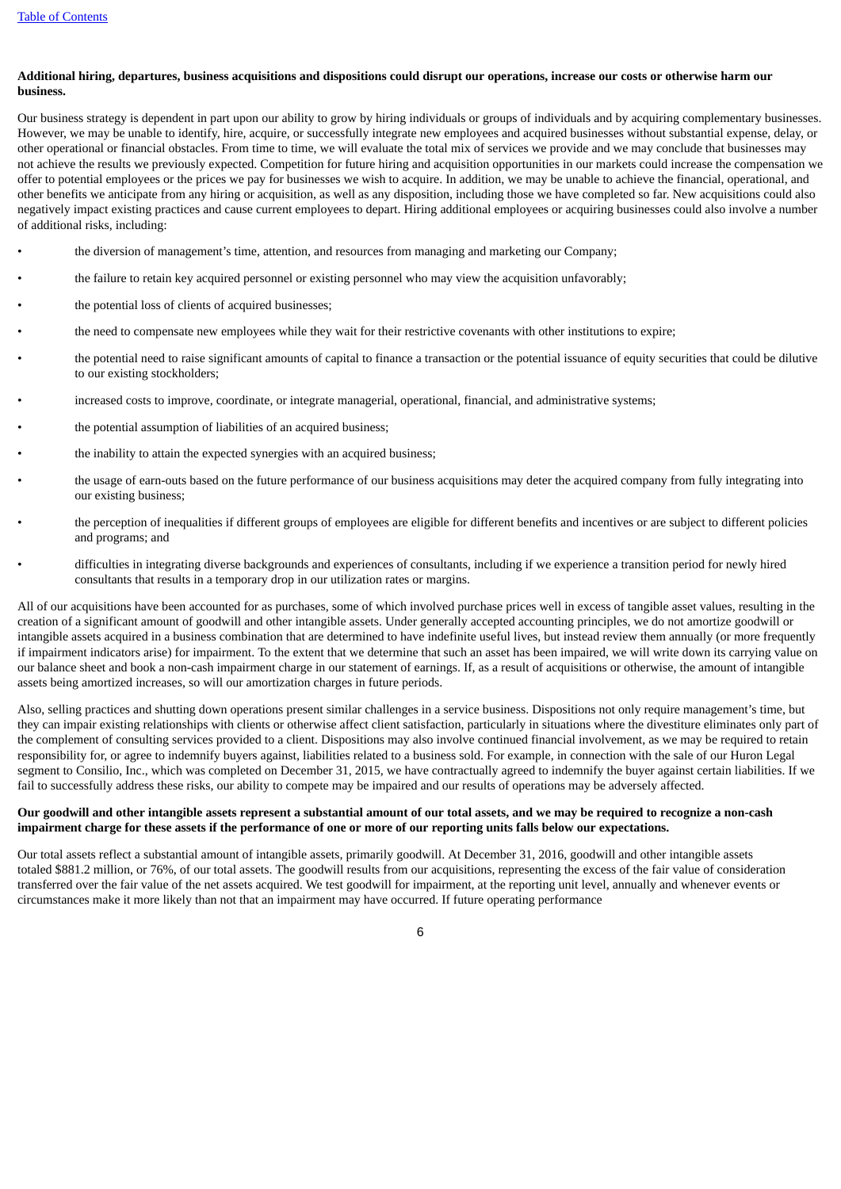# Additional hiring, departures, business acquisitions and dispositions could disrupt our operations, increase our costs or otherwise harm our **business.**

Our business strategy is dependent in part upon our ability to grow by hiring individuals or groups of individuals and by acquiring complementary businesses. However, we may be unable to identify, hire, acquire, or successfully integrate new employees and acquired businesses without substantial expense, delay, or other operational or financial obstacles. From time to time, we will evaluate the total mix of services we provide and we may conclude that businesses may not achieve the results we previously expected. Competition for future hiring and acquisition opportunities in our markets could increase the compensation we offer to potential employees or the prices we pay for businesses we wish to acquire. In addition, we may be unable to achieve the financial, operational, and other benefits we anticipate from any hiring or acquisition, as well as any disposition, including those we have completed so far. New acquisitions could also negatively impact existing practices and cause current employees to depart. Hiring additional employees or acquiring businesses could also involve a number of additional risks, including:

- the diversion of management's time, attention, and resources from managing and marketing our Company;
- the failure to retain key acquired personnel or existing personnel who may view the acquisition unfavorably;
- the potential loss of clients of acquired businesses;
- the need to compensate new employees while they wait for their restrictive covenants with other institutions to expire;
- the potential need to raise significant amounts of capital to finance a transaction or the potential issuance of equity securities that could be dilutive to our existing stockholders;
- increased costs to improve, coordinate, or integrate managerial, operational, financial, and administrative systems;
- the potential assumption of liabilities of an acquired business;
- the inability to attain the expected synergies with an acquired business;
- the usage of earn-outs based on the future performance of our business acquisitions may deter the acquired company from fully integrating into our existing business;
- the perception of inequalities if different groups of employees are eligible for different benefits and incentives or are subject to different policies and programs; and
- difficulties in integrating diverse backgrounds and experiences of consultants, including if we experience a transition period for newly hired consultants that results in a temporary drop in our utilization rates or margins.

All of our acquisitions have been accounted for as purchases, some of which involved purchase prices well in excess of tangible asset values, resulting in the creation of a significant amount of goodwill and other intangible assets. Under generally accepted accounting principles, we do not amortize goodwill or intangible assets acquired in a business combination that are determined to have indefinite useful lives, but instead review them annually (or more frequently if impairment indicators arise) for impairment. To the extent that we determine that such an asset has been impaired, we will write down its carrying value on our balance sheet and book a non-cash impairment charge in our statement of earnings. If, as a result of acquisitions or otherwise, the amount of intangible assets being amortized increases, so will our amortization charges in future periods.

Also, selling practices and shutting down operations present similar challenges in a service business. Dispositions not only require management's time, but they can impair existing relationships with clients or otherwise affect client satisfaction, particularly in situations where the divestiture eliminates only part of the complement of consulting services provided to a client. Dispositions may also involve continued financial involvement, as we may be required to retain responsibility for, or agree to indemnify buyers against, liabilities related to a business sold. For example, in connection with the sale of our Huron Legal segment to Consilio, Inc., which was completed on December 31, 2015, we have contractually agreed to indemnify the buyer against certain liabilities. If we fail to successfully address these risks, our ability to compete may be impaired and our results of operations may be adversely affected.

# Our goodwill and other intangible assets represent a substantial amount of our total assets, and we may be required to recognize a non-cash impairment charge for these assets if the performance of one or more of our reporting units falls below our expectations.

Our total assets reflect a substantial amount of intangible assets, primarily goodwill. At December 31, 2016, goodwill and other intangible assets totaled \$881.2 million, or 76%, of our total assets. The goodwill results from our acquisitions, representing the excess of the fair value of consideration transferred over the fair value of the net assets acquired. We test goodwill for impairment, at the reporting unit level, annually and whenever events or circumstances make it more likely than not that an impairment may have occurred. If future operating performance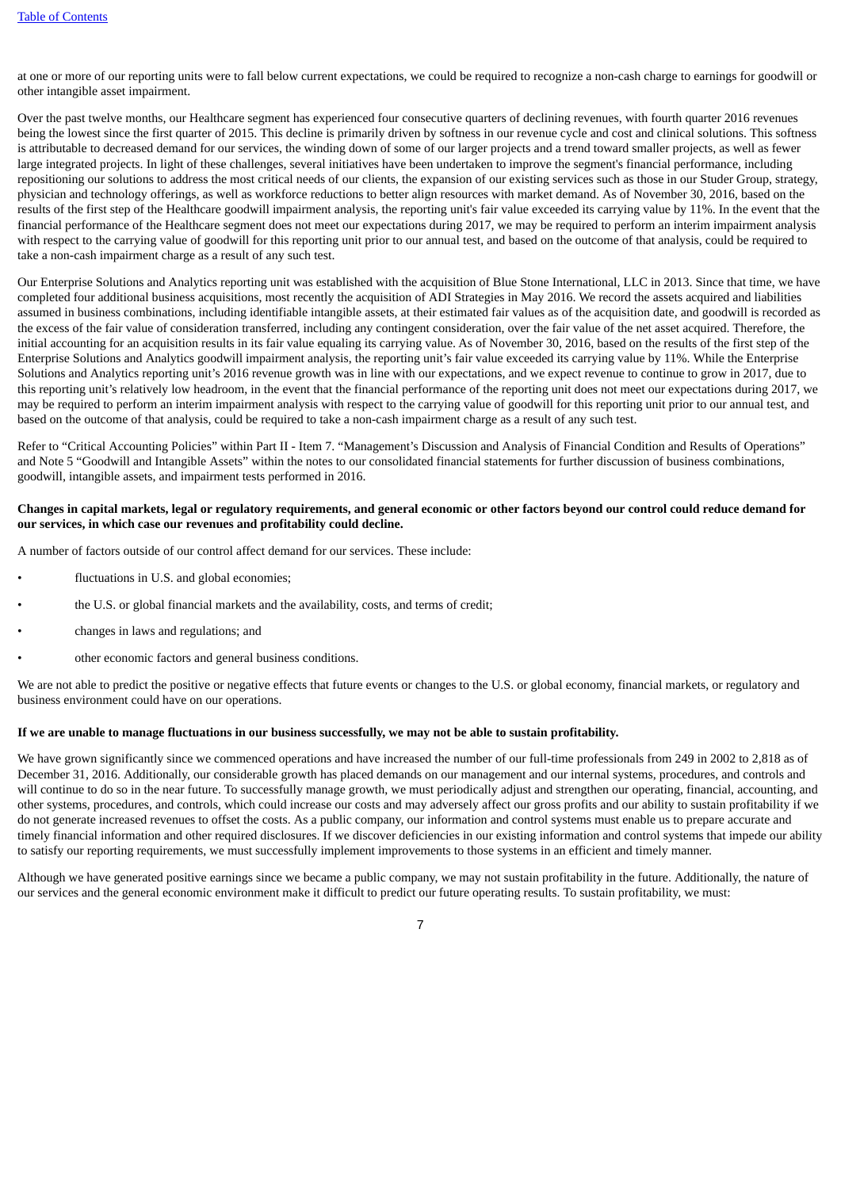at one or more of our reporting units were to fall below current expectations, we could be required to recognize a non-cash charge to earnings for goodwill or other intangible asset impairment.

Over the past twelve months, our Healthcare segment has experienced four consecutive quarters of declining revenues, with fourth quarter 2016 revenues being the lowest since the first quarter of 2015. This decline is primarily driven by softness in our revenue cycle and cost and clinical solutions. This softness is attributable to decreased demand for our services, the winding down of some of our larger projects and a trend toward smaller projects, as well as fewer large integrated projects. In light of these challenges, several initiatives have been undertaken to improve the segment's financial performance, including repositioning our solutions to address the most critical needs of our clients, the expansion of our existing services such as those in our Studer Group, strategy, physician and technology offerings, as well as workforce reductions to better align resources with market demand. As of November 30, 2016, based on the results of the first step of the Healthcare goodwill impairment analysis, the reporting unit's fair value exceeded its carrying value by 11%. In the event that the financial performance of the Healthcare segment does not meet our expectations during 2017, we may be required to perform an interim impairment analysis with respect to the carrying value of goodwill for this reporting unit prior to our annual test, and based on the outcome of that analysis, could be required to take a non-cash impairment charge as a result of any such test.

Our Enterprise Solutions and Analytics reporting unit was established with the acquisition of Blue Stone International, LLC in 2013. Since that time, we have completed four additional business acquisitions, most recently the acquisition of ADI Strategies in May 2016. We record the assets acquired and liabilities assumed in business combinations, including identifiable intangible assets, at their estimated fair values as of the acquisition date, and goodwill is recorded as the excess of the fair value of consideration transferred, including any contingent consideration, over the fair value of the net asset acquired. Therefore, the initial accounting for an acquisition results in its fair value equaling its carrying value. As of November 30, 2016, based on the results of the first step of the Enterprise Solutions and Analytics goodwill impairment analysis, the reporting unit's fair value exceeded its carrying value by 11%. While the Enterprise Solutions and Analytics reporting unit's 2016 revenue growth was in line with our expectations, and we expect revenue to continue to grow in 2017, due to this reporting unit's relatively low headroom, in the event that the financial performance of the reporting unit does not meet our expectations during 2017, we may be required to perform an interim impairment analysis with respect to the carrying value of goodwill for this reporting unit prior to our annual test, and based on the outcome of that analysis, could be required to take a non-cash impairment charge as a result of any such test.

Refer to "Critical Accounting Policies" within Part II - Item 7. "Management's Discussion and Analysis of Financial Condition and Results of Operations" and Note 5 "Goodwill and Intangible Assets" within the notes to our consolidated financial statements for further discussion of business combinations, goodwill, intangible assets, and impairment tests performed in 2016.

# Changes in capital markets, legal or regulatory requirements, and general economic or other factors beyond our control could reduce demand for **our services, in which case our revenues and profitability could decline.**

A number of factors outside of our control affect demand for our services. These include:

- fluctuations in U.S. and global economies;
- the U.S. or global financial markets and the availability, costs, and terms of credit;
- changes in laws and regulations; and
	- other economic factors and general business conditions.

We are not able to predict the positive or negative effects that future events or changes to the U.S. or global economy, financial markets, or regulatory and business environment could have on our operations.

### If we are unable to manage fluctuations in our business successfully, we may not be able to sustain profitability.

We have grown significantly since we commenced operations and have increased the number of our full-time professionals from 249 in 2002 to 2,818 as of December 31, 2016. Additionally, our considerable growth has placed demands on our management and our internal systems, procedures, and controls and will continue to do so in the near future. To successfully manage growth, we must periodically adjust and strengthen our operating, financial, accounting, and other systems, procedures, and controls, which could increase our costs and may adversely affect our gross profits and our ability to sustain profitability if we do not generate increased revenues to offset the costs. As a public company, our information and control systems must enable us to prepare accurate and timely financial information and other required disclosures. If we discover deficiencies in our existing information and control systems that impede our ability to satisfy our reporting requirements, we must successfully implement improvements to those systems in an efficient and timely manner.

Although we have generated positive earnings since we became a public company, we may not sustain profitability in the future. Additionally, the nature of our services and the general economic environment make it difficult to predict our future operating results. To sustain profitability, we must:

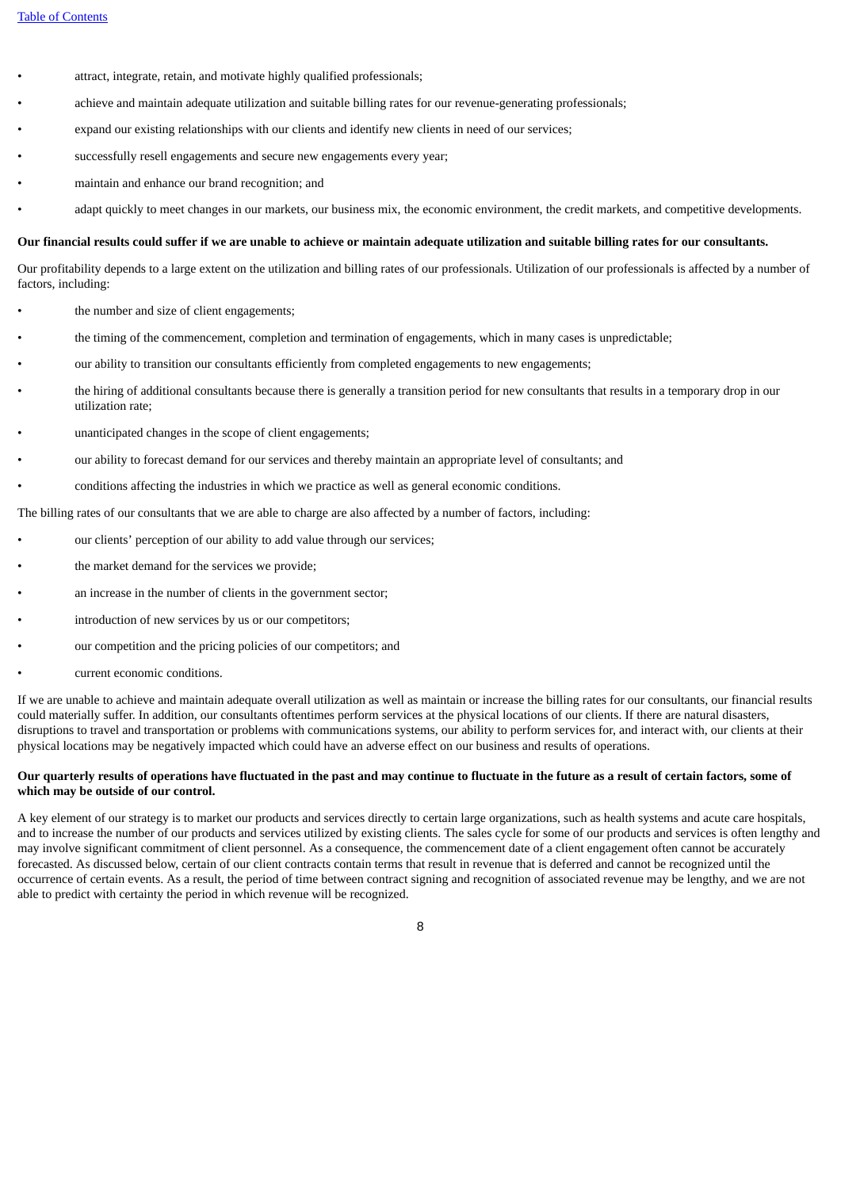- attract, integrate, retain, and motivate highly qualified professionals;
- achieve and maintain adequate utilization and suitable billing rates for our revenue-generating professionals;
- expand our existing relationships with our clients and identify new clients in need of our services;
- successfully resell engagements and secure new engagements every year;
- maintain and enhance our brand recognition; and
- adapt quickly to meet changes in our markets, our business mix, the economic environment, the credit markets, and competitive developments.

#### Our financial results could suffer if we are unable to achieve or maintain adequate utilization and suitable billing rates for our consultants.

Our profitability depends to a large extent on the utilization and billing rates of our professionals. Utilization of our professionals is affected by a number of factors, including:

- the number and size of client engagements;
- the timing of the commencement, completion and termination of engagements, which in many cases is unpredictable;
- our ability to transition our consultants efficiently from completed engagements to new engagements;
- the hiring of additional consultants because there is generally a transition period for new consultants that results in a temporary drop in our utilization rate;
- unanticipated changes in the scope of client engagements;
- our ability to forecast demand for our services and thereby maintain an appropriate level of consultants; and
- conditions affecting the industries in which we practice as well as general economic conditions.

The billing rates of our consultants that we are able to charge are also affected by a number of factors, including:

- our clients' perception of our ability to add value through our services;
- the market demand for the services we provide;
- an increase in the number of clients in the government sector;
- introduction of new services by us or our competitors;
- our competition and the pricing policies of our competitors; and
- current economic conditions.

If we are unable to achieve and maintain adequate overall utilization as well as maintain or increase the billing rates for our consultants, our financial results could materially suffer. In addition, our consultants oftentimes perform services at the physical locations of our clients. If there are natural disasters, disruptions to travel and transportation or problems with communications systems, our ability to perform services for, and interact with, our clients at their physical locations may be negatively impacted which could have an adverse effect on our business and results of operations.

### Our quarterly results of operations have fluctuated in the past and may continue to fluctuate in the future as a result of certain factors, some of **which may be outside of our control.**

A key element of our strategy is to market our products and services directly to certain large organizations, such as health systems and acute care hospitals, and to increase the number of our products and services utilized by existing clients. The sales cycle for some of our products and services is often lengthy and may involve significant commitment of client personnel. As a consequence, the commencement date of a client engagement often cannot be accurately forecasted. As discussed below, certain of our client contracts contain terms that result in revenue that is deferred and cannot be recognized until the occurrence of certain events. As a result, the period of time between contract signing and recognition of associated revenue may be lengthy, and we are not able to predict with certainty the period in which revenue will be recognized.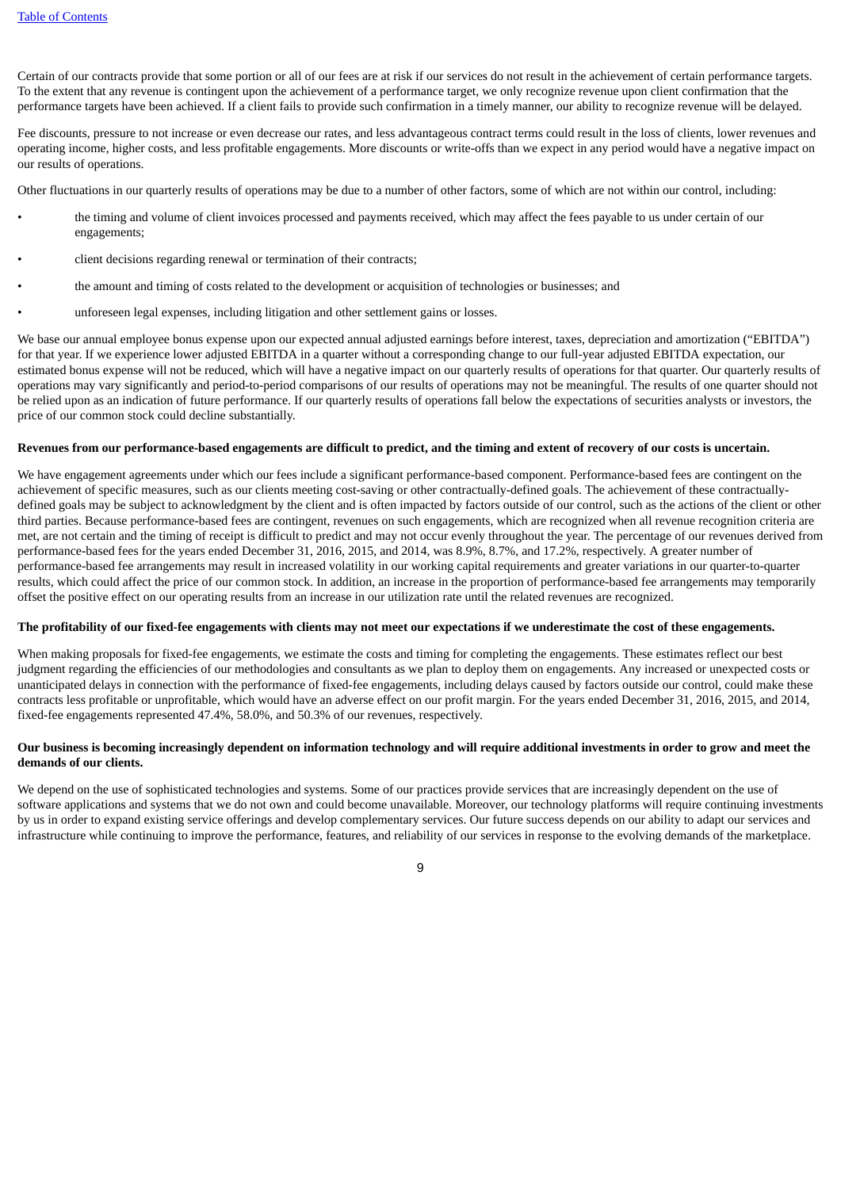Certain of our contracts provide that some portion or all of our fees are at risk if our services do not result in the achievement of certain performance targets. To the extent that any revenue is contingent upon the achievement of a performance target, we only recognize revenue upon client confirmation that the performance targets have been achieved. If a client fails to provide such confirmation in a timely manner, our ability to recognize revenue will be delayed.

Fee discounts, pressure to not increase or even decrease our rates, and less advantageous contract terms could result in the loss of clients, lower revenues and operating income, higher costs, and less profitable engagements. More discounts or write-offs than we expect in any period would have a negative impact on our results of operations.

Other fluctuations in our quarterly results of operations may be due to a number of other factors, some of which are not within our control, including:

- the timing and volume of client invoices processed and payments received, which may affect the fees payable to us under certain of our engagements;
- client decisions regarding renewal or termination of their contracts;
- the amount and timing of costs related to the development or acquisition of technologies or businesses; and
- unforeseen legal expenses, including litigation and other settlement gains or losses.

We base our annual employee bonus expense upon our expected annual adjusted earnings before interest, taxes, depreciation and amortization ("EBITDA") for that year. If we experience lower adjusted EBITDA in a quarter without a corresponding change to our full-year adjusted EBITDA expectation, our estimated bonus expense will not be reduced, which will have a negative impact on our quarterly results of operations for that quarter. Our quarterly results of operations may vary significantly and period-to-period comparisons of our results of operations may not be meaningful. The results of one quarter should not be relied upon as an indication of future performance. If our quarterly results of operations fall below the expectations of securities analysts or investors, the price of our common stock could decline substantially.

### Revenues from our performance-based engagements are difficult to predict, and the timing and extent of recovery of our costs is uncertain.

We have engagement agreements under which our fees include a significant performance-based component. Performance-based fees are contingent on the achievement of specific measures, such as our clients meeting cost-saving or other contractually-defined goals. The achievement of these contractuallydefined goals may be subject to acknowledgment by the client and is often impacted by factors outside of our control, such as the actions of the client or other third parties. Because performance-based fees are contingent, revenues on such engagements, which are recognized when all revenue recognition criteria are met, are not certain and the timing of receipt is difficult to predict and may not occur evenly throughout the year. The percentage of our revenues derived from performance-based fees for the years ended December 31, 2016, 2015, and 2014, was 8.9%, 8.7%, and 17.2%, respectively. A greater number of performance-based fee arrangements may result in increased volatility in our working capital requirements and greater variations in our quarter-to-quarter results, which could affect the price of our common stock. In addition, an increase in the proportion of performance-based fee arrangements may temporarily offset the positive effect on our operating results from an increase in our utilization rate until the related revenues are recognized.

#### The profitability of our fixed-fee engagements with clients may not meet our expectations if we underestimate the cost of these engagements.

When making proposals for fixed-fee engagements, we estimate the costs and timing for completing the engagements. These estimates reflect our best judgment regarding the efficiencies of our methodologies and consultants as we plan to deploy them on engagements. Any increased or unexpected costs or unanticipated delays in connection with the performance of fixed-fee engagements, including delays caused by factors outside our control, could make these contracts less profitable or unprofitable, which would have an adverse effect on our profit margin. For the years ended December 31, 2016, 2015, and 2014, fixed-fee engagements represented 47.4%, 58.0%, and 50.3% of our revenues, respectively.

# Our business is becoming increasingly dependent on information technology and will require additional investments in order to grow and meet the **demands of our clients.**

We depend on the use of sophisticated technologies and systems. Some of our practices provide services that are increasingly dependent on the use of software applications and systems that we do not own and could become unavailable. Moreover, our technology platforms will require continuing investments by us in order to expand existing service offerings and develop complementary services. Our future success depends on our ability to adapt our services and infrastructure while continuing to improve the performance, features, and reliability of our services in response to the evolving demands of the marketplace.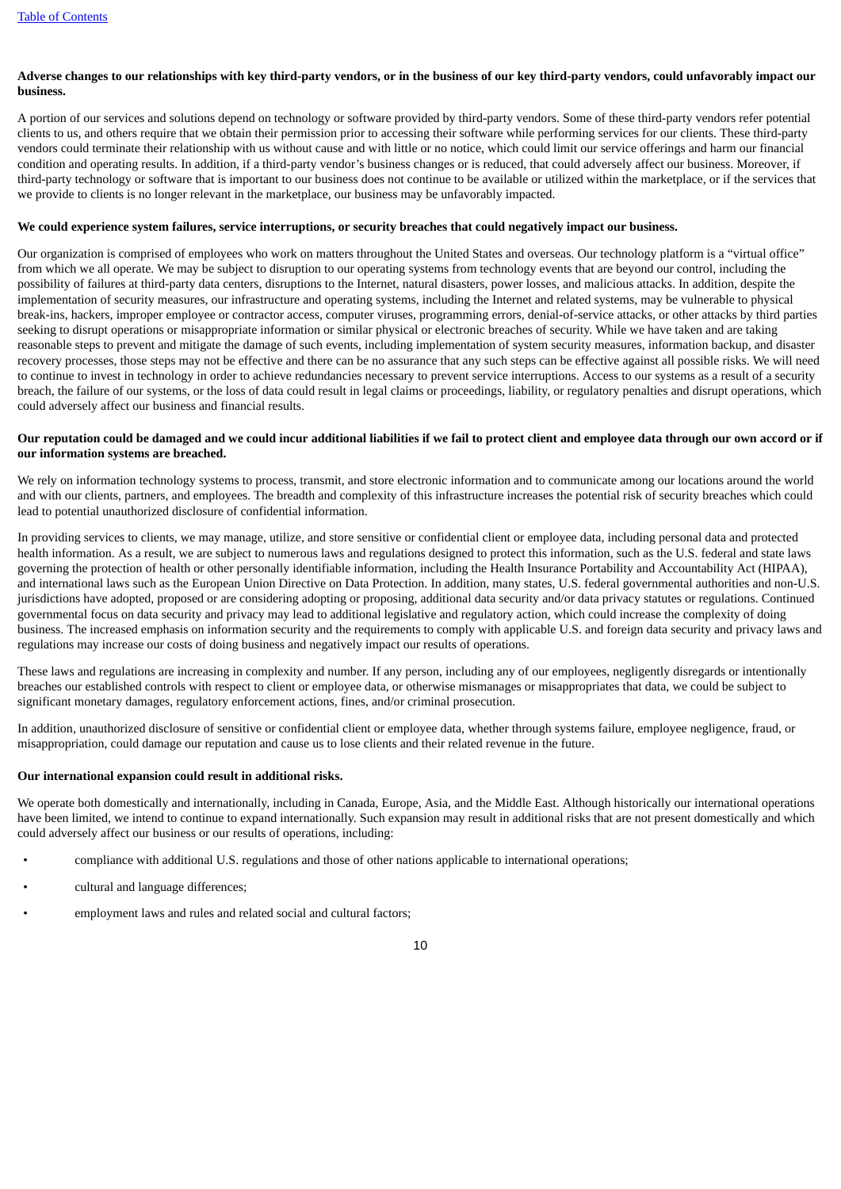# Adverse changes to our relationships with key third-party vendors, or in the business of our key third-party vendors, could unfavorably impact our **business.**

A portion of our services and solutions depend on technology or software provided by third-party vendors. Some of these third-party vendors refer potential clients to us, and others require that we obtain their permission prior to accessing their software while performing services for our clients. These third-party vendors could terminate their relationship with us without cause and with little or no notice, which could limit our service offerings and harm our financial condition and operating results. In addition, if a third-party vendor's business changes or is reduced, that could adversely affect our business. Moreover, if third-party technology or software that is important to our business does not continue to be available or utilized within the marketplace, or if the services that we provide to clients is no longer relevant in the marketplace, our business may be unfavorably impacted.

### We could experience system failures, service interruptions, or security breaches that could negatively impact our business.

Our organization is comprised of employees who work on matters throughout the United States and overseas. Our technology platform is a "virtual office" from which we all operate. We may be subject to disruption to our operating systems from technology events that are beyond our control, including the possibility of failures at third-party data centers, disruptions to the Internet, natural disasters, power losses, and malicious attacks. In addition, despite the implementation of security measures, our infrastructure and operating systems, including the Internet and related systems, may be vulnerable to physical break-ins, hackers, improper employee or contractor access, computer viruses, programming errors, denial-of-service attacks, or other attacks by third parties seeking to disrupt operations or misappropriate information or similar physical or electronic breaches of security. While we have taken and are taking reasonable steps to prevent and mitigate the damage of such events, including implementation of system security measures, information backup, and disaster recovery processes, those steps may not be effective and there can be no assurance that any such steps can be effective against all possible risks. We will need to continue to invest in technology in order to achieve redundancies necessary to prevent service interruptions. Access to our systems as a result of a security breach, the failure of our systems, or the loss of data could result in legal claims or proceedings, liability, or regulatory penalties and disrupt operations, which could adversely affect our business and financial results.

# Our reputation could be damaged and we could incur additional liabilities if we fail to protect client and employee data through our own accord or if **our information systems are breached.**

We rely on information technology systems to process, transmit, and store electronic information and to communicate among our locations around the world and with our clients, partners, and employees. The breadth and complexity of this infrastructure increases the potential risk of security breaches which could lead to potential unauthorized disclosure of confidential information.

In providing services to clients, we may manage, utilize, and store sensitive or confidential client or employee data, including personal data and protected health information. As a result, we are subject to numerous laws and regulations designed to protect this information, such as the U.S. federal and state laws governing the protection of health or other personally identifiable information, including the Health Insurance Portability and Accountability Act (HIPAA), and international laws such as the European Union Directive on Data Protection. In addition, many states, U.S. federal governmental authorities and non-U.S. jurisdictions have adopted, proposed or are considering adopting or proposing, additional data security and/or data privacy statutes or regulations. Continued governmental focus on data security and privacy may lead to additional legislative and regulatory action, which could increase the complexity of doing business. The increased emphasis on information security and the requirements to comply with applicable U.S. and foreign data security and privacy laws and regulations may increase our costs of doing business and negatively impact our results of operations.

These laws and regulations are increasing in complexity and number. If any person, including any of our employees, negligently disregards or intentionally breaches our established controls with respect to client or employee data, or otherwise mismanages or misappropriates that data, we could be subject to significant monetary damages, regulatory enforcement actions, fines, and/or criminal prosecution.

In addition, unauthorized disclosure of sensitive or confidential client or employee data, whether through systems failure, employee negligence, fraud, or misappropriation, could damage our reputation and cause us to lose clients and their related revenue in the future.

# **Our international expansion could result in additional risks.**

We operate both domestically and internationally, including in Canada, Europe, Asia, and the Middle East. Although historically our international operations have been limited, we intend to continue to expand internationally. Such expansion may result in additional risks that are not present domestically and which could adversely affect our business or our results of operations, including:

- compliance with additional U.S. regulations and those of other nations applicable to international operations;
- cultural and language differences;
- employment laws and rules and related social and cultural factors;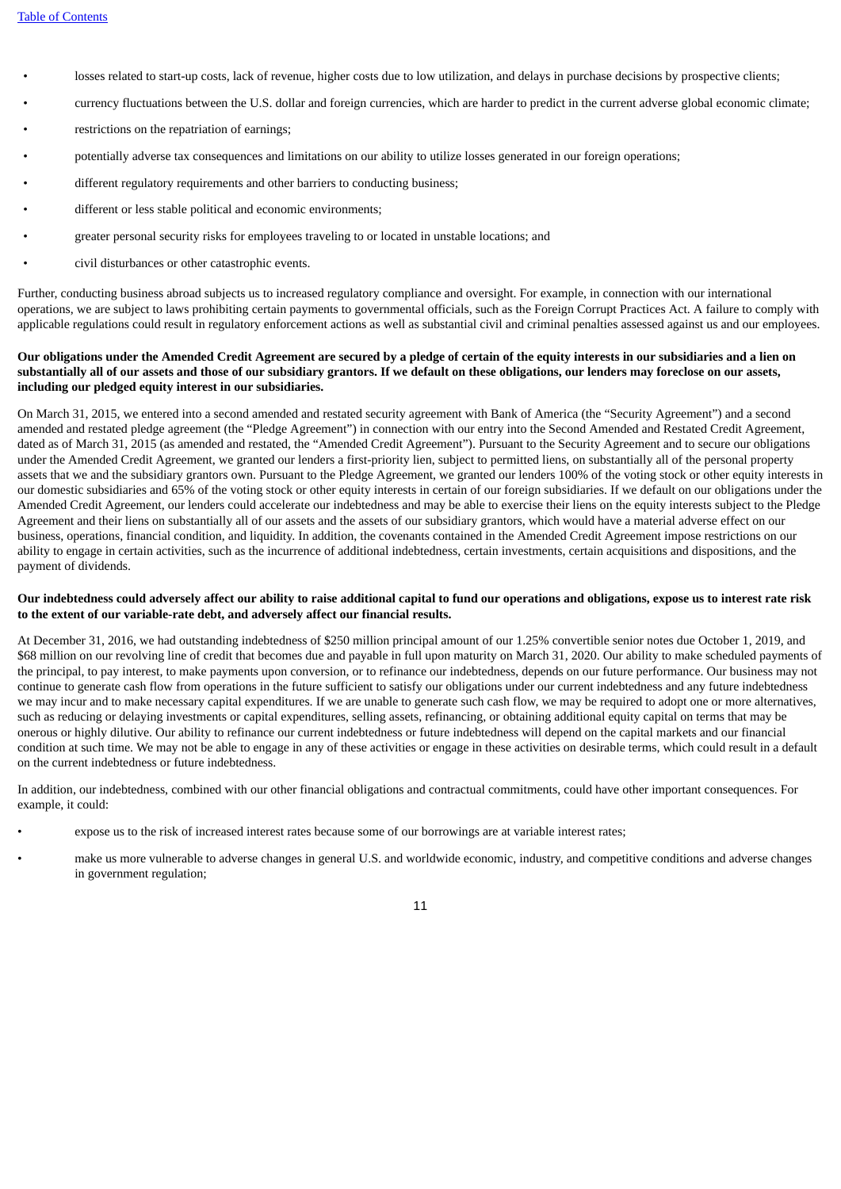- losses related to start-up costs, lack of revenue, higher costs due to low utilization, and delays in purchase decisions by prospective clients;
- currency fluctuations between the U.S. dollar and foreign currencies, which are harder to predict in the current adverse global economic climate;
- restrictions on the repatriation of earnings;
- potentially adverse tax consequences and limitations on our ability to utilize losses generated in our foreign operations;
- different regulatory requirements and other barriers to conducting business;
- different or less stable political and economic environments;
- greater personal security risks for employees traveling to or located in unstable locations; and
- civil disturbances or other catastrophic events.

Further, conducting business abroad subjects us to increased regulatory compliance and oversight. For example, in connection with our international operations, we are subject to laws prohibiting certain payments to governmental officials, such as the Foreign Corrupt Practices Act. A failure to comply with applicable regulations could result in regulatory enforcement actions as well as substantial civil and criminal penalties assessed against us and our employees.

# Our obligations under the Amended Credit Agreement are secured by a pledge of certain of the equity interests in our subsidiaries and a lien on substantially all of our assets and those of our subsidiary grantors. If we default on these obligations, our lenders may foreclose on our assets, **including our pledged equity interest in our subsidiaries.**

On March 31, 2015, we entered into a second amended and restated security agreement with Bank of America (the "Security Agreement") and a second amended and restated pledge agreement (the "Pledge Agreement") in connection with our entry into the Second Amended and Restated Credit Agreement, dated as of March 31, 2015 (as amended and restated, the "Amended Credit Agreement"). Pursuant to the Security Agreement and to secure our obligations under the Amended Credit Agreement, we granted our lenders a first-priority lien, subject to permitted liens, on substantially all of the personal property assets that we and the subsidiary grantors own. Pursuant to the Pledge Agreement, we granted our lenders 100% of the voting stock or other equity interests in our domestic subsidiaries and 65% of the voting stock or other equity interests in certain of our foreign subsidiaries. If we default on our obligations under the Amended Credit Agreement, our lenders could accelerate our indebtedness and may be able to exercise their liens on the equity interests subject to the Pledge Agreement and their liens on substantially all of our assets and the assets of our subsidiary grantors, which would have a material adverse effect on our business, operations, financial condition, and liquidity. In addition, the covenants contained in the Amended Credit Agreement impose restrictions on our ability to engage in certain activities, such as the incurrence of additional indebtedness, certain investments, certain acquisitions and dispositions, and the payment of dividends.

#### Our indebtedness could adversely affect our ability to raise additional capital to fund our operations and obligations, expose us to interest rate risk **to the extent of our variable-rate debt, and adversely affect our financial results.**

At December 31, 2016, we had outstanding indebtedness of \$250 million principal amount of our 1.25% convertible senior notes due October 1, 2019, and \$68 million on our revolving line of credit that becomes due and payable in full upon maturity on March 31, 2020. Our ability to make scheduled payments of the principal, to pay interest, to make payments upon conversion, or to refinance our indebtedness, depends on our future performance. Our business may not continue to generate cash flow from operations in the future sufficient to satisfy our obligations under our current indebtedness and any future indebtedness we may incur and to make necessary capital expenditures. If we are unable to generate such cash flow, we may be required to adopt one or more alternatives, such as reducing or delaying investments or capital expenditures, selling assets, refinancing, or obtaining additional equity capital on terms that may be onerous or highly dilutive. Our ability to refinance our current indebtedness or future indebtedness will depend on the capital markets and our financial condition at such time. We may not be able to engage in any of these activities or engage in these activities on desirable terms, which could result in a default on the current indebtedness or future indebtedness.

In addition, our indebtedness, combined with our other financial obligations and contractual commitments, could have other important consequences. For example, it could:

- expose us to the risk of increased interest rates because some of our borrowings are at variable interest rates;
- make us more vulnerable to adverse changes in general U.S. and worldwide economic, industry, and competitive conditions and adverse changes in government regulation;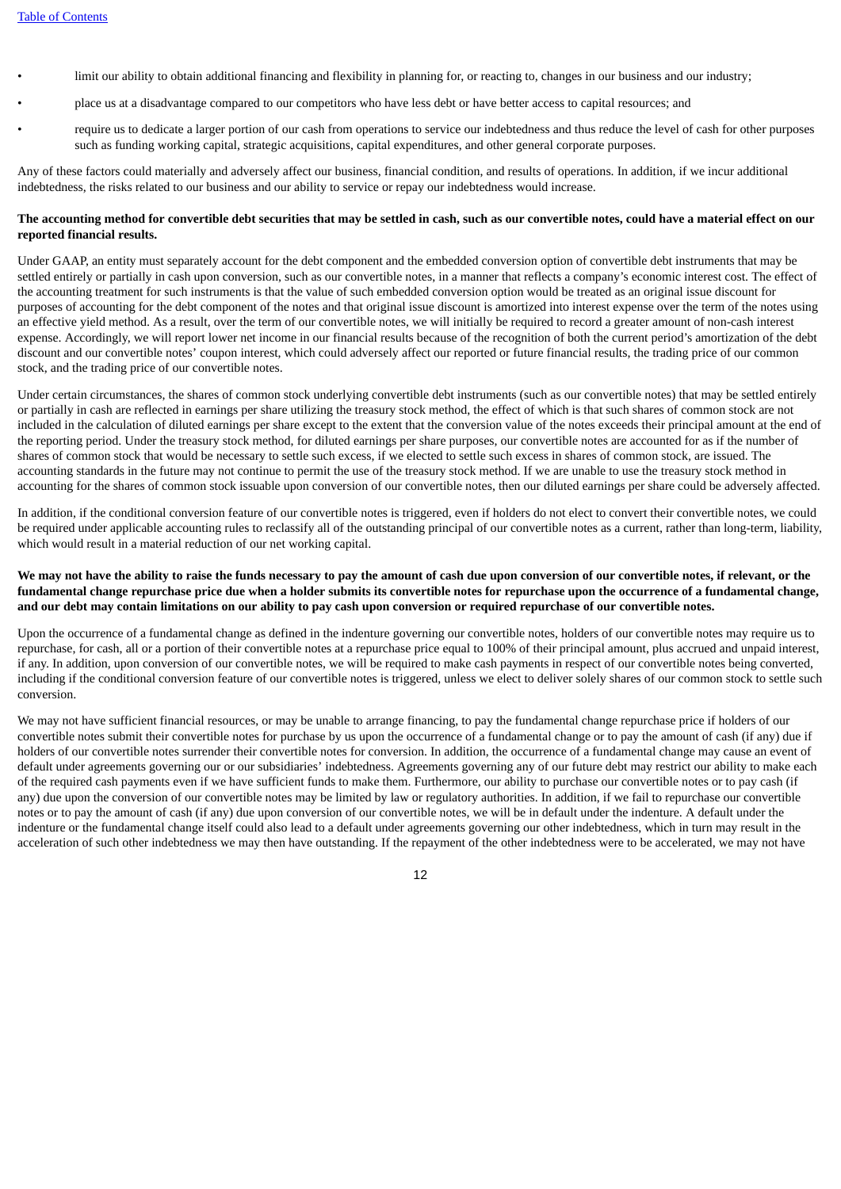- limit our ability to obtain additional financing and flexibility in planning for, or reacting to, changes in our business and our industry;
- place us at a disadvantage compared to our competitors who have less debt or have better access to capital resources; and
- require us to dedicate a larger portion of our cash from operations to service our indebtedness and thus reduce the level of cash for other purposes such as funding working capital, strategic acquisitions, capital expenditures, and other general corporate purposes.

Any of these factors could materially and adversely affect our business, financial condition, and results of operations. In addition, if we incur additional indebtedness, the risks related to our business and our ability to service or repay our indebtedness would increase.

# The accounting method for convertible debt securities that may be settled in cash, such as our convertible notes, could have a material effect on our **reported financial results.**

Under GAAP, an entity must separately account for the debt component and the embedded conversion option of convertible debt instruments that may be settled entirely or partially in cash upon conversion, such as our convertible notes, in a manner that reflects a company's economic interest cost. The effect of the accounting treatment for such instruments is that the value of such embedded conversion option would be treated as an original issue discount for purposes of accounting for the debt component of the notes and that original issue discount is amortized into interest expense over the term of the notes using an effective yield method. As a result, over the term of our convertible notes, we will initially be required to record a greater amount of non-cash interest expense. Accordingly, we will report lower net income in our financial results because of the recognition of both the current period's amortization of the debt discount and our convertible notes' coupon interest, which could adversely affect our reported or future financial results, the trading price of our common stock, and the trading price of our convertible notes.

Under certain circumstances, the shares of common stock underlying convertible debt instruments (such as our convertible notes) that may be settled entirely or partially in cash are reflected in earnings per share utilizing the treasury stock method, the effect of which is that such shares of common stock are not included in the calculation of diluted earnings per share except to the extent that the conversion value of the notes exceeds their principal amount at the end of the reporting period. Under the treasury stock method, for diluted earnings per share purposes, our convertible notes are accounted for as if the number of shares of common stock that would be necessary to settle such excess, if we elected to settle such excess in shares of common stock, are issued. The accounting standards in the future may not continue to permit the use of the treasury stock method. If we are unable to use the treasury stock method in accounting for the shares of common stock issuable upon conversion of our convertible notes, then our diluted earnings per share could be adversely affected.

In addition, if the conditional conversion feature of our convertible notes is triggered, even if holders do not elect to convert their convertible notes, we could be required under applicable accounting rules to reclassify all of the outstanding principal of our convertible notes as a current, rather than long-term, liability, which would result in a material reduction of our net working capital.

# We may not have the ability to raise the funds necessary to pay the amount of cash due upon conversion of our convertible notes, if relevant, or the fundamental change repurchase price due when a holder submits its convertible notes for repurchase upon the occurrence of a fundamental change, and our debt may contain limitations on our ability to pay cash upon conversion or required repurchase of our convertible notes.

Upon the occurrence of a fundamental change as defined in the indenture governing our convertible notes, holders of our convertible notes may require us to repurchase, for cash, all or a portion of their convertible notes at a repurchase price equal to 100% of their principal amount, plus accrued and unpaid interest, if any. In addition, upon conversion of our convertible notes, we will be required to make cash payments in respect of our convertible notes being converted, including if the conditional conversion feature of our convertible notes is triggered, unless we elect to deliver solely shares of our common stock to settle such conversion.

We may not have sufficient financial resources, or may be unable to arrange financing, to pay the fundamental change repurchase price if holders of our convertible notes submit their convertible notes for purchase by us upon the occurrence of a fundamental change or to pay the amount of cash (if any) due if holders of our convertible notes surrender their convertible notes for conversion. In addition, the occurrence of a fundamental change may cause an event of default under agreements governing our or our subsidiaries' indebtedness. Agreements governing any of our future debt may restrict our ability to make each of the required cash payments even if we have sufficient funds to make them. Furthermore, our ability to purchase our convertible notes or to pay cash (if any) due upon the conversion of our convertible notes may be limited by law or regulatory authorities. In addition, if we fail to repurchase our convertible notes or to pay the amount of cash (if any) due upon conversion of our convertible notes, we will be in default under the indenture. A default under the indenture or the fundamental change itself could also lead to a default under agreements governing our other indebtedness, which in turn may result in the acceleration of such other indebtedness we may then have outstanding. If the repayment of the other indebtedness were to be accelerated, we may not have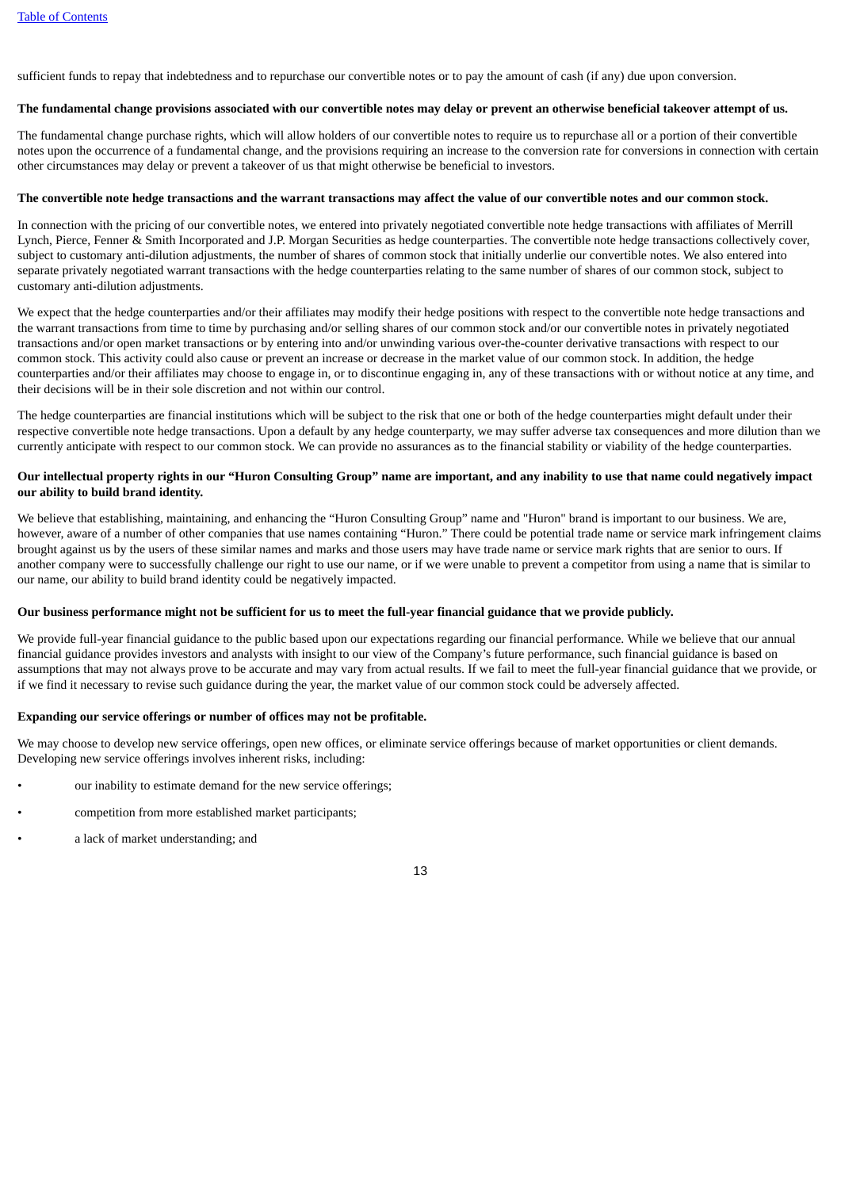sufficient funds to repay that indebtedness and to repurchase our convertible notes or to pay the amount of cash (if any) due upon conversion.

# The fundamental change provisions associated with our convertible notes may delay or prevent an otherwise beneficial takeover attempt of us.

The fundamental change purchase rights, which will allow holders of our convertible notes to require us to repurchase all or a portion of their convertible notes upon the occurrence of a fundamental change, and the provisions requiring an increase to the conversion rate for conversions in connection with certain other circumstances may delay or prevent a takeover of us that might otherwise be beneficial to investors.

### The convertible note hedge transactions and the warrant transactions may affect the value of our convertible notes and our common stock.

In connection with the pricing of our convertible notes, we entered into privately negotiated convertible note hedge transactions with affiliates of Merrill Lynch, Pierce, Fenner & Smith Incorporated and J.P. Morgan Securities as hedge counterparties. The convertible note hedge transactions collectively cover, subject to customary anti-dilution adjustments, the number of shares of common stock that initially underlie our convertible notes. We also entered into separate privately negotiated warrant transactions with the hedge counterparties relating to the same number of shares of our common stock, subject to customary anti-dilution adjustments.

We expect that the hedge counterparties and/or their affiliates may modify their hedge positions with respect to the convertible note hedge transactions and the warrant transactions from time to time by purchasing and/or selling shares of our common stock and/or our convertible notes in privately negotiated transactions and/or open market transactions or by entering into and/or unwinding various over-the-counter derivative transactions with respect to our common stock. This activity could also cause or prevent an increase or decrease in the market value of our common stock. In addition, the hedge counterparties and/or their affiliates may choose to engage in, or to discontinue engaging in, any of these transactions with or without notice at any time, and their decisions will be in their sole discretion and not within our control.

The hedge counterparties are financial institutions which will be subject to the risk that one or both of the hedge counterparties might default under their respective convertible note hedge transactions. Upon a default by any hedge counterparty, we may suffer adverse tax consequences and more dilution than we currently anticipate with respect to our common stock. We can provide no assurances as to the financial stability or viability of the hedge counterparties.

# Our intellectual property rights in our "Huron Consulting Group" name are important, and any inability to use that name could negatively impact **our ability to build brand identity.**

We believe that establishing, maintaining, and enhancing the "Huron Consulting Group" name and "Huron" brand is important to our business. We are, however, aware of a number of other companies that use names containing "Huron." There could be potential trade name or service mark infringement claims brought against us by the users of these similar names and marks and those users may have trade name or service mark rights that are senior to ours. If another company were to successfully challenge our right to use our name, or if we were unable to prevent a competitor from using a name that is similar to our name, our ability to build brand identity could be negatively impacted.

# Our business performance might not be sufficient for us to meet the full-year financial guidance that we provide publicly.

We provide full-year financial guidance to the public based upon our expectations regarding our financial performance. While we believe that our annual financial guidance provides investors and analysts with insight to our view of the Company's future performance, such financial guidance is based on assumptions that may not always prove to be accurate and may vary from actual results. If we fail to meet the full-year financial guidance that we provide, or if we find it necessary to revise such guidance during the year, the market value of our common stock could be adversely affected.

# **Expanding our service offerings or number of offices may not be profitable.**

We may choose to develop new service offerings, open new offices, or eliminate service offerings because of market opportunities or client demands. Developing new service offerings involves inherent risks, including:

- our inability to estimate demand for the new service offerings;
- competition from more established market participants;
- a lack of market understanding; and

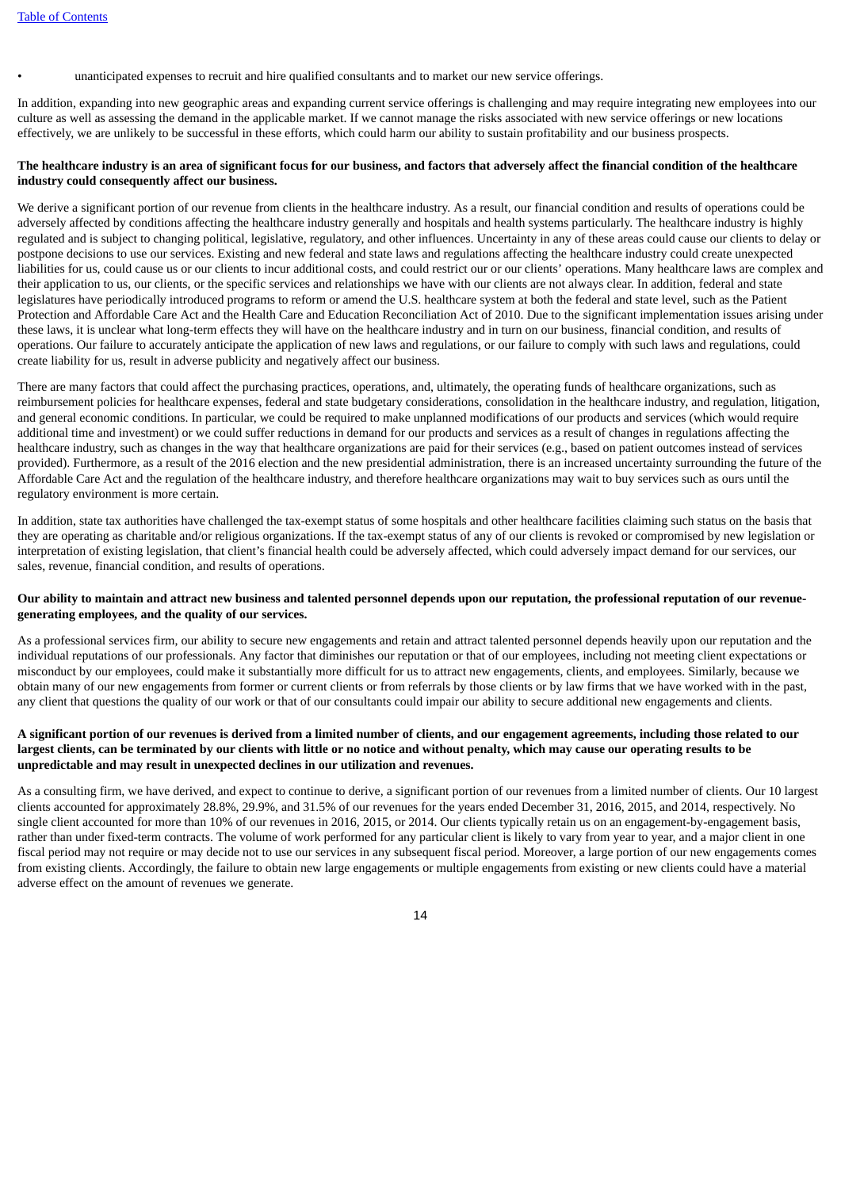• unanticipated expenses to recruit and hire qualified consultants and to market our new service offerings.

In addition, expanding into new geographic areas and expanding current service offerings is challenging and may require integrating new employees into our culture as well as assessing the demand in the applicable market. If we cannot manage the risks associated with new service offerings or new locations effectively, we are unlikely to be successful in these efforts, which could harm our ability to sustain profitability and our business prospects.

### The healthcare industry is an area of significant focus for our business, and factors that adversely affect the financial condition of the healthcare **industry could consequently affect our business.**

We derive a significant portion of our revenue from clients in the healthcare industry. As a result, our financial condition and results of operations could be adversely affected by conditions affecting the healthcare industry generally and hospitals and health systems particularly. The healthcare industry is highly regulated and is subject to changing political, legislative, regulatory, and other influences. Uncertainty in any of these areas could cause our clients to delay or postpone decisions to use our services. Existing and new federal and state laws and regulations affecting the healthcare industry could create unexpected liabilities for us, could cause us or our clients to incur additional costs, and could restrict our or our clients' operations. Many healthcare laws are complex and their application to us, our clients, or the specific services and relationships we have with our clients are not always clear. In addition, federal and state legislatures have periodically introduced programs to reform or amend the U.S. healthcare system at both the federal and state level, such as the Patient Protection and Affordable Care Act and the Health Care and Education Reconciliation Act of 2010. Due to the significant implementation issues arising under these laws, it is unclear what long-term effects they will have on the healthcare industry and in turn on our business, financial condition, and results of operations. Our failure to accurately anticipate the application of new laws and regulations, or our failure to comply with such laws and regulations, could create liability for us, result in adverse publicity and negatively affect our business.

There are many factors that could affect the purchasing practices, operations, and, ultimately, the operating funds of healthcare organizations, such as reimbursement policies for healthcare expenses, federal and state budgetary considerations, consolidation in the healthcare industry, and regulation, litigation, and general economic conditions. In particular, we could be required to make unplanned modifications of our products and services (which would require additional time and investment) or we could suffer reductions in demand for our products and services as a result of changes in regulations affecting the healthcare industry, such as changes in the way that healthcare organizations are paid for their services (e.g., based on patient outcomes instead of services provided). Furthermore, as a result of the 2016 election and the new presidential administration, there is an increased uncertainty surrounding the future of the Affordable Care Act and the regulation of the healthcare industry, and therefore healthcare organizations may wait to buy services such as ours until the regulatory environment is more certain.

In addition, state tax authorities have challenged the tax-exempt status of some hospitals and other healthcare facilities claiming such status on the basis that they are operating as charitable and/or religious organizations. If the tax-exempt status of any of our clients is revoked or compromised by new legislation or interpretation of existing legislation, that client's financial health could be adversely affected, which could adversely impact demand for our services, our sales, revenue, financial condition, and results of operations.

## Our ability to maintain and attract new business and talented personnel depends upon our reputation, the professional reputation of our revenue**generating employees, and the quality of our services.**

As a professional services firm, our ability to secure new engagements and retain and attract talented personnel depends heavily upon our reputation and the individual reputations of our professionals. Any factor that diminishes our reputation or that of our employees, including not meeting client expectations or misconduct by our employees, could make it substantially more difficult for us to attract new engagements, clients, and employees. Similarly, because we obtain many of our new engagements from former or current clients or from referrals by those clients or by law firms that we have worked with in the past, any client that questions the quality of our work or that of our consultants could impair our ability to secure additional new engagements and clients.

# A significant portion of our revenues is derived from a limited number of clients, and our engagement agreements, including those related to our largest clients, can be terminated by our clients with little or no notice and without penalty, which may cause our operating results to be **unpredictable and may result in unexpected declines in our utilization and revenues.**

As a consulting firm, we have derived, and expect to continue to derive, a significant portion of our revenues from a limited number of clients. Our 10 largest clients accounted for approximately 28.8%, 29.9%, and 31.5% of our revenues for the years ended December 31, 2016, 2015, and 2014, respectively. No single client accounted for more than 10% of our revenues in 2016, 2015, or 2014. Our clients typically retain us on an engagement-by-engagement basis, rather than under fixed-term contracts. The volume of work performed for any particular client is likely to vary from year to year, and a major client in one fiscal period may not require or may decide not to use our services in any subsequent fiscal period. Moreover, a large portion of our new engagements comes from existing clients. Accordingly, the failure to obtain new large engagements or multiple engagements from existing or new clients could have a material adverse effect on the amount of revenues we generate.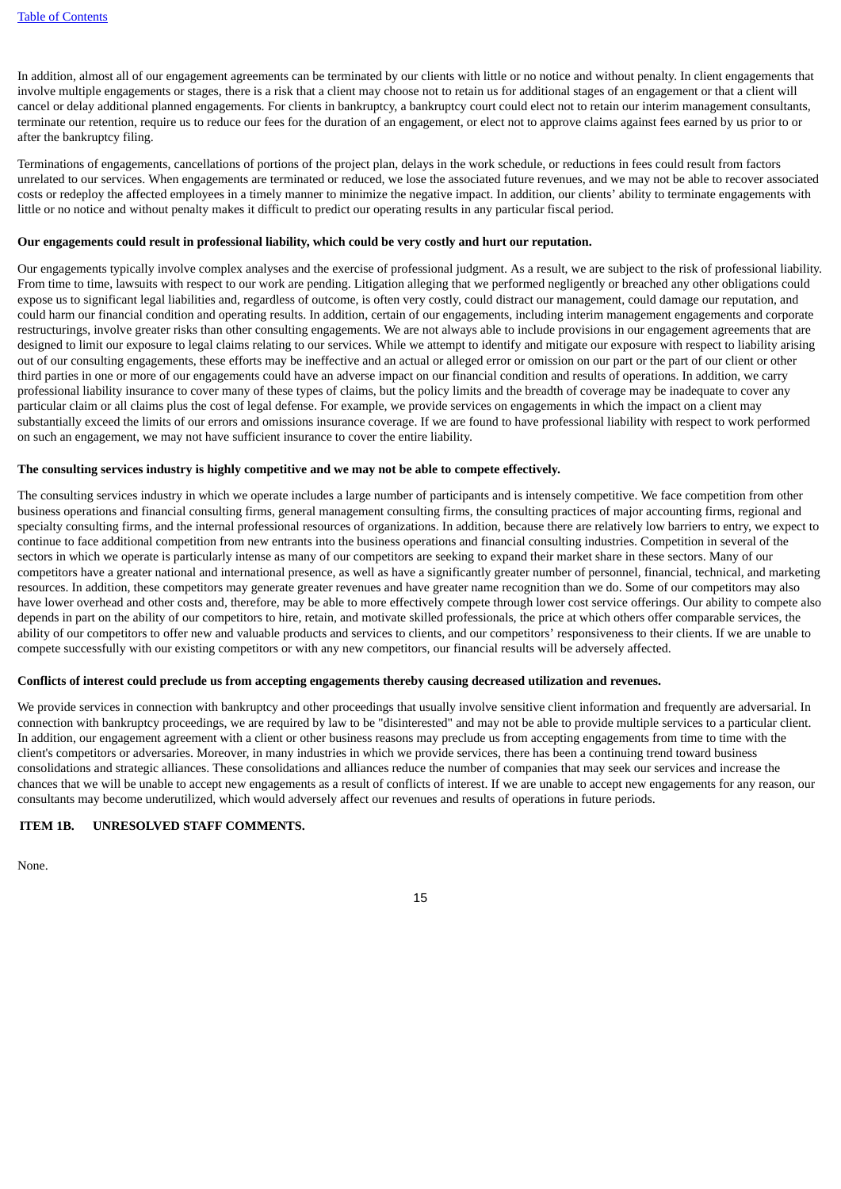In addition, almost all of our engagement agreements can be terminated by our clients with little or no notice and without penalty. In client engagements that involve multiple engagements or stages, there is a risk that a client may choose not to retain us for additional stages of an engagement or that a client will cancel or delay additional planned engagements. For clients in bankruptcy, a bankruptcy court could elect not to retain our interim management consultants, terminate our retention, require us to reduce our fees for the duration of an engagement, or elect not to approve claims against fees earned by us prior to or after the bankruptcy filing.

Terminations of engagements, cancellations of portions of the project plan, delays in the work schedule, or reductions in fees could result from factors unrelated to our services. When engagements are terminated or reduced, we lose the associated future revenues, and we may not be able to recover associated costs or redeploy the affected employees in a timely manner to minimize the negative impact. In addition, our clients' ability to terminate engagements with little or no notice and without penalty makes it difficult to predict our operating results in any particular fiscal period.

#### **Our engagements could result in professional liability, which could be very costly and hurt our reputation.**

Our engagements typically involve complex analyses and the exercise of professional judgment. As a result, we are subject to the risk of professional liability. From time to time, lawsuits with respect to our work are pending. Litigation alleging that we performed negligently or breached any other obligations could expose us to significant legal liabilities and, regardless of outcome, is often very costly, could distract our management, could damage our reputation, and could harm our financial condition and operating results. In addition, certain of our engagements, including interim management engagements and corporate restructurings, involve greater risks than other consulting engagements. We are not always able to include provisions in our engagement agreements that are designed to limit our exposure to legal claims relating to our services. While we attempt to identify and mitigate our exposure with respect to liability arising out of our consulting engagements, these efforts may be ineffective and an actual or alleged error or omission on our part or the part of our client or other third parties in one or more of our engagements could have an adverse impact on our financial condition and results of operations. In addition, we carry professional liability insurance to cover many of these types of claims, but the policy limits and the breadth of coverage may be inadequate to cover any particular claim or all claims plus the cost of legal defense. For example, we provide services on engagements in which the impact on a client may substantially exceed the limits of our errors and omissions insurance coverage. If we are found to have professional liability with respect to work performed on such an engagement, we may not have sufficient insurance to cover the entire liability.

#### **The consulting services industry is highly competitive and we may not be able to compete effectively.**

The consulting services industry in which we operate includes a large number of participants and is intensely competitive. We face competition from other business operations and financial consulting firms, general management consulting firms, the consulting practices of major accounting firms, regional and specialty consulting firms, and the internal professional resources of organizations. In addition, because there are relatively low barriers to entry, we expect to continue to face additional competition from new entrants into the business operations and financial consulting industries. Competition in several of the sectors in which we operate is particularly intense as many of our competitors are seeking to expand their market share in these sectors. Many of our competitors have a greater national and international presence, as well as have a significantly greater number of personnel, financial, technical, and marketing resources. In addition, these competitors may generate greater revenues and have greater name recognition than we do. Some of our competitors may also have lower overhead and other costs and, therefore, may be able to more effectively compete through lower cost service offerings. Our ability to compete also depends in part on the ability of our competitors to hire, retain, and motivate skilled professionals, the price at which others offer comparable services, the ability of our competitors to offer new and valuable products and services to clients, and our competitors' responsiveness to their clients. If we are unable to compete successfully with our existing competitors or with any new competitors, our financial results will be adversely affected.

#### **Conflicts of interest could preclude us from accepting engagements thereby causing decreased utilization and revenues.**

We provide services in connection with bankruptcy and other proceedings that usually involve sensitive client information and frequently are adversarial. In connection with bankruptcy proceedings, we are required by law to be "disinterested" and may not be able to provide multiple services to a particular client. In addition, our engagement agreement with a client or other business reasons may preclude us from accepting engagements from time to time with the client's competitors or adversaries. Moreover, in many industries in which we provide services, there has been a continuing trend toward business consolidations and strategic alliances. These consolidations and alliances reduce the number of companies that may seek our services and increase the chances that we will be unable to accept new engagements as a result of conflicts of interest. If we are unable to accept new engagements for any reason, our consultants may become underutilized, which would adversely affect our revenues and results of operations in future periods.

# <span id="page-16-0"></span>**ITEM 1B. UNRESOLVED STAFF COMMENTS.**

None.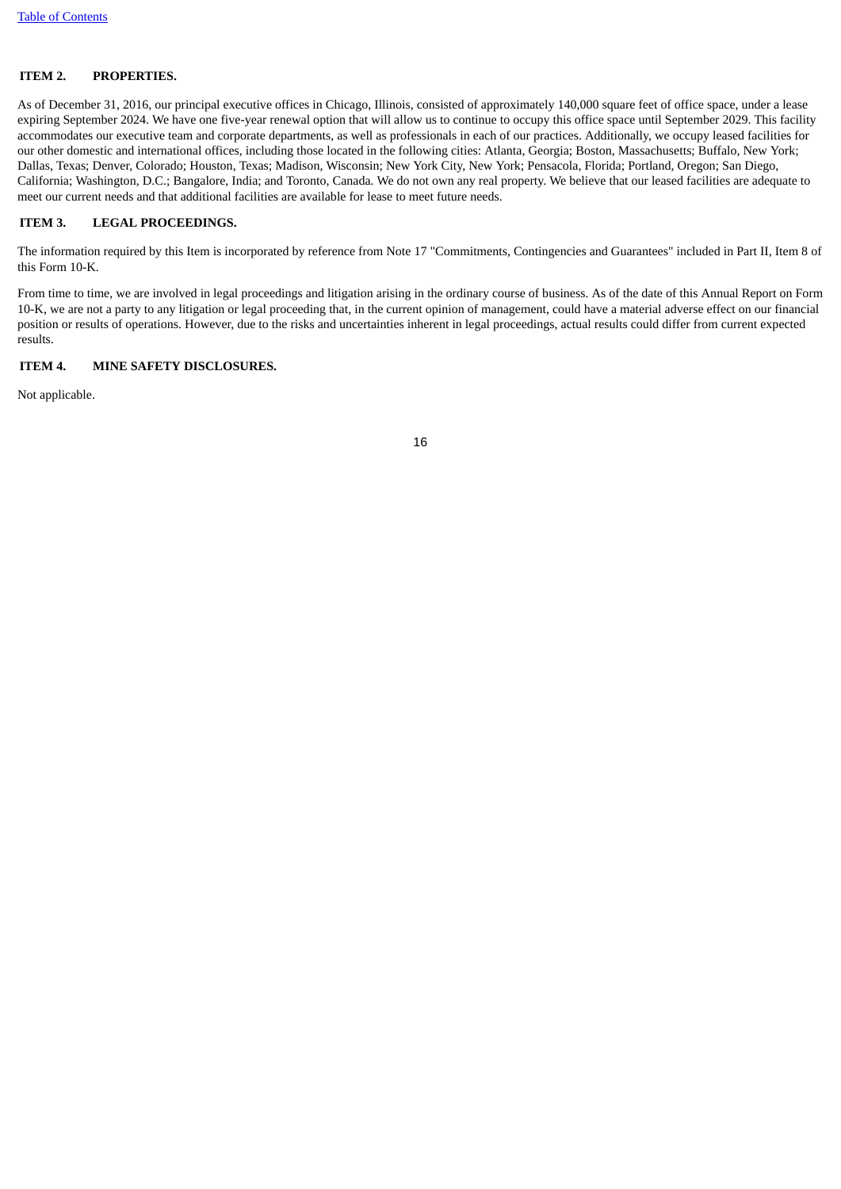# <span id="page-17-0"></span>**ITEM 2. PROPERTIES.**

As of December 31, 2016, our principal executive offices in Chicago, Illinois, consisted of approximately 140,000 square feet of office space, under a lease expiring September 2024. We have one five-year renewal option that will allow us to continue to occupy this office space until September 2029. This facility accommodates our executive team and corporate departments, as well as professionals in each of our practices. Additionally, we occupy leased facilities for our other domestic and international offices, including those located in the following cities: Atlanta, Georgia; Boston, Massachusetts; Buffalo, New York; Dallas, Texas; Denver, Colorado; Houston, Texas; Madison, Wisconsin; New York City, New York; Pensacola, Florida; Portland, Oregon; San Diego, California; Washington, D.C.; Bangalore, India; and Toronto, Canada. We do not own any real property. We believe that our leased facilities are adequate to meet our current needs and that additional facilities are available for lease to meet future needs.

# <span id="page-17-1"></span>**ITEM 3. LEGAL PROCEEDINGS.**

The information required by this Item is incorporated by reference from Note 17 "Commitments, Contingencies and Guarantees" included in Part II, Item 8 of this Form 10-K.

From time to time, we are involved in legal proceedings and litigation arising in the ordinary course of business. As of the date of this Annual Report on Form 10-K, we are not a party to any litigation or legal proceeding that, in the current opinion of management, could have a material adverse effect on our financial position or results of operations. However, due to the risks and uncertainties inherent in legal proceedings, actual results could differ from current expected results.

# <span id="page-17-2"></span>**ITEM 4. MINE SAFETY DISCLOSURES.**

Not applicable.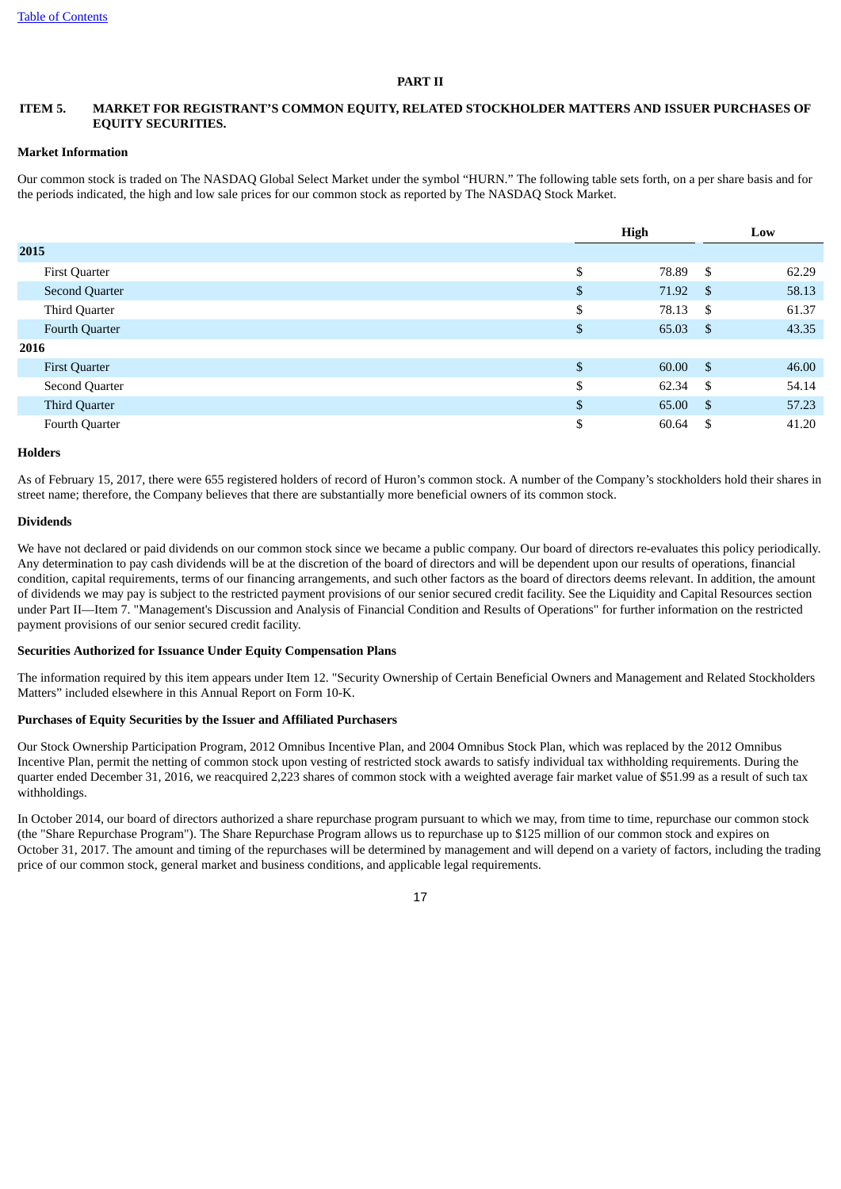# **PART II**

# <span id="page-18-1"></span><span id="page-18-0"></span>**ITEM 5. MARKET FOR REGISTRANT'S COMMON EQUITY, RELATED STOCKHOLDER MATTERS AND ISSUER PURCHASES OF EQUITY SECURITIES.**

### **Market Information**

Our common stock is traded on The NASDAQ Global Select Market under the symbol "HURN." The following table sets forth, on a per share basis and for the periods indicated, the high and low sale prices for our common stock as reported by The NASDAQ Stock Market.

|                       | <b>High</b> |       |              | Low   |
|-----------------------|-------------|-------|--------------|-------|
| 2015                  |             |       |              |       |
| <b>First Quarter</b>  | \$          | 78.89 | \$           | 62.29 |
| <b>Second Quarter</b> | \$          | 71.92 | $\mathbf{s}$ | 58.13 |
| Third Quarter         | \$          | 78.13 | -\$          | 61.37 |
| <b>Fourth Quarter</b> | \$          | 65.03 | S            | 43.35 |
| 2016                  |             |       |              |       |
| <b>First Quarter</b>  | \$          | 60.00 | -\$          | 46.00 |
| <b>Second Quarter</b> | \$          | 62.34 | -\$          | 54.14 |
| <b>Third Quarter</b>  | \$          | 65.00 | -\$          | 57.23 |
| Fourth Quarter        | \$          | 60.64 | \$           | 41.20 |

### **Holders**

As of February 15, 2017, there were 655 registered holders of record of Huron's common stock. A number of the Company's stockholders hold their shares in street name; therefore, the Company believes that there are substantially more beneficial owners of its common stock.

#### **Dividends**

We have not declared or paid dividends on our common stock since we became a public company. Our board of directors re-evaluates this policy periodically. Any determination to pay cash dividends will be at the discretion of the board of directors and will be dependent upon our results of operations, financial condition, capital requirements, terms of our financing arrangements, and such other factors as the board of directors deems relevant. In addition, the amount of dividends we may pay is subject to the restricted payment provisions of our senior secured credit facility. See the Liquidity and Capital Resources section under Part II—Item 7. "Management's Discussion and Analysis of Financial Condition and Results of Operations" for further information on the restricted payment provisions of our senior secured credit facility.

#### **Securities Authorized for Issuance Under Equity Compensation Plans**

The information required by this item appears under Item 12. "Security Ownership of Certain Beneficial Owners and Management and Related Stockholders Matters" included elsewhere in this Annual Report on Form 10-K.

### **Purchases of Equity Securities by the Issuer and Affiliated Purchasers**

Our Stock Ownership Participation Program, 2012 Omnibus Incentive Plan, and 2004 Omnibus Stock Plan, which was replaced by the 2012 Omnibus Incentive Plan, permit the netting of common stock upon vesting of restricted stock awards to satisfy individual tax withholding requirements. During the quarter ended December 31, 2016, we reacquired 2,223 shares of common stock with a weighted average fair market value of \$51.99 as a result of such tax withholdings.

In October 2014, our board of directors authorized a share repurchase program pursuant to which we may, from time to time, repurchase our common stock (the "Share Repurchase Program"). The Share Repurchase Program allows us to repurchase up to \$125 million of our common stock and expires on October 31, 2017. The amount and timing of the repurchases will be determined by management and will depend on a variety of factors, including the trading price of our common stock, general market and business conditions, and applicable legal requirements.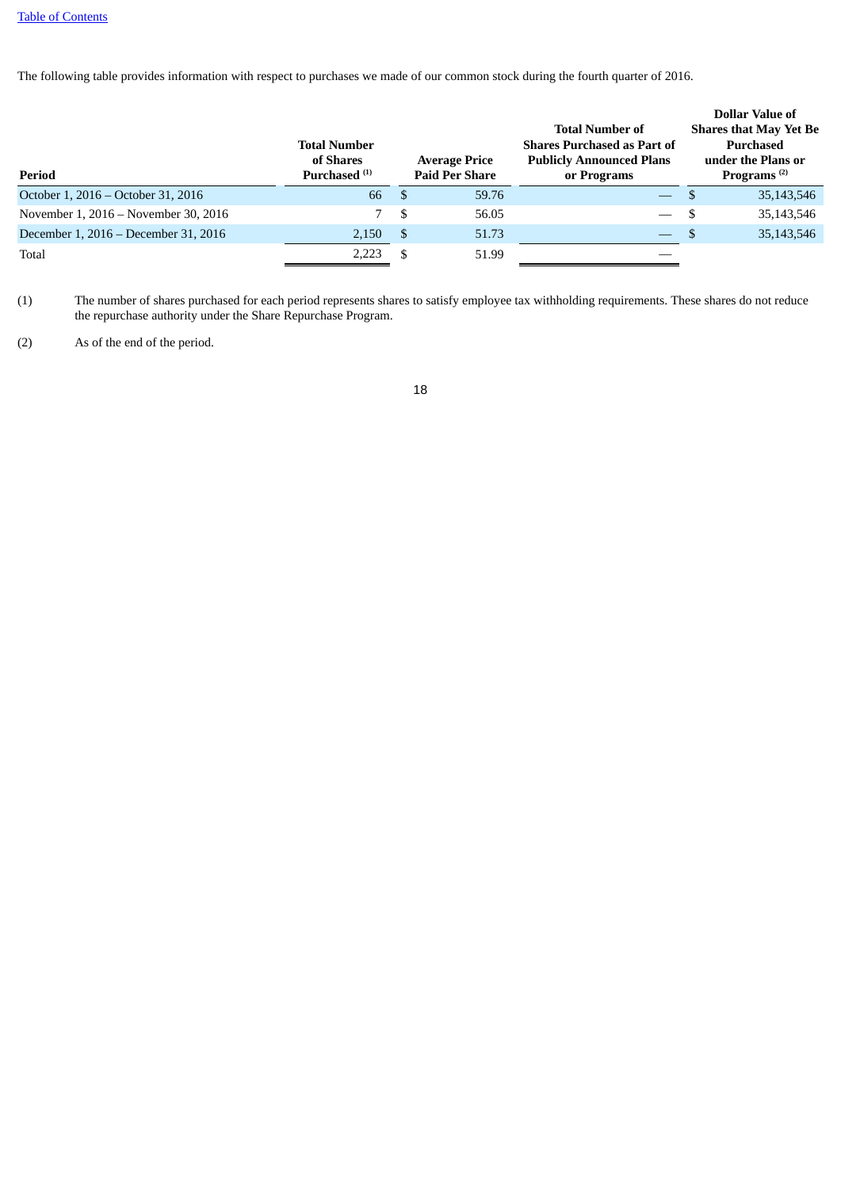The following table provides information with respect to purchases we made of our common stock during the fourth quarter of 2016.

| Period                               | <b>Total Number</b><br>of Shares<br>Purchased <sup>(1)</sup> |      | <b>Average Price</b><br><b>Paid Per Share</b> | <b>Total Number of</b><br><b>Shares Purchased as Part of</b><br><b>Publicly Announced Plans</b><br>or Programs |      | <b>Dollar Value of</b><br><b>Shares that May Yet Be</b><br><b>Purchased</b><br>under the Plans or<br>Programs <sup><math>(2)</math></sup> |  |  |  |
|--------------------------------------|--------------------------------------------------------------|------|-----------------------------------------------|----------------------------------------------------------------------------------------------------------------|------|-------------------------------------------------------------------------------------------------------------------------------------------|--|--|--|
| October 1, 2016 – October 31, 2016   | 66                                                           | - \$ | 59.76                                         |                                                                                                                |      | 35,143,546                                                                                                                                |  |  |  |
| November 1, 2016 – November 30, 2016 |                                                              | -S   | 56.05                                         | $\overline{\phantom{a}}$                                                                                       | - \$ | 35,143,546                                                                                                                                |  |  |  |
| December 1, 2016 – December 31, 2016 | 2,150                                                        | - \$ | 51.73                                         | $-$ \$                                                                                                         |      | 35,143,546                                                                                                                                |  |  |  |
| Total                                | 2,223                                                        |      | 51.99                                         |                                                                                                                |      |                                                                                                                                           |  |  |  |

(1) The number of shares purchased for each period represents shares to satisfy employee tax withholding requirements. These shares do not reduce the repurchase authority under the Share Repurchase Program.

(2) As of the end of the period.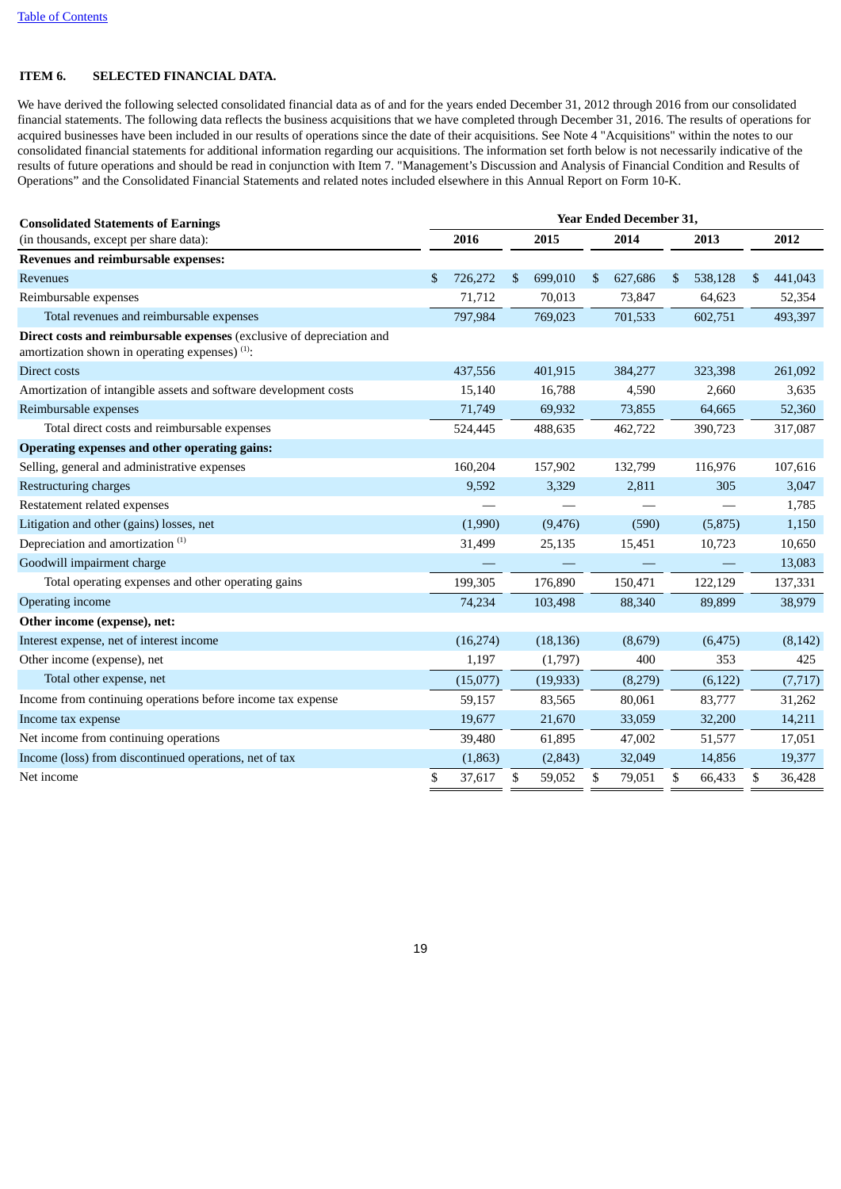# <span id="page-20-0"></span>**ITEM 6. SELECTED FINANCIAL DATA.**

We have derived the following selected consolidated financial data as of and for the years ended December 31, 2012 through 2016 from our consolidated financial statements. The following data reflects the business acquisitions that we have completed through December 31, 2016. The results of operations for acquired businesses have been included in our results of operations since the date of their acquisitions. See Note 4 "Acquisitions" within the notes to our consolidated financial statements for additional information regarding our acquisitions. The information set forth below is not necessarily indicative of the results of future operations and should be read in conjunction with Item 7. "Management's Discussion and Analysis of Financial Condition and Results of Operations" and the Consolidated Financial Statements and related notes included elsewhere in this Annual Report on Form 10-K.

| <b>Consolidated Statements of Earnings</b>                                                                                 | <b>Year Ended December 31,</b> |           |    |           |    |         |      |          |                |          |  |
|----------------------------------------------------------------------------------------------------------------------------|--------------------------------|-----------|----|-----------|----|---------|------|----------|----------------|----------|--|
| (in thousands, except per share data):                                                                                     | 2016                           |           |    | 2015      |    | 2014    | 2013 |          |                | 2012     |  |
| Revenues and reimbursable expenses:                                                                                        |                                |           |    |           |    |         |      |          |                |          |  |
| Revenues                                                                                                                   | \$                             | 726,272   | \$ | 699,010   | \$ | 627,686 | \$   | 538,128  | $\mathfrak{S}$ | 441,043  |  |
| Reimbursable expenses                                                                                                      |                                | 71,712    |    | 70,013    |    | 73,847  |      | 64,623   |                | 52,354   |  |
| Total revenues and reimbursable expenses                                                                                   |                                | 797,984   |    | 769,023   |    | 701,533 |      | 602,751  |                | 493,397  |  |
| Direct costs and reimbursable expenses (exclusive of depreciation and<br>amortization shown in operating expenses) $(1)$ : |                                |           |    |           |    |         |      |          |                |          |  |
| Direct costs                                                                                                               |                                | 437,556   |    | 401,915   |    | 384,277 |      | 323,398  |                | 261,092  |  |
| Amortization of intangible assets and software development costs                                                           |                                | 15,140    |    | 16,788    |    | 4,590   |      | 2,660    |                | 3,635    |  |
| Reimbursable expenses                                                                                                      |                                | 71,749    |    | 69,932    |    | 73,855  |      | 64,665   |                | 52,360   |  |
| Total direct costs and reimbursable expenses                                                                               |                                | 524,445   |    | 488,635   |    | 462,722 |      | 390,723  |                | 317,087  |  |
| Operating expenses and other operating gains:                                                                              |                                |           |    |           |    |         |      |          |                |          |  |
| Selling, general and administrative expenses                                                                               |                                | 160,204   |    | 157,902   |    | 132,799 |      | 116,976  |                | 107,616  |  |
| Restructuring charges                                                                                                      |                                | 9,592     |    | 3,329     |    | 2,811   |      | 305      |                | 3,047    |  |
| Restatement related expenses                                                                                               |                                |           |    |           |    |         |      |          |                | 1,785    |  |
| Litigation and other (gains) losses, net                                                                                   |                                | (1,990)   |    | (9, 476)  |    | (590)   |      | (5, 875) |                | 1,150    |  |
| Depreciation and amortization <sup>(1)</sup>                                                                               |                                | 31,499    |    | 25,135    |    | 15,451  |      | 10,723   |                | 10,650   |  |
| Goodwill impairment charge                                                                                                 |                                |           |    |           |    |         |      |          |                | 13,083   |  |
| Total operating expenses and other operating gains                                                                         |                                | 199,305   |    | 176,890   |    | 150,471 |      | 122,129  |                | 137,331  |  |
| Operating income                                                                                                           |                                | 74,234    |    | 103,498   |    | 88,340  |      | 89,899   |                | 38,979   |  |
| Other income (expense), net:                                                                                               |                                |           |    |           |    |         |      |          |                |          |  |
| Interest expense, net of interest income                                                                                   |                                | (16, 274) |    | (18, 136) |    | (8,679) |      | (6, 475) |                | (8, 142) |  |
| Other income (expense), net                                                                                                |                                | 1,197     |    | (1,797)   |    | 400     |      | 353      |                | 425      |  |
| Total other expense, net                                                                                                   |                                | (15,077)  |    | (19, 933) |    | (8,279) |      | (6, 122) |                | (7, 717) |  |
| Income from continuing operations before income tax expense                                                                |                                | 59,157    |    | 83,565    |    | 80,061  |      | 83,777   |                | 31,262   |  |
| Income tax expense                                                                                                         |                                | 19,677    |    | 21,670    |    | 33,059  |      | 32,200   |                | 14,211   |  |
| Net income from continuing operations                                                                                      |                                | 39,480    |    | 61,895    |    | 47,002  |      | 51,577   |                | 17,051   |  |
| Income (loss) from discontinued operations, net of tax                                                                     |                                | (1,863)   |    | (2,843)   |    | 32,049  |      | 14,856   |                | 19,377   |  |
| Net income                                                                                                                 | \$                             | 37,617    | \$ | 59,052    | \$ | 79,051  | \$   | 66,433   | \$             | 36,428   |  |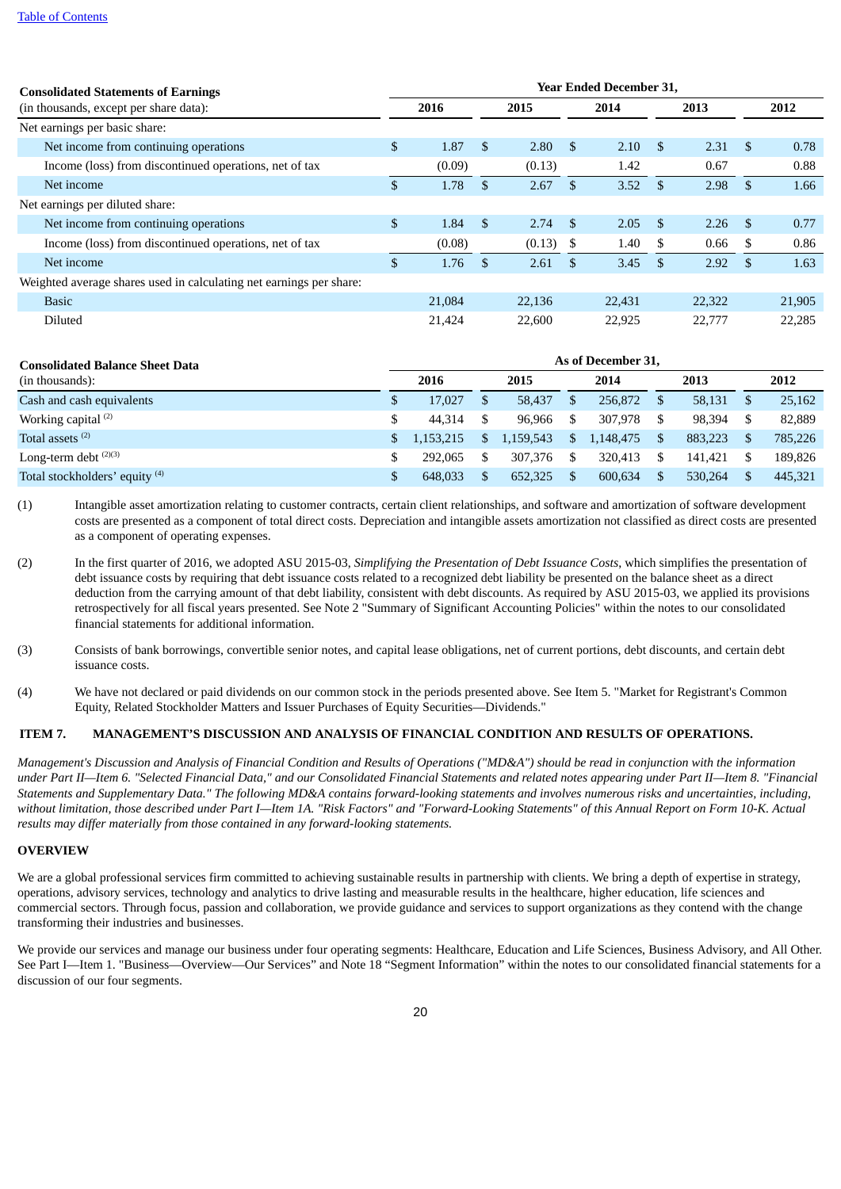| <b>Consolidated Statements of Earnings</b>                          |      | <b>Year Ended December 31,</b> |      |        |          |        |              |        |      |        |  |  |  |
|---------------------------------------------------------------------|------|--------------------------------|------|--------|----------|--------|--------------|--------|------|--------|--|--|--|
| (in thousands, except per share data):                              | 2016 |                                | 2015 |        | 2014     |        | 2013         |        |      | 2012   |  |  |  |
| Net earnings per basic share:                                       |      |                                |      |        |          |        |              |        |      |        |  |  |  |
| Net income from continuing operations                               | \$   | 1.87                           | \$   | 2.80   | \$       | 2.10   | -S           | 2.31   | \$   | 0.78   |  |  |  |
| Income (loss) from discontinued operations, net of tax              |      | (0.09)                         |      | (0.13) |          | 1.42   |              | 0.67   |      | 0.88   |  |  |  |
| Net income                                                          | \$.  | 1.78                           | \$.  | 2.67   | \$.      | 3.52   | $\mathbf{s}$ | 2.98   | \$.  | 1.66   |  |  |  |
| Net earnings per diluted share:                                     |      |                                |      |        |          |        |              |        |      |        |  |  |  |
| Net income from continuing operations                               | \$   | 1.84                           | \$   | 2.74   | -\$      | 2.05   | -S           | 2.26   | - \$ | 0.77   |  |  |  |
| Income (loss) from discontinued operations, net of tax              |      | (0.08)                         |      | (0.13) | - \$     | 1.40   | \$           | 0.66   | S.   | 0.86   |  |  |  |
| Net income                                                          | \$   | 1.76                           | \$   | 2.61   | <b>S</b> | 3.45   | $\mathbf{s}$ | 2.92   | -S   | 1.63   |  |  |  |
| Weighted average shares used in calculating net earnings per share: |      |                                |      |        |          |        |              |        |      |        |  |  |  |
| <b>Basic</b>                                                        |      | 21,084                         |      | 22,136 |          | 22,431 |              | 22,322 |      | 21,905 |  |  |  |
| <b>Diluted</b>                                                      |      | 21.424                         |      | 22,600 |          | 22.925 |              | 22,777 |      | 22,285 |  |  |  |

| <b>Consolidated Balance Sheet Data</b>    |  | As of December 31. |      |           |     |           |     |         |   |         |  |  |  |
|-------------------------------------------|--|--------------------|------|-----------|-----|-----------|-----|---------|---|---------|--|--|--|
| (in thousands):                           |  | 2016               | 2015 |           |     | 2014      |     | 2013    |   | 2012    |  |  |  |
| Cash and cash equivalents                 |  | 17,027             |      | 58,437    |     | 256,872   |     | 58,131  |   | 25,162  |  |  |  |
| Working capital $(2)$                     |  | 44.314             |      | 96.966    | -S  | 307.978   | \$. | 98.394  |   | 82,889  |  |  |  |
| Total assets <sup>(2)</sup>               |  | 1.153.215          |      | 1.159.543 | \$. | 1,148,475 | \$. | 883.223 |   | 785,226 |  |  |  |
| Long-term debt $(2)(3)$                   |  | 292,065            |      | 307.376   | -S  | 320,413   |     | 141.421 | S | 189.826 |  |  |  |
| Total stockholders' equity <sup>(4)</sup> |  | 648.033            |      | 652,325   | \$. | 600.634   |     | 530.264 |   | 445.321 |  |  |  |

- (1) Intangible asset amortization relating to customer contracts, certain client relationships, and software and amortization of software development costs are presented as a component of total direct costs. Depreciation and intangible assets amortization not classified as direct costs are presented as a component of operating expenses.
- (2) In the first quarter of 2016, we adopted ASU 2015-03, *Simplifying the Presentation of Debt Issuance Costs*, which simplifies the presentation of debt issuance costs by requiring that debt issuance costs related to a recognized debt liability be presented on the balance sheet as a direct deduction from the carrying amount of that debt liability, consistent with debt discounts. As required by ASU 2015-03, we applied its provisions retrospectively for all fiscal years presented. See Note 2 "Summary of Significant Accounting Policies" within the notes to our consolidated financial statements for additional information.
- (3) Consists of bank borrowings, convertible senior notes, and capital lease obligations, net of current portions, debt discounts, and certain debt issuance costs.
- (4) We have not declared or paid dividends on our common stock in the periods presented above. See Item 5. "Market for Registrant's Common Equity, Related Stockholder Matters and Issuer Purchases of Equity Securities—Dividends."

# <span id="page-21-0"></span>**ITEM 7. MANAGEMENT'S DISCUSSION AND ANALYSIS OF FINANCIAL CONDITION AND RESULTS OF OPERATIONS.**

Management's Discussion and Analysis of Financial Condition and Results of Operations ("MD&A") should be read in conjunction with the information under Part II—Item 6. "Selected Financial Data," and our Consolidated Financial Statements and related notes appearing under Part II—Item 8. "Financial Statements and Supplementary Data." The following MD&A contains forward-looking statements and involves numerous risks and uncertainties, including, without limitation, those described under Part I-Item 1A. "Risk Factors" and "Forward-Looking Statements" of this Annual Report on Form 10-K. Actual *results may differ materially from those contained in any forward-looking statements.*

#### **OVERVIEW**

We are a global professional services firm committed to achieving sustainable results in partnership with clients. We bring a depth of expertise in strategy, operations, advisory services, technology and analytics to drive lasting and measurable results in the healthcare, higher education, life sciences and commercial sectors. Through focus, passion and collaboration, we provide guidance and services to support organizations as they contend with the change transforming their industries and businesses.

We provide our services and manage our business under four operating segments: Healthcare, Education and Life Sciences, Business Advisory, and All Other. See Part I—Item 1. "Business—Overview—Our Services" and Note 18 "Segment Information" within the notes to our consolidated financial statements for a discussion of our four segments.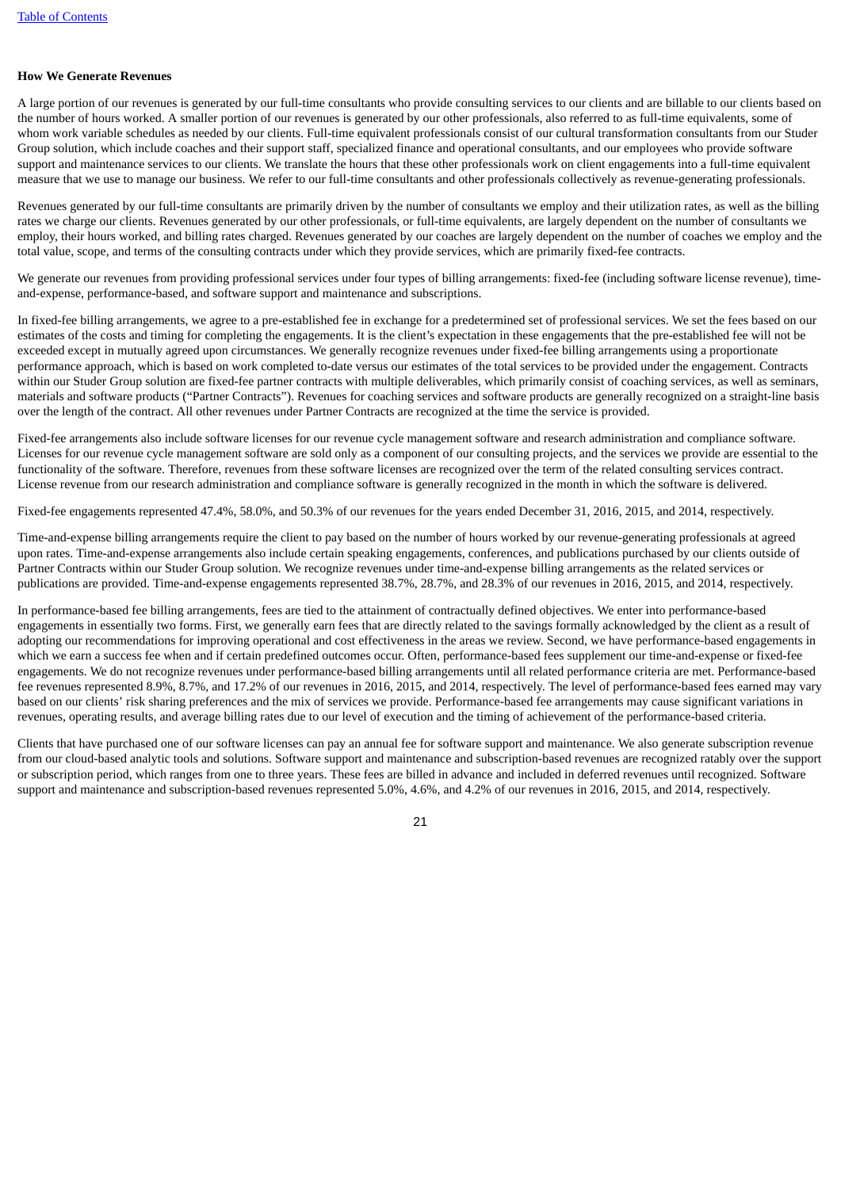# **How We Generate Revenues**

A large portion of our revenues is generated by our full-time consultants who provide consulting services to our clients and are billable to our clients based on the number of hours worked. A smaller portion of our revenues is generated by our other professionals, also referred to as full-time equivalents, some of whom work variable schedules as needed by our clients. Full-time equivalent professionals consist of our cultural transformation consultants from our Studer Group solution, which include coaches and their support staff, specialized finance and operational consultants, and our employees who provide software support and maintenance services to our clients. We translate the hours that these other professionals work on client engagements into a full-time equivalent measure that we use to manage our business. We refer to our full-time consultants and other professionals collectively as revenue-generating professionals.

Revenues generated by our full-time consultants are primarily driven by the number of consultants we employ and their utilization rates, as well as the billing rates we charge our clients. Revenues generated by our other professionals, or full-time equivalents, are largely dependent on the number of consultants we employ, their hours worked, and billing rates charged. Revenues generated by our coaches are largely dependent on the number of coaches we employ and the total value, scope, and terms of the consulting contracts under which they provide services, which are primarily fixed-fee contracts.

We generate our revenues from providing professional services under four types of billing arrangements: fixed-fee (including software license revenue), timeand-expense, performance-based, and software support and maintenance and subscriptions.

In fixed-fee billing arrangements, we agree to a pre-established fee in exchange for a predetermined set of professional services. We set the fees based on our estimates of the costs and timing for completing the engagements. It is the client's expectation in these engagements that the pre-established fee will not be exceeded except in mutually agreed upon circumstances. We generally recognize revenues under fixed-fee billing arrangements using a proportionate performance approach, which is based on work completed to-date versus our estimates of the total services to be provided under the engagement. Contracts within our Studer Group solution are fixed-fee partner contracts with multiple deliverables, which primarily consist of coaching services, as well as seminars, materials and software products ("Partner Contracts"). Revenues for coaching services and software products are generally recognized on a straight-line basis over the length of the contract. All other revenues under Partner Contracts are recognized at the time the service is provided.

Fixed-fee arrangements also include software licenses for our revenue cycle management software and research administration and compliance software. Licenses for our revenue cycle management software are sold only as a component of our consulting projects, and the services we provide are essential to the functionality of the software. Therefore, revenues from these software licenses are recognized over the term of the related consulting services contract. License revenue from our research administration and compliance software is generally recognized in the month in which the software is delivered.

Fixed-fee engagements represented 47.4%, 58.0%, and 50.3% of our revenues for the years ended December 31, 2016, 2015, and 2014, respectively.

Time-and-expense billing arrangements require the client to pay based on the number of hours worked by our revenue-generating professionals at agreed upon rates. Time-and-expense arrangements also include certain speaking engagements, conferences, and publications purchased by our clients outside of Partner Contracts within our Studer Group solution. We recognize revenues under time-and-expense billing arrangements as the related services or publications are provided. Time-and-expense engagements represented 38.7%, 28.7%, and 28.3% of our revenues in 2016, 2015, and 2014, respectively.

In performance-based fee billing arrangements, fees are tied to the attainment of contractually defined objectives. We enter into performance-based engagements in essentially two forms. First, we generally earn fees that are directly related to the savings formally acknowledged by the client as a result of adopting our recommendations for improving operational and cost effectiveness in the areas we review. Second, we have performance-based engagements in which we earn a success fee when and if certain predefined outcomes occur. Often, performance-based fees supplement our time-and-expense or fixed-fee engagements. We do not recognize revenues under performance-based billing arrangements until all related performance criteria are met. Performance-based fee revenues represented 8.9%, 8.7%, and 17.2% of our revenues in 2016, 2015, and 2014, respectively. The level of performance-based fees earned may vary based on our clients' risk sharing preferences and the mix of services we provide. Performance-based fee arrangements may cause significant variations in revenues, operating results, and average billing rates due to our level of execution and the timing of achievement of the performance-based criteria.

Clients that have purchased one of our software licenses can pay an annual fee for software support and maintenance. We also generate subscription revenue from our cloud-based analytic tools and solutions. Software support and maintenance and subscription-based revenues are recognized ratably over the support or subscription period, which ranges from one to three years. These fees are billed in advance and included in deferred revenues until recognized. Software support and maintenance and subscription-based revenues represented 5.0%, 4.6%, and 4.2% of our revenues in 2016, 2015, and 2014, respectively.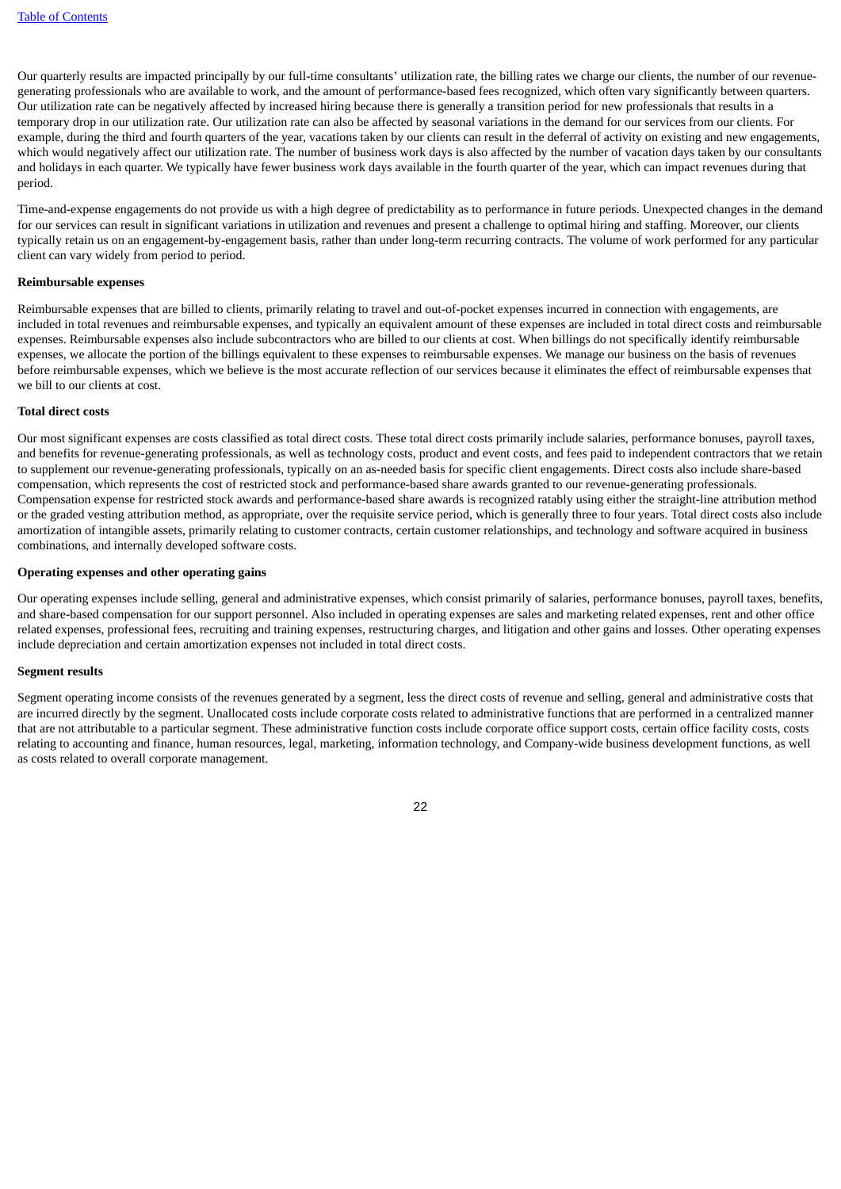Our quarterly results are impacted principally by our full-time consultants' utilization rate, the billing rates we charge our clients, the number of our revenuegenerating professionals who are available to work, and the amount of performance-based fees recognized, which often vary significantly between quarters. Our utilization rate can be negatively affected by increased hiring because there is generally a transition period for new professionals that results in a temporary drop in our utilization rate. Our utilization rate can also be affected by seasonal variations in the demand for our services from our clients. For example, during the third and fourth quarters of the year, vacations taken by our clients can result in the deferral of activity on existing and new engagements, which would negatively affect our utilization rate. The number of business work days is also affected by the number of vacation days taken by our consultants and holidays in each quarter. We typically have fewer business work days available in the fourth quarter of the year, which can impact revenues during that period.

Time-and-expense engagements do not provide us with a high degree of predictability as to performance in future periods. Unexpected changes in the demand for our services can result in significant variations in utilization and revenues and present a challenge to optimal hiring and staffing. Moreover, our clients typically retain us on an engagement-by-engagement basis, rather than under long-term recurring contracts. The volume of work performed for any particular client can vary widely from period to period.

#### **Reimbursable expenses**

Reimbursable expenses that are billed to clients, primarily relating to travel and out-of-pocket expenses incurred in connection with engagements, are included in total revenues and reimbursable expenses, and typically an equivalent amount of these expenses are included in total direct costs and reimbursable expenses. Reimbursable expenses also include subcontractors who are billed to our clients at cost. When billings do not specifically identify reimbursable expenses, we allocate the portion of the billings equivalent to these expenses to reimbursable expenses. We manage our business on the basis of revenues before reimbursable expenses, which we believe is the most accurate reflection of our services because it eliminates the effect of reimbursable expenses that we bill to our clients at cost.

### **Total direct costs**

Our most significant expenses are costs classified as total direct costs. These total direct costs primarily include salaries, performance bonuses, payroll taxes, and benefits for revenue-generating professionals, as well as technology costs, product and event costs, and fees paid to independent contractors that we retain to supplement our revenue-generating professionals, typically on an as-needed basis for specific client engagements. Direct costs also include share-based compensation, which represents the cost of restricted stock and performance-based share awards granted to our revenue-generating professionals. Compensation expense for restricted stock awards and performance-based share awards is recognized ratably using either the straight-line attribution method or the graded vesting attribution method, as appropriate, over the requisite service period, which is generally three to four years. Total direct costs also include amortization of intangible assets, primarily relating to customer contracts, certain customer relationships, and technology and software acquired in business combinations, and internally developed software costs.

#### **Operating expenses and other operating gains**

Our operating expenses include selling, general and administrative expenses, which consist primarily of salaries, performance bonuses, payroll taxes, benefits, and share-based compensation for our support personnel. Also included in operating expenses are sales and marketing related expenses, rent and other office related expenses, professional fees, recruiting and training expenses, restructuring charges, and litigation and other gains and losses. Other operating expenses include depreciation and certain amortization expenses not included in total direct costs.

#### **Segment results**

Segment operating income consists of the revenues generated by a segment, less the direct costs of revenue and selling, general and administrative costs that are incurred directly by the segment. Unallocated costs include corporate costs related to administrative functions that are performed in a centralized manner that are not attributable to a particular segment. These administrative function costs include corporate office support costs, certain office facility costs, costs relating to accounting and finance, human resources, legal, marketing, information technology, and Company-wide business development functions, as well as costs related to overall corporate management.

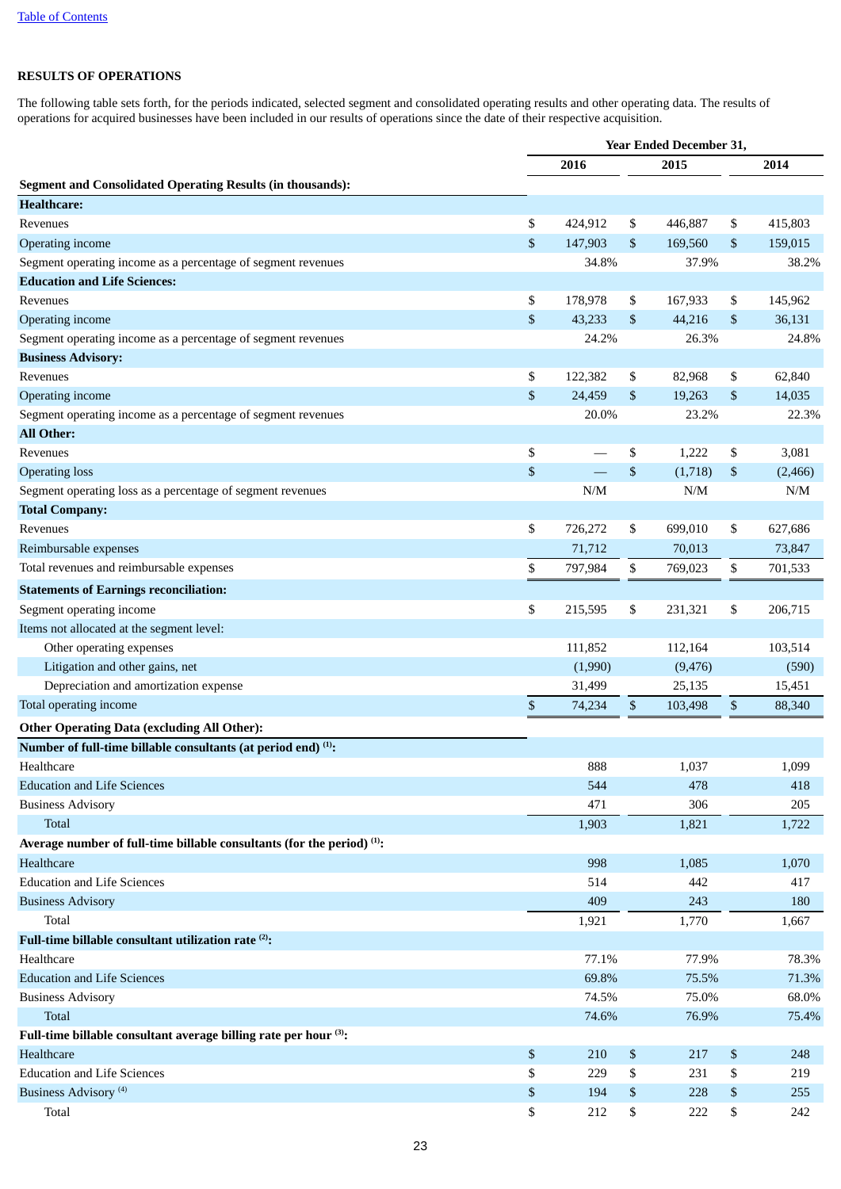# **RESULTS OF OPERATIONS**

The following table sets forth, for the periods indicated, selected segment and consolidated operating results and other operating data. The results of operations for acquired businesses have been included in our results of operations since the date of their respective acquisition.

|                                                                                    |      | <b>Year Ended December 31,</b> |                |          |              |                 |
|------------------------------------------------------------------------------------|------|--------------------------------|----------------|----------|--------------|-----------------|
|                                                                                    |      | 2016                           |                | 2015     |              | 2014            |
| <b>Segment and Consolidated Operating Results (in thousands):</b>                  |      |                                |                |          |              |                 |
| Healthcare:                                                                        |      |                                |                |          |              |                 |
| Revenues                                                                           | \$   | 424,912                        | \$             | 446,887  | \$           | 415,803         |
| Operating income                                                                   | \$   | 147,903                        | $\mathbb{S}$   | 169,560  | \$           | 159,015         |
| Segment operating income as a percentage of segment revenues                       |      | 34.8%                          |                | 37.9%    |              | 38.2%           |
| <b>Education and Life Sciences:</b>                                                |      |                                |                |          |              |                 |
| Revenues                                                                           | \$   | 178,978                        | \$             | 167,933  | \$           | 145,962         |
| Operating income                                                                   | \$   | 43,233                         | $\mathfrak{S}$ | 44,216   | \$           | 36,131          |
| Segment operating income as a percentage of segment revenues                       |      | 24.2%                          |                | 26.3%    |              | 24.8%           |
| <b>Business Advisory:</b>                                                          |      |                                |                |          |              |                 |
| Revenues                                                                           | \$   | 122,382                        | \$             | 82,968   | \$           | 62,840          |
| Operating income                                                                   | \$   | 24,459                         | $\mathfrak{S}$ | 19,263   | \$           | 14,035          |
| Segment operating income as a percentage of segment revenues                       |      | 20.0%                          |                | 23.2%    |              | 22.3%           |
| <b>All Other:</b>                                                                  |      |                                |                |          |              |                 |
| Revenues                                                                           | \$   |                                | \$             | 1,222    | \$           | 3,081           |
| <b>Operating loss</b>                                                              | $\$$ |                                | \$             | (1,718)  | \$           | (2,466)         |
| Segment operating loss as a percentage of segment revenues                         |      | N/M                            |                | N/M      |              | N/M             |
| <b>Total Company:</b>                                                              |      |                                |                |          |              |                 |
| Revenues                                                                           | \$   | 726,272                        | \$             | 699,010  | \$           | 627,686         |
| Reimbursable expenses                                                              |      | 71,712                         |                | 70,013   |              | 73,847          |
| Total revenues and reimbursable expenses                                           | \$   | 797,984                        | \$             | 769,023  | \$           | 701,533         |
| <b>Statements of Earnings reconciliation:</b>                                      |      |                                |                |          |              |                 |
| Segment operating income                                                           | \$   | 215,595                        | \$             | 231,321  | \$           | 206,715         |
| Items not allocated at the segment level:                                          |      |                                |                |          |              |                 |
| Other operating expenses                                                           |      | 111,852                        |                | 112,164  |              | 103,514         |
| Litigation and other gains, net                                                    |      |                                |                |          |              |                 |
| Depreciation and amortization expense                                              |      | (1,990)<br>31,499              |                | (9, 476) |              | (590)<br>15,451 |
|                                                                                    |      |                                |                | 25,135   |              |                 |
| Total operating income                                                             | $\,$ | 74,234                         | \$             | 103,498  | \$           | 88,340          |
| <b>Other Operating Data (excluding All Other):</b>                                 |      |                                |                |          |              |                 |
| Number of full-time billable consultants (at period end) <sup>(1)</sup> :          |      |                                |                |          |              |                 |
| Healthcare                                                                         |      | 888                            |                | 1,037    |              | 1,099           |
| <b>Education and Life Sciences</b>                                                 |      | 544                            |                | 478      |              | 418             |
| <b>Business Advisory</b>                                                           |      | 471                            |                | 306      |              | 205             |
| Total                                                                              |      | 1,903                          |                | 1,821    |              | 1,722           |
| Average number of full-time billable consultants (for the period) <sup>(1)</sup> : |      |                                |                |          |              |                 |
| Healthcare                                                                         |      | 998                            |                | 1,085    |              | 1,070           |
| <b>Education and Life Sciences</b>                                                 |      | 514                            |                | 442      |              | 417             |
| <b>Business Advisory</b>                                                           |      | 409                            |                | 243      |              | 180             |
| Total                                                                              |      | 1,921                          |                | 1,770    |              | 1,667           |
| Full-time billable consultant utilization rate (2):                                |      |                                |                |          |              |                 |
| Healthcare                                                                         |      | 77.1%                          |                | 77.9%    |              | 78.3%           |
| <b>Education and Life Sciences</b>                                                 |      | 69.8%                          |                | 75.5%    |              | 71.3%           |
| <b>Business Advisory</b>                                                           |      | 74.5%                          |                | 75.0%    |              | 68.0%           |
| Total                                                                              |      | 74.6%                          |                | 76.9%    |              | 75.4%           |
| Full-time billable consultant average billing rate per hour (3):                   |      |                                |                |          |              |                 |
| Healthcare                                                                         | \$   | 210                            | $\mathbb{S}$   | 217      | $\mathbb{S}$ | 248             |
| <b>Education and Life Sciences</b>                                                 | \$   | 229                            | \$             | 231      | \$           | 219             |
| Business Advisory <sup>(4)</sup>                                                   | \$   | 194                            | \$             | 228      | \$           | 255             |
| Total                                                                              | \$   | 212                            | \$             | 222      | \$           | 242             |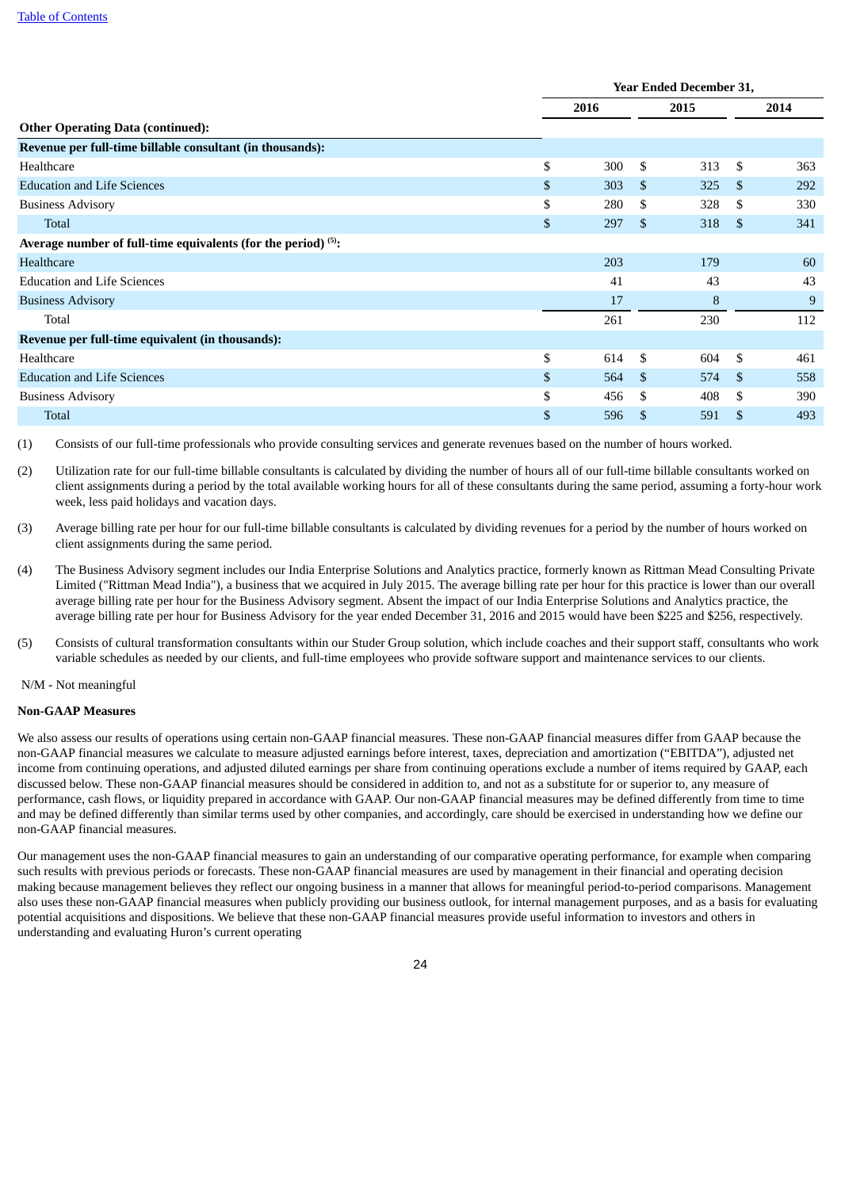|                                                                  | <b>Year Ended December 31,</b> |      |      |      |     |  |  |  |
|------------------------------------------------------------------|--------------------------------|------|------|------|-----|--|--|--|
|                                                                  | 2016                           |      | 2015 | 2014 |     |  |  |  |
| <b>Other Operating Data (continued):</b>                         |                                |      |      |      |     |  |  |  |
| Revenue per full-time billable consultant (in thousands):        |                                |      |      |      |     |  |  |  |
| Healthcare                                                       | \$<br>300                      | \$   | 313  | \$   | 363 |  |  |  |
| <b>Education and Life Sciences</b>                               | \$<br>303                      | \$   | 325  | \$   | 292 |  |  |  |
| <b>Business Advisory</b>                                         | \$<br>280                      | \$   | 328  | S    | 330 |  |  |  |
| <b>Total</b>                                                     | \$<br>297                      | \$   | 318  | \$   | 341 |  |  |  |
| Average number of full-time equivalents (for the period) $(5)$ : |                                |      |      |      |     |  |  |  |
| Healthcare                                                       | 203                            |      | 179  |      | 60  |  |  |  |
| <b>Education and Life Sciences</b>                               | 41                             |      | 43   |      | 43  |  |  |  |
| <b>Business Advisory</b>                                         | 17                             |      | 8    |      | 9   |  |  |  |
| Total                                                            | 261                            |      | 230  |      | 112 |  |  |  |
| Revenue per full-time equivalent (in thousands):                 |                                |      |      |      |     |  |  |  |
| Healthcare                                                       | \$<br>614                      | \$   | 604  | \$   | 461 |  |  |  |
| <b>Education and Life Sciences</b>                               | \$<br>564                      | - \$ | 574  | \$   | 558 |  |  |  |
| <b>Business Advisory</b>                                         | \$<br>456                      | \$   | 408  | \$   | 390 |  |  |  |
| <b>Total</b>                                                     | \$<br>596                      | \$   | 591  | \$   | 493 |  |  |  |

(1) Consists of our full-time professionals who provide consulting services and generate revenues based on the number of hours worked.

- (2) Utilization rate for our full-time billable consultants is calculated by dividing the number of hours all of our full-time billable consultants worked on client assignments during a period by the total available working hours for all of these consultants during the same period, assuming a forty-hour work week, less paid holidays and vacation days.
- (3) Average billing rate per hour for our full-time billable consultants is calculated by dividing revenues for a period by the number of hours worked on client assignments during the same period.
- (4) The Business Advisory segment includes our India Enterprise Solutions and Analytics practice, formerly known as Rittman Mead Consulting Private Limited ("Rittman Mead India"), a business that we acquired in July 2015. The average billing rate per hour for this practice is lower than our overall average billing rate per hour for the Business Advisory segment. Absent the impact of our India Enterprise Solutions and Analytics practice, the average billing rate per hour for Business Advisory for the year ended December 31, 2016 and 2015 would have been \$225 and \$256, respectively.
- (5) Consists of cultural transformation consultants within our Studer Group solution, which include coaches and their support staff, consultants who work variable schedules as needed by our clients, and full-time employees who provide software support and maintenance services to our clients.
- N/M Not meaningful

#### **Non-GAAP Measures**

We also assess our results of operations using certain non-GAAP financial measures. These non-GAAP financial measures differ from GAAP because the non-GAAP financial measures we calculate to measure adjusted earnings before interest, taxes, depreciation and amortization ("EBITDA"), adjusted net income from continuing operations, and adjusted diluted earnings per share from continuing operations exclude a number of items required by GAAP, each discussed below. These non-GAAP financial measures should be considered in addition to, and not as a substitute for or superior to, any measure of performance, cash flows, or liquidity prepared in accordance with GAAP. Our non-GAAP financial measures may be defined differently from time to time and may be defined differently than similar terms used by other companies, and accordingly, care should be exercised in understanding how we define our non-GAAP financial measures.

Our management uses the non-GAAP financial measures to gain an understanding of our comparative operating performance, for example when comparing such results with previous periods or forecasts. These non-GAAP financial measures are used by management in their financial and operating decision making because management believes they reflect our ongoing business in a manner that allows for meaningful period-to-period comparisons. Management also uses these non-GAAP financial measures when publicly providing our business outlook, for internal management purposes, and as a basis for evaluating potential acquisitions and dispositions. We believe that these non-GAAP financial measures provide useful information to investors and others in understanding and evaluating Huron's current operating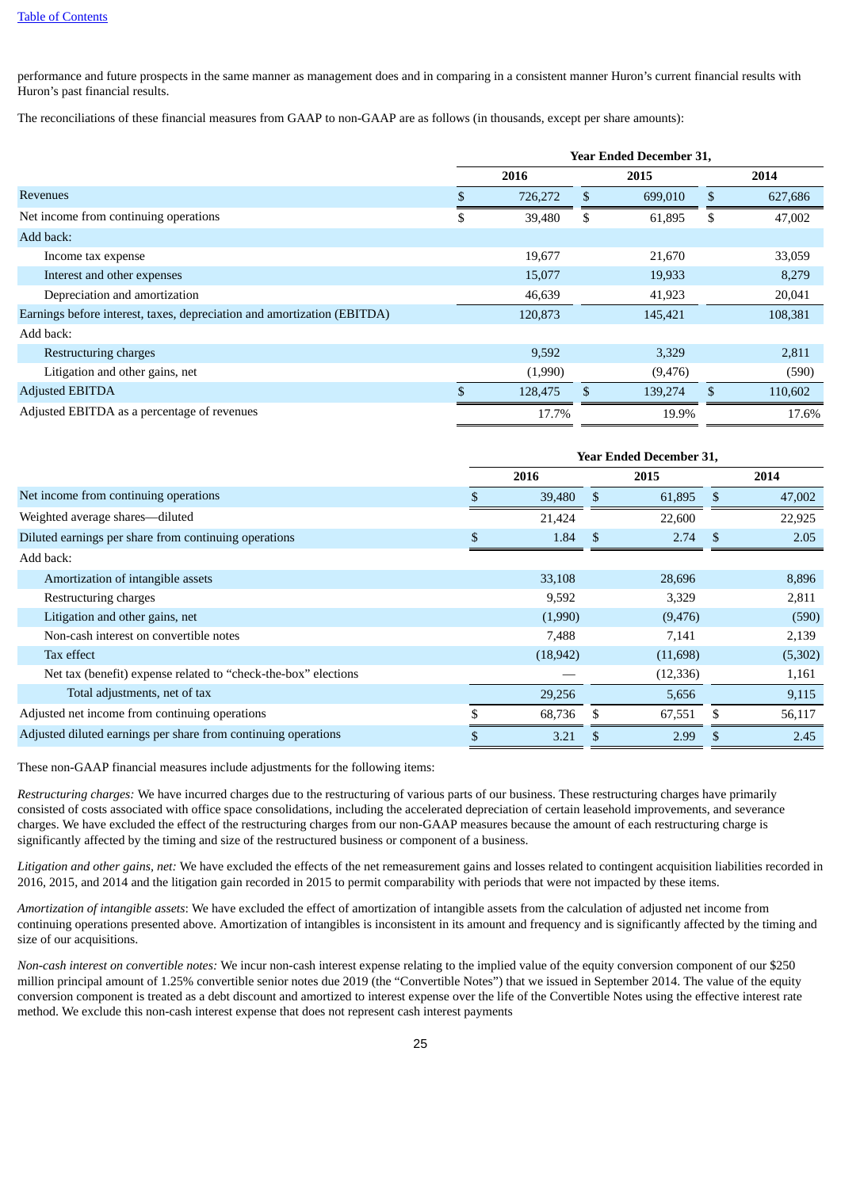performance and future prospects in the same manner as management does and in comparing in a consistent manner Huron's current financial results with Huron's past financial results.

The reconciliations of these financial measures from GAAP to non-GAAP are as follows (in thousands, except per share amounts):

|                                                                         | <b>Year Ended December 31,</b> |         |      |          |    |         |  |  |
|-------------------------------------------------------------------------|--------------------------------|---------|------|----------|----|---------|--|--|
|                                                                         |                                | 2016    | 2015 |          |    | 2014    |  |  |
| <b>Revenues</b>                                                         |                                | 726,272 |      | 699,010  | \$ | 627,686 |  |  |
| Net income from continuing operations                                   | \$                             | 39,480  | \$   | 61,895   | \$ | 47,002  |  |  |
| Add back:                                                               |                                |         |      |          |    |         |  |  |
| Income tax expense                                                      |                                | 19,677  |      | 21,670   |    | 33,059  |  |  |
| Interest and other expenses                                             |                                | 15,077  |      | 19,933   |    | 8,279   |  |  |
| Depreciation and amortization                                           |                                | 46,639  |      | 41,923   |    | 20,041  |  |  |
| Earnings before interest, taxes, depreciation and amortization (EBITDA) |                                | 120,873 |      | 145,421  |    | 108,381 |  |  |
| Add back:                                                               |                                |         |      |          |    |         |  |  |
| Restructuring charges                                                   |                                | 9,592   |      | 3,329    |    | 2,811   |  |  |
| Litigation and other gains, net                                         |                                | (1,990) |      | (9, 476) |    | (590)   |  |  |
| <b>Adjusted EBITDA</b>                                                  |                                | 128,475 |      | 139,274  |    | 110,602 |  |  |
| Adjusted EBITDA as a percentage of revenues                             |                                | 17.7%   |      | 19.9%    |    | 17.6%   |  |  |

|                                                                | <b>Year Ended December 31,</b> |              |               |           |      |         |  |
|----------------------------------------------------------------|--------------------------------|--------------|---------------|-----------|------|---------|--|
|                                                                |                                | 2016<br>2015 |               |           | 2014 |         |  |
| Net income from continuing operations                          |                                | 39,480       | $\mathcal{S}$ | 61,895    | -S   | 47,002  |  |
| Weighted average shares-diluted                                |                                | 21,424       |               | 22,600    |      | 22,925  |  |
| Diluted earnings per share from continuing operations          | $\mathfrak{S}$                 | 1.84         |               | 2.74      | \$.  | 2.05    |  |
| Add back:                                                      |                                |              |               |           |      |         |  |
| Amortization of intangible assets                              |                                | 33,108       |               | 28,696    |      | 8,896   |  |
| Restructuring charges                                          |                                | 9,592        |               | 3,329     |      | 2,811   |  |
| Litigation and other gains, net                                |                                | (1,990)      |               | (9, 476)  |      | (590)   |  |
| Non-cash interest on convertible notes                         |                                | 7,488        |               | 7,141     |      | 2,139   |  |
| Tax effect                                                     |                                | (18, 942)    |               | (11,698)  |      | (5,302) |  |
| Net tax (benefit) expense related to "check-the-box" elections |                                |              |               | (12, 336) |      | 1,161   |  |
| Total adjustments, net of tax                                  |                                | 29,256       |               | 5,656     |      | 9,115   |  |
| Adjusted net income from continuing operations                 |                                | 68,736       |               | 67,551    |      | 56,117  |  |
| Adjusted diluted earnings per share from continuing operations | S                              | 3.21         |               | 2.99      |      | 2.45    |  |

These non-GAAP financial measures include adjustments for the following items:

*Restructuring charges:* We have incurred charges due to the restructuring of various parts of our business. These restructuring charges have primarily consisted of costs associated with office space consolidations, including the accelerated depreciation of certain leasehold improvements, and severance charges. We have excluded the effect of the restructuring charges from our non-GAAP measures because the amount of each restructuring charge is significantly affected by the timing and size of the restructured business or component of a business.

*Litigation and other gains, net:* We have excluded the effects of the net remeasurement gains and losses related to contingent acquisition liabilities recorded in 2016, 2015, and 2014 and the litigation gain recorded in 2015 to permit comparability with periods that were not impacted by these items.

*Amortization of intangible assets*: We have excluded the effect of amortization of intangible assets from the calculation of adjusted net income from continuing operations presented above. Amortization of intangibles is inconsistent in its amount and frequency and is significantly affected by the timing and size of our acquisitions.

*Non-cash interest on convertible notes:* We incur non-cash interest expense relating to the implied value of the equity conversion component of our \$250 million principal amount of 1.25% convertible senior notes due 2019 (the "Convertible Notes") that we issued in September 2014. The value of the equity conversion component is treated as a debt discount and amortized to interest expense over the life of the Convertible Notes using the effective interest rate method. We exclude this non-cash interest expense that does not represent cash interest payments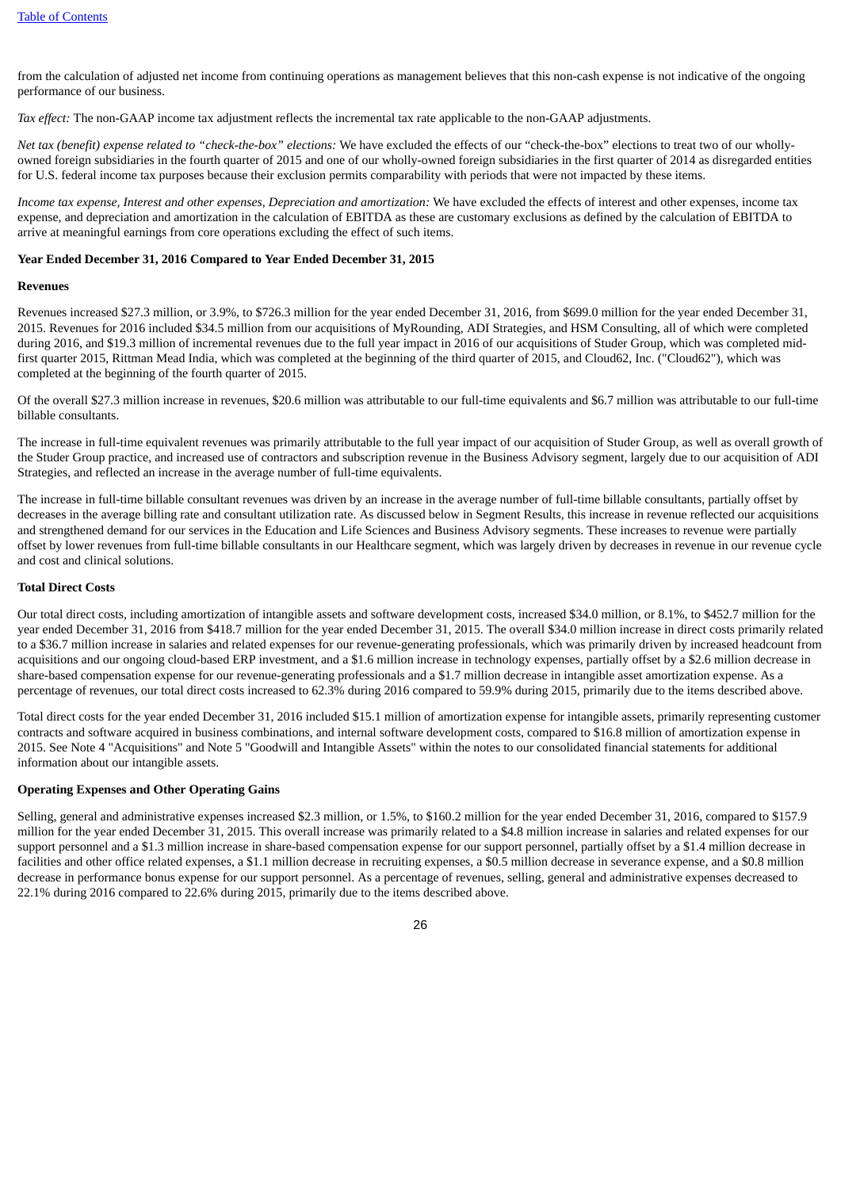from the calculation of adjusted net income from continuing operations as management believes that this non-cash expense is not indicative of the ongoing performance of our business.

*Tax effect:* The non-GAAP income tax adjustment reflects the incremental tax rate applicable to the non-GAAP adjustments.

*Net tax (benefit) expense related to "check-the-box" elections:* We have excluded the effects of our "check-the-box" elections to treat two of our whollyowned foreign subsidiaries in the fourth quarter of 2015 and one of our wholly-owned foreign subsidiaries in the first quarter of 2014 as disregarded entities for U.S. federal income tax purposes because their exclusion permits comparability with periods that were not impacted by these items.

*Income tax expense, Interest and other expenses, Depreciation and amortization:* We have excluded the effects of interest and other expenses, income tax expense, and depreciation and amortization in the calculation of EBITDA as these are customary exclusions as defined by the calculation of EBITDA to arrive at meaningful earnings from core operations excluding the effect of such items.

# **Year Ended December 31, 2016 Compared to Year Ended December 31, 2015**

### **Revenues**

Revenues increased \$27.3 million, or 3.9%, to \$726.3 million for the year ended December 31, 2016, from \$699.0 million for the year ended December 31, 2015. Revenues for 2016 included \$34.5 million from our acquisitions of MyRounding, ADI Strategies, and HSM Consulting, all of which were completed during 2016, and \$19.3 million of incremental revenues due to the full year impact in 2016 of our acquisitions of Studer Group, which was completed midfirst quarter 2015, Rittman Mead India, which was completed at the beginning of the third quarter of 2015, and Cloud62, Inc. ("Cloud62"), which was completed at the beginning of the fourth quarter of 2015.

Of the overall \$27.3 million increase in revenues, \$20.6 million was attributable to our full-time equivalents and \$6.7 million was attributable to our full-time billable consultants.

The increase in full-time equivalent revenues was primarily attributable to the full year impact of our acquisition of Studer Group, as well as overall growth of the Studer Group practice, and increased use of contractors and subscription revenue in the Business Advisory segment, largely due to our acquisition of ADI Strategies, and reflected an increase in the average number of full-time equivalents.

The increase in full-time billable consultant revenues was driven by an increase in the average number of full-time billable consultants, partially offset by decreases in the average billing rate and consultant utilization rate. As discussed below in Segment Results, this increase in revenue reflected our acquisitions and strengthened demand for our services in the Education and Life Sciences and Business Advisory segments. These increases to revenue were partially offset by lower revenues from full-time billable consultants in our Healthcare segment, which was largely driven by decreases in revenue in our revenue cycle and cost and clinical solutions.

# **Total Direct Costs**

Our total direct costs, including amortization of intangible assets and software development costs, increased \$34.0 million, or 8.1%, to \$452.7 million for the year ended December 31, 2016 from \$418.7 million for the year ended December 31, 2015. The overall \$34.0 million increase in direct costs primarily related to a \$36.7 million increase in salaries and related expenses for our revenue-generating professionals, which was primarily driven by increased headcount from acquisitions and our ongoing cloud-based ERP investment, and a \$1.6 million increase in technology expenses, partially offset by a \$2.6 million decrease in share-based compensation expense for our revenue-generating professionals and a \$1.7 million decrease in intangible asset amortization expense. As a percentage of revenues, our total direct costs increased to 62.3% during 2016 compared to 59.9% during 2015, primarily due to the items described above.

Total direct costs for the year ended December 31, 2016 included \$15.1 million of amortization expense for intangible assets, primarily representing customer contracts and software acquired in business combinations, and internal software development costs, compared to \$16.8 million of amortization expense in 2015. See Note 4 "Acquisitions" and Note 5 "Goodwill and Intangible Assets" within the notes to our consolidated financial statements for additional information about our intangible assets.

# **Operating Expenses and Other Operating Gains**

Selling, general and administrative expenses increased \$2.3 million, or 1.5%, to \$160.2 million for the year ended December 31, 2016, compared to \$157.9 million for the year ended December 31, 2015. This overall increase was primarily related to a \$4.8 million increase in salaries and related expenses for our support personnel and a \$1.3 million increase in share-based compensation expense for our support personnel, partially offset by a \$1.4 million decrease in facilities and other office related expenses, a \$1.1 million decrease in recruiting expenses, a \$0.5 million decrease in severance expense, and a \$0.8 million decrease in performance bonus expense for our support personnel. As a percentage of revenues, selling, general and administrative expenses decreased to 22.1% during 2016 compared to 22.6% during 2015, primarily due to the items described above.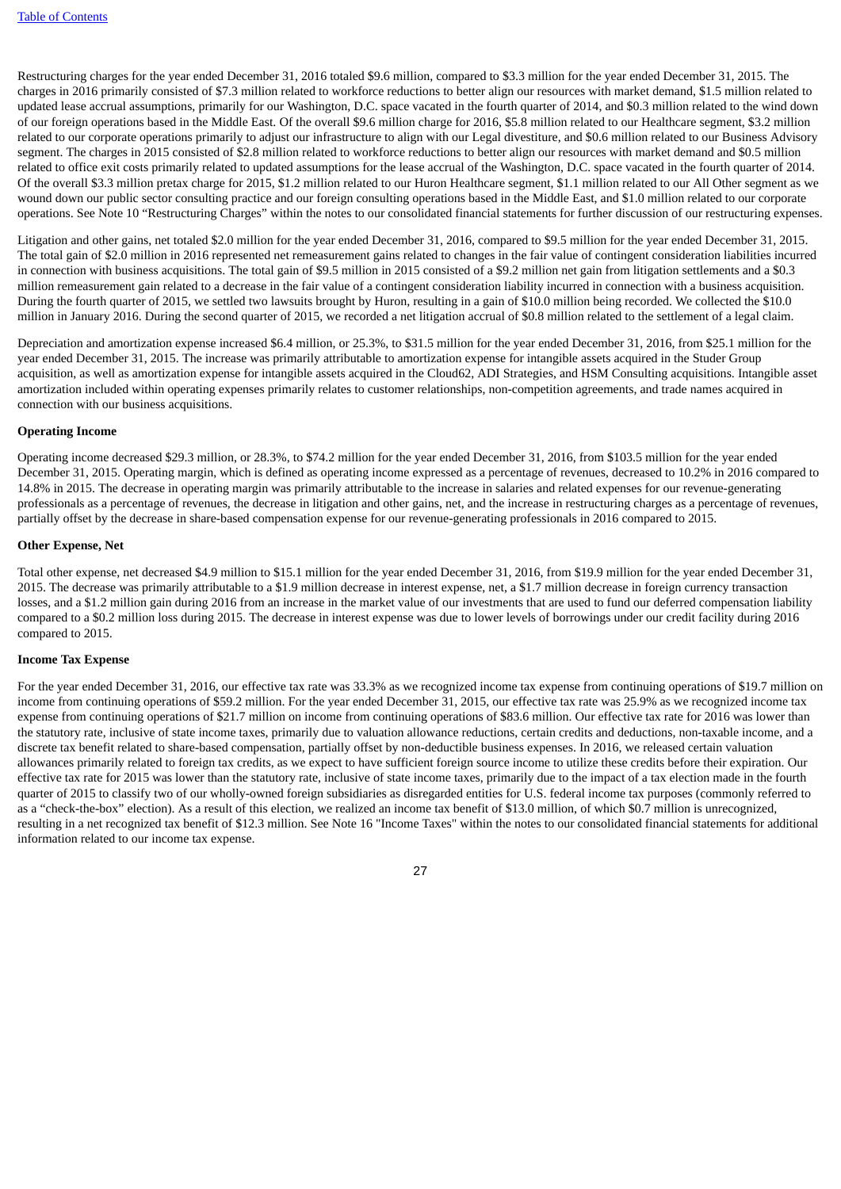Restructuring charges for the year ended December 31, 2016 totaled \$9.6 million, compared to \$3.3 million for the year ended December 31, 2015. The charges in 2016 primarily consisted of \$7.3 million related to workforce reductions to better align our resources with market demand, \$1.5 million related to updated lease accrual assumptions, primarily for our Washington, D.C. space vacated in the fourth quarter of 2014, and \$0.3 million related to the wind down of our foreign operations based in the Middle East. Of the overall \$9.6 million charge for 2016, \$5.8 million related to our Healthcare segment, \$3.2 million related to our corporate operations primarily to adjust our infrastructure to align with our Legal divestiture, and \$0.6 million related to our Business Advisory segment. The charges in 2015 consisted of \$2.8 million related to workforce reductions to better align our resources with market demand and \$0.5 million related to office exit costs primarily related to updated assumptions for the lease accrual of the Washington, D.C. space vacated in the fourth quarter of 2014. Of the overall \$3.3 million pretax charge for 2015, \$1.2 million related to our Huron Healthcare segment, \$1.1 million related to our All Other segment as we wound down our public sector consulting practice and our foreign consulting operations based in the Middle East, and \$1.0 million related to our corporate operations. See Note 10 "Restructuring Charges" within the notes to our consolidated financial statements for further discussion of our restructuring expenses.

Litigation and other gains, net totaled \$2.0 million for the year ended December 31, 2016, compared to \$9.5 million for the year ended December 31, 2015. The total gain of \$2.0 million in 2016 represented net remeasurement gains related to changes in the fair value of contingent consideration liabilities incurred in connection with business acquisitions. The total gain of \$9.5 million in 2015 consisted of a \$9.2 million net gain from litigation settlements and a \$0.3 million remeasurement gain related to a decrease in the fair value of a contingent consideration liability incurred in connection with a business acquisition. During the fourth quarter of 2015, we settled two lawsuits brought by Huron, resulting in a gain of \$10.0 million being recorded. We collected the \$10.0 million in January 2016. During the second quarter of 2015, we recorded a net litigation accrual of \$0.8 million related to the settlement of a legal claim.

Depreciation and amortization expense increased \$6.4 million, or 25.3%, to \$31.5 million for the year ended December 31, 2016, from \$25.1 million for the year ended December 31, 2015. The increase was primarily attributable to amortization expense for intangible assets acquired in the Studer Group acquisition, as well as amortization expense for intangible assets acquired in the Cloud62, ADI Strategies, and HSM Consulting acquisitions. Intangible asset amortization included within operating expenses primarily relates to customer relationships, non-competition agreements, and trade names acquired in connection with our business acquisitions.

### **Operating Income**

Operating income decreased \$29.3 million, or 28.3%, to \$74.2 million for the year ended December 31, 2016, from \$103.5 million for the year ended December 31, 2015. Operating margin, which is defined as operating income expressed as a percentage of revenues, decreased to 10.2% in 2016 compared to 14.8% in 2015. The decrease in operating margin was primarily attributable to the increase in salaries and related expenses for our revenue-generating professionals as a percentage of revenues, the decrease in litigation and other gains, net, and the increase in restructuring charges as a percentage of revenues, partially offset by the decrease in share-based compensation expense for our revenue-generating professionals in 2016 compared to 2015.

#### **Other Expense, Net**

Total other expense, net decreased \$4.9 million to \$15.1 million for the year ended December 31, 2016, from \$19.9 million for the year ended December 31, 2015. The decrease was primarily attributable to a \$1.9 million decrease in interest expense, net, a \$1.7 million decrease in foreign currency transaction losses, and a \$1.2 million gain during 2016 from an increase in the market value of our investments that are used to fund our deferred compensation liability compared to a \$0.2 million loss during 2015. The decrease in interest expense was due to lower levels of borrowings under our credit facility during 2016 compared to 2015.

#### **Income Tax Expense**

For the year ended December 31, 2016, our effective tax rate was 33.3% as we recognized income tax expense from continuing operations of \$19.7 million on income from continuing operations of \$59.2 million. For the year ended December 31, 2015, our effective tax rate was 25.9% as we recognized income tax expense from continuing operations of \$21.7 million on income from continuing operations of \$83.6 million. Our effective tax rate for 2016 was lower than the statutory rate, inclusive of state income taxes, primarily due to valuation allowance reductions, certain credits and deductions, non-taxable income, and a discrete tax benefit related to share-based compensation, partially offset by non-deductible business expenses. In 2016, we released certain valuation allowances primarily related to foreign tax credits, as we expect to have sufficient foreign source income to utilize these credits before their expiration. Our effective tax rate for 2015 was lower than the statutory rate, inclusive of state income taxes, primarily due to the impact of a tax election made in the fourth quarter of 2015 to classify two of our wholly-owned foreign subsidiaries as disregarded entities for U.S. federal income tax purposes (commonly referred to as a "check-the-box" election). As a result of this election, we realized an income tax benefit of \$13.0 million, of which \$0.7 million is unrecognized, resulting in a net recognized tax benefit of \$12.3 million. See Note 16 "Income Taxes" within the notes to our consolidated financial statements for additional information related to our income tax expense.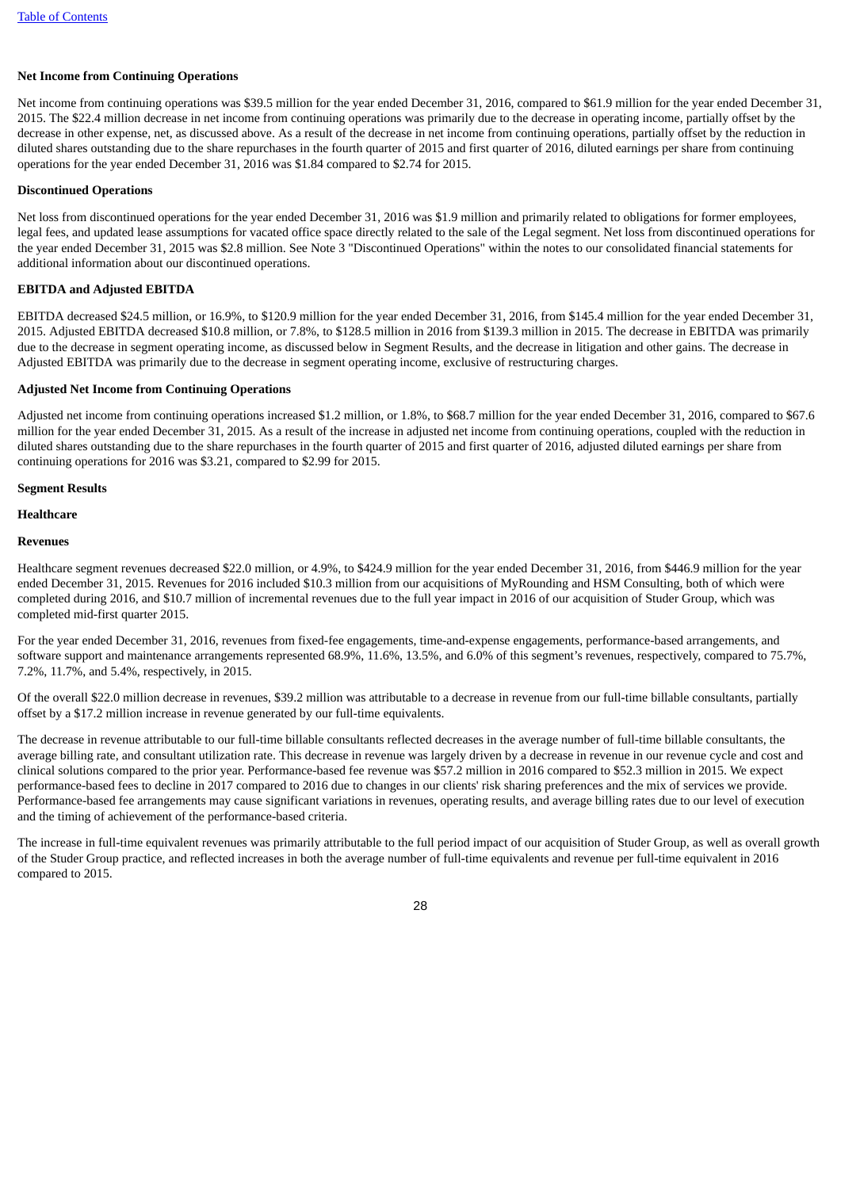# **Net Income from Continuing Operations**

Net income from continuing operations was \$39.5 million for the year ended December 31, 2016, compared to \$61.9 million for the year ended December 31, 2015. The \$22.4 million decrease in net income from continuing operations was primarily due to the decrease in operating income, partially offset by the decrease in other expense, net, as discussed above. As a result of the decrease in net income from continuing operations, partially offset by the reduction in diluted shares outstanding due to the share repurchases in the fourth quarter of 2015 and first quarter of 2016, diluted earnings per share from continuing operations for the year ended December 31, 2016 was \$1.84 compared to \$2.74 for 2015.

# **Discontinued Operations**

Net loss from discontinued operations for the year ended December 31, 2016 was \$1.9 million and primarily related to obligations for former employees, legal fees, and updated lease assumptions for vacated office space directly related to the sale of the Legal segment. Net loss from discontinued operations for the year ended December 31, 2015 was \$2.8 million. See Note 3 "Discontinued Operations" within the notes to our consolidated financial statements for additional information about our discontinued operations.

# **EBITDA and Adjusted EBITDA**

EBITDA decreased \$24.5 million, or 16.9%, to \$120.9 million for the year ended December 31, 2016, from \$145.4 million for the year ended December 31, 2015. Adjusted EBITDA decreased \$10.8 million, or 7.8%, to \$128.5 million in 2016 from \$139.3 million in 2015. The decrease in EBITDA was primarily due to the decrease in segment operating income, as discussed below in Segment Results, and the decrease in litigation and other gains. The decrease in Adjusted EBITDA was primarily due to the decrease in segment operating income, exclusive of restructuring charges.

# **Adjusted Net Income from Continuing Operations**

Adjusted net income from continuing operations increased \$1.2 million, or 1.8%, to \$68.7 million for the year ended December 31, 2016, compared to \$67.6 million for the year ended December 31, 2015. As a result of the increase in adjusted net income from continuing operations, coupled with the reduction in diluted shares outstanding due to the share repurchases in the fourth quarter of 2015 and first quarter of 2016, adjusted diluted earnings per share from continuing operations for 2016 was \$3.21, compared to \$2.99 for 2015.

### **Segment Results**

### **Healthcare**

### **Revenues**

Healthcare segment revenues decreased \$22.0 million, or 4.9%, to \$424.9 million for the year ended December 31, 2016, from \$446.9 million for the year ended December 31, 2015. Revenues for 2016 included \$10.3 million from our acquisitions of MyRounding and HSM Consulting, both of which were completed during 2016, and \$10.7 million of incremental revenues due to the full year impact in 2016 of our acquisition of Studer Group, which was completed mid-first quarter 2015.

For the year ended December 31, 2016, revenues from fixed-fee engagements, time-and-expense engagements, performance-based arrangements, and software support and maintenance arrangements represented 68.9%, 11.6%, 13.5%, and 6.0% of this segment's revenues, respectively, compared to 75.7%, 7.2%, 11.7%, and 5.4%, respectively, in 2015.

Of the overall \$22.0 million decrease in revenues, \$39.2 million was attributable to a decrease in revenue from our full-time billable consultants, partially offset by a \$17.2 million increase in revenue generated by our full-time equivalents.

The decrease in revenue attributable to our full-time billable consultants reflected decreases in the average number of full-time billable consultants, the average billing rate, and consultant utilization rate. This decrease in revenue was largely driven by a decrease in revenue in our revenue cycle and cost and clinical solutions compared to the prior year. Performance-based fee revenue was \$57.2 million in 2016 compared to \$52.3 million in 2015. We expect performance-based fees to decline in 2017 compared to 2016 due to changes in our clients' risk sharing preferences and the mix of services we provide. Performance-based fee arrangements may cause significant variations in revenues, operating results, and average billing rates due to our level of execution and the timing of achievement of the performance-based criteria.

The increase in full-time equivalent revenues was primarily attributable to the full period impact of our acquisition of Studer Group, as well as overall growth of the Studer Group practice, and reflected increases in both the average number of full-time equivalents and revenue per full-time equivalent in 2016 compared to 2015.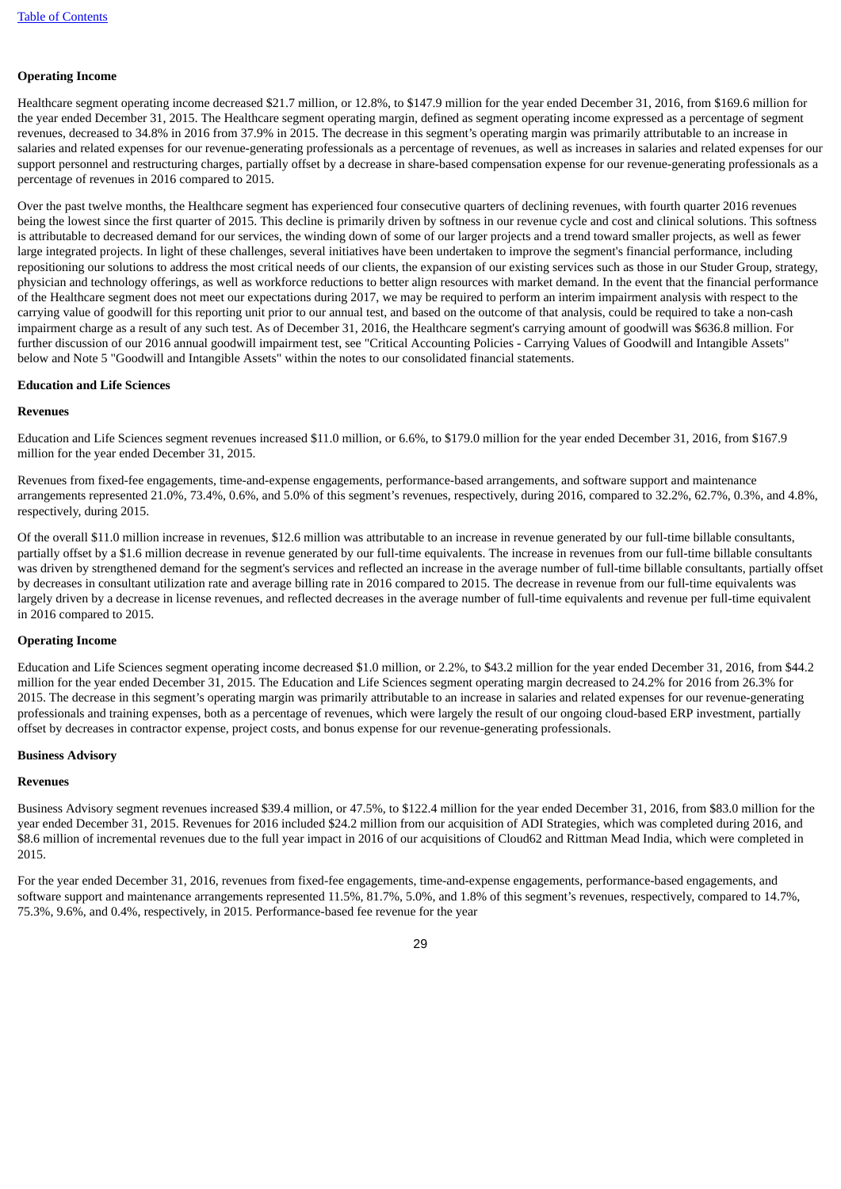# **Operating Income**

Healthcare segment operating income decreased \$21.7 million, or 12.8%, to \$147.9 million for the year ended December 31, 2016, from \$169.6 million for the year ended December 31, 2015. The Healthcare segment operating margin, defined as segment operating income expressed as a percentage of segment revenues, decreased to 34.8% in 2016 from 37.9% in 2015. The decrease in this segment's operating margin was primarily attributable to an increase in salaries and related expenses for our revenue-generating professionals as a percentage of revenues, as well as increases in salaries and related expenses for our support personnel and restructuring charges, partially offset by a decrease in share-based compensation expense for our revenue-generating professionals as a percentage of revenues in 2016 compared to 2015.

Over the past twelve months, the Healthcare segment has experienced four consecutive quarters of declining revenues, with fourth quarter 2016 revenues being the lowest since the first quarter of 2015. This decline is primarily driven by softness in our revenue cycle and cost and clinical solutions. This softness is attributable to decreased demand for our services, the winding down of some of our larger projects and a trend toward smaller projects, as well as fewer large integrated projects. In light of these challenges, several initiatives have been undertaken to improve the segment's financial performance, including repositioning our solutions to address the most critical needs of our clients, the expansion of our existing services such as those in our Studer Group, strategy, physician and technology offerings, as well as workforce reductions to better align resources with market demand. In the event that the financial performance of the Healthcare segment does not meet our expectations during 2017, we may be required to perform an interim impairment analysis with respect to the carrying value of goodwill for this reporting unit prior to our annual test, and based on the outcome of that analysis, could be required to take a non-cash impairment charge as a result of any such test. As of December 31, 2016, the Healthcare segment's carrying amount of goodwill was \$636.8 million. For further discussion of our 2016 annual goodwill impairment test, see "Critical Accounting Policies - Carrying Values of Goodwill and Intangible Assets" below and Note 5 "Goodwill and Intangible Assets" within the notes to our consolidated financial statements.

### **Education and Life Sciences**

#### **Revenues**

Education and Life Sciences segment revenues increased \$11.0 million, or 6.6%, to \$179.0 million for the year ended December 31, 2016, from \$167.9 million for the year ended December 31, 2015.

Revenues from fixed-fee engagements, time-and-expense engagements, performance-based arrangements, and software support and maintenance arrangements represented 21.0%, 73.4%, 0.6%, and 5.0% of this segment's revenues, respectively, during 2016, compared to 32.2%, 62.7%, 0.3%, and 4.8%, respectively, during 2015.

Of the overall \$11.0 million increase in revenues, \$12.6 million was attributable to an increase in revenue generated by our full-time billable consultants, partially offset by a \$1.6 million decrease in revenue generated by our full-time equivalents. The increase in revenues from our full-time billable consultants was driven by strengthened demand for the segment's services and reflected an increase in the average number of full-time billable consultants, partially offset by decreases in consultant utilization rate and average billing rate in 2016 compared to 2015. The decrease in revenue from our full-time equivalents was largely driven by a decrease in license revenues, and reflected decreases in the average number of full-time equivalents and revenue per full-time equivalent in 2016 compared to 2015.

### **Operating Income**

Education and Life Sciences segment operating income decreased \$1.0 million, or 2.2%, to \$43.2 million for the year ended December 31, 2016, from \$44.2 million for the year ended December 31, 2015. The Education and Life Sciences segment operating margin decreased to 24.2% for 2016 from 26.3% for 2015. The decrease in this segment's operating margin was primarily attributable to an increase in salaries and related expenses for our revenue-generating professionals and training expenses, both as a percentage of revenues, which were largely the result of our ongoing cloud-based ERP investment, partially offset by decreases in contractor expense, project costs, and bonus expense for our revenue-generating professionals.

#### **Business Advisory**

#### **Revenues**

Business Advisory segment revenues increased \$39.4 million, or 47.5%, to \$122.4 million for the year ended December 31, 2016, from \$83.0 million for the year ended December 31, 2015. Revenues for 2016 included \$24.2 million from our acquisition of ADI Strategies, which was completed during 2016, and \$8.6 million of incremental revenues due to the full year impact in 2016 of our acquisitions of Cloud62 and Rittman Mead India, which were completed in 2015.

For the year ended December 31, 2016, revenues from fixed-fee engagements, time-and-expense engagements, performance-based engagements, and software support and maintenance arrangements represented 11.5%, 81.7%, 5.0%, and 1.8% of this segment's revenues, respectively, compared to 14.7%, 75.3%, 9.6%, and 0.4%, respectively, in 2015. Performance-based fee revenue for the year

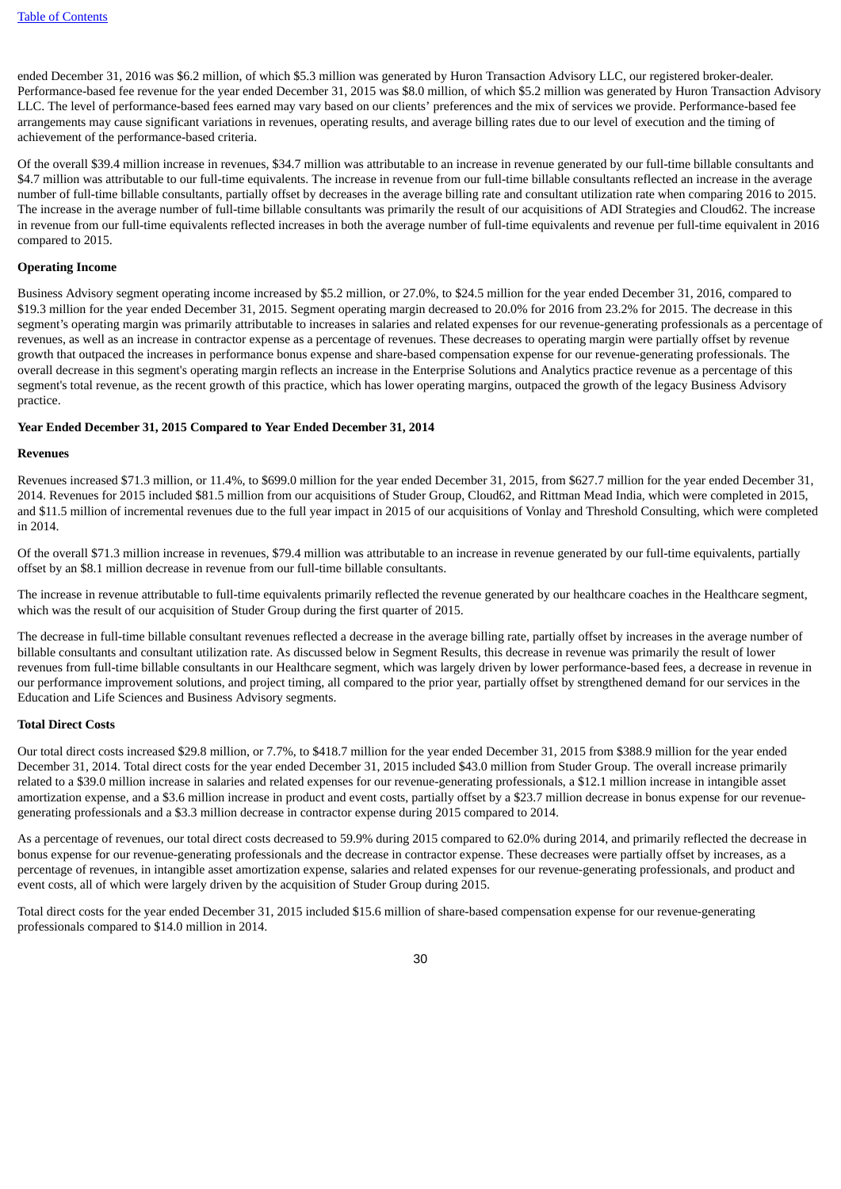ended December 31, 2016 was \$6.2 million, of which \$5.3 million was generated by Huron Transaction Advisory LLC, our registered broker-dealer. Performance-based fee revenue for the year ended December 31, 2015 was \$8.0 million, of which \$5.2 million was generated by Huron Transaction Advisory LLC. The level of performance-based fees earned may vary based on our clients' preferences and the mix of services we provide. Performance-based fee arrangements may cause significant variations in revenues, operating results, and average billing rates due to our level of execution and the timing of achievement of the performance-based criteria.

Of the overall \$39.4 million increase in revenues, \$34.7 million was attributable to an increase in revenue generated by our full-time billable consultants and \$4.7 million was attributable to our full-time equivalents. The increase in revenue from our full-time billable consultants reflected an increase in the average number of full-time billable consultants, partially offset by decreases in the average billing rate and consultant utilization rate when comparing 2016 to 2015. The increase in the average number of full-time billable consultants was primarily the result of our acquisitions of ADI Strategies and Cloud62. The increase in revenue from our full-time equivalents reflected increases in both the average number of full-time equivalents and revenue per full-time equivalent in 2016 compared to 2015.

#### **Operating Income**

Business Advisory segment operating income increased by \$5.2 million, or 27.0%, to \$24.5 million for the year ended December 31, 2016, compared to \$19.3 million for the year ended December 31, 2015. Segment operating margin decreased to 20.0% for 2016 from 23.2% for 2015. The decrease in this segment's operating margin was primarily attributable to increases in salaries and related expenses for our revenue-generating professionals as a percentage of revenues, as well as an increase in contractor expense as a percentage of revenues. These decreases to operating margin were partially offset by revenue growth that outpaced the increases in performance bonus expense and share-based compensation expense for our revenue-generating professionals. The overall decrease in this segment's operating margin reflects an increase in the Enterprise Solutions and Analytics practice revenue as a percentage of this segment's total revenue, as the recent growth of this practice, which has lower operating margins, outpaced the growth of the legacy Business Advisory practice.

#### **Year Ended December 31, 2015 Compared to Year Ended December 31, 2014**

#### **Revenues**

Revenues increased \$71.3 million, or 11.4%, to \$699.0 million for the year ended December 31, 2015, from \$627.7 million for the year ended December 31, 2014. Revenues for 2015 included \$81.5 million from our acquisitions of Studer Group, Cloud62, and Rittman Mead India, which were completed in 2015, and \$11.5 million of incremental revenues due to the full year impact in 2015 of our acquisitions of Vonlay and Threshold Consulting, which were completed in 2014.

Of the overall \$71.3 million increase in revenues, \$79.4 million was attributable to an increase in revenue generated by our full-time equivalents, partially offset by an \$8.1 million decrease in revenue from our full-time billable consultants.

The increase in revenue attributable to full-time equivalents primarily reflected the revenue generated by our healthcare coaches in the Healthcare segment, which was the result of our acquisition of Studer Group during the first quarter of 2015.

The decrease in full-time billable consultant revenues reflected a decrease in the average billing rate, partially offset by increases in the average number of billable consultants and consultant utilization rate. As discussed below in Segment Results, this decrease in revenue was primarily the result of lower revenues from full-time billable consultants in our Healthcare segment, which was largely driven by lower performance-based fees, a decrease in revenue in our performance improvement solutions, and project timing, all compared to the prior year, partially offset by strengthened demand for our services in the Education and Life Sciences and Business Advisory segments.

### **Total Direct Costs**

Our total direct costs increased \$29.8 million, or 7.7%, to \$418.7 million for the year ended December 31, 2015 from \$388.9 million for the year ended December 31, 2014. Total direct costs for the year ended December 31, 2015 included \$43.0 million from Studer Group. The overall increase primarily related to a \$39.0 million increase in salaries and related expenses for our revenue-generating professionals, a \$12.1 million increase in intangible asset amortization expense, and a \$3.6 million increase in product and event costs, partially offset by a \$23.7 million decrease in bonus expense for our revenuegenerating professionals and a \$3.3 million decrease in contractor expense during 2015 compared to 2014.

As a percentage of revenues, our total direct costs decreased to 59.9% during 2015 compared to 62.0% during 2014, and primarily reflected the decrease in bonus expense for our revenue-generating professionals and the decrease in contractor expense. These decreases were partially offset by increases, as a percentage of revenues, in intangible asset amortization expense, salaries and related expenses for our revenue-generating professionals, and product and event costs, all of which were largely driven by the acquisition of Studer Group during 2015.

Total direct costs for the year ended December 31, 2015 included \$15.6 million of share-based compensation expense for our revenue-generating professionals compared to \$14.0 million in 2014.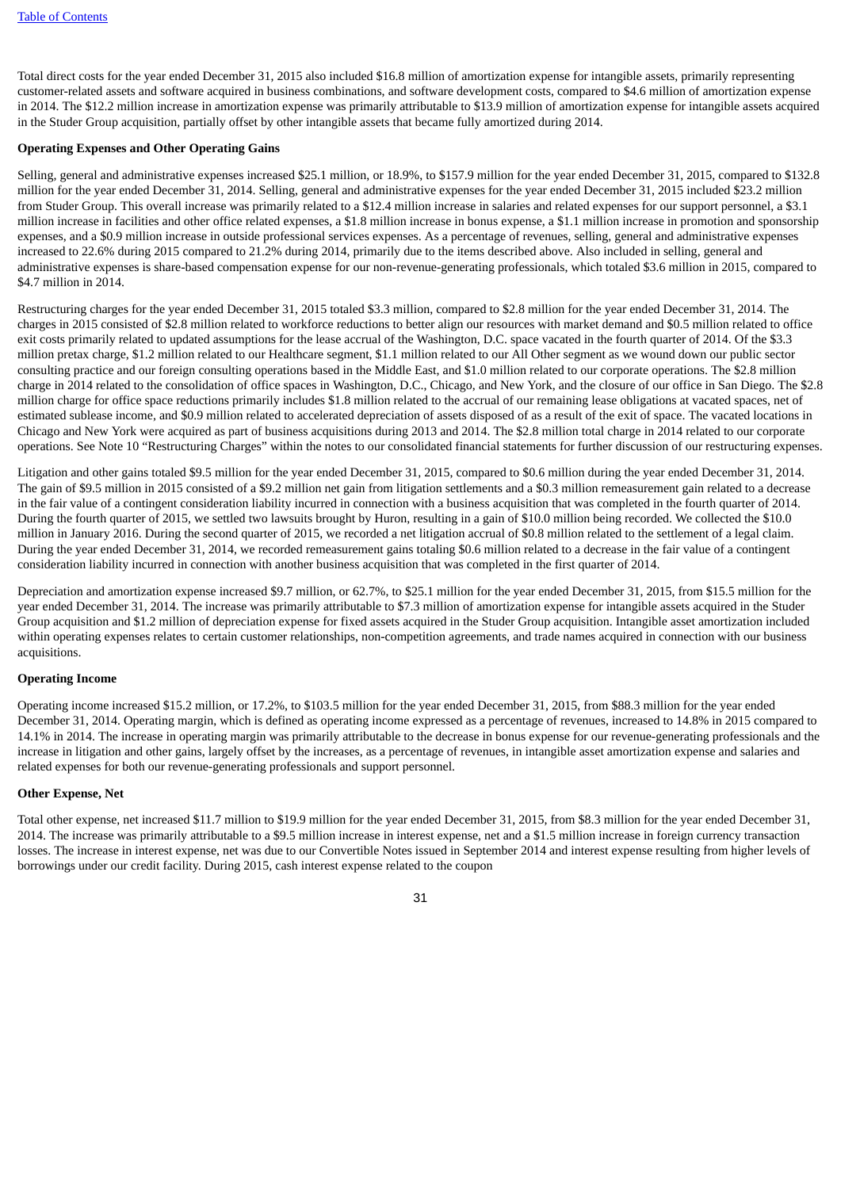Total direct costs for the year ended December 31, 2015 also included \$16.8 million of amortization expense for intangible assets, primarily representing customer-related assets and software acquired in business combinations, and software development costs, compared to \$4.6 million of amortization expense in 2014. The \$12.2 million increase in amortization expense was primarily attributable to \$13.9 million of amortization expense for intangible assets acquired in the Studer Group acquisition, partially offset by other intangible assets that became fully amortized during 2014.

# **Operating Expenses and Other Operating Gains**

Selling, general and administrative expenses increased \$25.1 million, or 18.9%, to \$157.9 million for the year ended December 31, 2015, compared to \$132.8 million for the year ended December 31, 2014. Selling, general and administrative expenses for the year ended December 31, 2015 included \$23.2 million from Studer Group. This overall increase was primarily related to a \$12.4 million increase in salaries and related expenses for our support personnel, a \$3.1 million increase in facilities and other office related expenses, a \$1.8 million increase in bonus expense, a \$1.1 million increase in promotion and sponsorship expenses, and a \$0.9 million increase in outside professional services expenses. As a percentage of revenues, selling, general and administrative expenses increased to 22.6% during 2015 compared to 21.2% during 2014, primarily due to the items described above. Also included in selling, general and administrative expenses is share-based compensation expense for our non-revenue-generating professionals, which totaled \$3.6 million in 2015, compared to \$4.7 million in 2014.

Restructuring charges for the year ended December 31, 2015 totaled \$3.3 million, compared to \$2.8 million for the year ended December 31, 2014. The charges in 2015 consisted of \$2.8 million related to workforce reductions to better align our resources with market demand and \$0.5 million related to office exit costs primarily related to updated assumptions for the lease accrual of the Washington, D.C. space vacated in the fourth quarter of 2014. Of the \$3.3 million pretax charge, \$1.2 million related to our Healthcare segment, \$1.1 million related to our All Other segment as we wound down our public sector consulting practice and our foreign consulting operations based in the Middle East, and \$1.0 million related to our corporate operations. The \$2.8 million charge in 2014 related to the consolidation of office spaces in Washington, D.C., Chicago, and New York, and the closure of our office in San Diego. The \$2.8 million charge for office space reductions primarily includes \$1.8 million related to the accrual of our remaining lease obligations at vacated spaces, net of estimated sublease income, and \$0.9 million related to accelerated depreciation of assets disposed of as a result of the exit of space. The vacated locations in Chicago and New York were acquired as part of business acquisitions during 2013 and 2014. The \$2.8 million total charge in 2014 related to our corporate operations. See Note 10 "Restructuring Charges" within the notes to our consolidated financial statements for further discussion of our restructuring expenses.

Litigation and other gains totaled \$9.5 million for the year ended December 31, 2015, compared to \$0.6 million during the year ended December 31, 2014. The gain of \$9.5 million in 2015 consisted of a \$9.2 million net gain from litigation settlements and a \$0.3 million remeasurement gain related to a decrease in the fair value of a contingent consideration liability incurred in connection with a business acquisition that was completed in the fourth quarter of 2014. During the fourth quarter of 2015, we settled two lawsuits brought by Huron, resulting in a gain of \$10.0 million being recorded. We collected the \$10.0 million in January 2016. During the second quarter of 2015, we recorded a net litigation accrual of \$0.8 million related to the settlement of a legal claim. During the year ended December 31, 2014, we recorded remeasurement gains totaling \$0.6 million related to a decrease in the fair value of a contingent consideration liability incurred in connection with another business acquisition that was completed in the first quarter of 2014.

Depreciation and amortization expense increased \$9.7 million, or 62.7%, to \$25.1 million for the year ended December 31, 2015, from \$15.5 million for the year ended December 31, 2014. The increase was primarily attributable to \$7.3 million of amortization expense for intangible assets acquired in the Studer Group acquisition and \$1.2 million of depreciation expense for fixed assets acquired in the Studer Group acquisition. Intangible asset amortization included within operating expenses relates to certain customer relationships, non-competition agreements, and trade names acquired in connection with our business acquisitions.

# **Operating Income**

Operating income increased \$15.2 million, or 17.2%, to \$103.5 million for the year ended December 31, 2015, from \$88.3 million for the year ended December 31, 2014. Operating margin, which is defined as operating income expressed as a percentage of revenues, increased to 14.8% in 2015 compared to 14.1% in 2014. The increase in operating margin was primarily attributable to the decrease in bonus expense for our revenue-generating professionals and the increase in litigation and other gains, largely offset by the increases, as a percentage of revenues, in intangible asset amortization expense and salaries and related expenses for both our revenue-generating professionals and support personnel.

# **Other Expense, Net**

Total other expense, net increased \$11.7 million to \$19.9 million for the year ended December 31, 2015, from \$8.3 million for the year ended December 31, 2014. The increase was primarily attributable to a \$9.5 million increase in interest expense, net and a \$1.5 million increase in foreign currency transaction losses. The increase in interest expense, net was due to our Convertible Notes issued in September 2014 and interest expense resulting from higher levels of borrowings under our credit facility. During 2015, cash interest expense related to the coupon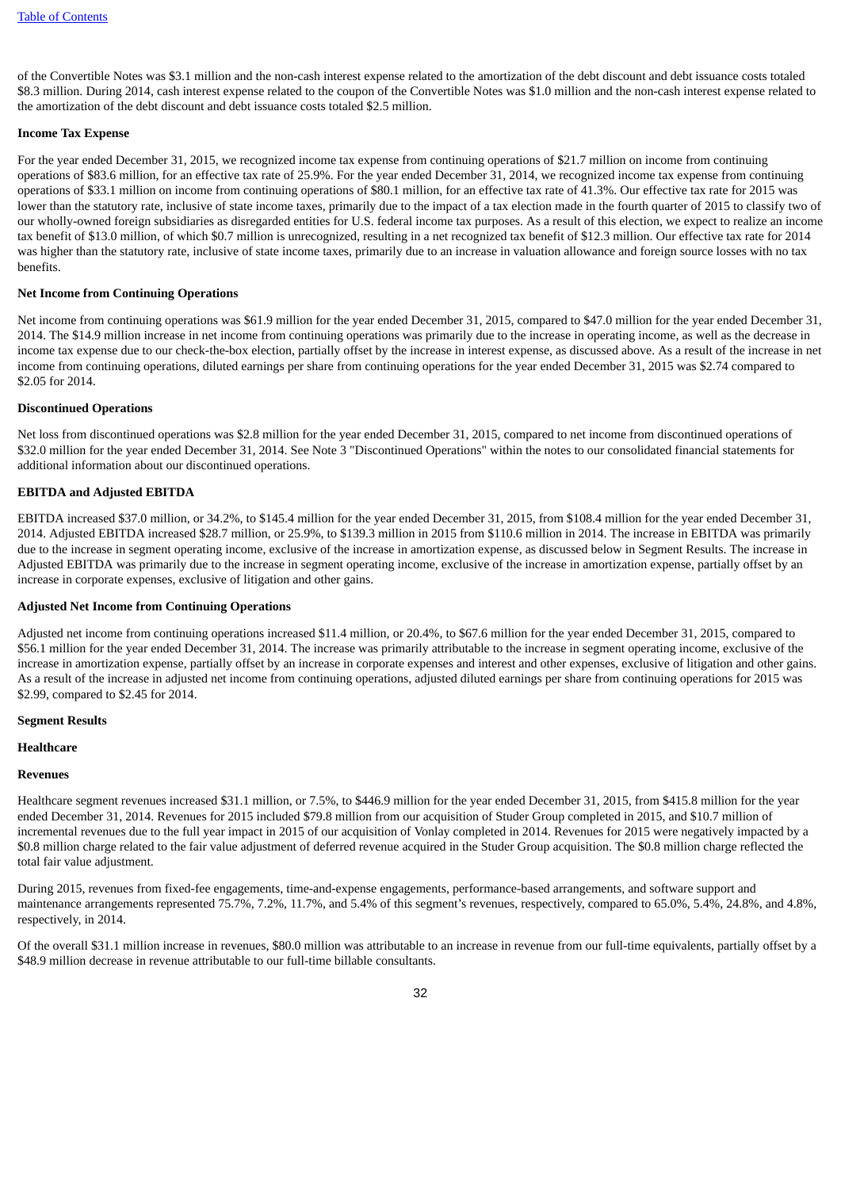of the Convertible Notes was \$3.1 million and the non-cash interest expense related to the amortization of the debt discount and debt issuance costs totaled \$8.3 million. During 2014, cash interest expense related to the coupon of the Convertible Notes was \$1.0 million and the non-cash interest expense related to the amortization of the debt discount and debt issuance costs totaled \$2.5 million.

### **Income Tax Expense**

For the year ended December 31, 2015, we recognized income tax expense from continuing operations of \$21.7 million on income from continuing operations of \$83.6 million, for an effective tax rate of 25.9%. For the year ended December 31, 2014, we recognized income tax expense from continuing operations of \$33.1 million on income from continuing operations of \$80.1 million, for an effective tax rate of 41.3%. Our effective tax rate for 2015 was lower than the statutory rate, inclusive of state income taxes, primarily due to the impact of a tax election made in the fourth quarter of 2015 to classify two of our wholly-owned foreign subsidiaries as disregarded entities for U.S. federal income tax purposes. As a result of this election, we expect to realize an income tax benefit of \$13.0 million, of which \$0.7 million is unrecognized, resulting in a net recognized tax benefit of \$12.3 million. Our effective tax rate for 2014 was higher than the statutory rate, inclusive of state income taxes, primarily due to an increase in valuation allowance and foreign source losses with no tax benefits.

### **Net Income from Continuing Operations**

Net income from continuing operations was \$61.9 million for the year ended December 31, 2015, compared to \$47.0 million for the year ended December 31, 2014. The \$14.9 million increase in net income from continuing operations was primarily due to the increase in operating income, as well as the decrease in income tax expense due to our check-the-box election, partially offset by the increase in interest expense, as discussed above. As a result of the increase in net income from continuing operations, diluted earnings per share from continuing operations for the year ended December 31, 2015 was \$2.74 compared to \$2.05 for 2014.

### **Discontinued Operations**

Net loss from discontinued operations was \$2.8 million for the year ended December 31, 2015, compared to net income from discontinued operations of \$32.0 million for the year ended December 31, 2014. See Note 3 "Discontinued Operations" within the notes to our consolidated financial statements for additional information about our discontinued operations.

# **EBITDA and Adjusted EBITDA**

EBITDA increased \$37.0 million, or 34.2%, to \$145.4 million for the year ended December 31, 2015, from \$108.4 million for the year ended December 31, 2014. Adjusted EBITDA increased \$28.7 million, or 25.9%, to \$139.3 million in 2015 from \$110.6 million in 2014. The increase in EBITDA was primarily due to the increase in segment operating income, exclusive of the increase in amortization expense, as discussed below in Segment Results. The increase in Adjusted EBITDA was primarily due to the increase in segment operating income, exclusive of the increase in amortization expense, partially offset by an increase in corporate expenses, exclusive of litigation and other gains.

# **Adjusted Net Income from Continuing Operations**

Adjusted net income from continuing operations increased \$11.4 million, or 20.4%, to \$67.6 million for the year ended December 31, 2015, compared to \$56.1 million for the year ended December 31, 2014. The increase was primarily attributable to the increase in segment operating income, exclusive of the increase in amortization expense, partially offset by an increase in corporate expenses and interest and other expenses, exclusive of litigation and other gains. As a result of the increase in adjusted net income from continuing operations, adjusted diluted earnings per share from continuing operations for 2015 was \$2.99, compared to \$2.45 for 2014.

# **Segment Results**

### **Healthcare**

#### **Revenues**

Healthcare segment revenues increased \$31.1 million, or 7.5%, to \$446.9 million for the year ended December 31, 2015, from \$415.8 million for the year ended December 31, 2014. Revenues for 2015 included \$79.8 million from our acquisition of Studer Group completed in 2015, and \$10.7 million of incremental revenues due to the full year impact in 2015 of our acquisition of Vonlay completed in 2014. Revenues for 2015 were negatively impacted by a \$0.8 million charge related to the fair value adjustment of deferred revenue acquired in the Studer Group acquisition. The \$0.8 million charge reflected the total fair value adjustment.

During 2015, revenues from fixed-fee engagements, time-and-expense engagements, performance-based arrangements, and software support and maintenance arrangements represented 75.7%, 7.2%, 11.7%, and 5.4% of this segment's revenues, respectively, compared to 65.0%, 5.4%, 24.8%, and 4.8%, respectively, in 2014.

Of the overall \$31.1 million increase in revenues, \$80.0 million was attributable to an increase in revenue from our full-time equivalents, partially offset by a \$48.9 million decrease in revenue attributable to our full-time billable consultants.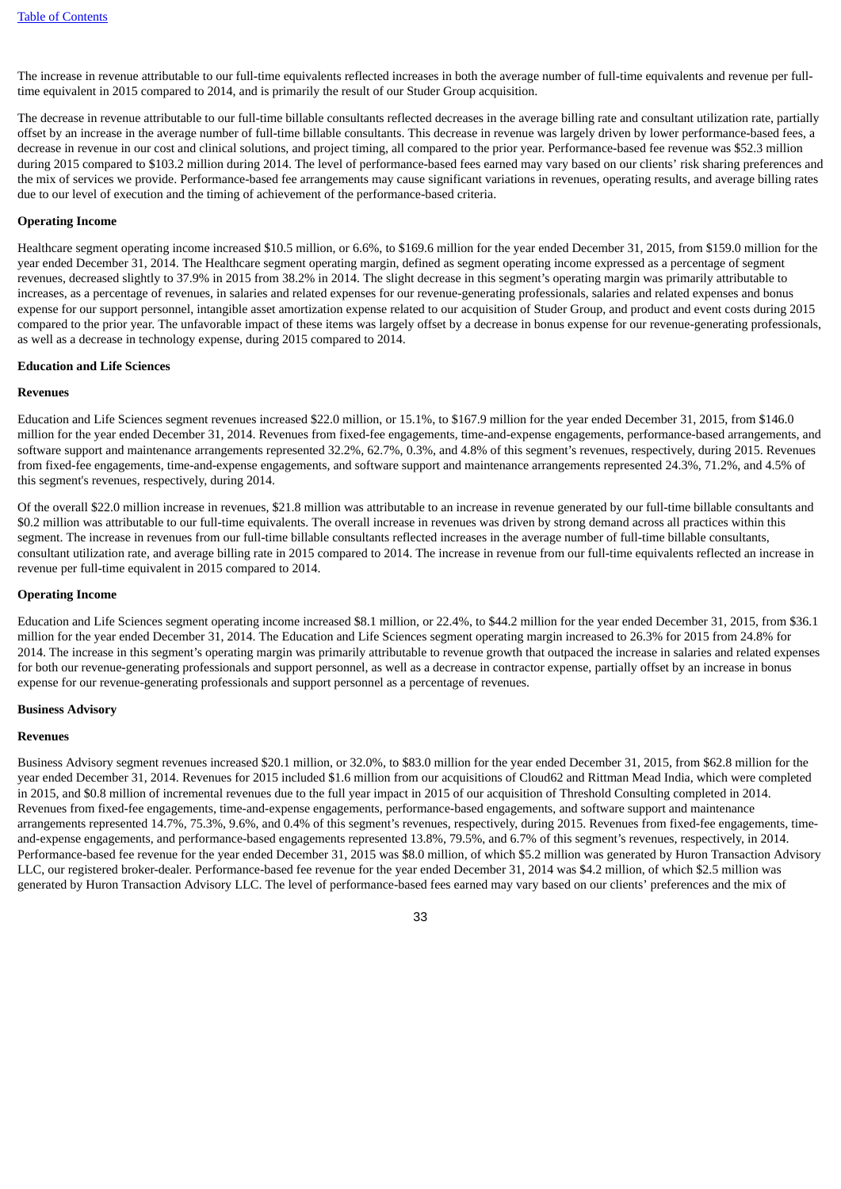The increase in revenue attributable to our full-time equivalents reflected increases in both the average number of full-time equivalents and revenue per fulltime equivalent in 2015 compared to 2014, and is primarily the result of our Studer Group acquisition.

The decrease in revenue attributable to our full-time billable consultants reflected decreases in the average billing rate and consultant utilization rate, partially offset by an increase in the average number of full-time billable consultants. This decrease in revenue was largely driven by lower performance-based fees, a decrease in revenue in our cost and clinical solutions, and project timing, all compared to the prior year. Performance-based fee revenue was \$52.3 million during 2015 compared to \$103.2 million during 2014. The level of performance-based fees earned may vary based on our clients' risk sharing preferences and the mix of services we provide. Performance-based fee arrangements may cause significant variations in revenues, operating results, and average billing rates due to our level of execution and the timing of achievement of the performance-based criteria.

#### **Operating Income**

Healthcare segment operating income increased \$10.5 million, or 6.6%, to \$169.6 million for the year ended December 31, 2015, from \$159.0 million for the year ended December 31, 2014. The Healthcare segment operating margin, defined as segment operating income expressed as a percentage of segment revenues, decreased slightly to 37.9% in 2015 from 38.2% in 2014. The slight decrease in this segment's operating margin was primarily attributable to increases, as a percentage of revenues, in salaries and related expenses for our revenue-generating professionals, salaries and related expenses and bonus expense for our support personnel, intangible asset amortization expense related to our acquisition of Studer Group, and product and event costs during 2015 compared to the prior year. The unfavorable impact of these items was largely offset by a decrease in bonus expense for our revenue-generating professionals, as well as a decrease in technology expense, during 2015 compared to 2014.

### **Education and Life Sciences**

# **Revenues**

Education and Life Sciences segment revenues increased \$22.0 million, or 15.1%, to \$167.9 million for the year ended December 31, 2015, from \$146.0 million for the year ended December 31, 2014. Revenues from fixed-fee engagements, time-and-expense engagements, performance-based arrangements, and software support and maintenance arrangements represented 32.2%, 62.7%, 0.3%, and 4.8% of this segment's revenues, respectively, during 2015. Revenues from fixed-fee engagements, time-and-expense engagements, and software support and maintenance arrangements represented 24.3%, 71.2%, and 4.5% of this segment's revenues, respectively, during 2014.

Of the overall \$22.0 million increase in revenues, \$21.8 million was attributable to an increase in revenue generated by our full-time billable consultants and \$0.2 million was attributable to our full-time equivalents. The overall increase in revenues was driven by strong demand across all practices within this segment. The increase in revenues from our full-time billable consultants reflected increases in the average number of full-time billable consultants, consultant utilization rate, and average billing rate in 2015 compared to 2014. The increase in revenue from our full-time equivalents reflected an increase in revenue per full-time equivalent in 2015 compared to 2014.

### **Operating Income**

Education and Life Sciences segment operating income increased \$8.1 million, or 22.4%, to \$44.2 million for the year ended December 31, 2015, from \$36.1 million for the year ended December 31, 2014. The Education and Life Sciences segment operating margin increased to 26.3% for 2015 from 24.8% for 2014. The increase in this segment's operating margin was primarily attributable to revenue growth that outpaced the increase in salaries and related expenses for both our revenue-generating professionals and support personnel, as well as a decrease in contractor expense, partially offset by an increase in bonus expense for our revenue-generating professionals and support personnel as a percentage of revenues.

#### **Business Advisory**

### **Revenues**

Business Advisory segment revenues increased \$20.1 million, or 32.0%, to \$83.0 million for the year ended December 31, 2015, from \$62.8 million for the year ended December 31, 2014. Revenues for 2015 included \$1.6 million from our acquisitions of Cloud62 and Rittman Mead India, which were completed in 2015, and \$0.8 million of incremental revenues due to the full year impact in 2015 of our acquisition of Threshold Consulting completed in 2014. Revenues from fixed-fee engagements, time-and-expense engagements, performance-based engagements, and software support and maintenance arrangements represented 14.7%, 75.3%, 9.6%, and 0.4% of this segment's revenues, respectively, during 2015. Revenues from fixed-fee engagements, timeand-expense engagements, and performance-based engagements represented 13.8%, 79.5%, and 6.7% of this segment's revenues, respectively, in 2014. Performance-based fee revenue for the year ended December 31, 2015 was \$8.0 million, of which \$5.2 million was generated by Huron Transaction Advisory LLC, our registered broker-dealer. Performance-based fee revenue for the year ended December 31, 2014 was \$4.2 million, of which \$2.5 million was generated by Huron Transaction Advisory LLC. The level of performance-based fees earned may vary based on our clients' preferences and the mix of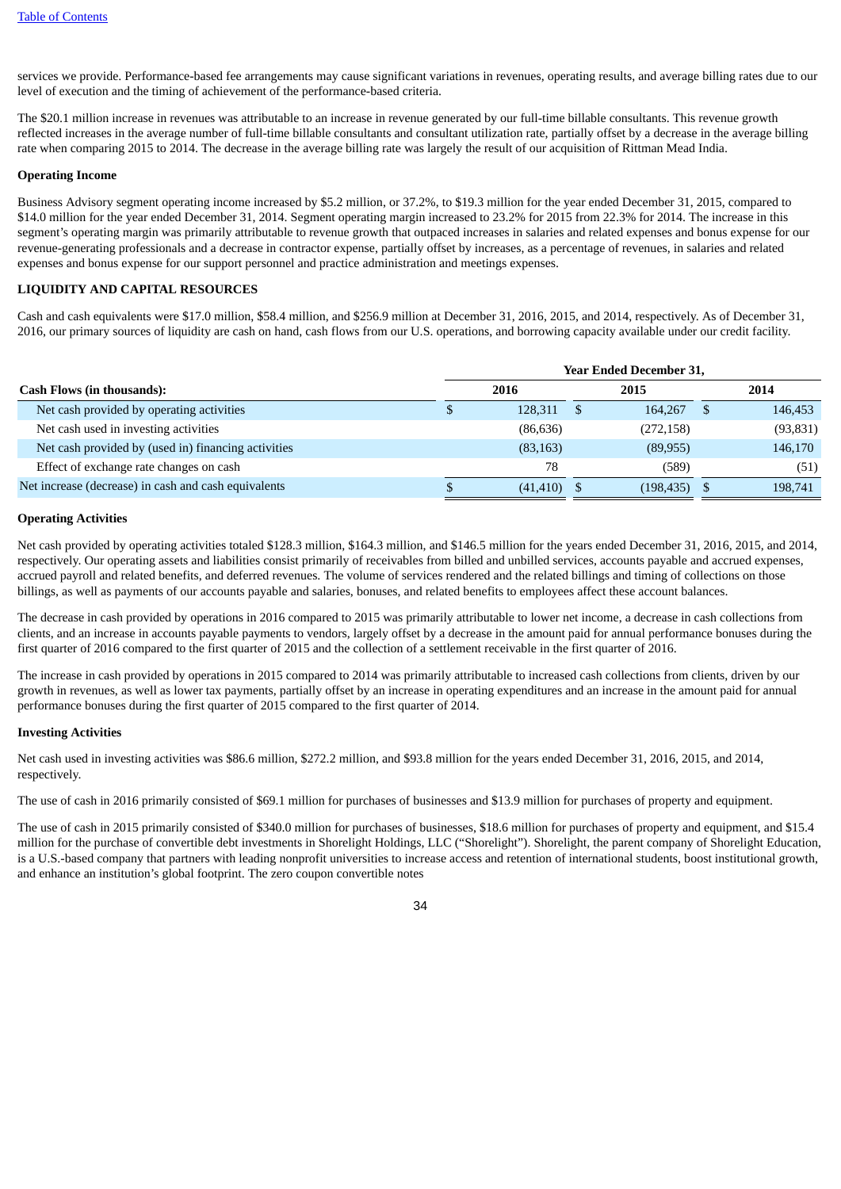services we provide. Performance-based fee arrangements may cause significant variations in revenues, operating results, and average billing rates due to our level of execution and the timing of achievement of the performance-based criteria.

The \$20.1 million increase in revenues was attributable to an increase in revenue generated by our full-time billable consultants. This revenue growth reflected increases in the average number of full-time billable consultants and consultant utilization rate, partially offset by a decrease in the average billing rate when comparing 2015 to 2014. The decrease in the average billing rate was largely the result of our acquisition of Rittman Mead India.

### **Operating Income**

Business Advisory segment operating income increased by \$5.2 million, or 37.2%, to \$19.3 million for the year ended December 31, 2015, compared to \$14.0 million for the year ended December 31, 2014. Segment operating margin increased to 23.2% for 2015 from 22.3% for 2014. The increase in this segment's operating margin was primarily attributable to revenue growth that outpaced increases in salaries and related expenses and bonus expense for our revenue-generating professionals and a decrease in contractor expense, partially offset by increases, as a percentage of revenues, in salaries and related expenses and bonus expense for our support personnel and practice administration and meetings expenses.

### **LIQUIDITY AND CAPITAL RESOURCES**

Cash and cash equivalents were \$17.0 million, \$58.4 million, and \$256.9 million at December 31, 2016, 2015, and 2014, respectively. As of December 31, 2016, our primary sources of liquidity are cash on hand, cash flows from our U.S. operations, and borrowing capacity available under our credit facility.

| <b>Cash Flows (in thousands):</b> |                                                      | 2016 |           |    | 2015       | 2014 |           |  |
|-----------------------------------|------------------------------------------------------|------|-----------|----|------------|------|-----------|--|
|                                   | Net cash provided by operating activities            | J.   | 128,311   | -S | 164,267    | S    | 146,453   |  |
|                                   | Net cash used in investing activities                |      | (86, 636) |    | (272, 158) |      | (93, 831) |  |
|                                   | Net cash provided by (used in) financing activities  |      | (83, 163) |    | (89, 955)  |      | 146,170   |  |
|                                   | Effect of exchange rate changes on cash              |      | 78        |    | (589)      |      | (51)      |  |
|                                   | Net increase (decrease) in cash and cash equivalents |      | (41, 410) |    | (198, 435) |      | 198,741   |  |

### **Operating Activities**

Net cash provided by operating activities totaled \$128.3 million, \$164.3 million, and \$146.5 million for the years ended December 31, 2016, 2015, and 2014, respectively. Our operating assets and liabilities consist primarily of receivables from billed and unbilled services, accounts payable and accrued expenses, accrued payroll and related benefits, and deferred revenues. The volume of services rendered and the related billings and timing of collections on those billings, as well as payments of our accounts payable and salaries, bonuses, and related benefits to employees affect these account balances.

The decrease in cash provided by operations in 2016 compared to 2015 was primarily attributable to lower net income, a decrease in cash collections from clients, and an increase in accounts payable payments to vendors, largely offset by a decrease in the amount paid for annual performance bonuses during the first quarter of 2016 compared to the first quarter of 2015 and the collection of a settlement receivable in the first quarter of 2016.

The increase in cash provided by operations in 2015 compared to 2014 was primarily attributable to increased cash collections from clients, driven by our growth in revenues, as well as lower tax payments, partially offset by an increase in operating expenditures and an increase in the amount paid for annual performance bonuses during the first quarter of 2015 compared to the first quarter of 2014.

# **Investing Activities**

Net cash used in investing activities was \$86.6 million, \$272.2 million, and \$93.8 million for the years ended December 31, 2016, 2015, and 2014, respectively.

The use of cash in 2016 primarily consisted of \$69.1 million for purchases of businesses and \$13.9 million for purchases of property and equipment.

The use of cash in 2015 primarily consisted of \$340.0 million for purchases of businesses, \$18.6 million for purchases of property and equipment, and \$15.4 million for the purchase of convertible debt investments in Shorelight Holdings, LLC ("Shorelight"). Shorelight, the parent company of Shorelight Education, is a U.S.-based company that partners with leading nonprofit universities to increase access and retention of international students, boost institutional growth, and enhance an institution's global footprint. The zero coupon convertible notes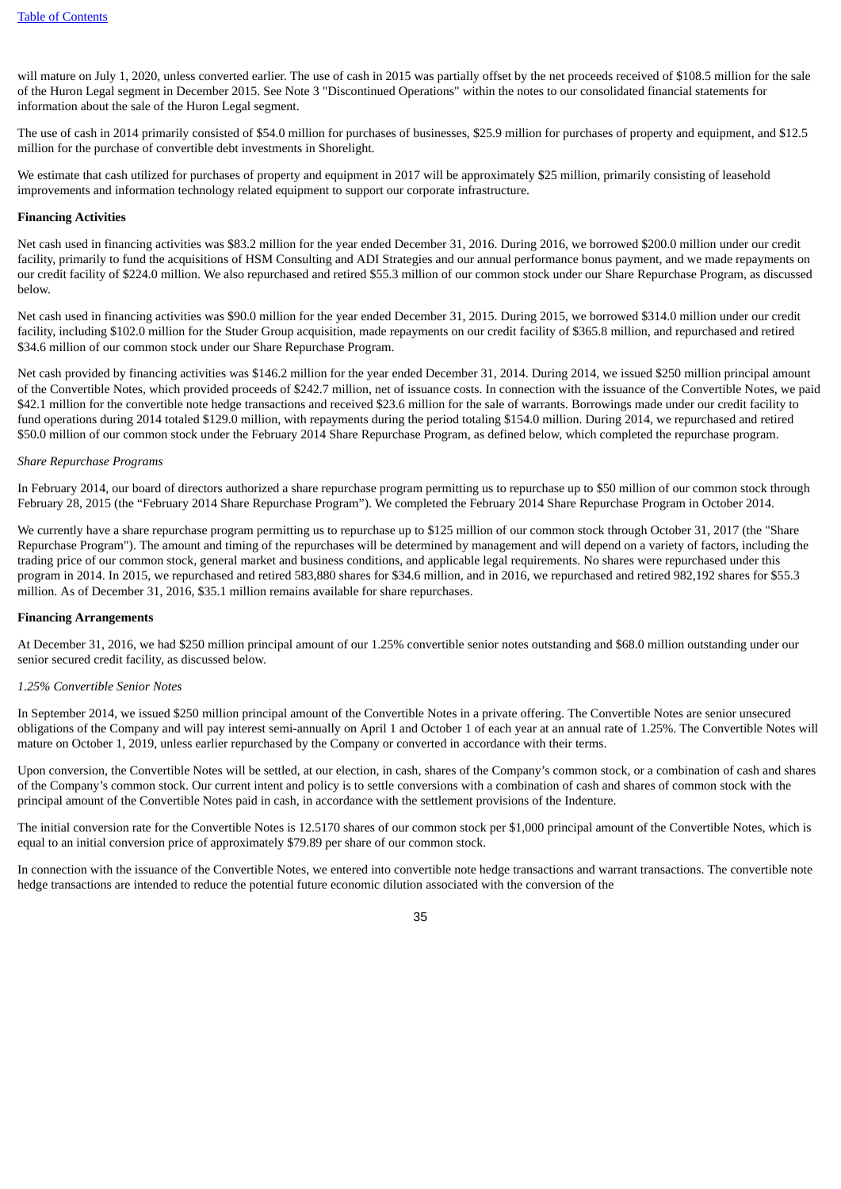will mature on July 1, 2020, unless converted earlier. The use of cash in 2015 was partially offset by the net proceeds received of \$108.5 million for the sale of the Huron Legal segment in December 2015. See Note 3 "Discontinued Operations" within the notes to our consolidated financial statements for information about the sale of the Huron Legal segment.

The use of cash in 2014 primarily consisted of \$54.0 million for purchases of businesses, \$25.9 million for purchases of property and equipment, and \$12.5 million for the purchase of convertible debt investments in Shorelight.

We estimate that cash utilized for purchases of property and equipment in 2017 will be approximately \$25 million, primarily consisting of leasehold improvements and information technology related equipment to support our corporate infrastructure.

#### **Financing Activities**

Net cash used in financing activities was \$83.2 million for the year ended December 31, 2016. During 2016, we borrowed \$200.0 million under our credit facility, primarily to fund the acquisitions of HSM Consulting and ADI Strategies and our annual performance bonus payment, and we made repayments on our credit facility of \$224.0 million. We also repurchased and retired \$55.3 million of our common stock under our Share Repurchase Program, as discussed below.

Net cash used in financing activities was \$90.0 million for the year ended December 31, 2015. During 2015, we borrowed \$314.0 million under our credit facility, including \$102.0 million for the Studer Group acquisition, made repayments on our credit facility of \$365.8 million, and repurchased and retired \$34.6 million of our common stock under our Share Repurchase Program.

Net cash provided by financing activities was \$146.2 million for the year ended December 31, 2014. During 2014, we issued \$250 million principal amount of the Convertible Notes, which provided proceeds of \$242.7 million, net of issuance costs. In connection with the issuance of the Convertible Notes, we paid \$42.1 million for the convertible note hedge transactions and received \$23.6 million for the sale of warrants. Borrowings made under our credit facility to fund operations during 2014 totaled \$129.0 million, with repayments during the period totaling \$154.0 million. During 2014, we repurchased and retired \$50.0 million of our common stock under the February 2014 Share Repurchase Program, as defined below, which completed the repurchase program.

#### *Share Repurchase Programs*

In February 2014, our board of directors authorized a share repurchase program permitting us to repurchase up to \$50 million of our common stock through February 28, 2015 (the "February 2014 Share Repurchase Program"). We completed the February 2014 Share Repurchase Program in October 2014.

We currently have a share repurchase program permitting us to repurchase up to \$125 million of our common stock through October 31, 2017 (the "Share Repurchase Program"). The amount and timing of the repurchases will be determined by management and will depend on a variety of factors, including the trading price of our common stock, general market and business conditions, and applicable legal requirements. No shares were repurchased under this program in 2014. In 2015, we repurchased and retired 583,880 shares for \$34.6 million, and in 2016, we repurchased and retired 982,192 shares for \$55.3 million. As of December 31, 2016, \$35.1 million remains available for share repurchases.

#### **Financing Arrangements**

At December 31, 2016, we had \$250 million principal amount of our 1.25% convertible senior notes outstanding and \$68.0 million outstanding under our senior secured credit facility, as discussed below.

#### *1.25% Convertible Senior Notes*

In September 2014, we issued \$250 million principal amount of the Convertible Notes in a private offering. The Convertible Notes are senior unsecured obligations of the Company and will pay interest semi-annually on April 1 and October 1 of each year at an annual rate of 1.25%. The Convertible Notes will mature on October 1, 2019, unless earlier repurchased by the Company or converted in accordance with their terms.

Upon conversion, the Convertible Notes will be settled, at our election, in cash, shares of the Company's common stock, or a combination of cash and shares of the Company's common stock. Our current intent and policy is to settle conversions with a combination of cash and shares of common stock with the principal amount of the Convertible Notes paid in cash, in accordance with the settlement provisions of the Indenture.

The initial conversion rate for the Convertible Notes is 12.5170 shares of our common stock per \$1,000 principal amount of the Convertible Notes, which is equal to an initial conversion price of approximately \$79.89 per share of our common stock.

In connection with the issuance of the Convertible Notes, we entered into convertible note hedge transactions and warrant transactions. The convertible note hedge transactions are intended to reduce the potential future economic dilution associated with the conversion of the

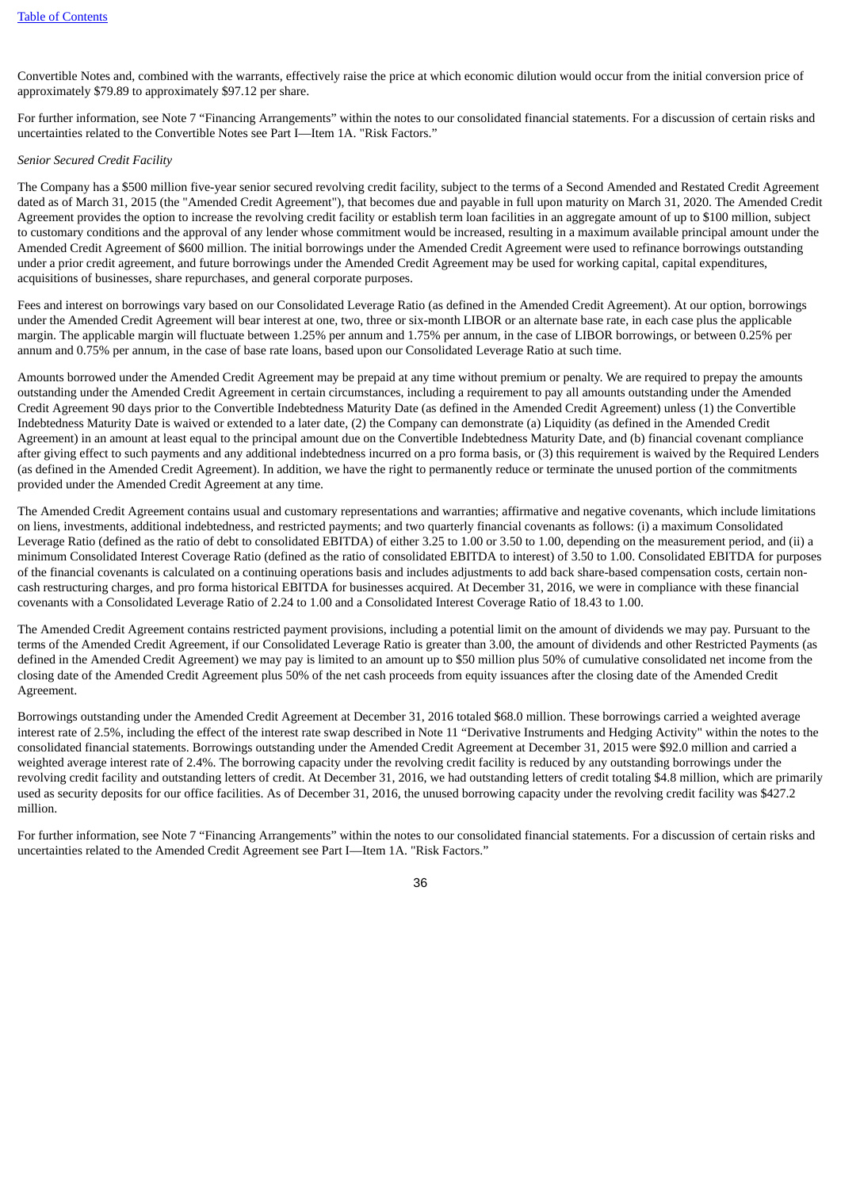Convertible Notes and, combined with the warrants, effectively raise the price at which economic dilution would occur from the initial conversion price of approximately \$79.89 to approximately \$97.12 per share.

For further information, see Note 7 "Financing Arrangements" within the notes to our consolidated financial statements. For a discussion of certain risks and uncertainties related to the Convertible Notes see Part I—Item 1A. "Risk Factors."

# *Senior Secured Credit Facility*

The Company has a \$500 million five-year senior secured revolving credit facility, subject to the terms of a Second Amended and Restated Credit Agreement dated as of March 31, 2015 (the "Amended Credit Agreement"), that becomes due and payable in full upon maturity on March 31, 2020. The Amended Credit Agreement provides the option to increase the revolving credit facility or establish term loan facilities in an aggregate amount of up to \$100 million, subject to customary conditions and the approval of any lender whose commitment would be increased, resulting in a maximum available principal amount under the Amended Credit Agreement of \$600 million. The initial borrowings under the Amended Credit Agreement were used to refinance borrowings outstanding under a prior credit agreement, and future borrowings under the Amended Credit Agreement may be used for working capital, capital expenditures, acquisitions of businesses, share repurchases, and general corporate purposes.

Fees and interest on borrowings vary based on our Consolidated Leverage Ratio (as defined in the Amended Credit Agreement). At our option, borrowings under the Amended Credit Agreement will bear interest at one, two, three or six-month LIBOR or an alternate base rate, in each case plus the applicable margin. The applicable margin will fluctuate between 1.25% per annum and 1.75% per annum, in the case of LIBOR borrowings, or between 0.25% per annum and 0.75% per annum, in the case of base rate loans, based upon our Consolidated Leverage Ratio at such time.

Amounts borrowed under the Amended Credit Agreement may be prepaid at any time without premium or penalty. We are required to prepay the amounts outstanding under the Amended Credit Agreement in certain circumstances, including a requirement to pay all amounts outstanding under the Amended Credit Agreement 90 days prior to the Convertible Indebtedness Maturity Date (as defined in the Amended Credit Agreement) unless (1) the Convertible Indebtedness Maturity Date is waived or extended to a later date, (2) the Company can demonstrate (a) Liquidity (as defined in the Amended Credit Agreement) in an amount at least equal to the principal amount due on the Convertible Indebtedness Maturity Date, and (b) financial covenant compliance after giving effect to such payments and any additional indebtedness incurred on a pro forma basis, or (3) this requirement is waived by the Required Lenders (as defined in the Amended Credit Agreement). In addition, we have the right to permanently reduce or terminate the unused portion of the commitments provided under the Amended Credit Agreement at any time.

The Amended Credit Agreement contains usual and customary representations and warranties; affirmative and negative covenants, which include limitations on liens, investments, additional indebtedness, and restricted payments; and two quarterly financial covenants as follows: (i) a maximum Consolidated Leverage Ratio (defined as the ratio of debt to consolidated EBITDA) of either 3.25 to 1.00 or 3.50 to 1.00, depending on the measurement period, and (ii) a minimum Consolidated Interest Coverage Ratio (defined as the ratio of consolidated EBITDA to interest) of 3.50 to 1.00. Consolidated EBITDA for purposes of the financial covenants is calculated on a continuing operations basis and includes adjustments to add back share-based compensation costs, certain noncash restructuring charges, and pro forma historical EBITDA for businesses acquired. At December 31, 2016, we were in compliance with these financial covenants with a Consolidated Leverage Ratio of 2.24 to 1.00 and a Consolidated Interest Coverage Ratio of 18.43 to 1.00.

The Amended Credit Agreement contains restricted payment provisions, including a potential limit on the amount of dividends we may pay. Pursuant to the terms of the Amended Credit Agreement, if our Consolidated Leverage Ratio is greater than 3.00, the amount of dividends and other Restricted Payments (as defined in the Amended Credit Agreement) we may pay is limited to an amount up to \$50 million plus 50% of cumulative consolidated net income from the closing date of the Amended Credit Agreement plus 50% of the net cash proceeds from equity issuances after the closing date of the Amended Credit Agreement.

Borrowings outstanding under the Amended Credit Agreement at December 31, 2016 totaled \$68.0 million. These borrowings carried a weighted average interest rate of 2.5%, including the effect of the interest rate swap described in Note 11 "Derivative Instruments and Hedging Activity" within the notes to the consolidated financial statements. Borrowings outstanding under the Amended Credit Agreement at December 31, 2015 were \$92.0 million and carried a weighted average interest rate of 2.4%. The borrowing capacity under the revolving credit facility is reduced by any outstanding borrowings under the revolving credit facility and outstanding letters of credit. At December 31, 2016, we had outstanding letters of credit totaling \$4.8 million, which are primarily used as security deposits for our office facilities. As of December 31, 2016, the unused borrowing capacity under the revolving credit facility was \$427.2 million.

For further information, see Note 7 "Financing Arrangements" within the notes to our consolidated financial statements. For a discussion of certain risks and uncertainties related to the Amended Credit Agreement see Part I—Item 1A. "Risk Factors."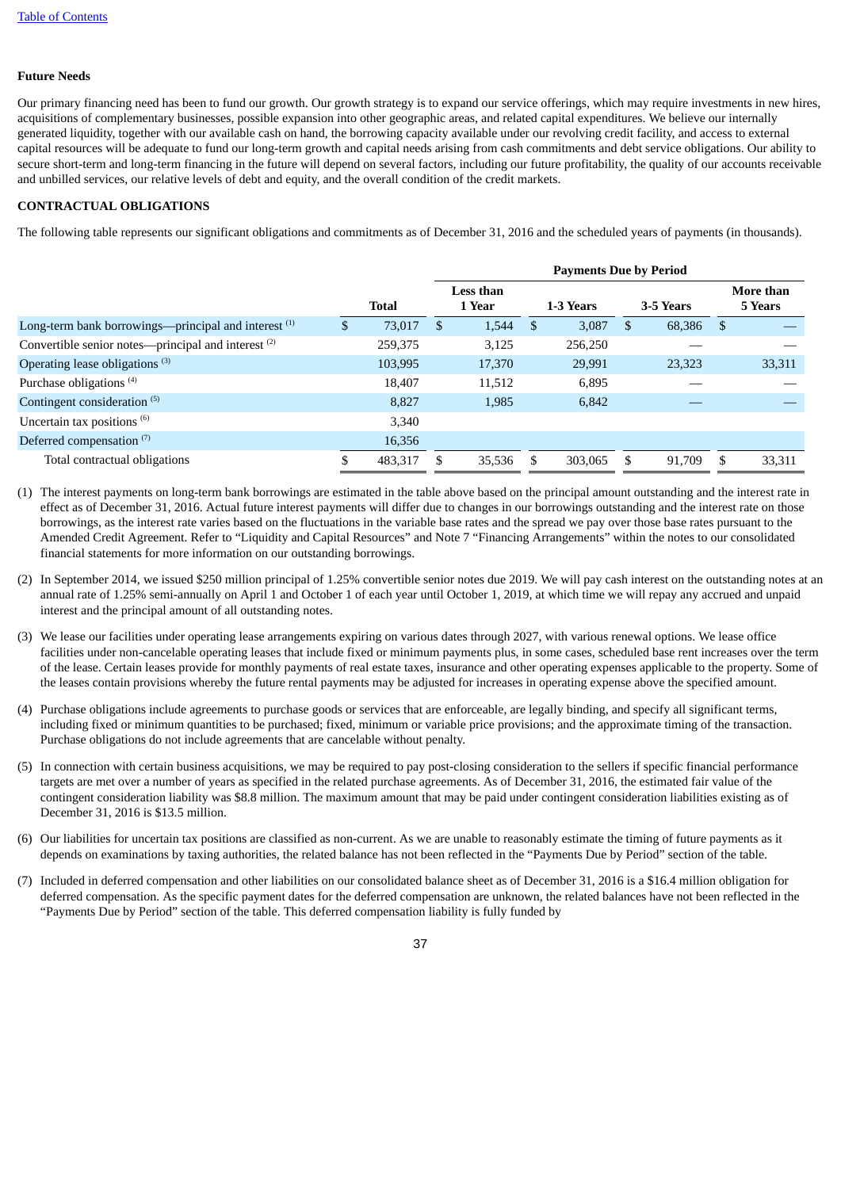# **Future Needs**

Our primary financing need has been to fund our growth. Our growth strategy is to expand our service offerings, which may require investments in new hires, acquisitions of complementary businesses, possible expansion into other geographic areas, and related capital expenditures. We believe our internally generated liquidity, together with our available cash on hand, the borrowing capacity available under our revolving credit facility, and access to external capital resources will be adequate to fund our long-term growth and capital needs arising from cash commitments and debt service obligations. Our ability to secure short-term and long-term financing in the future will depend on several factors, including our future profitability, the quality of our accounts receivable and unbilled services, our relative levels of debt and equity, and the overall condition of the credit markets.

# **CONTRACTUAL OBLIGATIONS**

The following table represents our significant obligations and commitments as of December 31, 2016 and the scheduled years of payments (in thousands).

|                                                                 |   |              | <b>Payments Due by Period</b> |                     |   |           |    |           |    |                             |
|-----------------------------------------------------------------|---|--------------|-------------------------------|---------------------|---|-----------|----|-----------|----|-----------------------------|
|                                                                 |   | <b>Total</b> |                               | Less than<br>1 Year |   | 1-3 Years |    | 3-5 Years |    | <b>More than</b><br>5 Years |
| Long-term bank borrowings—principal and interest <sup>(1)</sup> | S | 73,017       | \$                            | 1,544               | S | 3.087     | \$ | 68,386    | -S |                             |
| Convertible senior notes—principal and interest <sup>(2)</sup>  |   | 259,375      |                               | 3,125               |   | 256,250   |    |           |    |                             |
| Operating lease obligations <sup>(3)</sup>                      |   | 103,995      |                               | 17,370              |   | 29,991    |    | 23.323    |    | 33,311                      |
| Purchase obligations <sup>(4)</sup>                             |   | 18.407       |                               | 11,512              |   | 6,895     |    |           |    |                             |
| Contingent consideration <sup>(5)</sup>                         |   | 8,827        |                               | 1,985               |   | 6,842     |    |           |    |                             |
| Uncertain tax positions (6)                                     |   | 3,340        |                               |                     |   |           |    |           |    |                             |
| Deferred compensation <sup>(7)</sup>                            |   | 16,356       |                               |                     |   |           |    |           |    |                             |
| Total contractual obligations                                   |   | 483,317      | S                             | 35,536              |   | 303,065   | S  | 91,709    |    | 33,311                      |

(1) The interest payments on long-term bank borrowings are estimated in the table above based on the principal amount outstanding and the interest rate in effect as of December 31, 2016. Actual future interest payments will differ due to changes in our borrowings outstanding and the interest rate on those borrowings, as the interest rate varies based on the fluctuations in the variable base rates and the spread we pay over those base rates pursuant to the Amended Credit Agreement. Refer to "Liquidity and Capital Resources" and Note 7 "Financing Arrangements" within the notes to our consolidated financial statements for more information on our outstanding borrowings.

- (2) In September 2014, we issued \$250 million principal of 1.25% convertible senior notes due 2019. We will pay cash interest on the outstanding notes at an annual rate of 1.25% semi-annually on April 1 and October 1 of each year until October 1, 2019, at which time we will repay any accrued and unpaid interest and the principal amount of all outstanding notes.
- (3) We lease our facilities under operating lease arrangements expiring on various dates through 2027, with various renewal options. We lease office facilities under non-cancelable operating leases that include fixed or minimum payments plus, in some cases, scheduled base rent increases over the term of the lease. Certain leases provide for monthly payments of real estate taxes, insurance and other operating expenses applicable to the property. Some of the leases contain provisions whereby the future rental payments may be adjusted for increases in operating expense above the specified amount.
- (4) Purchase obligations include agreements to purchase goods or services that are enforceable, are legally binding, and specify all significant terms, including fixed or minimum quantities to be purchased; fixed, minimum or variable price provisions; and the approximate timing of the transaction. Purchase obligations do not include agreements that are cancelable without penalty.
- (5) In connection with certain business acquisitions, we may be required to pay post-closing consideration to the sellers if specific financial performance targets are met over a number of years as specified in the related purchase agreements. As of December 31, 2016, the estimated fair value of the contingent consideration liability was \$8.8 million. The maximum amount that may be paid under contingent consideration liabilities existing as of December 31, 2016 is \$13.5 million.
- (6) Our liabilities for uncertain tax positions are classified as non-current. As we are unable to reasonably estimate the timing of future payments as it depends on examinations by taxing authorities, the related balance has not been reflected in the "Payments Due by Period" section of the table.
- (7) Included in deferred compensation and other liabilities on our consolidated balance sheet as of December 31, 2016 is a \$16.4 million obligation for deferred compensation. As the specific payment dates for the deferred compensation are unknown, the related balances have not been reflected in the "Payments Due by Period" section of the table. This deferred compensation liability is fully funded by

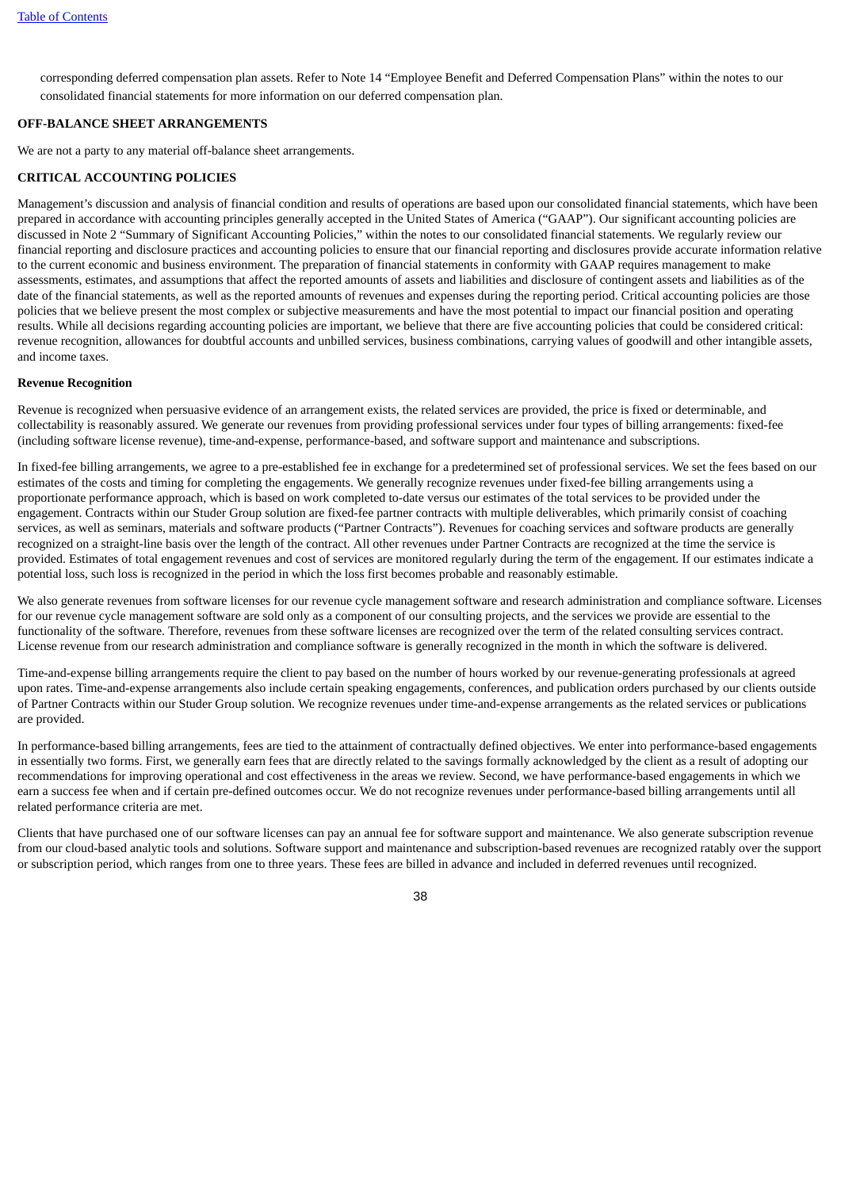corresponding deferred compensation plan assets. Refer to Note 14 "Employee Benefit and Deferred Compensation Plans" within the notes to our consolidated financial statements for more information on our deferred compensation plan.

## **OFF-BALANCE SHEET ARRANGEMENTS**

We are not a party to any material off-balance sheet arrangements.

#### **CRITICAL ACCOUNTING POLICIES**

Management's discussion and analysis of financial condition and results of operations are based upon our consolidated financial statements, which have been prepared in accordance with accounting principles generally accepted in the United States of America ("GAAP"). Our significant accounting policies are discussed in Note 2 "Summary of Significant Accounting Policies," within the notes to our consolidated financial statements. We regularly review our financial reporting and disclosure practices and accounting policies to ensure that our financial reporting and disclosures provide accurate information relative to the current economic and business environment. The preparation of financial statements in conformity with GAAP requires management to make assessments, estimates, and assumptions that affect the reported amounts of assets and liabilities and disclosure of contingent assets and liabilities as of the date of the financial statements, as well as the reported amounts of revenues and expenses during the reporting period. Critical accounting policies are those policies that we believe present the most complex or subjective measurements and have the most potential to impact our financial position and operating results. While all decisions regarding accounting policies are important, we believe that there are five accounting policies that could be considered critical: revenue recognition, allowances for doubtful accounts and unbilled services, business combinations, carrying values of goodwill and other intangible assets, and income taxes.

#### **Revenue Recognition**

Revenue is recognized when persuasive evidence of an arrangement exists, the related services are provided, the price is fixed or determinable, and collectability is reasonably assured. We generate our revenues from providing professional services under four types of billing arrangements: fixed-fee (including software license revenue), time-and-expense, performance-based, and software support and maintenance and subscriptions.

In fixed-fee billing arrangements, we agree to a pre-established fee in exchange for a predetermined set of professional services. We set the fees based on our estimates of the costs and timing for completing the engagements. We generally recognize revenues under fixed-fee billing arrangements using a proportionate performance approach, which is based on work completed to-date versus our estimates of the total services to be provided under the engagement. Contracts within our Studer Group solution are fixed-fee partner contracts with multiple deliverables, which primarily consist of coaching services, as well as seminars, materials and software products ("Partner Contracts"). Revenues for coaching services and software products are generally recognized on a straight-line basis over the length of the contract. All other revenues under Partner Contracts are recognized at the time the service is provided. Estimates of total engagement revenues and cost of services are monitored regularly during the term of the engagement. If our estimates indicate a potential loss, such loss is recognized in the period in which the loss first becomes probable and reasonably estimable.

We also generate revenues from software licenses for our revenue cycle management software and research administration and compliance software. Licenses for our revenue cycle management software are sold only as a component of our consulting projects, and the services we provide are essential to the functionality of the software. Therefore, revenues from these software licenses are recognized over the term of the related consulting services contract. License revenue from our research administration and compliance software is generally recognized in the month in which the software is delivered.

Time-and-expense billing arrangements require the client to pay based on the number of hours worked by our revenue-generating professionals at agreed upon rates. Time-and-expense arrangements also include certain speaking engagements, conferences, and publication orders purchased by our clients outside of Partner Contracts within our Studer Group solution. We recognize revenues under time-and-expense arrangements as the related services or publications are provided.

In performance-based billing arrangements, fees are tied to the attainment of contractually defined objectives. We enter into performance-based engagements in essentially two forms. First, we generally earn fees that are directly related to the savings formally acknowledged by the client as a result of adopting our recommendations for improving operational and cost effectiveness in the areas we review. Second, we have performance-based engagements in which we earn a success fee when and if certain pre-defined outcomes occur. We do not recognize revenues under performance-based billing arrangements until all related performance criteria are met.

Clients that have purchased one of our software licenses can pay an annual fee for software support and maintenance. We also generate subscription revenue from our cloud-based analytic tools and solutions. Software support and maintenance and subscription-based revenues are recognized ratably over the support or subscription period, which ranges from one to three years. These fees are billed in advance and included in deferred revenues until recognized.

38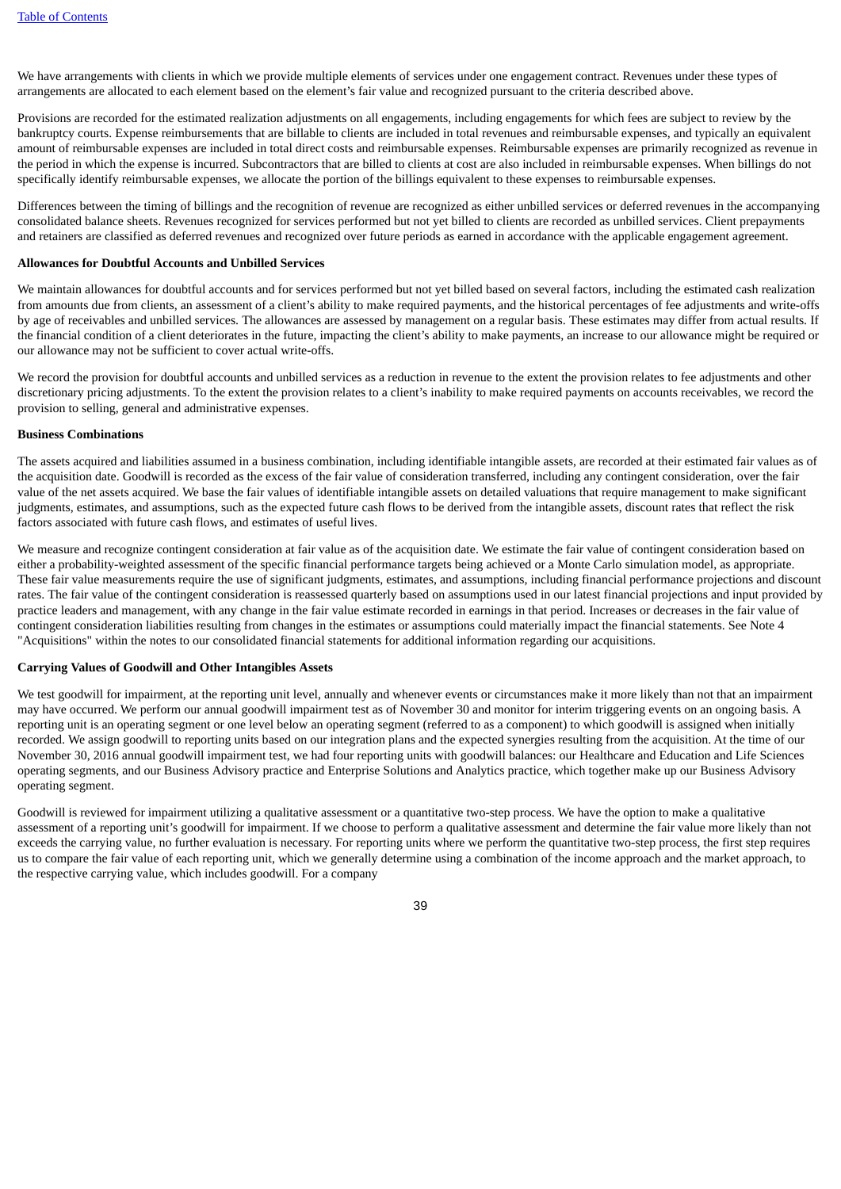We have arrangements with clients in which we provide multiple elements of services under one engagement contract. Revenues under these types of arrangements are allocated to each element based on the element's fair value and recognized pursuant to the criteria described above.

Provisions are recorded for the estimated realization adjustments on all engagements, including engagements for which fees are subject to review by the bankruptcy courts. Expense reimbursements that are billable to clients are included in total revenues and reimbursable expenses, and typically an equivalent amount of reimbursable expenses are included in total direct costs and reimbursable expenses. Reimbursable expenses are primarily recognized as revenue in the period in which the expense is incurred. Subcontractors that are billed to clients at cost are also included in reimbursable expenses. When billings do not specifically identify reimbursable expenses, we allocate the portion of the billings equivalent to these expenses to reimbursable expenses.

Differences between the timing of billings and the recognition of revenue are recognized as either unbilled services or deferred revenues in the accompanying consolidated balance sheets. Revenues recognized for services performed but not yet billed to clients are recorded as unbilled services. Client prepayments and retainers are classified as deferred revenues and recognized over future periods as earned in accordance with the applicable engagement agreement.

#### **Allowances for Doubtful Accounts and Unbilled Services**

We maintain allowances for doubtful accounts and for services performed but not yet billed based on several factors, including the estimated cash realization from amounts due from clients, an assessment of a client's ability to make required payments, and the historical percentages of fee adjustments and write-offs by age of receivables and unbilled services. The allowances are assessed by management on a regular basis. These estimates may differ from actual results. If the financial condition of a client deteriorates in the future, impacting the client's ability to make payments, an increase to our allowance might be required or our allowance may not be sufficient to cover actual write-offs.

We record the provision for doubtful accounts and unbilled services as a reduction in revenue to the extent the provision relates to fee adjustments and other discretionary pricing adjustments. To the extent the provision relates to a client's inability to make required payments on accounts receivables, we record the provision to selling, general and administrative expenses.

#### **Business Combinations**

The assets acquired and liabilities assumed in a business combination, including identifiable intangible assets, are recorded at their estimated fair values as of the acquisition date. Goodwill is recorded as the excess of the fair value of consideration transferred, including any contingent consideration, over the fair value of the net assets acquired. We base the fair values of identifiable intangible assets on detailed valuations that require management to make significant judgments, estimates, and assumptions, such as the expected future cash flows to be derived from the intangible assets, discount rates that reflect the risk factors associated with future cash flows, and estimates of useful lives.

We measure and recognize contingent consideration at fair value as of the acquisition date. We estimate the fair value of contingent consideration based on either a probability-weighted assessment of the specific financial performance targets being achieved or a Monte Carlo simulation model, as appropriate. These fair value measurements require the use of significant judgments, estimates, and assumptions, including financial performance projections and discount rates. The fair value of the contingent consideration is reassessed quarterly based on assumptions used in our latest financial projections and input provided by practice leaders and management, with any change in the fair value estimate recorded in earnings in that period. Increases or decreases in the fair value of contingent consideration liabilities resulting from changes in the estimates or assumptions could materially impact the financial statements. See Note 4 "Acquisitions" within the notes to our consolidated financial statements for additional information regarding our acquisitions.

# **Carrying Values of Goodwill and Other Intangibles Assets**

We test goodwill for impairment, at the reporting unit level, annually and whenever events or circumstances make it more likely than not that an impairment may have occurred. We perform our annual goodwill impairment test as of November 30 and monitor for interim triggering events on an ongoing basis. A reporting unit is an operating segment or one level below an operating segment (referred to as a component) to which goodwill is assigned when initially recorded. We assign goodwill to reporting units based on our integration plans and the expected synergies resulting from the acquisition. At the time of our November 30, 2016 annual goodwill impairment test, we had four reporting units with goodwill balances: our Healthcare and Education and Life Sciences operating segments, and our Business Advisory practice and Enterprise Solutions and Analytics practice, which together make up our Business Advisory operating segment.

Goodwill is reviewed for impairment utilizing a qualitative assessment or a quantitative two-step process. We have the option to make a qualitative assessment of a reporting unit's goodwill for impairment. If we choose to perform a qualitative assessment and determine the fair value more likely than not exceeds the carrying value, no further evaluation is necessary. For reporting units where we perform the quantitative two-step process, the first step requires us to compare the fair value of each reporting unit, which we generally determine using a combination of the income approach and the market approach, to the respective carrying value, which includes goodwill. For a company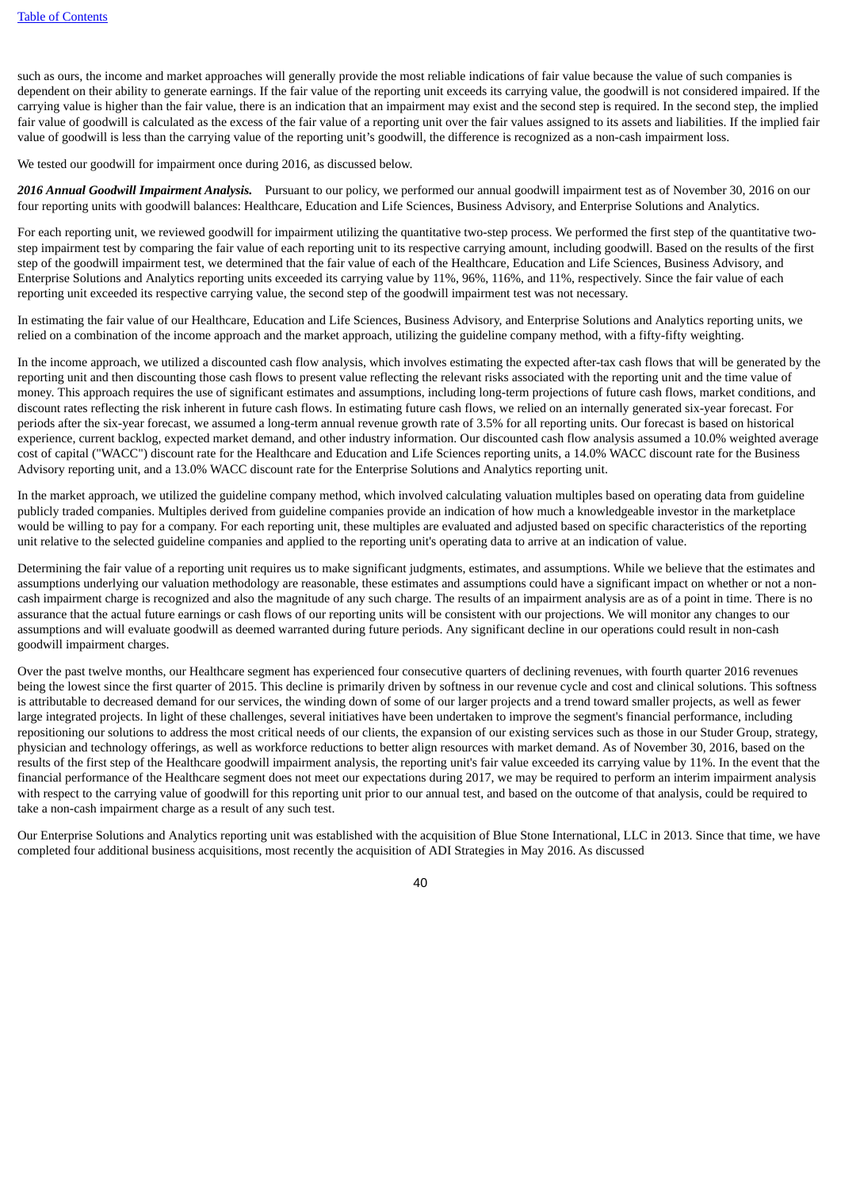such as ours, the income and market approaches will generally provide the most reliable indications of fair value because the value of such companies is dependent on their ability to generate earnings. If the fair value of the reporting unit exceeds its carrying value, the goodwill is not considered impaired. If the carrying value is higher than the fair value, there is an indication that an impairment may exist and the second step is required. In the second step, the implied fair value of goodwill is calculated as the excess of the fair value of a reporting unit over the fair values assigned to its assets and liabilities. If the implied fair value of goodwill is less than the carrying value of the reporting unit's goodwill, the difference is recognized as a non-cash impairment loss.

We tested our goodwill for impairment once during 2016, as discussed below.

*2016 Annual Goodwill Impairment Analysis.* Pursuant to our policy, we performed our annual goodwill impairment test as of November 30, 2016 on our four reporting units with goodwill balances: Healthcare, Education and Life Sciences, Business Advisory, and Enterprise Solutions and Analytics.

For each reporting unit, we reviewed goodwill for impairment utilizing the quantitative two-step process. We performed the first step of the quantitative twostep impairment test by comparing the fair value of each reporting unit to its respective carrying amount, including goodwill. Based on the results of the first step of the goodwill impairment test, we determined that the fair value of each of the Healthcare, Education and Life Sciences, Business Advisory, and Enterprise Solutions and Analytics reporting units exceeded its carrying value by 11%, 96%, 116%, and 11%, respectively. Since the fair value of each reporting unit exceeded its respective carrying value, the second step of the goodwill impairment test was not necessary.

In estimating the fair value of our Healthcare, Education and Life Sciences, Business Advisory, and Enterprise Solutions and Analytics reporting units, we relied on a combination of the income approach and the market approach, utilizing the guideline company method, with a fifty-fifty weighting.

In the income approach, we utilized a discounted cash flow analysis, which involves estimating the expected after-tax cash flows that will be generated by the reporting unit and then discounting those cash flows to present value reflecting the relevant risks associated with the reporting unit and the time value of money. This approach requires the use of significant estimates and assumptions, including long-term projections of future cash flows, market conditions, and discount rates reflecting the risk inherent in future cash flows. In estimating future cash flows, we relied on an internally generated six-year forecast. For periods after the six-year forecast, we assumed a long-term annual revenue growth rate of 3.5% for all reporting units. Our forecast is based on historical experience, current backlog, expected market demand, and other industry information. Our discounted cash flow analysis assumed a 10.0% weighted average cost of capital ("WACC") discount rate for the Healthcare and Education and Life Sciences reporting units, a 14.0% WACC discount rate for the Business Advisory reporting unit, and a 13.0% WACC discount rate for the Enterprise Solutions and Analytics reporting unit.

In the market approach, we utilized the guideline company method, which involved calculating valuation multiples based on operating data from guideline publicly traded companies. Multiples derived from guideline companies provide an indication of how much a knowledgeable investor in the marketplace would be willing to pay for a company. For each reporting unit, these multiples are evaluated and adjusted based on specific characteristics of the reporting unit relative to the selected guideline companies and applied to the reporting unit's operating data to arrive at an indication of value.

Determining the fair value of a reporting unit requires us to make significant judgments, estimates, and assumptions. While we believe that the estimates and assumptions underlying our valuation methodology are reasonable, these estimates and assumptions could have a significant impact on whether or not a noncash impairment charge is recognized and also the magnitude of any such charge. The results of an impairment analysis are as of a point in time. There is no assurance that the actual future earnings or cash flows of our reporting units will be consistent with our projections. We will monitor any changes to our assumptions and will evaluate goodwill as deemed warranted during future periods. Any significant decline in our operations could result in non-cash goodwill impairment charges.

Over the past twelve months, our Healthcare segment has experienced four consecutive quarters of declining revenues, with fourth quarter 2016 revenues being the lowest since the first quarter of 2015. This decline is primarily driven by softness in our revenue cycle and cost and clinical solutions. This softness is attributable to decreased demand for our services, the winding down of some of our larger projects and a trend toward smaller projects, as well as fewer large integrated projects. In light of these challenges, several initiatives have been undertaken to improve the segment's financial performance, including repositioning our solutions to address the most critical needs of our clients, the expansion of our existing services such as those in our Studer Group, strategy, physician and technology offerings, as well as workforce reductions to better align resources with market demand. As of November 30, 2016, based on the results of the first step of the Healthcare goodwill impairment analysis, the reporting unit's fair value exceeded its carrying value by 11%. In the event that the financial performance of the Healthcare segment does not meet our expectations during 2017, we may be required to perform an interim impairment analysis with respect to the carrying value of goodwill for this reporting unit prior to our annual test, and based on the outcome of that analysis, could be required to take a non-cash impairment charge as a result of any such test.

Our Enterprise Solutions and Analytics reporting unit was established with the acquisition of Blue Stone International, LLC in 2013. Since that time, we have completed four additional business acquisitions, most recently the acquisition of ADI Strategies in May 2016. As discussed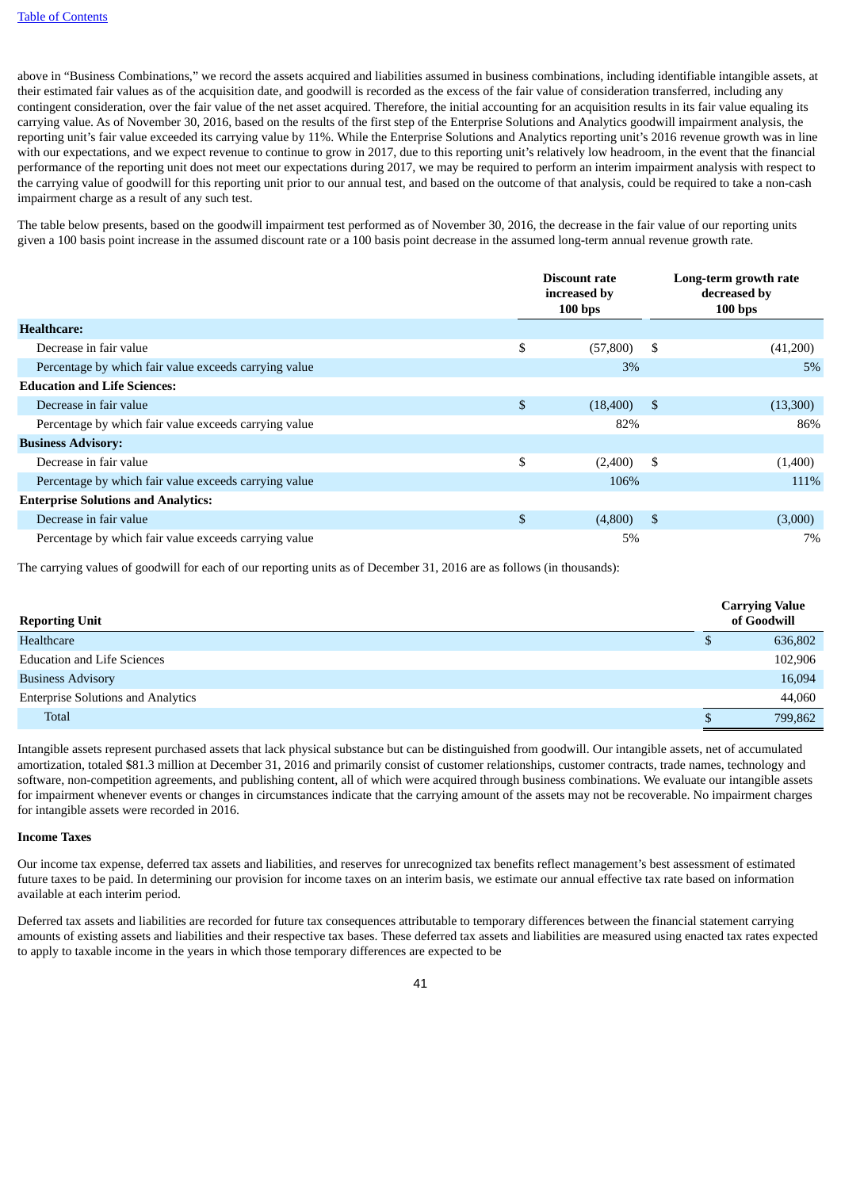above in "Business Combinations," we record the assets acquired and liabilities assumed in business combinations, including identifiable intangible assets, at their estimated fair values as of the acquisition date, and goodwill is recorded as the excess of the fair value of consideration transferred, including any contingent consideration, over the fair value of the net asset acquired. Therefore, the initial accounting for an acquisition results in its fair value equaling its carrying value. As of November 30, 2016, based on the results of the first step of the Enterprise Solutions and Analytics goodwill impairment analysis, the reporting unit's fair value exceeded its carrying value by 11%. While the Enterprise Solutions and Analytics reporting unit's 2016 revenue growth was in line with our expectations, and we expect revenue to continue to grow in 2017, due to this reporting unit's relatively low headroom, in the event that the financial performance of the reporting unit does not meet our expectations during 2017, we may be required to perform an interim impairment analysis with respect to the carrying value of goodwill for this reporting unit prior to our annual test, and based on the outcome of that analysis, could be required to take a non-cash impairment charge as a result of any such test.

The table below presents, based on the goodwill impairment test performed as of November 30, 2016, the decrease in the fair value of our reporting units given a 100 basis point increase in the assumed discount rate or a 100 basis point decrease in the assumed long-term annual revenue growth rate.

|                                                       | <b>Discount rate</b><br>increased by<br>100 bps |               |      | Long-term growth rate<br>decreased by<br>100 bps |
|-------------------------------------------------------|-------------------------------------------------|---------------|------|--------------------------------------------------|
| Healthcare:                                           |                                                 |               |      |                                                  |
| Decrease in fair value                                | \$                                              | (57,800)      | -S   | (41,200)                                         |
| Percentage by which fair value exceeds carrying value |                                                 | 3%            |      | 5%                                               |
| <b>Education and Life Sciences:</b>                   |                                                 |               |      |                                                  |
| Decrease in fair value                                | \$                                              | $(18,400)$ \$ |      | (13,300)                                         |
| Percentage by which fair value exceeds carrying value |                                                 | 82%           |      | 86%                                              |
| <b>Business Advisory:</b>                             |                                                 |               |      |                                                  |
| Decrease in fair value                                | \$                                              | (2,400)       | -\$  | (1,400)                                          |
| Percentage by which fair value exceeds carrying value |                                                 | 106%          |      | 111%                                             |
| <b>Enterprise Solutions and Analytics:</b>            |                                                 |               |      |                                                  |
| Decrease in fair value                                | $\mathbb{S}$                                    | (4,800)       | - \$ | (3,000)                                          |
| Percentage by which fair value exceeds carrying value |                                                 | 5%            |      | 7%                                               |

The carrying values of goodwill for each of our reporting units as of December 31, 2016 are as follows (in thousands):

| <b>Reporting Unit</b>                     | <b>Carrying Value</b><br>of Goodwill |
|-------------------------------------------|--------------------------------------|
| Healthcare                                | \$<br>636,802                        |
| <b>Education and Life Sciences</b>        | 102,906                              |
| <b>Business Advisory</b>                  | 16,094                               |
| <b>Enterprise Solutions and Analytics</b> | 44,060                               |
| Total                                     | \$<br>799,862                        |

Intangible assets represent purchased assets that lack physical substance but can be distinguished from goodwill. Our intangible assets, net of accumulated amortization, totaled \$81.3 million at December 31, 2016 and primarily consist of customer relationships, customer contracts, trade names, technology and software, non-competition agreements, and publishing content, all of which were acquired through business combinations. We evaluate our intangible assets for impairment whenever events or changes in circumstances indicate that the carrying amount of the assets may not be recoverable. No impairment charges for intangible assets were recorded in 2016.

#### **Income Taxes**

Our income tax expense, deferred tax assets and liabilities, and reserves for unrecognized tax benefits reflect management's best assessment of estimated future taxes to be paid. In determining our provision for income taxes on an interim basis, we estimate our annual effective tax rate based on information available at each interim period.

Deferred tax assets and liabilities are recorded for future tax consequences attributable to temporary differences between the financial statement carrying amounts of existing assets and liabilities and their respective tax bases. These deferred tax assets and liabilities are measured using enacted tax rates expected to apply to taxable income in the years in which those temporary differences are expected to be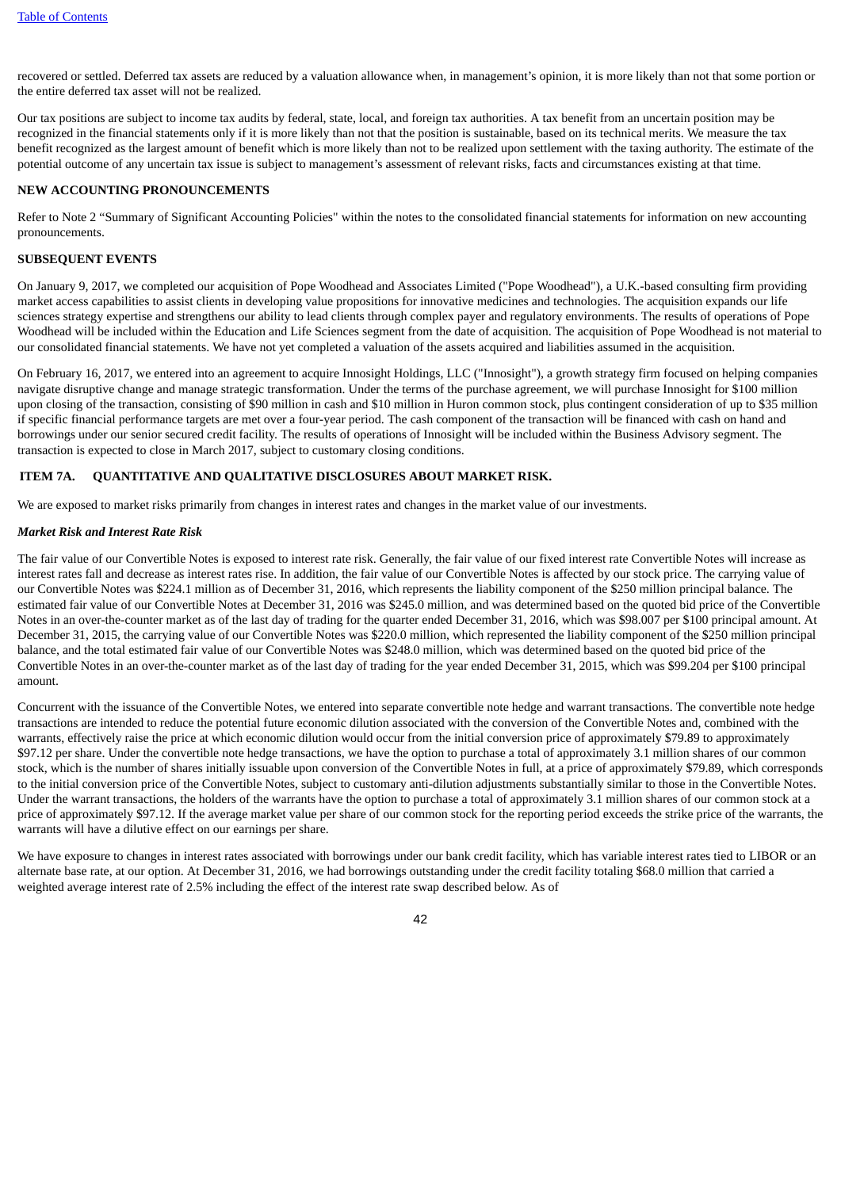recovered or settled. Deferred tax assets are reduced by a valuation allowance when, in management's opinion, it is more likely than not that some portion or the entire deferred tax asset will not be realized.

Our tax positions are subject to income tax audits by federal, state, local, and foreign tax authorities. A tax benefit from an uncertain position may be recognized in the financial statements only if it is more likely than not that the position is sustainable, based on its technical merits. We measure the tax benefit recognized as the largest amount of benefit which is more likely than not to be realized upon settlement with the taxing authority. The estimate of the potential outcome of any uncertain tax issue is subject to management's assessment of relevant risks, facts and circumstances existing at that time.

# **NEW ACCOUNTING PRONOUNCEMENTS**

Refer to Note 2 "Summary of Significant Accounting Policies" within the notes to the consolidated financial statements for information on new accounting pronouncements.

#### **SUBSEQUENT EVENTS**

On January 9, 2017, we completed our acquisition of Pope Woodhead and Associates Limited ("Pope Woodhead"), a U.K.-based consulting firm providing market access capabilities to assist clients in developing value propositions for innovative medicines and technologies. The acquisition expands our life sciences strategy expertise and strengthens our ability to lead clients through complex payer and regulatory environments. The results of operations of Pope Woodhead will be included within the Education and Life Sciences segment from the date of acquisition. The acquisition of Pope Woodhead is not material to our consolidated financial statements. We have not yet completed a valuation of the assets acquired and liabilities assumed in the acquisition.

On February 16, 2017, we entered into an agreement to acquire Innosight Holdings, LLC ("Innosight"), a growth strategy firm focused on helping companies navigate disruptive change and manage strategic transformation. Under the terms of the purchase agreement, we will purchase Innosight for \$100 million upon closing of the transaction, consisting of \$90 million in cash and \$10 million in Huron common stock, plus contingent consideration of up to \$35 million if specific financial performance targets are met over a four-year period. The cash component of the transaction will be financed with cash on hand and borrowings under our senior secured credit facility. The results of operations of Innosight will be included within the Business Advisory segment. The transaction is expected to close in March 2017, subject to customary closing conditions.

### **ITEM 7A. QUANTITATIVE AND QUALITATIVE DISCLOSURES ABOUT MARKET RISK.**

We are exposed to market risks primarily from changes in interest rates and changes in the market value of our investments.

#### *Market Risk and Interest Rate Risk*

The fair value of our Convertible Notes is exposed to interest rate risk. Generally, the fair value of our fixed interest rate Convertible Notes will increase as interest rates fall and decrease as interest rates rise. In addition, the fair value of our Convertible Notes is affected by our stock price. The carrying value of our Convertible Notes was \$224.1 million as of December 31, 2016, which represents the liability component of the \$250 million principal balance. The estimated fair value of our Convertible Notes at December 31, 2016 was \$245.0 million, and was determined based on the quoted bid price of the Convertible Notes in an over-the-counter market as of the last day of trading for the quarter ended December 31, 2016, which was \$98.007 per \$100 principal amount. At December 31, 2015, the carrying value of our Convertible Notes was \$220.0 million, which represented the liability component of the \$250 million principal balance, and the total estimated fair value of our Convertible Notes was \$248.0 million, which was determined based on the quoted bid price of the Convertible Notes in an over-the-counter market as of the last day of trading for the year ended December 31, 2015, which was \$99.204 per \$100 principal amount.

Concurrent with the issuance of the Convertible Notes, we entered into separate convertible note hedge and warrant transactions. The convertible note hedge transactions are intended to reduce the potential future economic dilution associated with the conversion of the Convertible Notes and, combined with the warrants, effectively raise the price at which economic dilution would occur from the initial conversion price of approximately \$79.89 to approximately \$97.12 per share. Under the convertible note hedge transactions, we have the option to purchase a total of approximately 3.1 million shares of our common stock, which is the number of shares initially issuable upon conversion of the Convertible Notes in full, at a price of approximately \$79.89, which corresponds to the initial conversion price of the Convertible Notes, subject to customary anti-dilution adjustments substantially similar to those in the Convertible Notes. Under the warrant transactions, the holders of the warrants have the option to purchase a total of approximately 3.1 million shares of our common stock at a price of approximately \$97.12. If the average market value per share of our common stock for the reporting period exceeds the strike price of the warrants, the warrants will have a dilutive effect on our earnings per share.

We have exposure to changes in interest rates associated with borrowings under our bank credit facility, which has variable interest rates tied to LIBOR or an alternate base rate, at our option. At December 31, 2016, we had borrowings outstanding under the credit facility totaling \$68.0 million that carried a weighted average interest rate of 2.5% including the effect of the interest rate swap described below. As of

42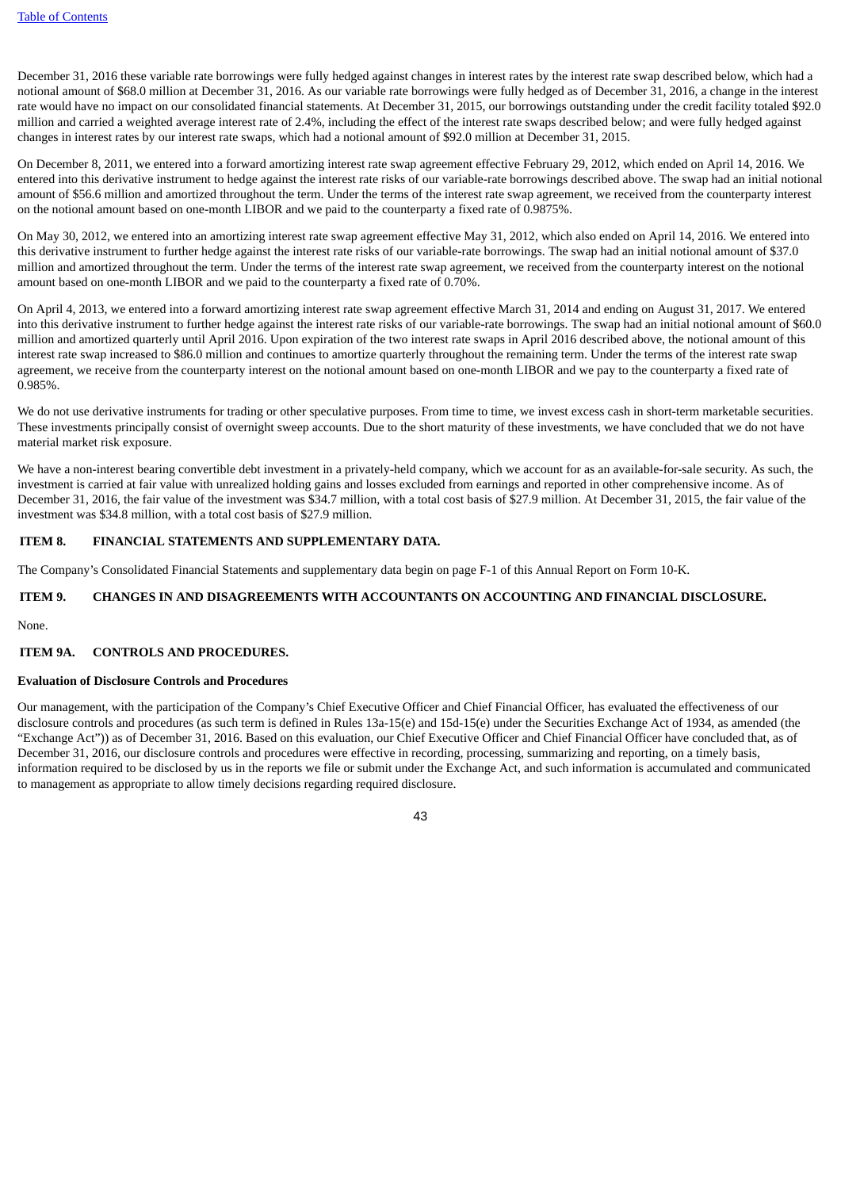December 31, 2016 these variable rate borrowings were fully hedged against changes in interest rates by the interest rate swap described below, which had a notional amount of \$68.0 million at December 31, 2016. As our variable rate borrowings were fully hedged as of December 31, 2016, a change in the interest rate would have no impact on our consolidated financial statements. At December 31, 2015, our borrowings outstanding under the credit facility totaled \$92.0 million and carried a weighted average interest rate of 2.4%, including the effect of the interest rate swaps described below; and were fully hedged against changes in interest rates by our interest rate swaps, which had a notional amount of \$92.0 million at December 31, 2015.

On December 8, 2011, we entered into a forward amortizing interest rate swap agreement effective February 29, 2012, which ended on April 14, 2016. We entered into this derivative instrument to hedge against the interest rate risks of our variable-rate borrowings described above. The swap had an initial notional amount of \$56.6 million and amortized throughout the term. Under the terms of the interest rate swap agreement, we received from the counterparty interest on the notional amount based on one-month LIBOR and we paid to the counterparty a fixed rate of 0.9875%.

On May 30, 2012, we entered into an amortizing interest rate swap agreement effective May 31, 2012, which also ended on April 14, 2016. We entered into this derivative instrument to further hedge against the interest rate risks of our variable-rate borrowings. The swap had an initial notional amount of \$37.0 million and amortized throughout the term. Under the terms of the interest rate swap agreement, we received from the counterparty interest on the notional amount based on one-month LIBOR and we paid to the counterparty a fixed rate of 0.70%.

On April 4, 2013, we entered into a forward amortizing interest rate swap agreement effective March 31, 2014 and ending on August 31, 2017. We entered into this derivative instrument to further hedge against the interest rate risks of our variable-rate borrowings. The swap had an initial notional amount of \$60.0 million and amortized quarterly until April 2016. Upon expiration of the two interest rate swaps in April 2016 described above, the notional amount of this interest rate swap increased to \$86.0 million and continues to amortize quarterly throughout the remaining term. Under the terms of the interest rate swap agreement, we receive from the counterparty interest on the notional amount based on one-month LIBOR and we pay to the counterparty a fixed rate of 0.985%.

We do not use derivative instruments for trading or other speculative purposes. From time to time, we invest excess cash in short-term marketable securities. These investments principally consist of overnight sweep accounts. Due to the short maturity of these investments, we have concluded that we do not have material market risk exposure.

We have a non-interest bearing convertible debt investment in a privately-held company, which we account for as an available-for-sale security. As such, the investment is carried at fair value with unrealized holding gains and losses excluded from earnings and reported in other comprehensive income. As of December 31, 2016, the fair value of the investment was \$34.7 million, with a total cost basis of \$27.9 million. At December 31, 2015, the fair value of the investment was \$34.8 million, with a total cost basis of \$27.9 million.

# **ITEM 8. FINANCIAL STATEMENTS AND SUPPLEMENTARY DATA.**

The Company's Consolidated Financial Statements and supplementary data begin on page F-1 of this Annual Report on Form 10-K.

# **ITEM 9. CHANGES IN AND DISAGREEMENTS WITH ACCOUNTANTS ON ACCOUNTING AND FINANCIAL DISCLOSURE.**

None.

# **ITEM 9A. CONTROLS AND PROCEDURES.**

#### **Evaluation of Disclosure Controls and Procedures**

Our management, with the participation of the Company's Chief Executive Officer and Chief Financial Officer, has evaluated the effectiveness of our disclosure controls and procedures (as such term is defined in Rules 13a-15(e) and 15d-15(e) under the Securities Exchange Act of 1934, as amended (the "Exchange Act")) as of December 31, 2016. Based on this evaluation, our Chief Executive Officer and Chief Financial Officer have concluded that, as of December 31, 2016, our disclosure controls and procedures were effective in recording, processing, summarizing and reporting, on a timely basis, information required to be disclosed by us in the reports we file or submit under the Exchange Act, and such information is accumulated and communicated to management as appropriate to allow timely decisions regarding required disclosure.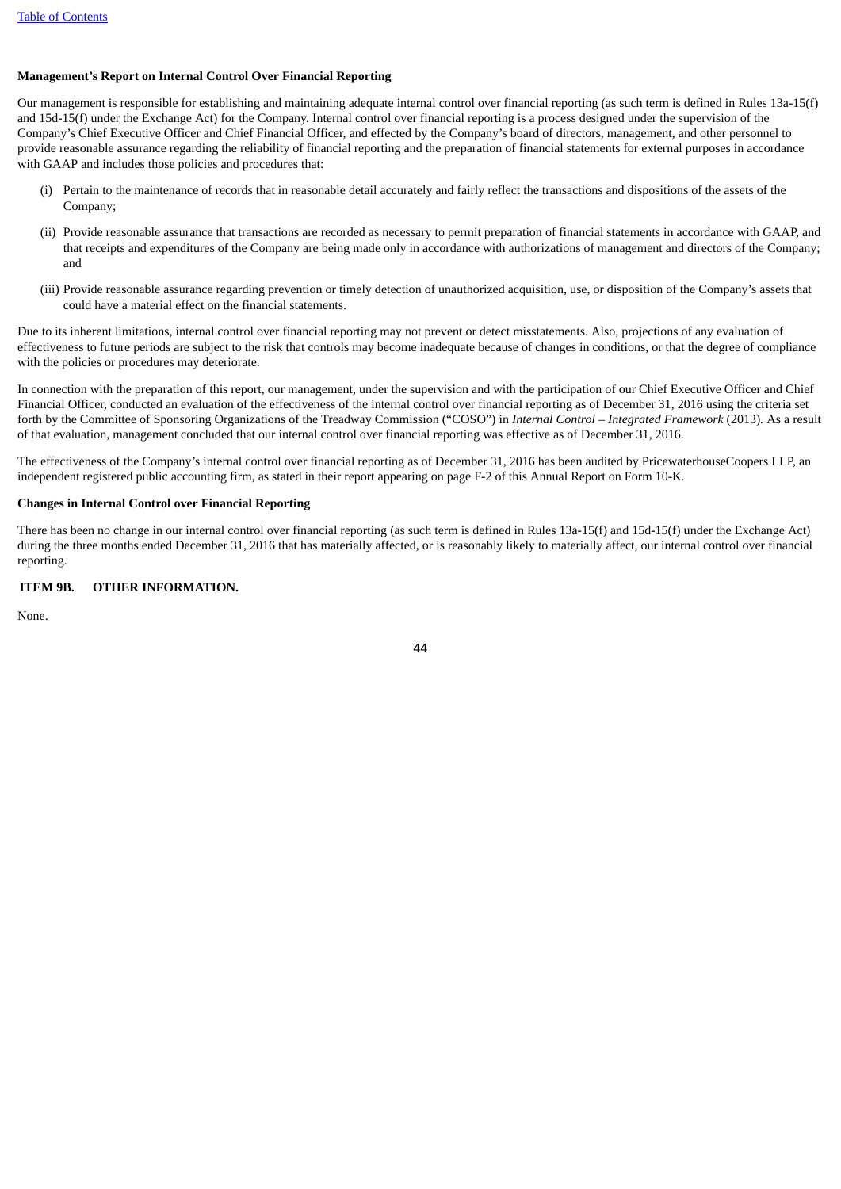# **Management's Report on Internal Control Over Financial Reporting**

Our management is responsible for establishing and maintaining adequate internal control over financial reporting (as such term is defined in Rules 13a-15(f) and 15d-15(f) under the Exchange Act) for the Company. Internal control over financial reporting is a process designed under the supervision of the Company's Chief Executive Officer and Chief Financial Officer, and effected by the Company's board of directors, management, and other personnel to provide reasonable assurance regarding the reliability of financial reporting and the preparation of financial statements for external purposes in accordance with GAAP and includes those policies and procedures that:

- (i) Pertain to the maintenance of records that in reasonable detail accurately and fairly reflect the transactions and dispositions of the assets of the Company;
- (ii) Provide reasonable assurance that transactions are recorded as necessary to permit preparation of financial statements in accordance with GAAP, and that receipts and expenditures of the Company are being made only in accordance with authorizations of management and directors of the Company; and
- (iii) Provide reasonable assurance regarding prevention or timely detection of unauthorized acquisition, use, or disposition of the Company's assets that could have a material effect on the financial statements.

Due to its inherent limitations, internal control over financial reporting may not prevent or detect misstatements. Also, projections of any evaluation of effectiveness to future periods are subject to the risk that controls may become inadequate because of changes in conditions, or that the degree of compliance with the policies or procedures may deteriorate.

In connection with the preparation of this report, our management, under the supervision and with the participation of our Chief Executive Officer and Chief Financial Officer, conducted an evaluation of the effectiveness of the internal control over financial reporting as of December 31, 2016 using the criteria set forth by the Committee of Sponsoring Organizations of the Treadway Commission ("COSO") in *Internal Control – Integrated Framework* (2013)*.* As a result of that evaluation, management concluded that our internal control over financial reporting was effective as of December 31, 2016.

The effectiveness of the Company's internal control over financial reporting as of December 31, 2016 has been audited by PricewaterhouseCoopers LLP, an independent registered public accounting firm, as stated in their report appearing on page F-2 of this Annual Report on Form 10-K.

# **Changes in Internal Control over Financial Reporting**

There has been no change in our internal control over financial reporting (as such term is defined in Rules 13a-15(f) and 15d-15(f) under the Exchange Act) during the three months ended December 31, 2016 that has materially affected, or is reasonably likely to materially affect, our internal control over financial reporting.

# **ITEM 9B. OTHER INFORMATION.**

None.

44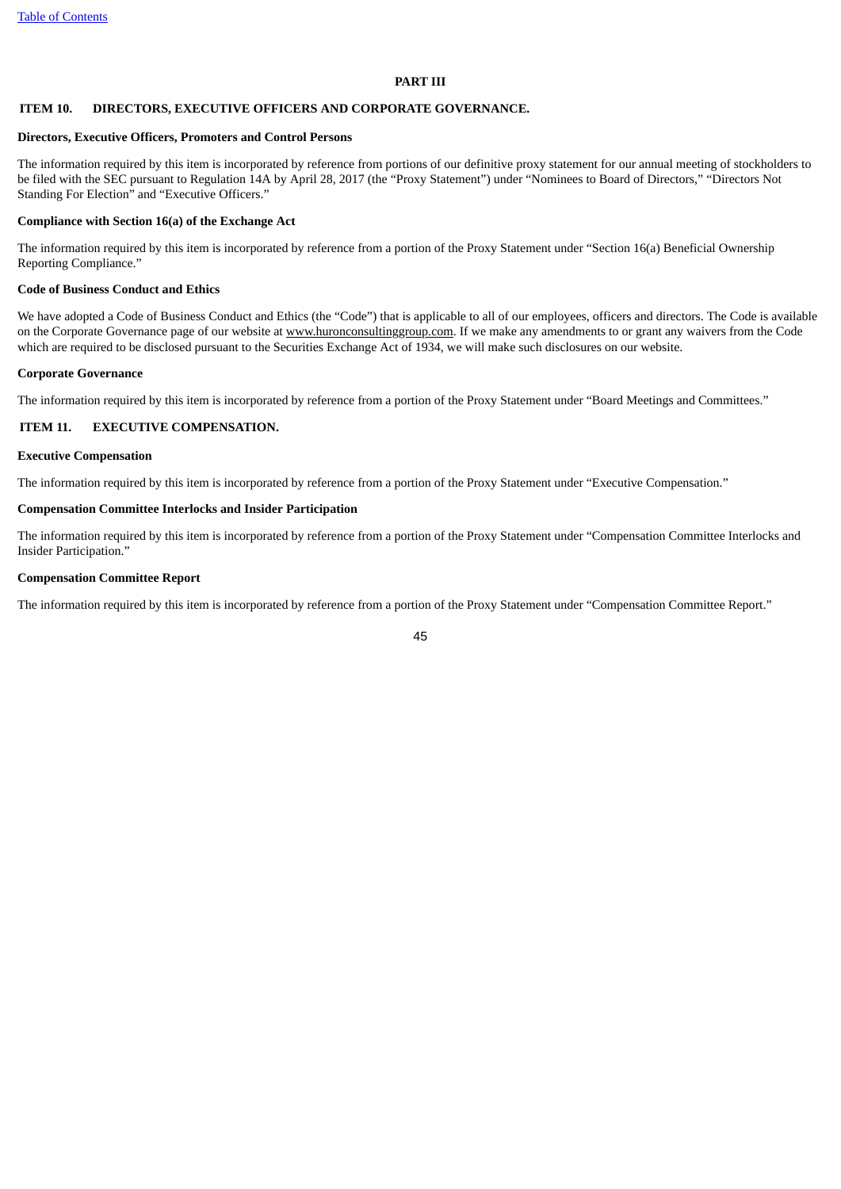## **PART III**

#### **ITEM 10. DIRECTORS, EXECUTIVE OFFICERS AND CORPORATE GOVERNANCE.**

#### **Directors, Executive Officers, Promoters and Control Persons**

The information required by this item is incorporated by reference from portions of our definitive proxy statement for our annual meeting of stockholders to be filed with the SEC pursuant to Regulation 14A by April 28, 2017 (the "Proxy Statement") under "Nominees to Board of Directors," "Directors Not Standing For Election" and "Executive Officers."

## **Compliance with Section 16(a) of the Exchange Act**

The information required by this item is incorporated by reference from a portion of the Proxy Statement under "Section 16(a) Beneficial Ownership Reporting Compliance."

#### **Code of Business Conduct and Ethics**

We have adopted a Code of Business Conduct and Ethics (the "Code") that is applicable to all of our employees, officers and directors. The Code is available on the Corporate Governance page of our website at www.huronconsultinggroup.com. If we make any amendments to or grant any waivers from the Code which are required to be disclosed pursuant to the Securities Exchange Act of 1934, we will make such disclosures on our website.

#### **Corporate Governance**

The information required by this item is incorporated by reference from a portion of the Proxy Statement under "Board Meetings and Committees."

## **ITEM 11. EXECUTIVE COMPENSATION.**

#### **Executive Compensation**

The information required by this item is incorporated by reference from a portion of the Proxy Statement under "Executive Compensation."

#### **Compensation Committee Interlocks and Insider Participation**

The information required by this item is incorporated by reference from a portion of the Proxy Statement under "Compensation Committee Interlocks and Insider Participation."

# **Compensation Committee Report**

The information required by this item is incorporated by reference from a portion of the Proxy Statement under "Compensation Committee Report."

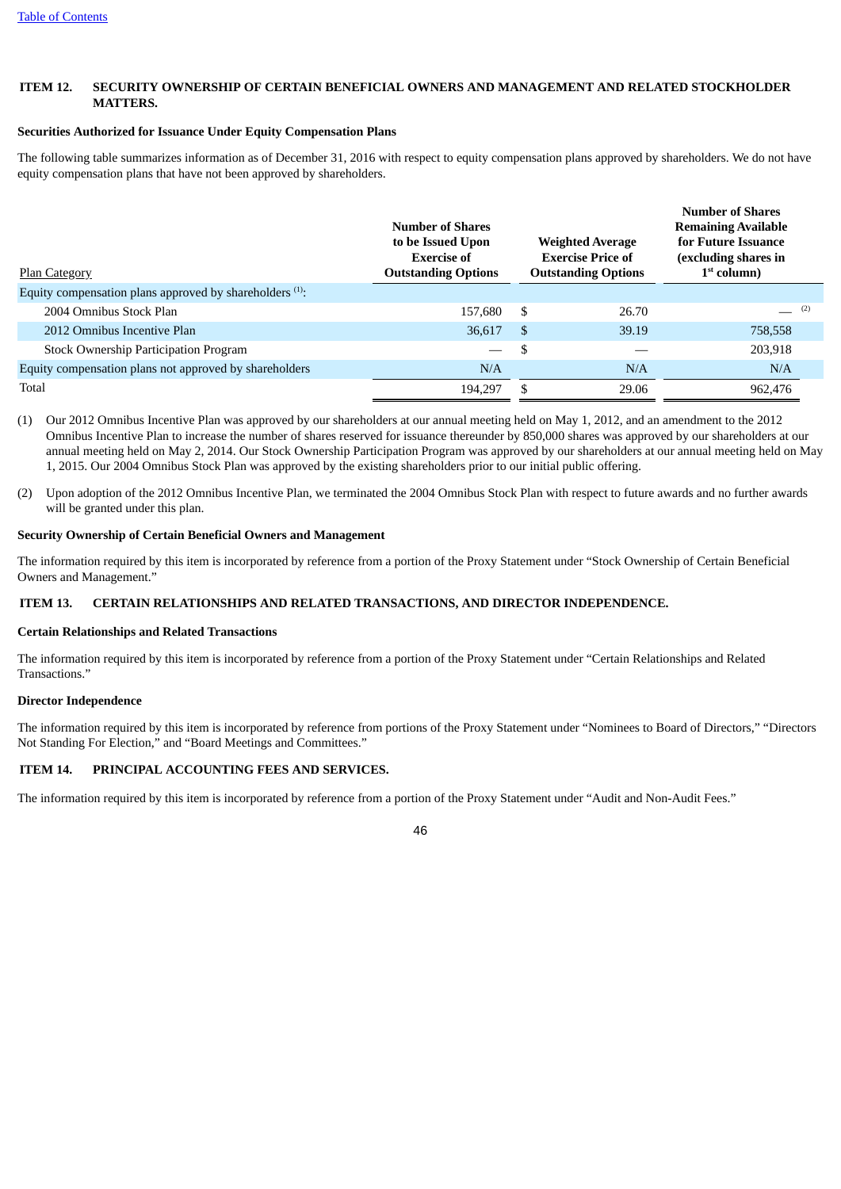# **ITEM 12. SECURITY OWNERSHIP OF CERTAIN BENEFICIAL OWNERS AND MANAGEMENT AND RELATED STOCKHOLDER MATTERS.**

# **Securities Authorized for Issuance Under Equity Compensation Plans**

The following table summarizes information as of December 31, 2016 with respect to equity compensation plans approved by shareholders. We do not have equity compensation plans that have not been approved by shareholders.

| <b>Plan Category</b>                                       | <b>Number of Shares</b><br>to be Issued Upon<br><b>Exercise of</b><br><b>Outstanding Options</b> |    | <b>Weighted Average</b><br><b>Exercise Price of</b><br><b>Outstanding Options</b> | <b>Number of Shares</b><br><b>Remaining Available</b><br>for Future Issuance<br>(excluding shares in<br>$1st$ column) |
|------------------------------------------------------------|--------------------------------------------------------------------------------------------------|----|-----------------------------------------------------------------------------------|-----------------------------------------------------------------------------------------------------------------------|
| Equity compensation plans approved by shareholders $(1)$ : |                                                                                                  |    |                                                                                   |                                                                                                                       |
| 2004 Omnibus Stock Plan                                    | 157,680                                                                                          | S  | 26.70                                                                             | (2)<br>$\overline{\phantom{a}}$                                                                                       |
| 2012 Omnibus Incentive Plan                                | 36,617                                                                                           | S  | 39.19                                                                             | 758,558                                                                                                               |
| <b>Stock Ownership Participation Program</b>               |                                                                                                  | ۰D |                                                                                   | 203,918                                                                                                               |
| Equity compensation plans not approved by shareholders     | N/A                                                                                              |    | N/A                                                                               | N/A                                                                                                                   |
| Total                                                      | 194.297                                                                                          |    | 29.06                                                                             | 962,476                                                                                                               |

- (1) Our 2012 Omnibus Incentive Plan was approved by our shareholders at our annual meeting held on May 1, 2012, and an amendment to the 2012 Omnibus Incentive Plan to increase the number of shares reserved for issuance thereunder by 850,000 shares was approved by our shareholders at our annual meeting held on May 2, 2014. Our Stock Ownership Participation Program was approved by our shareholders at our annual meeting held on May 1, 2015. Our 2004 Omnibus Stock Plan was approved by the existing shareholders prior to our initial public offering.
- (2) Upon adoption of the 2012 Omnibus Incentive Plan, we terminated the 2004 Omnibus Stock Plan with respect to future awards and no further awards will be granted under this plan.

# **Security Ownership of Certain Beneficial Owners and Management**

The information required by this item is incorporated by reference from a portion of the Proxy Statement under "Stock Ownership of Certain Beneficial Owners and Management."

# **ITEM 13. CERTAIN RELATIONSHIPS AND RELATED TRANSACTIONS, AND DIRECTOR INDEPENDENCE.**

#### **Certain Relationships and Related Transactions**

The information required by this item is incorporated by reference from a portion of the Proxy Statement under "Certain Relationships and Related Transactions."

#### **Director Independence**

The information required by this item is incorporated by reference from portions of the Proxy Statement under "Nominees to Board of Directors," "Directors Not Standing For Election," and "Board Meetings and Committees."

# **ITEM 14. PRINCIPAL ACCOUNTING FEES AND SERVICES.**

The information required by this item is incorporated by reference from a portion of the Proxy Statement under "Audit and Non-Audit Fees."

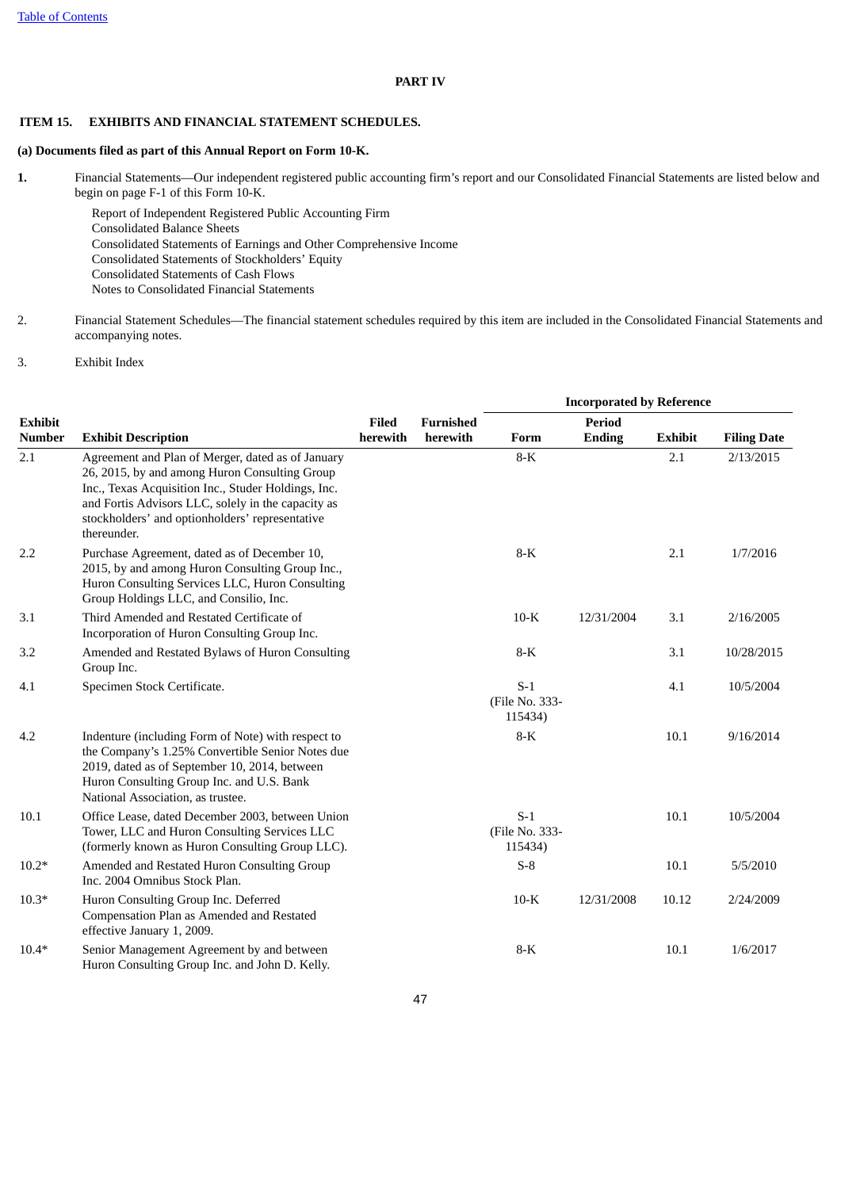#### **PART IV**

# **ITEM 15. EXHIBITS AND FINANCIAL STATEMENT SCHEDULES.**

#### **(a) Documents filed as part of this Annual Report on Form 10-K.**

**1.** Financial Statements—Our independent registered public accounting firm's report and our Consolidated Financial Statements are listed below and begin on page F-1 of this Form 10-K.

Report of Independent Registered Public Accounting Firm Consolidated Balance Sheets Consolidated Statements of Earnings and Other Comprehensive Income Consolidated Statements of Stockholders' Equity Consolidated Statements of Cash Flows Notes to Consolidated Financial Statements

- 2. Financial Statement Schedules—The financial statement schedules required by this item are included in the Consolidated Financial Statements and accompanying notes.
- 3. Exhibit Index

|                |                                                                                                                                                                                                                                                                                   | <b>Incorporated by Reference</b> |                  |                                    |               |                |                    |
|----------------|-----------------------------------------------------------------------------------------------------------------------------------------------------------------------------------------------------------------------------------------------------------------------------------|----------------------------------|------------------|------------------------------------|---------------|----------------|--------------------|
| <b>Exhibit</b> |                                                                                                                                                                                                                                                                                   | Filed                            | <b>Furnished</b> |                                    | <b>Period</b> |                |                    |
| <b>Number</b>  | <b>Exhibit Description</b>                                                                                                                                                                                                                                                        | herewith                         | herewith         | Form                               | <b>Ending</b> | <b>Exhibit</b> | <b>Filing Date</b> |
| 2.1            | Agreement and Plan of Merger, dated as of January<br>26, 2015, by and among Huron Consulting Group<br>Inc., Texas Acquisition Inc., Studer Holdings, Inc.<br>and Fortis Advisors LLC, solely in the capacity as<br>stockholders' and optionholders' representative<br>thereunder. |                                  |                  | $8-K$                              |               | 2.1            | 2/13/2015          |
| 2.2            | Purchase Agreement, dated as of December 10,<br>2015, by and among Huron Consulting Group Inc.,<br>Huron Consulting Services LLC, Huron Consulting<br>Group Holdings LLC, and Consilio, Inc.                                                                                      |                                  |                  | $8-K$                              |               | 2.1            | 1/7/2016           |
| 3.1            | Third Amended and Restated Certificate of<br>Incorporation of Huron Consulting Group Inc.                                                                                                                                                                                         |                                  |                  | $10-K$                             | 12/31/2004    | 3.1            | 2/16/2005          |
| 3.2            | Amended and Restated Bylaws of Huron Consulting<br>Group Inc.                                                                                                                                                                                                                     |                                  |                  | $8-K$                              |               | 3.1            | 10/28/2015         |
| 4.1            | Specimen Stock Certificate.                                                                                                                                                                                                                                                       |                                  |                  | $S-1$<br>(File No. 333-<br>115434) |               | 4.1            | 10/5/2004          |
| 4.2            | Indenture (including Form of Note) with respect to<br>the Company's 1.25% Convertible Senior Notes due<br>2019, dated as of September 10, 2014, between<br>Huron Consulting Group Inc. and U.S. Bank<br>National Association, as trustee.                                         |                                  |                  | $8-K$                              |               | 10.1           | 9/16/2014          |
| 10.1           | Office Lease, dated December 2003, between Union<br>Tower, LLC and Huron Consulting Services LLC<br>(formerly known as Huron Consulting Group LLC).                                                                                                                               |                                  |                  | $S-1$<br>(File No. 333-<br>115434) |               | 10.1           | 10/5/2004          |
| $10.2*$        | Amended and Restated Huron Consulting Group<br>Inc. 2004 Omnibus Stock Plan.                                                                                                                                                                                                      |                                  |                  | $S-8$                              |               | 10.1           | 5/5/2010           |
| $10.3*$        | Huron Consulting Group Inc. Deferred<br>Compensation Plan as Amended and Restated<br>effective January 1, 2009.                                                                                                                                                                   |                                  |                  | $10-K$                             | 12/31/2008    | 10.12          | 2/24/2009          |
| $10.4*$        | Senior Management Agreement by and between<br>Huron Consulting Group Inc. and John D. Kelly.                                                                                                                                                                                      |                                  |                  | $8-K$                              |               | 10.1           | 1/6/2017           |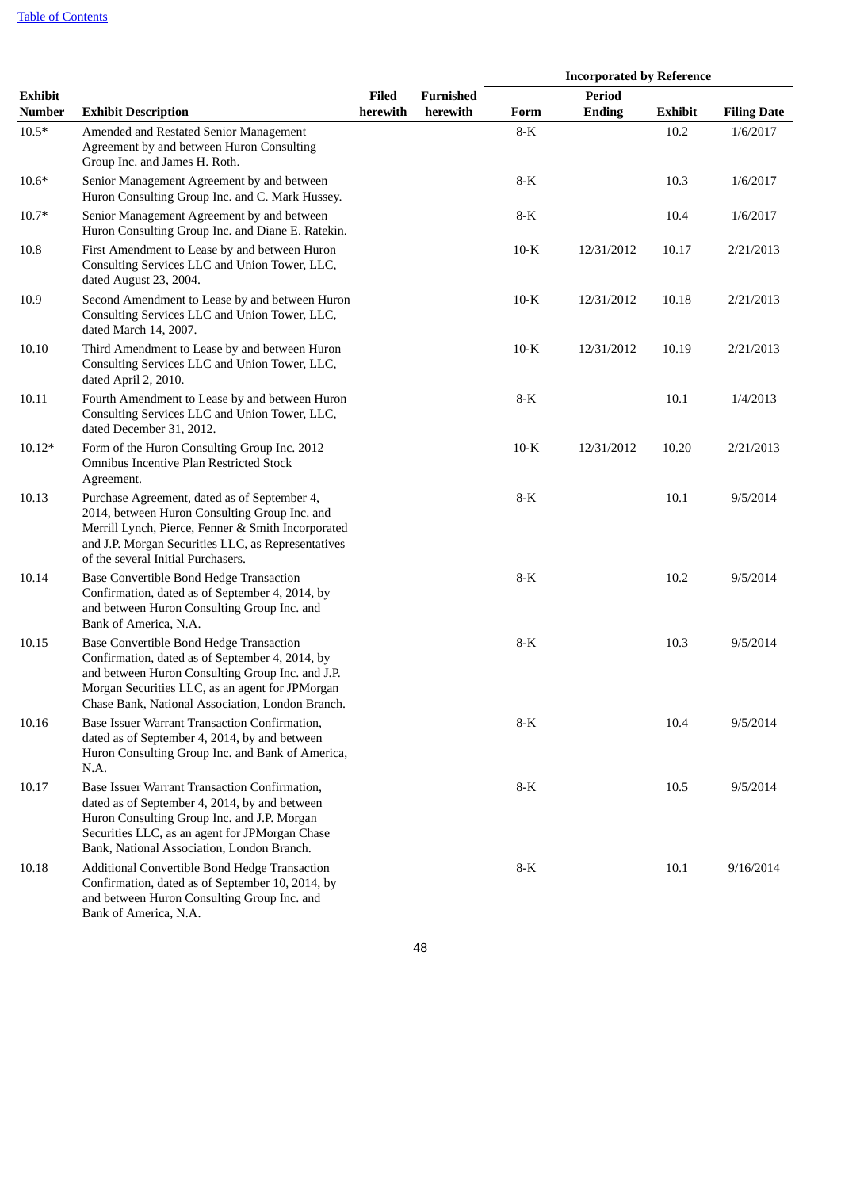|                                 |                                                                                                                                                                                                                                                       |                          |                       | <b>Incorporated by Reference</b> |                                |                |                    |
|---------------------------------|-------------------------------------------------------------------------------------------------------------------------------------------------------------------------------------------------------------------------------------------------------|--------------------------|-----------------------|----------------------------------|--------------------------------|----------------|--------------------|
| <b>Exhibit</b><br><b>Number</b> | <b>Exhibit Description</b>                                                                                                                                                                                                                            | <b>Filed</b><br>herewith | Furnished<br>herewith | Form                             | <b>Period</b><br><b>Ending</b> | <b>Exhibit</b> | <b>Filing Date</b> |
| $10.5*$                         | Amended and Restated Senior Management<br>Agreement by and between Huron Consulting<br>Group Inc. and James H. Roth.                                                                                                                                  |                          |                       | $8-K$                            |                                | 10.2           | 1/6/2017           |
| $10.6*$                         | Senior Management Agreement by and between<br>Huron Consulting Group Inc. and C. Mark Hussey.                                                                                                                                                         |                          |                       | $8-K$                            |                                | 10.3           | 1/6/2017           |
| $10.7*$                         | Senior Management Agreement by and between<br>Huron Consulting Group Inc. and Diane E. Ratekin.                                                                                                                                                       |                          |                       | $8-K$                            |                                | 10.4           | 1/6/2017           |
| 10.8                            | First Amendment to Lease by and between Huron<br>Consulting Services LLC and Union Tower, LLC,<br>dated August 23, 2004.                                                                                                                              |                          |                       | $10-K$                           | 12/31/2012                     | 10.17          | 2/21/2013          |
| 10.9                            | Second Amendment to Lease by and between Huron<br>Consulting Services LLC and Union Tower, LLC,<br>dated March 14, 2007.                                                                                                                              |                          |                       | $10-K$                           | 12/31/2012                     | 10.18          | 2/21/2013          |
| 10.10                           | Third Amendment to Lease by and between Huron<br>Consulting Services LLC and Union Tower, LLC,<br>dated April 2, 2010.                                                                                                                                |                          |                       | $10-K$                           | 12/31/2012                     | 10.19          | 2/21/2013          |
| 10.11                           | Fourth Amendment to Lease by and between Huron<br>Consulting Services LLC and Union Tower, LLC,<br>dated December 31, 2012.                                                                                                                           |                          |                       | $8-K$                            |                                | 10.1           | 1/4/2013           |
| $10.12*$                        | Form of the Huron Consulting Group Inc. 2012<br>Omnibus Incentive Plan Restricted Stock<br>Agreement.                                                                                                                                                 |                          |                       | $10-K$                           | 12/31/2012                     | 10.20          | 2/21/2013          |
| 10.13                           | Purchase Agreement, dated as of September 4,<br>2014, between Huron Consulting Group Inc. and<br>Merrill Lynch, Pierce, Fenner & Smith Incorporated<br>and J.P. Morgan Securities LLC, as Representatives<br>of the several Initial Purchasers.       |                          |                       | $8-K$                            |                                | 10.1           | 9/5/2014           |
| 10.14                           | Base Convertible Bond Hedge Transaction<br>Confirmation, dated as of September 4, 2014, by<br>and between Huron Consulting Group Inc. and<br>Bank of America, N.A.                                                                                    |                          |                       | $8-K$                            |                                | 10.2           | 9/5/2014           |
| 10.15                           | Base Convertible Bond Hedge Transaction<br>Confirmation, dated as of September 4, 2014, by<br>and between Huron Consulting Group Inc. and J.P.<br>Morgan Securities LLC, as an agent for JPMorgan<br>Chase Bank, National Association, London Branch. |                          |                       | 8-K                              |                                | 10.3           | 9/5/2014           |
| 10.16                           | Base Issuer Warrant Transaction Confirmation,<br>dated as of September 4, 2014, by and between<br>Huron Consulting Group Inc. and Bank of America,<br>N.A.                                                                                            |                          |                       | 8-K                              |                                | 10.4           | 9/5/2014           |
| 10.17                           | Base Issuer Warrant Transaction Confirmation,<br>dated as of September 4, 2014, by and between<br>Huron Consulting Group Inc. and J.P. Morgan<br>Securities LLC, as an agent for JPMorgan Chase<br>Bank, National Association, London Branch.         |                          |                       | 8-K                              |                                | 10.5           | 9/5/2014           |
| 10.18                           | Additional Convertible Bond Hedge Transaction<br>Confirmation, dated as of September 10, 2014, by<br>and between Huron Consulting Group Inc. and<br>Bank of America, N.A.                                                                             |                          |                       | 8-K                              |                                | 10.1           | 9/16/2014          |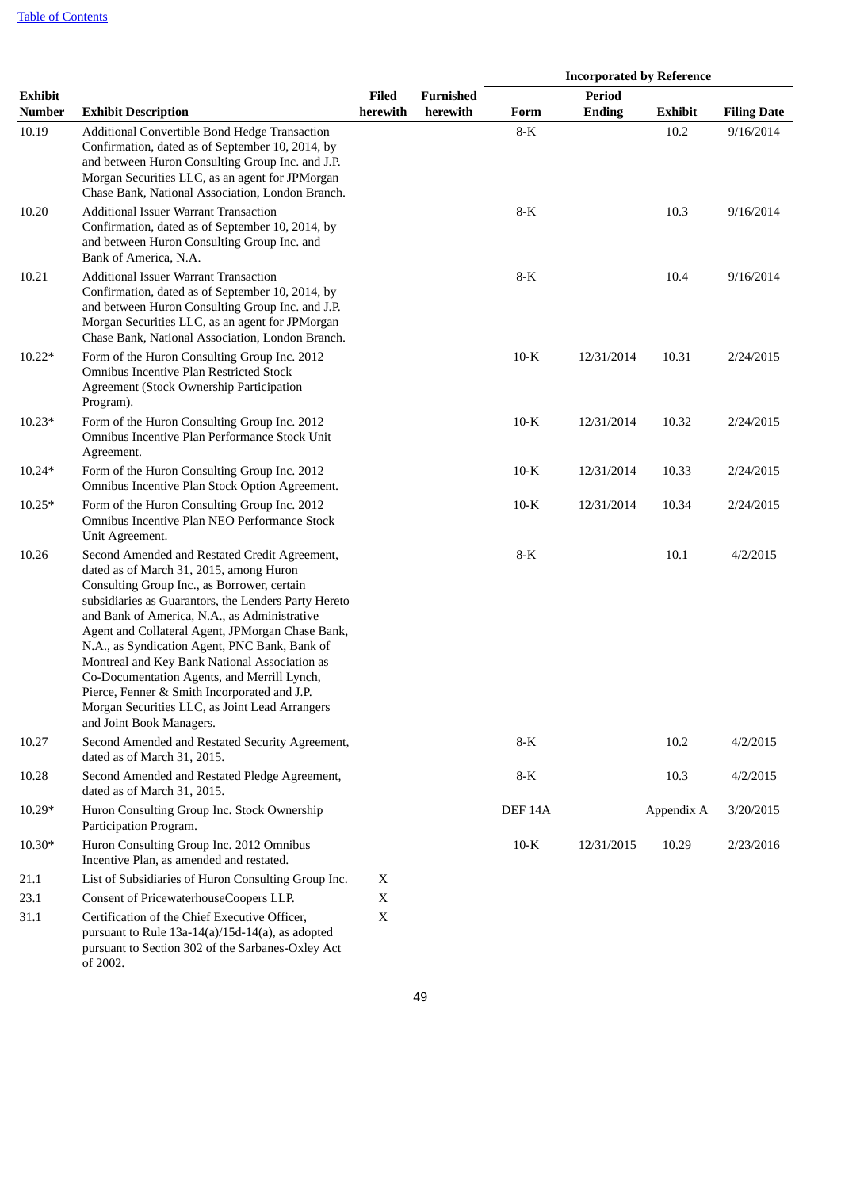|                                 |                                                                                                                                                                                                                                                                                                                                                                                                                                                                                                                                                                                    |                          |                       | <b>Incorporated by Reference</b> |                                |                |                    |
|---------------------------------|------------------------------------------------------------------------------------------------------------------------------------------------------------------------------------------------------------------------------------------------------------------------------------------------------------------------------------------------------------------------------------------------------------------------------------------------------------------------------------------------------------------------------------------------------------------------------------|--------------------------|-----------------------|----------------------------------|--------------------------------|----------------|--------------------|
| <b>Exhibit</b><br><b>Number</b> | <b>Exhibit Description</b>                                                                                                                                                                                                                                                                                                                                                                                                                                                                                                                                                         | <b>Filed</b><br>herewith | Furnished<br>herewith | Form                             | <b>Period</b><br><b>Ending</b> | <b>Exhibit</b> | <b>Filing Date</b> |
| 10.19                           | Additional Convertible Bond Hedge Transaction<br>Confirmation, dated as of September 10, 2014, by<br>and between Huron Consulting Group Inc. and J.P.<br>Morgan Securities LLC, as an agent for JPMorgan<br>Chase Bank, National Association, London Branch.                                                                                                                                                                                                                                                                                                                       |                          |                       | $8-K$                            |                                | 10.2           | 9/16/2014          |
| 10.20                           | <b>Additional Issuer Warrant Transaction</b><br>Confirmation, dated as of September 10, 2014, by<br>and between Huron Consulting Group Inc. and<br>Bank of America, N.A.                                                                                                                                                                                                                                                                                                                                                                                                           |                          |                       | $8-K$                            |                                | 10.3           | 9/16/2014          |
| 10.21                           | <b>Additional Issuer Warrant Transaction</b><br>Confirmation, dated as of September 10, 2014, by<br>and between Huron Consulting Group Inc. and J.P.<br>Morgan Securities LLC, as an agent for JPMorgan<br>Chase Bank, National Association, London Branch.                                                                                                                                                                                                                                                                                                                        |                          |                       | $8-K$                            |                                | 10.4           | 9/16/2014          |
| $10.22*$                        | Form of the Huron Consulting Group Inc. 2012<br>Omnibus Incentive Plan Restricted Stock<br>Agreement (Stock Ownership Participation<br>Program).                                                                                                                                                                                                                                                                                                                                                                                                                                   |                          |                       | $10-K$                           | 12/31/2014                     | 10.31          | 2/24/2015          |
| $10.23*$                        | Form of the Huron Consulting Group Inc. 2012<br>Omnibus Incentive Plan Performance Stock Unit<br>Agreement.                                                                                                                                                                                                                                                                                                                                                                                                                                                                        |                          |                       | $10-K$                           | 12/31/2014                     | 10.32          | 2/24/2015          |
| 10.24*                          | Form of the Huron Consulting Group Inc. 2012<br>Omnibus Incentive Plan Stock Option Agreement.                                                                                                                                                                                                                                                                                                                                                                                                                                                                                     |                          |                       | $10-K$                           | 12/31/2014                     | 10.33          | 2/24/2015          |
| $10.25*$                        | Form of the Huron Consulting Group Inc. 2012<br>Omnibus Incentive Plan NEO Performance Stock<br>Unit Agreement.                                                                                                                                                                                                                                                                                                                                                                                                                                                                    |                          |                       | $10-K$                           | 12/31/2014                     | 10.34          | 2/24/2015          |
| 10.26                           | Second Amended and Restated Credit Agreement,<br>dated as of March 31, 2015, among Huron<br>Consulting Group Inc., as Borrower, certain<br>subsidiaries as Guarantors, the Lenders Party Hereto<br>and Bank of America, N.A., as Administrative<br>Agent and Collateral Agent, JPMorgan Chase Bank,<br>N.A., as Syndication Agent, PNC Bank, Bank of<br>Montreal and Key Bank National Association as<br>Co-Documentation Agents, and Merrill Lynch,<br>Pierce, Fenner & Smith Incorporated and J.P.<br>Morgan Securities LLC, as Joint Lead Arrangers<br>and Joint Book Managers. |                          |                       | $8-K$                            |                                | 10.1           | 4/2/2015           |
| 10.27                           | Second Amended and Restated Security Agreement,<br>dated as of March 31, 2015.                                                                                                                                                                                                                                                                                                                                                                                                                                                                                                     |                          |                       | 8-K                              |                                | 10.2           | 4/2/2015           |
| 10.28                           | Second Amended and Restated Pledge Agreement,<br>dated as of March 31, 2015.                                                                                                                                                                                                                                                                                                                                                                                                                                                                                                       |                          |                       | 8-K                              |                                | 10.3           | 4/2/2015           |
| $10.29*$                        | Huron Consulting Group Inc. Stock Ownership<br>Participation Program.                                                                                                                                                                                                                                                                                                                                                                                                                                                                                                              |                          |                       | DEF <sub>14</sub> A              |                                | Appendix A     | 3/20/2015          |
| $10.30*$                        | Huron Consulting Group Inc. 2012 Omnibus<br>Incentive Plan, as amended and restated.                                                                                                                                                                                                                                                                                                                                                                                                                                                                                               |                          |                       | $10-K$                           | 12/31/2015                     | 10.29          | 2/23/2016          |
| 21.1                            | List of Subsidiaries of Huron Consulting Group Inc.                                                                                                                                                                                                                                                                                                                                                                                                                                                                                                                                | X                        |                       |                                  |                                |                |                    |
| 23.1                            | Consent of PricewaterhouseCoopers LLP.                                                                                                                                                                                                                                                                                                                                                                                                                                                                                                                                             | $\mathbf X$              |                       |                                  |                                |                |                    |
| 31.1                            | Certification of the Chief Executive Officer,<br>pursuant to Rule 13a-14(a)/15d-14(a), as adopted<br>pursuant to Section 302 of the Sarbanes-Oxley Act<br>of 2002.                                                                                                                                                                                                                                                                                                                                                                                                                 | $\mathbf X$              |                       |                                  |                                |                |                    |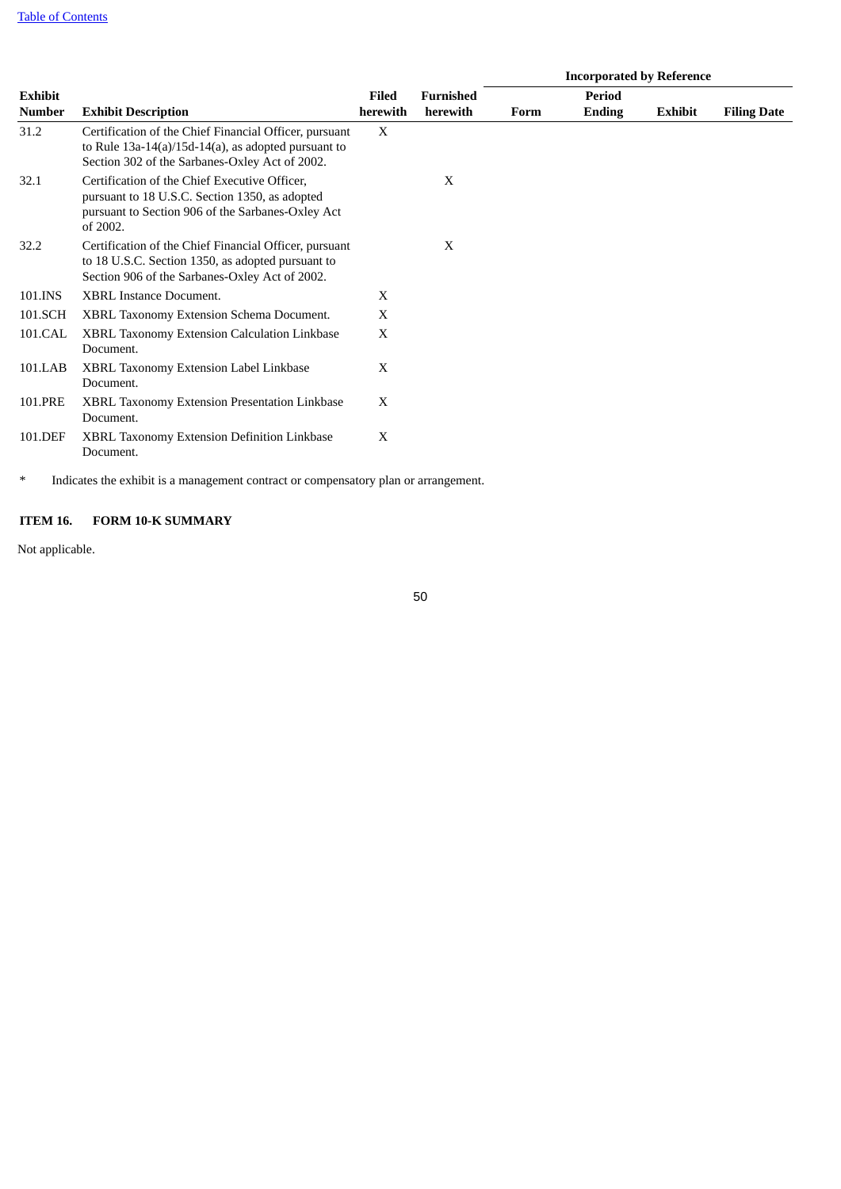|                                 |                                                                                                                                                                    |                   |                              | <b>Incorporated by Reference</b> |                  |         |                    |  |  |  |
|---------------------------------|--------------------------------------------------------------------------------------------------------------------------------------------------------------------|-------------------|------------------------------|----------------------------------|------------------|---------|--------------------|--|--|--|
| <b>Exhibit</b><br><b>Number</b> | <b>Exhibit Description</b>                                                                                                                                         | Filed<br>herewith | <b>Furnished</b><br>herewith | Form                             | Period<br>Ending | Exhibit | <b>Filing Date</b> |  |  |  |
| 31.2                            | Certification of the Chief Financial Officer, pursuant<br>to Rule $13a-14(a)/15d-14(a)$ , as adopted pursuant to<br>Section 302 of the Sarbanes-Oxley Act of 2002. | X                 |                              |                                  |                  |         |                    |  |  |  |
| 32.1                            | Certification of the Chief Executive Officer,<br>pursuant to 18 U.S.C. Section 1350, as adopted<br>pursuant to Section 906 of the Sarbanes-Oxley Act<br>of 2002.   |                   | X                            |                                  |                  |         |                    |  |  |  |
| 32.2                            | Certification of the Chief Financial Officer, pursuant<br>to 18 U.S.C. Section 1350, as adopted pursuant to<br>Section 906 of the Sarbanes-Oxley Act of 2002.      |                   | X                            |                                  |                  |         |                    |  |  |  |
| 101.INS                         | <b>XBRL Instance Document.</b>                                                                                                                                     | X                 |                              |                                  |                  |         |                    |  |  |  |
| 101.SCH                         | XBRL Taxonomy Extension Schema Document.                                                                                                                           | X                 |                              |                                  |                  |         |                    |  |  |  |
| 101.CAL                         | <b>XBRL Taxonomy Extension Calculation Linkbase</b><br>Document.                                                                                                   | X                 |                              |                                  |                  |         |                    |  |  |  |
| 101.LAB                         | XBRL Taxonomy Extension Label Linkbase<br>Document.                                                                                                                | X                 |                              |                                  |                  |         |                    |  |  |  |
| 101.PRE                         | XBRL Taxonomy Extension Presentation Linkbase<br>Document.                                                                                                         | X                 |                              |                                  |                  |         |                    |  |  |  |
| 101.DEF                         | XBRL Taxonomy Extension Definition Linkbase<br>Document.                                                                                                           | X                 |                              |                                  |                  |         |                    |  |  |  |

\* Indicates the exhibit is a management contract or compensatory plan or arrangement.

# **ITEM 16. FORM 10-K SUMMARY**

Not applicable.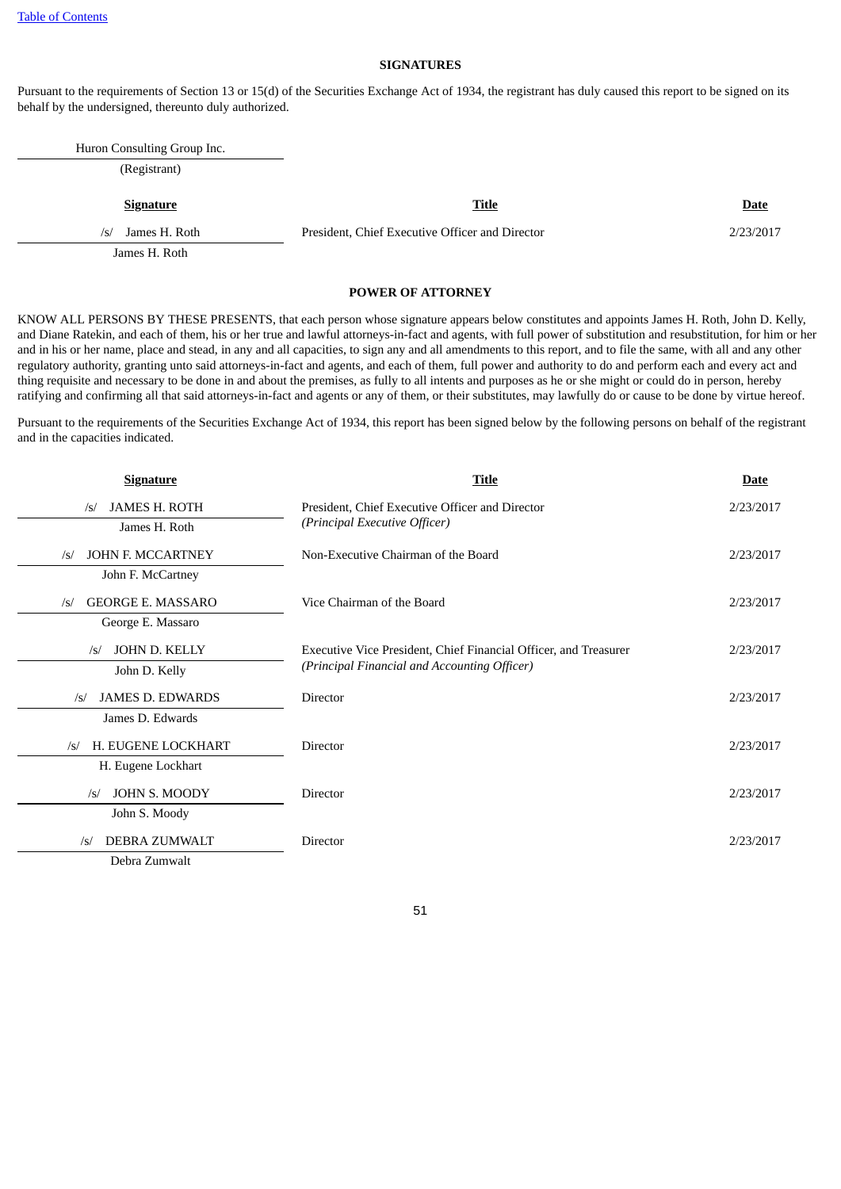#### **SIGNATURES**

Pursuant to the requirements of Section 13 or 15(d) of the Securities Exchange Act of 1934, the registrant has duly caused this report to be signed on its behalf by the undersigned, thereunto duly authorized.

Huron Consulting Group Inc. (Registrant) **Signature Title Date** /s/ James H. Roth President, Chief Executive Officer and Director 2/23/2017

James H. Roth

#### **POWER OF ATTORNEY**

KNOW ALL PERSONS BY THESE PRESENTS, that each person whose signature appears below constitutes and appoints James H. Roth, John D. Kelly, and Diane Ratekin, and each of them, his or her true and lawful attorneys-in-fact and agents, with full power of substitution and resubstitution, for him or her and in his or her name, place and stead, in any and all capacities, to sign any and all amendments to this report, and to file the same, with all and any other regulatory authority, granting unto said attorneys-in-fact and agents, and each of them, full power and authority to do and perform each and every act and thing requisite and necessary to be done in and about the premises, as fully to all intents and purposes as he or she might or could do in person, hereby ratifying and confirming all that said attorneys-in-fact and agents or any of them, or their substitutes, may lawfully do or cause to be done by virtue hereof.

Pursuant to the requirements of the Securities Exchange Act of 1934, this report has been signed below by the following persons on behalf of the registrant and in the capacities indicated.

| <b>Signature</b>                       | <b>Title</b>                                                     | <b>Date</b> |
|----------------------------------------|------------------------------------------------------------------|-------------|
| JAMES H. ROTH<br>/s/                   | President, Chief Executive Officer and Director                  | 2/23/2017   |
| James H. Roth                          | (Principal Executive Officer)                                    |             |
| JOHN F. MCCARTNEY<br>$\sqrt{s}$        | Non-Executive Chairman of the Board                              | 2/23/2017   |
| John F. McCartney                      |                                                                  |             |
| <b>GEORGE E. MASSARO</b><br>$\sqrt{s}$ | Vice Chairman of the Board                                       | 2/23/2017   |
| George E. Massaro                      |                                                                  |             |
| JOHN D. KELLY<br>$\sqrt{s}$            | Executive Vice President, Chief Financial Officer, and Treasurer | 2/23/2017   |
| John D. Kelly                          | (Principal Financial and Accounting Officer)                     |             |
| <b>JAMES D. EDWARDS</b><br>$\sqrt{s}$  | Director                                                         | 2/23/2017   |
| James D. Edwards                       |                                                                  |             |
| H. EUGENE LOCKHART<br>$\sqrt{s}$       | <b>Director</b>                                                  | 2/23/2017   |
| H. Eugene Lockhart                     |                                                                  |             |
| JOHN S. MOODY<br>$\sqrt{s}$            | Director                                                         | 2/23/2017   |
| John S. Moody                          |                                                                  |             |
| DEBRA ZUMWALT<br>$\sqrt{s}$            | <b>Director</b>                                                  | 2/23/2017   |
| Debra Zumwalt                          |                                                                  |             |

51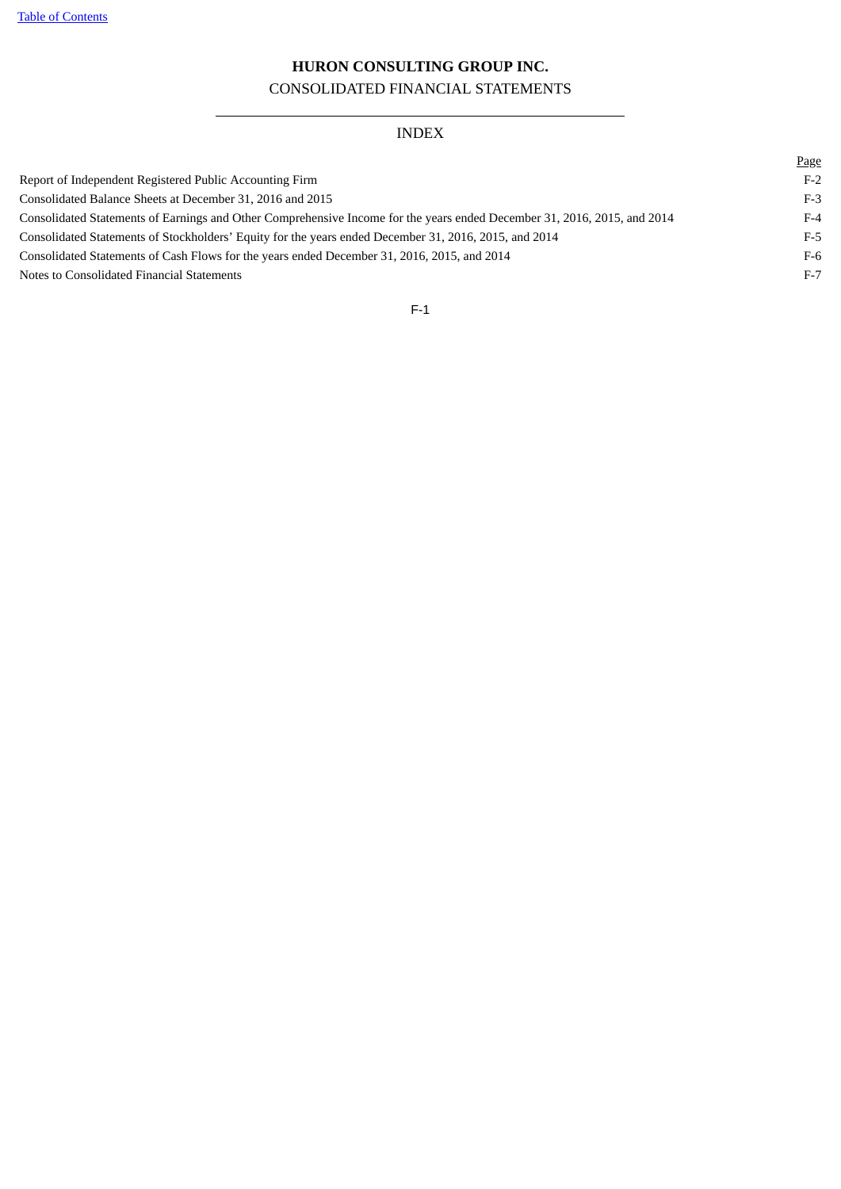# **HURON CONSULTING GROUP INC.** CONSOLIDATED FINANCIAL STATEMENTS

# INDEX

|                                                                                                                          | <b>Page</b> |
|--------------------------------------------------------------------------------------------------------------------------|-------------|
| Report of Independent Registered Public Accounting Firm                                                                  | $F-2$       |
| Consolidated Balance Sheets at December 31, 2016 and 2015                                                                | $F-3$       |
| Consolidated Statements of Earnings and Other Comprehensive Income for the years ended December 31, 2016, 2015, and 2014 | $F-4$       |
| Consolidated Statements of Stockholders' Equity for the years ended December 31, 2016, 2015, and 2014                    | F-5         |
| Consolidated Statements of Cash Flows for the years ended December 31, 2016, 2015, and 2014                              | F-6         |
| Notes to Consolidated Financial Statements                                                                               | $F-7$       |
|                                                                                                                          |             |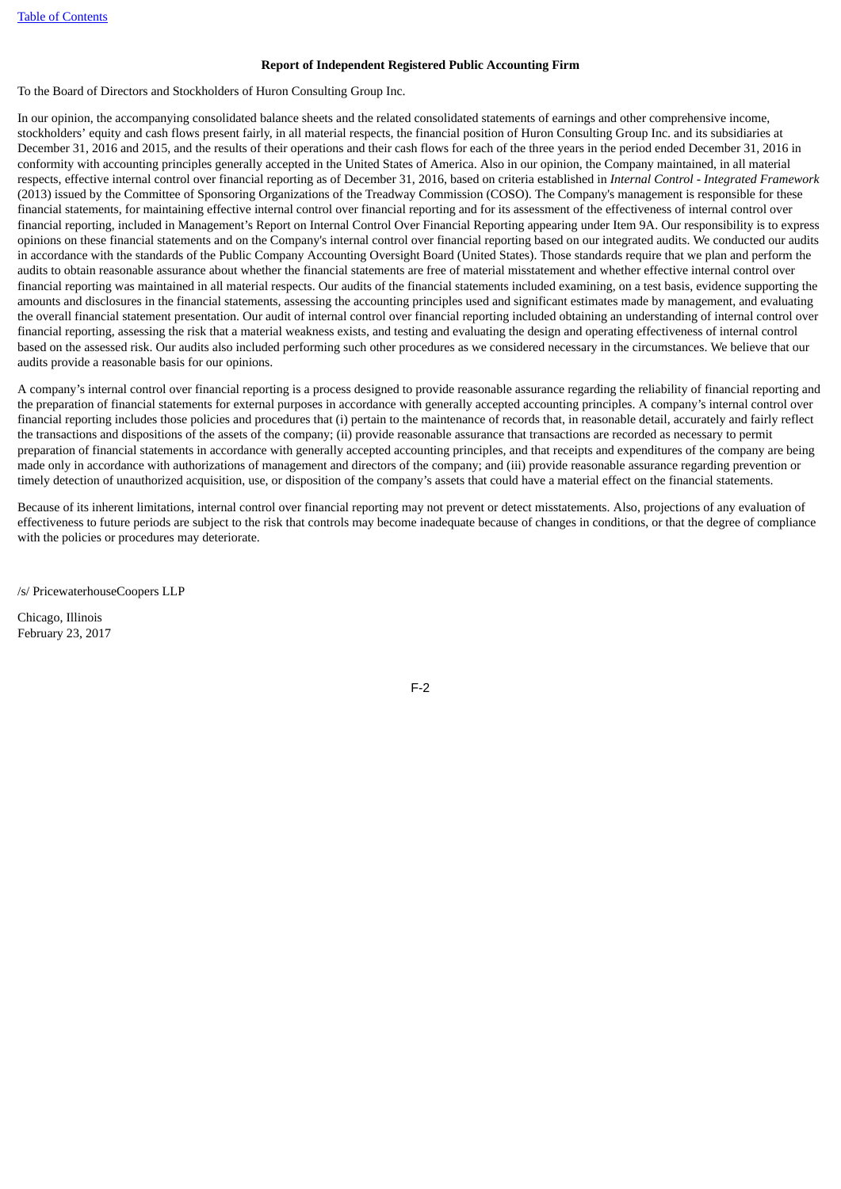# **Report of Independent Registered Public Accounting Firm**

<span id="page-54-0"></span>To the Board of Directors and Stockholders of Huron Consulting Group Inc.

In our opinion, the accompanying consolidated balance sheets and the related consolidated statements of earnings and other comprehensive income, stockholders' equity and cash flows present fairly, in all material respects, the financial position of Huron Consulting Group Inc. and its subsidiaries at December 31, 2016 and 2015, and the results of their operations and their cash flows for each of the three years in the period ended December 31, 2016 in conformity with accounting principles generally accepted in the United States of America. Also in our opinion, the Company maintained, in all material respects, effective internal control over financial reporting as of December 31, 2016, based on criteria established in *Internal Control - Integrated Framework* (2013) issued by the Committee of Sponsoring Organizations of the Treadway Commission (COSO). The Company's management is responsible for these financial statements, for maintaining effective internal control over financial reporting and for its assessment of the effectiveness of internal control over financial reporting, included in Management's Report on Internal Control Over Financial Reporting appearing under Item 9A. Our responsibility is to express opinions on these financial statements and on the Company's internal control over financial reporting based on our integrated audits. We conducted our audits in accordance with the standards of the Public Company Accounting Oversight Board (United States). Those standards require that we plan and perform the audits to obtain reasonable assurance about whether the financial statements are free of material misstatement and whether effective internal control over financial reporting was maintained in all material respects. Our audits of the financial statements included examining, on a test basis, evidence supporting the amounts and disclosures in the financial statements, assessing the accounting principles used and significant estimates made by management, and evaluating the overall financial statement presentation. Our audit of internal control over financial reporting included obtaining an understanding of internal control over financial reporting, assessing the risk that a material weakness exists, and testing and evaluating the design and operating effectiveness of internal control based on the assessed risk. Our audits also included performing such other procedures as we considered necessary in the circumstances. We believe that our audits provide a reasonable basis for our opinions.

A company's internal control over financial reporting is a process designed to provide reasonable assurance regarding the reliability of financial reporting and the preparation of financial statements for external purposes in accordance with generally accepted accounting principles. A company's internal control over financial reporting includes those policies and procedures that (i) pertain to the maintenance of records that, in reasonable detail, accurately and fairly reflect the transactions and dispositions of the assets of the company; (ii) provide reasonable assurance that transactions are recorded as necessary to permit preparation of financial statements in accordance with generally accepted accounting principles, and that receipts and expenditures of the company are being made only in accordance with authorizations of management and directors of the company; and (iii) provide reasonable assurance regarding prevention or timely detection of unauthorized acquisition, use, or disposition of the company's assets that could have a material effect on the financial statements.

Because of its inherent limitations, internal control over financial reporting may not prevent or detect misstatements. Also, projections of any evaluation of effectiveness to future periods are subject to the risk that controls may become inadequate because of changes in conditions, or that the degree of compliance with the policies or procedures may deteriorate.

/s/ PricewaterhouseCoopers LLP

Chicago, Illinois February 23, 2017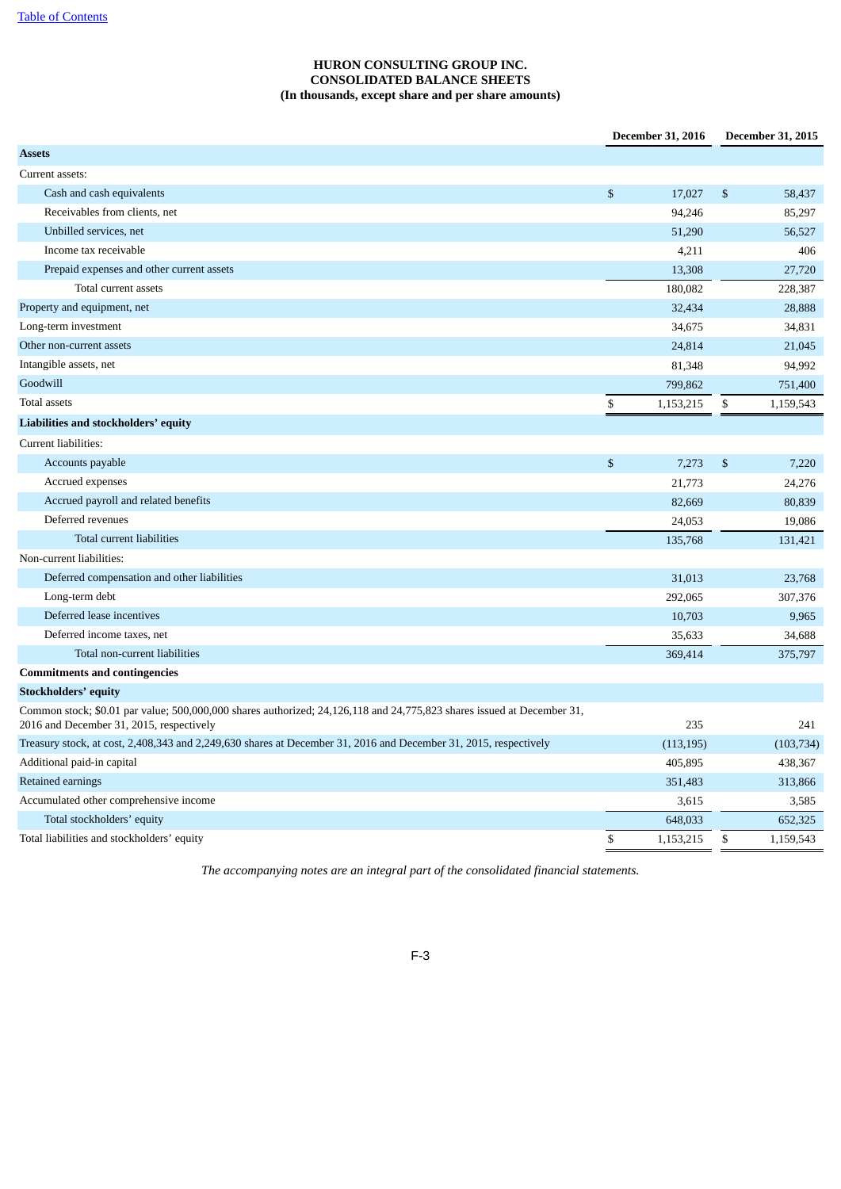# **HURON CONSULTING GROUP INC. CONSOLIDATED BALANCE SHEETS (In thousands, except share and per share amounts)**

<span id="page-55-0"></span>

|                                                                                                                                                                    |              | <b>December 31, 2016</b> |                | <b>December 31, 2015</b> |
|--------------------------------------------------------------------------------------------------------------------------------------------------------------------|--------------|--------------------------|----------------|--------------------------|
| <b>Assets</b>                                                                                                                                                      |              |                          |                |                          |
| Current assets:                                                                                                                                                    |              |                          |                |                          |
| Cash and cash equivalents                                                                                                                                          | $\mathbb{S}$ | 17,027                   | $\mathfrak{S}$ | 58,437                   |
| Receivables from clients, net                                                                                                                                      |              | 94,246                   |                | 85,297                   |
| Unbilled services, net                                                                                                                                             |              | 51,290                   |                | 56,527                   |
| Income tax receivable                                                                                                                                              |              | 4,211                    |                | 406                      |
| Prepaid expenses and other current assets                                                                                                                          |              | 13,308                   |                | 27,720                   |
| Total current assets                                                                                                                                               |              | 180,082                  |                | 228,387                  |
| Property and equipment, net                                                                                                                                        |              | 32,434                   |                | 28,888                   |
| Long-term investment                                                                                                                                               |              | 34,675                   |                | 34,831                   |
| Other non-current assets                                                                                                                                           |              | 24,814                   |                | 21,045                   |
| Intangible assets, net                                                                                                                                             |              | 81,348                   |                | 94,992                   |
| Goodwill                                                                                                                                                           |              | 799,862                  |                | 751,400                  |
| <b>Total assets</b>                                                                                                                                                | \$           | 1,153,215                | \$             | 1,159,543                |
| Liabilities and stockholders' equity                                                                                                                               |              |                          |                |                          |
| Current liabilities:                                                                                                                                               |              |                          |                |                          |
| Accounts payable                                                                                                                                                   | $\mathbb{S}$ | 7,273                    | $\mathfrak{S}$ | 7,220                    |
| Accrued expenses                                                                                                                                                   |              | 21,773                   |                | 24,276                   |
| Accrued payroll and related benefits                                                                                                                               |              | 82,669                   |                | 80,839                   |
| Deferred revenues                                                                                                                                                  |              | 24,053                   |                | 19,086                   |
| Total current liabilities                                                                                                                                          |              | 135,768                  |                | 131,421                  |
| Non-current liabilities:                                                                                                                                           |              |                          |                |                          |
| Deferred compensation and other liabilities                                                                                                                        |              | 31,013                   |                | 23,768                   |
| Long-term debt                                                                                                                                                     |              | 292,065                  |                | 307,376                  |
| Deferred lease incentives                                                                                                                                          |              | 10,703                   |                | 9,965                    |
| Deferred income taxes, net                                                                                                                                         |              | 35,633                   |                | 34,688                   |
| Total non-current liabilities                                                                                                                                      |              | 369,414                  |                | 375,797                  |
| <b>Commitments and contingencies</b>                                                                                                                               |              |                          |                |                          |
| Stockholders' equity                                                                                                                                               |              |                          |                |                          |
| Common stock; \$0.01 par value; 500,000,000 shares authorized; 24,126,118 and 24,775,823 shares issued at December 31,<br>2016 and December 31, 2015, respectively |              | 235                      |                | 241                      |
| Treasury stock, at cost, 2,408,343 and 2,249,630 shares at December 31, 2016 and December 31, 2015, respectively                                                   |              | (113, 195)               |                | (103, 734)               |
| Additional paid-in capital                                                                                                                                         |              | 405,895                  |                | 438,367                  |
| Retained earnings                                                                                                                                                  |              | 351,483                  |                | 313,866                  |
| Accumulated other comprehensive income                                                                                                                             |              | 3,615                    |                | 3,585                    |
| Total stockholders' equity                                                                                                                                         |              | 648,033                  |                | 652,325                  |
| Total liabilities and stockholders' equity                                                                                                                         | \$           | 1,153,215                | \$             | 1,159,543                |

*The accompanying notes are an integral part of the consolidated financial statements.*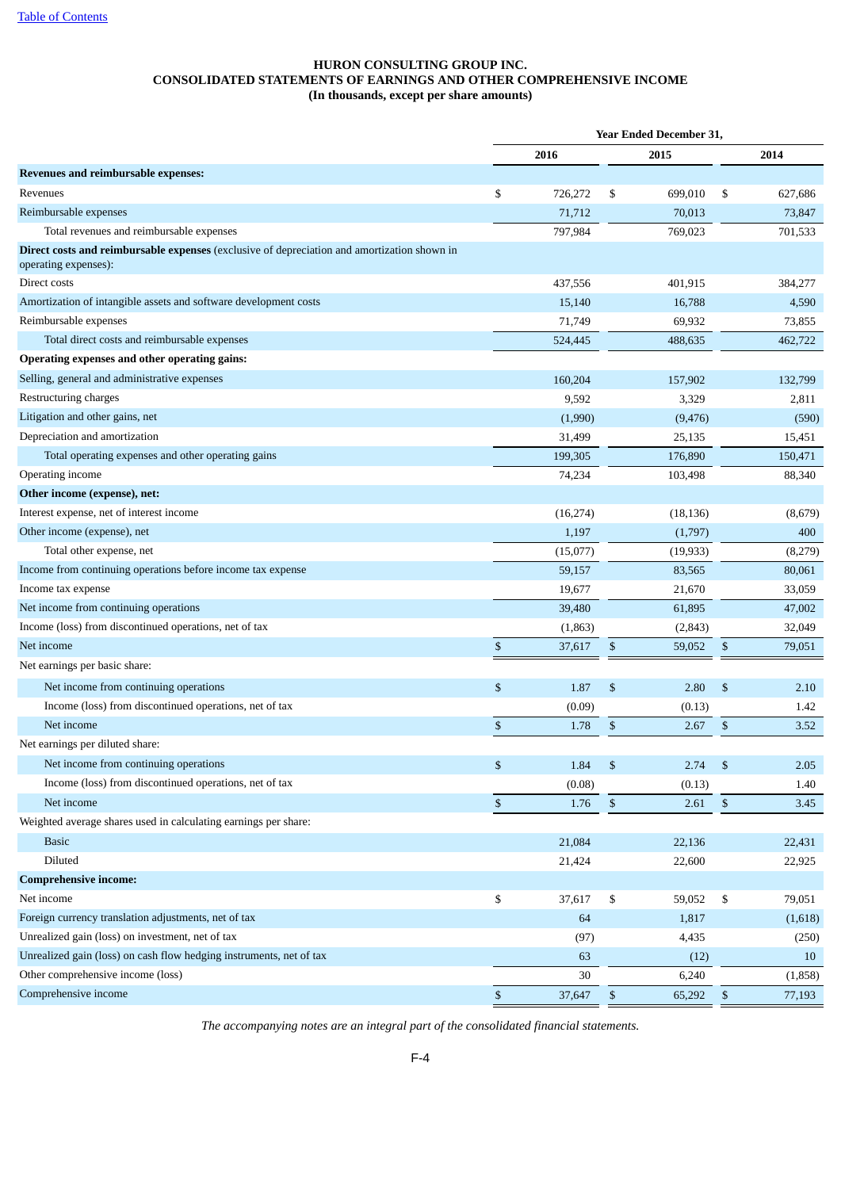# **HURON CONSULTING GROUP INC. CONSOLIDATED STATEMENTS OF EARNINGS AND OTHER COMPREHENSIVE INCOME (In thousands, except per share amounts)**

<span id="page-56-0"></span>

|                                                                                                                     | <b>Year Ended December 31,</b> |           |               |           |                |         |  |
|---------------------------------------------------------------------------------------------------------------------|--------------------------------|-----------|---------------|-----------|----------------|---------|--|
|                                                                                                                     |                                | 2016      |               | 2015      |                | 2014    |  |
| Revenues and reimbursable expenses:                                                                                 |                                |           |               |           |                |         |  |
| Revenues                                                                                                            | \$                             | 726,272   | \$            | 699,010   | \$             | 627,686 |  |
| Reimbursable expenses                                                                                               |                                | 71,712    |               | 70,013    |                | 73,847  |  |
| Total revenues and reimbursable expenses                                                                            |                                | 797,984   |               | 769,023   |                | 701,533 |  |
| Direct costs and reimbursable expenses (exclusive of depreciation and amortization shown in<br>operating expenses): |                                |           |               |           |                |         |  |
| Direct costs                                                                                                        |                                | 437,556   |               | 401,915   |                | 384,277 |  |
| Amortization of intangible assets and software development costs                                                    |                                | 15,140    |               | 16,788    |                | 4,590   |  |
| Reimbursable expenses                                                                                               |                                | 71,749    |               | 69,932    |                | 73,855  |  |
| Total direct costs and reimbursable expenses                                                                        |                                | 524,445   |               | 488,635   |                | 462,722 |  |
| Operating expenses and other operating gains:                                                                       |                                |           |               |           |                |         |  |
| Selling, general and administrative expenses                                                                        |                                | 160,204   |               | 157,902   |                | 132,799 |  |
| Restructuring charges                                                                                               |                                | 9,592     |               | 3,329     |                | 2,811   |  |
| Litigation and other gains, net                                                                                     |                                | (1,990)   |               | (9, 476)  |                | (590)   |  |
| Depreciation and amortization                                                                                       |                                | 31,499    |               | 25,135    |                | 15,451  |  |
| Total operating expenses and other operating gains                                                                  |                                | 199,305   |               | 176,890   |                | 150,471 |  |
| Operating income                                                                                                    |                                | 74,234    |               | 103,498   |                | 88,340  |  |
| Other income (expense), net:                                                                                        |                                |           |               |           |                |         |  |
| Interest expense, net of interest income                                                                            |                                | (16, 274) |               | (18, 136) |                | (8,679) |  |
| Other income (expense), net                                                                                         |                                | 1,197     |               | (1,797)   |                | 400     |  |
| Total other expense, net                                                                                            |                                | (15,077)  |               | (19, 933) |                | (8,279) |  |
| Income from continuing operations before income tax expense                                                         |                                | 59,157    |               | 83,565    |                | 80,061  |  |
| Income tax expense                                                                                                  |                                | 19,677    |               | 21,670    |                | 33,059  |  |
| Net income from continuing operations                                                                               |                                | 39,480    |               | 61,895    |                | 47,002  |  |
| Income (loss) from discontinued operations, net of tax                                                              |                                | (1,863)   |               | (2, 843)  |                | 32,049  |  |
| Net income                                                                                                          | \$                             | 37,617    | \$            | 59,052    | \$             | 79,051  |  |
| Net earnings per basic share:                                                                                       |                                |           |               |           |                |         |  |
| Net income from continuing operations                                                                               | \$                             | 1.87      | \$            | 2.80      | \$             | 2.10    |  |
| Income (loss) from discontinued operations, net of tax                                                              |                                | (0.09)    |               | (0.13)    |                | 1.42    |  |
| Net income                                                                                                          | \$                             | 1.78      | \$            | 2.67      | \$             | 3.52    |  |
| Net earnings per diluted share:                                                                                     |                                |           |               |           |                |         |  |
| Net income from continuing operations                                                                               | \$                             | $1.84\,$  | \$            | 2.74      | \$             | 2.05    |  |
| Income (loss) from discontinued operations, net of tax                                                              |                                | (0.08)    |               | (0.13)    |                | 1.40    |  |
| Net income                                                                                                          | $\mathbb{S}$                   | $1.76\,$  | $\mathbb{S}$  | 2.61      | $\mathbb{S}$   | 3.45    |  |
| Weighted average shares used in calculating earnings per share:                                                     |                                |           |               |           |                |         |  |
| <b>Basic</b>                                                                                                        |                                | 21,084    |               | 22,136    |                | 22,431  |  |
| Diluted                                                                                                             |                                | 21,424    |               | 22,600    |                | 22,925  |  |
| <b>Comprehensive income:</b>                                                                                        |                                |           |               |           |                |         |  |
| Net income                                                                                                          | \$                             | 37,617    | \$            | 59,052    | \$             | 79,051  |  |
| Foreign currency translation adjustments, net of tax                                                                |                                | 64        |               | 1,817     |                | (1,618) |  |
| Unrealized gain (loss) on investment, net of tax                                                                    |                                | (97)      |               | 4,435     |                | (250)   |  |
| Unrealized gain (loss) on cash flow hedging instruments, net of tax                                                 |                                | 63        |               | (12)      |                | 10      |  |
| Other comprehensive income (loss)                                                                                   |                                | 30        |               | 6,240     |                | (1,858) |  |
| Comprehensive income                                                                                                | $\mathfrak{S}$                 | 37,647    | $\sqrt[6]{3}$ | 65,292    | $\mathfrak{S}$ | 77,193  |  |

*The accompanying notes are an integral part of the consolidated financial statements.*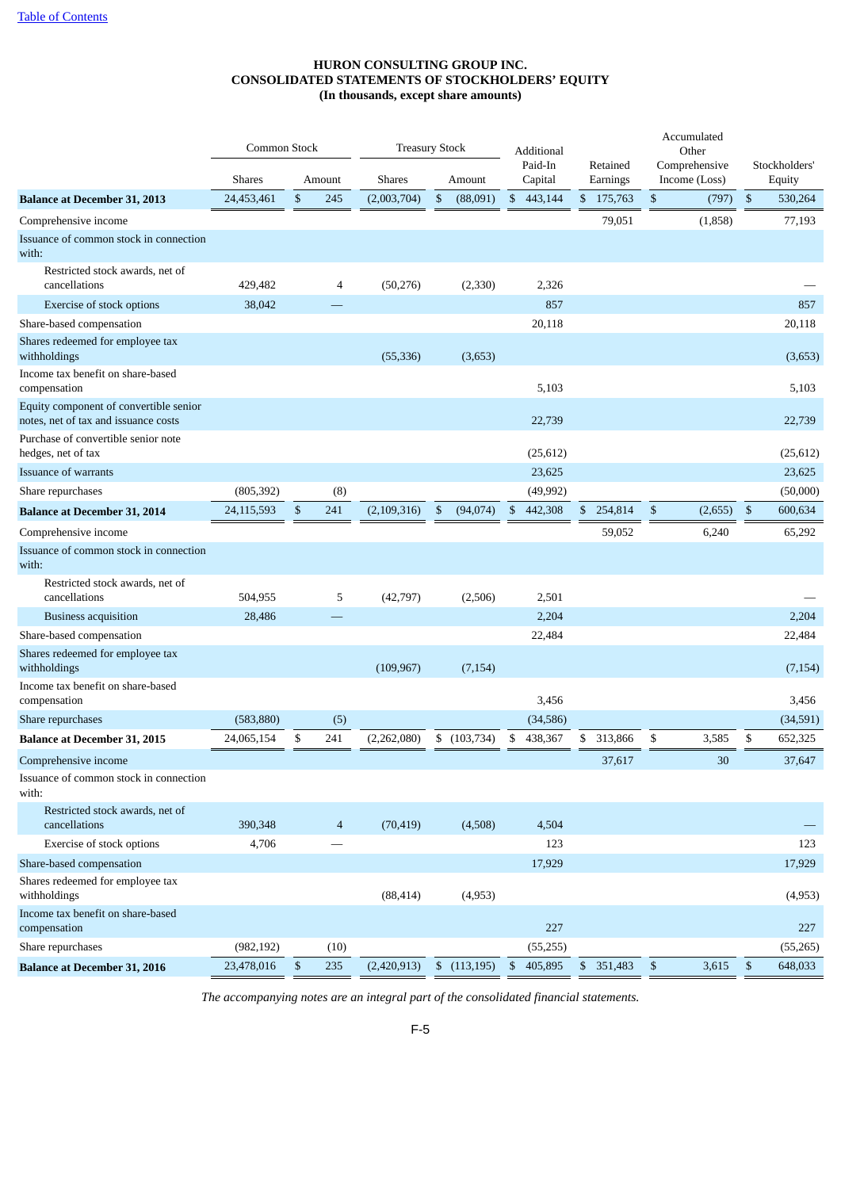# **HURON CONSULTING GROUP INC. CONSOLIDATED STATEMENTS OF STOCKHOLDERS' EQUITY (In thousands, except share amounts)**

<span id="page-57-0"></span>

|                                                                                | Common Stock  |                | <b>Treasury Stock</b> |                  | Additional         |                      |            | Accumulated<br>Other<br>Comprehensive |         | Stockholders'             |           |  |  |  |  |  |  |  |  |  |  |  |  |  |  |  |  |  |               |        |  |
|--------------------------------------------------------------------------------|---------------|----------------|-----------------------|------------------|--------------------|----------------------|------------|---------------------------------------|---------|---------------------------|-----------|--|--|--|--|--|--|--|--|--|--|--|--|--|--|--|--|--|---------------|--------|--|
|                                                                                | <b>Shares</b> | Amount         | <b>Shares</b>         | Amount           | Paid-In<br>Capital | Retained<br>Earnings |            |                                       |         |                           |           |  |  |  |  |  |  |  |  |  |  |  |  |  |  |  |  |  | Income (Loss) | Equity |  |
| <b>Balance at December 31, 2013</b>                                            | 24,453,461    | \$<br>245      | (2,003,704)           | \$<br>(88,091)   | \$443,144          |                      | \$175,763  | \$                                    | (797)   | $\mathfrak{S}$            | 530,264   |  |  |  |  |  |  |  |  |  |  |  |  |  |  |  |  |  |               |        |  |
| Comprehensive income                                                           |               |                |                       |                  |                    |                      | 79,051     |                                       | (1,858) |                           | 77,193    |  |  |  |  |  |  |  |  |  |  |  |  |  |  |  |  |  |               |        |  |
| Issuance of common stock in connection<br>with:                                |               |                |                       |                  |                    |                      |            |                                       |         |                           |           |  |  |  |  |  |  |  |  |  |  |  |  |  |  |  |  |  |               |        |  |
| Restricted stock awards, net of<br>cancellations                               | 429,482       | 4              | (50, 276)             | (2, 330)         | 2,326              |                      |            |                                       |         |                           |           |  |  |  |  |  |  |  |  |  |  |  |  |  |  |  |  |  |               |        |  |
| Exercise of stock options                                                      | 38,042        |                |                       |                  | 857                |                      |            |                                       |         |                           | 857       |  |  |  |  |  |  |  |  |  |  |  |  |  |  |  |  |  |               |        |  |
| Share-based compensation                                                       |               |                |                       |                  | 20,118             |                      |            |                                       |         |                           | 20,118    |  |  |  |  |  |  |  |  |  |  |  |  |  |  |  |  |  |               |        |  |
| Shares redeemed for employee tax<br>withholdings                               |               |                | (55, 336)             | (3,653)          |                    |                      |            |                                       |         |                           | (3,653)   |  |  |  |  |  |  |  |  |  |  |  |  |  |  |  |  |  |               |        |  |
| Income tax benefit on share-based<br>compensation                              |               |                |                       |                  | 5,103              |                      |            |                                       |         |                           | 5,103     |  |  |  |  |  |  |  |  |  |  |  |  |  |  |  |  |  |               |        |  |
| Equity component of convertible senior<br>notes, net of tax and issuance costs |               |                |                       |                  | 22,739             |                      |            |                                       |         |                           | 22,739    |  |  |  |  |  |  |  |  |  |  |  |  |  |  |  |  |  |               |        |  |
| Purchase of convertible senior note<br>hedges, net of tax                      |               |                |                       |                  | (25, 612)          |                      |            |                                       |         |                           | (25, 612) |  |  |  |  |  |  |  |  |  |  |  |  |  |  |  |  |  |               |        |  |
| <b>Issuance of warrants</b>                                                    |               |                |                       |                  | 23,625             |                      |            |                                       |         |                           | 23,625    |  |  |  |  |  |  |  |  |  |  |  |  |  |  |  |  |  |               |        |  |
| Share repurchases                                                              | (805, 392)    | (8)            |                       |                  | (49, 992)          |                      |            |                                       |         |                           | (50,000)  |  |  |  |  |  |  |  |  |  |  |  |  |  |  |  |  |  |               |        |  |
| <b>Balance at December 31, 2014</b>                                            | 24,115,593    | \$<br>241      | (2, 109, 316)         | \$<br>(94, 074)  | \$<br>442,308      | \$                   | 254,814    | \$                                    | (2,655) | $\boldsymbol{\mathsf{S}}$ | 600,634   |  |  |  |  |  |  |  |  |  |  |  |  |  |  |  |  |  |               |        |  |
| Comprehensive income                                                           |               |                |                       |                  |                    |                      | 59,052     |                                       | 6,240   |                           | 65,292    |  |  |  |  |  |  |  |  |  |  |  |  |  |  |  |  |  |               |        |  |
| Issuance of common stock in connection<br>with:                                |               |                |                       |                  |                    |                      |            |                                       |         |                           |           |  |  |  |  |  |  |  |  |  |  |  |  |  |  |  |  |  |               |        |  |
| Restricted stock awards, net of<br>cancellations                               | 504,955       | 5              | (42, 797)             | (2,506)          | 2,501              |                      |            |                                       |         |                           |           |  |  |  |  |  |  |  |  |  |  |  |  |  |  |  |  |  |               |        |  |
| <b>Business acquisition</b>                                                    | 28,486        |                |                       |                  | 2,204              |                      |            |                                       |         |                           | 2,204     |  |  |  |  |  |  |  |  |  |  |  |  |  |  |  |  |  |               |        |  |
| Share-based compensation                                                       |               |                |                       |                  | 22,484             |                      |            |                                       |         |                           | 22,484    |  |  |  |  |  |  |  |  |  |  |  |  |  |  |  |  |  |               |        |  |
| Shares redeemed for employee tax<br>withholdings                               |               |                | (109, 967)            | (7, 154)         |                    |                      |            |                                       |         |                           | (7, 154)  |  |  |  |  |  |  |  |  |  |  |  |  |  |  |  |  |  |               |        |  |
| Income tax benefit on share-based                                              |               |                |                       |                  | 3,456              |                      |            |                                       |         |                           | 3,456     |  |  |  |  |  |  |  |  |  |  |  |  |  |  |  |  |  |               |        |  |
| compensation<br>Share repurchases                                              | (583, 880)    | (5)            |                       |                  | (34, 586)          |                      |            |                                       |         |                           | (34,591)  |  |  |  |  |  |  |  |  |  |  |  |  |  |  |  |  |  |               |        |  |
| <b>Balance at December 31, 2015</b>                                            | 24,065,154    | \$<br>241      | (2,262,080)           | \$<br>(103, 734) | \$<br>438,367      | $\mathbb{S}$         | 313,866    | \$                                    | 3,585   | \$                        | 652,325   |  |  |  |  |  |  |  |  |  |  |  |  |  |  |  |  |  |               |        |  |
| Comprehensive income                                                           |               |                |                       |                  |                    |                      | 37,617     |                                       | 30      |                           | 37,647    |  |  |  |  |  |  |  |  |  |  |  |  |  |  |  |  |  |               |        |  |
| Issuance of common stock in connection<br>with:                                |               |                |                       |                  |                    |                      |            |                                       |         |                           |           |  |  |  |  |  |  |  |  |  |  |  |  |  |  |  |  |  |               |        |  |
| Restricted stock awards, net of<br>cancellations                               | 390,348       | $\overline{4}$ | (70, 419)             | (4,508)          | 4,504              |                      |            |                                       |         |                           |           |  |  |  |  |  |  |  |  |  |  |  |  |  |  |  |  |  |               |        |  |
| Exercise of stock options                                                      | 4,706         |                |                       |                  | 123                |                      |            |                                       |         |                           | 123       |  |  |  |  |  |  |  |  |  |  |  |  |  |  |  |  |  |               |        |  |
| Share-based compensation                                                       |               |                |                       |                  | 17,929             |                      |            |                                       |         |                           | 17,929    |  |  |  |  |  |  |  |  |  |  |  |  |  |  |  |  |  |               |        |  |
| Shares redeemed for employee tax<br>withholdings                               |               |                | (88, 414)             | (4,953)          |                    |                      |            |                                       |         |                           | (4,953)   |  |  |  |  |  |  |  |  |  |  |  |  |  |  |  |  |  |               |        |  |
| Income tax benefit on share-based<br>compensation                              |               |                |                       |                  | 227                |                      |            |                                       |         |                           | 227       |  |  |  |  |  |  |  |  |  |  |  |  |  |  |  |  |  |               |        |  |
| Share repurchases                                                              | (982, 192)    | (10)           |                       |                  | (55, 255)          |                      |            |                                       |         |                           | (55, 265) |  |  |  |  |  |  |  |  |  |  |  |  |  |  |  |  |  |               |        |  |
| <b>Balance at December 31, 2016</b>                                            | 23,478,016    | \$<br>235      | (2,420,913)           | \$(113, 195)     | \$<br>405,895      |                      | \$ 351,483 | \$                                    | 3,615   | $\mathbb{S}$              | 648,033   |  |  |  |  |  |  |  |  |  |  |  |  |  |  |  |  |  |               |        |  |

*The accompanying notes are an integral part of the consolidated financial statements.*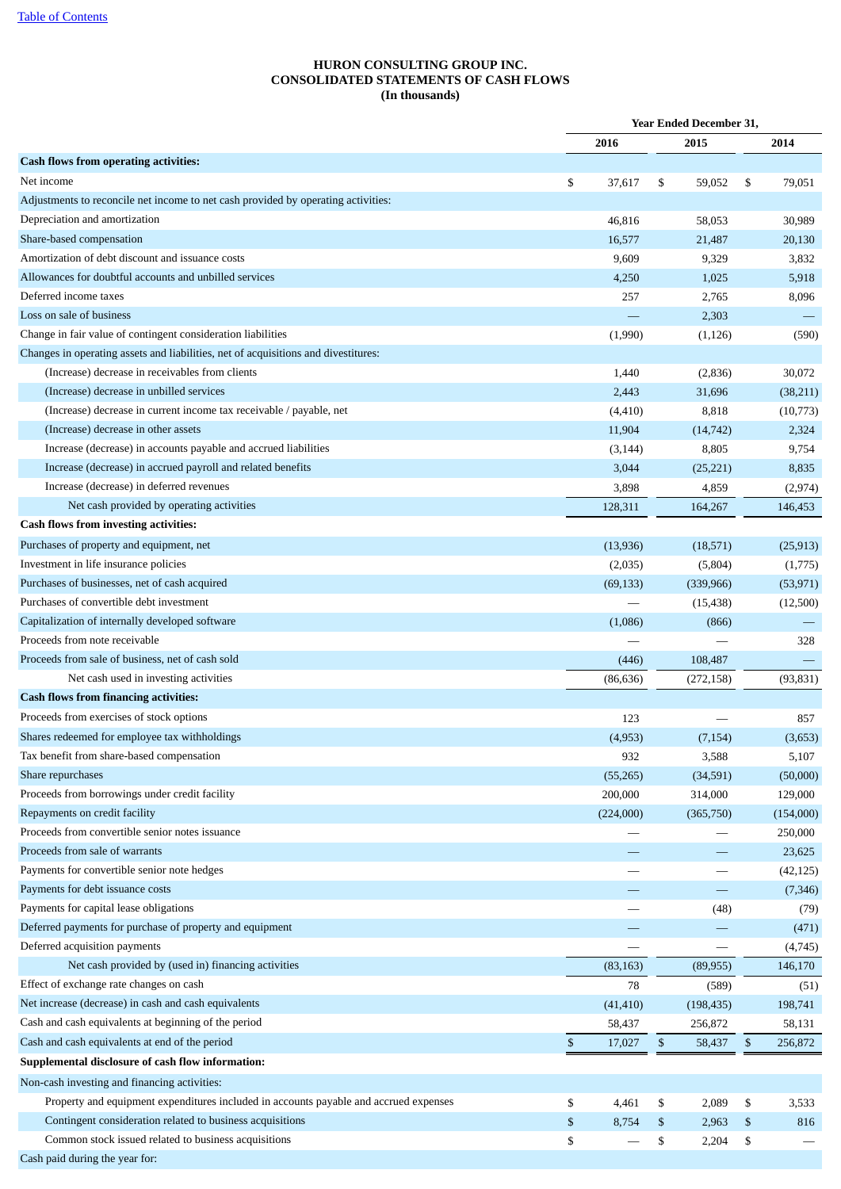# **HURON CONSULTING GROUP INC. CONSOLIDATED STATEMENTS OF CASH FLOWS (In thousands)**

<span id="page-58-0"></span>

|                                                                                       | <b>Year Ended December 31,</b> |    |            |      |           |  |
|---------------------------------------------------------------------------------------|--------------------------------|----|------------|------|-----------|--|
|                                                                                       | 2016                           |    | 2015       | 2014 |           |  |
| <b>Cash flows from operating activities:</b>                                          |                                |    |            |      |           |  |
| Net income                                                                            | \$<br>37,617                   | \$ | 59,052     | \$   | 79,051    |  |
| Adjustments to reconcile net income to net cash provided by operating activities:     |                                |    |            |      |           |  |
| Depreciation and amortization                                                         | 46,816                         |    | 58,053     |      | 30,989    |  |
| Share-based compensation                                                              | 16,577                         |    | 21,487     |      | 20,130    |  |
| Amortization of debt discount and issuance costs                                      | 9,609                          |    | 9,329      |      | 3,832     |  |
| Allowances for doubtful accounts and unbilled services                                | 4,250                          |    | 1,025      |      | 5,918     |  |
| Deferred income taxes                                                                 | 257                            |    | 2,765      |      | 8,096     |  |
| Loss on sale of business                                                              |                                |    | 2,303      |      |           |  |
| Change in fair value of contingent consideration liabilities                          | (1,990)                        |    | (1, 126)   |      | (590)     |  |
| Changes in operating assets and liabilities, net of acquisitions and divestitures:    |                                |    |            |      |           |  |
| (Increase) decrease in receivables from clients                                       | 1,440                          |    | (2,836)    |      | 30,072    |  |
| (Increase) decrease in unbilled services                                              | 2,443                          |    | 31,696     |      | (38, 211) |  |
| (Increase) decrease in current income tax receivable / payable, net                   | (4, 410)                       |    | 8,818      |      | (10,773)  |  |
| (Increase) decrease in other assets                                                   | 11,904                         |    | (14, 742)  |      | 2,324     |  |
| Increase (decrease) in accounts payable and accrued liabilities                       | (3, 144)                       |    | 8,805      |      | 9,754     |  |
| Increase (decrease) in accrued payroll and related benefits                           | 3,044                          |    | (25, 221)  |      | 8,835     |  |
| Increase (decrease) in deferred revenues                                              | 3,898                          |    | 4,859      |      | (2,974)   |  |
| Net cash provided by operating activities                                             | 128,311                        |    | 164,267    |      | 146,453   |  |
| <b>Cash flows from investing activities:</b>                                          |                                |    |            |      |           |  |
| Purchases of property and equipment, net                                              |                                |    |            |      |           |  |
|                                                                                       | (13,936)                       |    | (18, 571)  |      | (25, 913) |  |
| Investment in life insurance policies                                                 | (2,035)                        |    | (5,804)    |      | (1,775)   |  |
| Purchases of businesses, net of cash acquired                                         | (69, 133)                      |    | (339,966)  |      | (53, 971) |  |
| Purchases of convertible debt investment                                              |                                |    | (15, 438)  |      | (12,500)  |  |
| Capitalization of internally developed software                                       | (1,086)                        |    | (866)      |      |           |  |
| Proceeds from note receivable                                                         |                                |    |            |      | 328       |  |
| Proceeds from sale of business, net of cash sold                                      | (446)                          |    | 108,487    |      |           |  |
| Net cash used in investing activities                                                 | (86, 636)                      |    | (272, 158) |      | (93, 831) |  |
| <b>Cash flows from financing activities:</b>                                          |                                |    |            |      |           |  |
| Proceeds from exercises of stock options                                              | 123                            |    |            |      | 857       |  |
| Shares redeemed for employee tax withholdings                                         | (4,953)                        |    | (7, 154)   |      | (3,653)   |  |
| Tax benefit from share-based compensation                                             | 932                            |    | 3,588      |      | 5,107     |  |
| Share repurchases                                                                     | (55, 265)                      |    | (34,591)   |      | (50,000)  |  |
| Proceeds from borrowings under credit facility                                        | 200,000                        |    | 314,000    |      | 129,000   |  |
| Repayments on credit facility                                                         | (224,000)                      |    | (365,750)  |      | (154,000) |  |
| Proceeds from convertible senior notes issuance                                       |                                |    |            |      | 250,000   |  |
| Proceeds from sale of warrants                                                        |                                |    |            |      | 23,625    |  |
| Payments for convertible senior note hedges                                           |                                |    |            |      | (42, 125) |  |
| Payments for debt issuance costs                                                      |                                |    |            |      | (7,346)   |  |
| Payments for capital lease obligations                                                |                                |    | (48)       |      | (79)      |  |
| Deferred payments for purchase of property and equipment                              |                                |    |            |      | (471)     |  |
| Deferred acquisition payments                                                         |                                |    |            |      | (4,745)   |  |
| Net cash provided by (used in) financing activities                                   | (83, 163)                      |    | (89, 955)  |      | 146,170   |  |
| Effect of exchange rate changes on cash                                               | 78                             |    | (589)      |      | (51)      |  |
| Net increase (decrease) in cash and cash equivalents                                  | (41, 410)                      |    | (198, 435) |      | 198,741   |  |
| Cash and cash equivalents at beginning of the period                                  | 58,437                         |    | 256,872    |      | 58,131    |  |
| Cash and cash equivalents at end of the period                                        | \$<br>17,027                   | \$ | 58,437     | \$   | 256,872   |  |
| Supplemental disclosure of cash flow information:                                     |                                |    |            |      |           |  |
| Non-cash investing and financing activities:                                          |                                |    |            |      |           |  |
| Property and equipment expenditures included in accounts payable and accrued expenses | \$<br>4,461                    | \$ | 2,089      | \$   | 3,533     |  |
| Contingent consideration related to business acquisitions                             | \$<br>8,754                    | \$ | 2,963      | \$   | 816       |  |
| Common stock issued related to business acquisitions                                  | \$                             | \$ | 2,204      | \$   |           |  |
| Cash paid during the year for:                                                        |                                |    |            |      |           |  |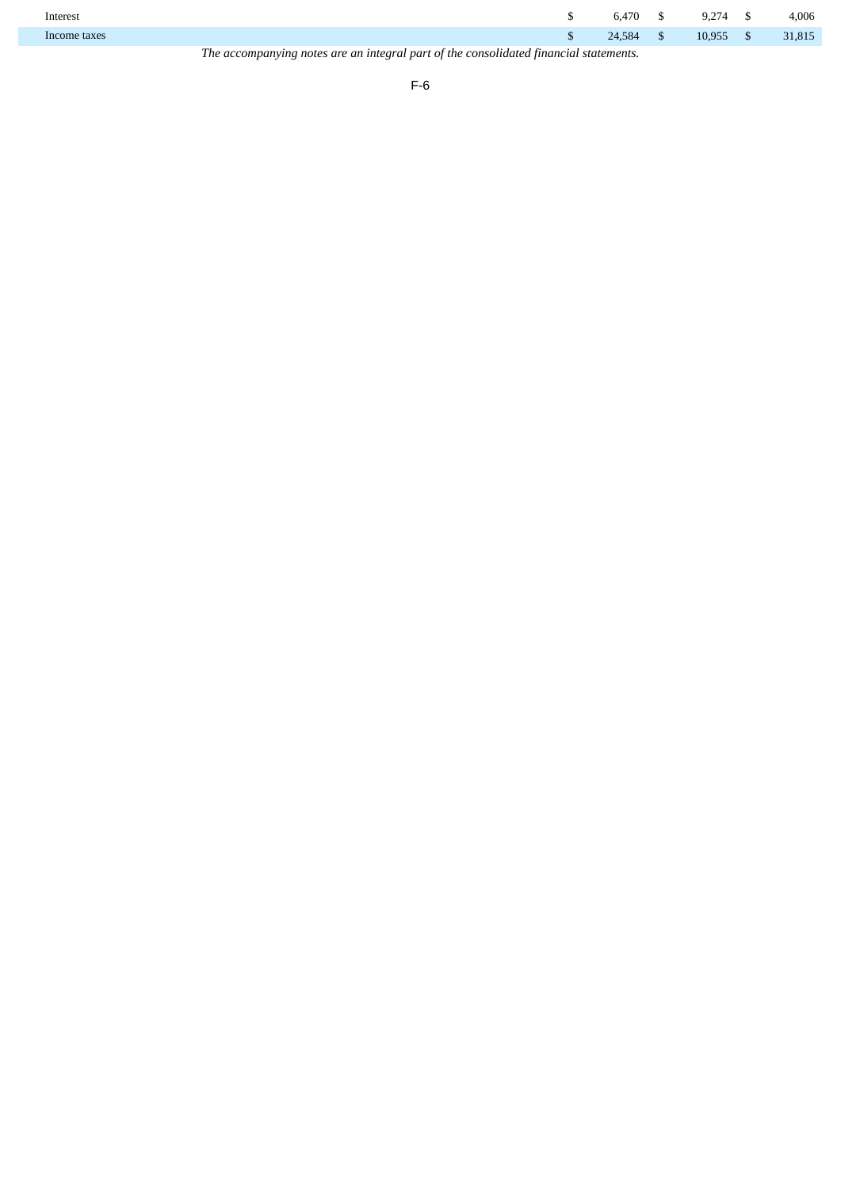| Interest     |                                                                                       | 6.470 \$    | $9.274$ \$  | 4,006  |
|--------------|---------------------------------------------------------------------------------------|-------------|-------------|--------|
| Income taxes |                                                                                       | $24,584$ \$ | $10,955$ \$ | 31,815 |
|              | The accompanying notes are an integral part of the consolidated financial statements. |             |             |        |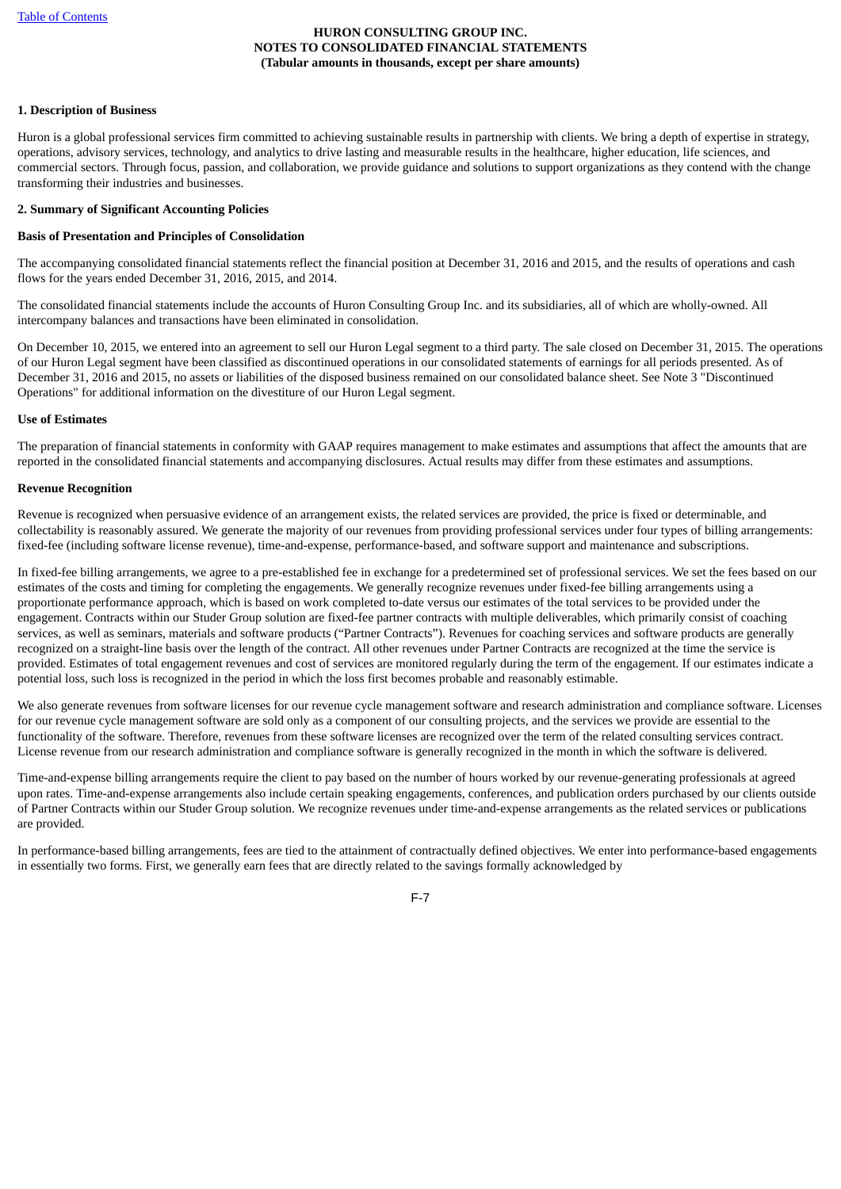# <span id="page-60-0"></span>**1. Description of Business**

Huron is a global professional services firm committed to achieving sustainable results in partnership with clients. We bring a depth of expertise in strategy, operations, advisory services, technology, and analytics to drive lasting and measurable results in the healthcare, higher education, life sciences, and commercial sectors. Through focus, passion, and collaboration, we provide guidance and solutions to support organizations as they contend with the change transforming their industries and businesses.

# **2. Summary of Significant Accounting Policies**

## **Basis of Presentation and Principles of Consolidation**

The accompanying consolidated financial statements reflect the financial position at December 31, 2016 and 2015, and the results of operations and cash flows for the years ended December 31, 2016, 2015, and 2014.

The consolidated financial statements include the accounts of Huron Consulting Group Inc. and its subsidiaries, all of which are wholly-owned. All intercompany balances and transactions have been eliminated in consolidation.

On December 10, 2015, we entered into an agreement to sell our Huron Legal segment to a third party. The sale closed on December 31, 2015. The operations of our Huron Legal segment have been classified as discontinued operations in our consolidated statements of earnings for all periods presented. As of December 31, 2016 and 2015, no assets or liabilities of the disposed business remained on our consolidated balance sheet. See Note 3 "Discontinued Operations" for additional information on the divestiture of our Huron Legal segment.

#### **Use of Estimates**

The preparation of financial statements in conformity with GAAP requires management to make estimates and assumptions that affect the amounts that are reported in the consolidated financial statements and accompanying disclosures. Actual results may differ from these estimates and assumptions.

#### **Revenue Recognition**

Revenue is recognized when persuasive evidence of an arrangement exists, the related services are provided, the price is fixed or determinable, and collectability is reasonably assured. We generate the majority of our revenues from providing professional services under four types of billing arrangements: fixed-fee (including software license revenue), time-and-expense, performance-based, and software support and maintenance and subscriptions.

In fixed-fee billing arrangements, we agree to a pre-established fee in exchange for a predetermined set of professional services. We set the fees based on our estimates of the costs and timing for completing the engagements. We generally recognize revenues under fixed-fee billing arrangements using a proportionate performance approach, which is based on work completed to-date versus our estimates of the total services to be provided under the engagement. Contracts within our Studer Group solution are fixed-fee partner contracts with multiple deliverables, which primarily consist of coaching services, as well as seminars, materials and software products ("Partner Contracts"). Revenues for coaching services and software products are generally recognized on a straight-line basis over the length of the contract. All other revenues under Partner Contracts are recognized at the time the service is provided. Estimates of total engagement revenues and cost of services are monitored regularly during the term of the engagement. If our estimates indicate a potential loss, such loss is recognized in the period in which the loss first becomes probable and reasonably estimable.

We also generate revenues from software licenses for our revenue cycle management software and research administration and compliance software. Licenses for our revenue cycle management software are sold only as a component of our consulting projects, and the services we provide are essential to the functionality of the software. Therefore, revenues from these software licenses are recognized over the term of the related consulting services contract. License revenue from our research administration and compliance software is generally recognized in the month in which the software is delivered.

Time-and-expense billing arrangements require the client to pay based on the number of hours worked by our revenue-generating professionals at agreed upon rates. Time-and-expense arrangements also include certain speaking engagements, conferences, and publication orders purchased by our clients outside of Partner Contracts within our Studer Group solution. We recognize revenues under time-and-expense arrangements as the related services or publications are provided.

In performance-based billing arrangements, fees are tied to the attainment of contractually defined objectives. We enter into performance-based engagements in essentially two forms. First, we generally earn fees that are directly related to the savings formally acknowledged by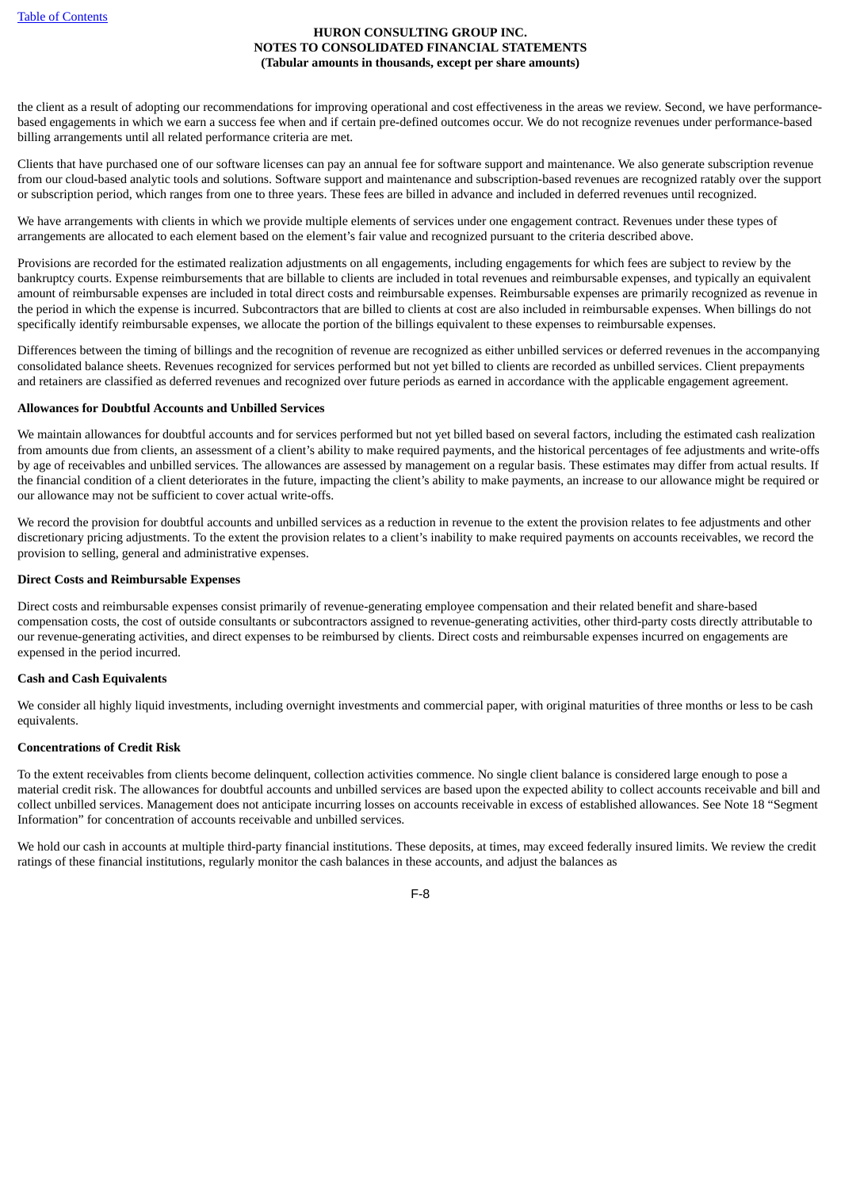the client as a result of adopting our recommendations for improving operational and cost effectiveness in the areas we review. Second, we have performancebased engagements in which we earn a success fee when and if certain pre-defined outcomes occur. We do not recognize revenues under performance-based billing arrangements until all related performance criteria are met.

Clients that have purchased one of our software licenses can pay an annual fee for software support and maintenance. We also generate subscription revenue from our cloud-based analytic tools and solutions. Software support and maintenance and subscription-based revenues are recognized ratably over the support or subscription period, which ranges from one to three years. These fees are billed in advance and included in deferred revenues until recognized.

We have arrangements with clients in which we provide multiple elements of services under one engagement contract. Revenues under these types of arrangements are allocated to each element based on the element's fair value and recognized pursuant to the criteria described above.

Provisions are recorded for the estimated realization adjustments on all engagements, including engagements for which fees are subject to review by the bankruptcy courts. Expense reimbursements that are billable to clients are included in total revenues and reimbursable expenses, and typically an equivalent amount of reimbursable expenses are included in total direct costs and reimbursable expenses. Reimbursable expenses are primarily recognized as revenue in the period in which the expense is incurred. Subcontractors that are billed to clients at cost are also included in reimbursable expenses. When billings do not specifically identify reimbursable expenses, we allocate the portion of the billings equivalent to these expenses to reimbursable expenses.

Differences between the timing of billings and the recognition of revenue are recognized as either unbilled services or deferred revenues in the accompanying consolidated balance sheets. Revenues recognized for services performed but not yet billed to clients are recorded as unbilled services. Client prepayments and retainers are classified as deferred revenues and recognized over future periods as earned in accordance with the applicable engagement agreement.

# **Allowances for Doubtful Accounts and Unbilled Services**

We maintain allowances for doubtful accounts and for services performed but not yet billed based on several factors, including the estimated cash realization from amounts due from clients, an assessment of a client's ability to make required payments, and the historical percentages of fee adjustments and write-offs by age of receivables and unbilled services. The allowances are assessed by management on a regular basis. These estimates may differ from actual results. If the financial condition of a client deteriorates in the future, impacting the client's ability to make payments, an increase to our allowance might be required or our allowance may not be sufficient to cover actual write-offs.

We record the provision for doubtful accounts and unbilled services as a reduction in revenue to the extent the provision relates to fee adjustments and other discretionary pricing adjustments. To the extent the provision relates to a client's inability to make required payments on accounts receivables, we record the provision to selling, general and administrative expenses.

# **Direct Costs and Reimbursable Expenses**

Direct costs and reimbursable expenses consist primarily of revenue-generating employee compensation and their related benefit and share-based compensation costs, the cost of outside consultants or subcontractors assigned to revenue-generating activities, other third-party costs directly attributable to our revenue-generating activities, and direct expenses to be reimbursed by clients. Direct costs and reimbursable expenses incurred on engagements are expensed in the period incurred.

# **Cash and Cash Equivalents**

We consider all highly liquid investments, including overnight investments and commercial paper, with original maturities of three months or less to be cash equivalents.

# **Concentrations of Credit Risk**

To the extent receivables from clients become delinquent, collection activities commence. No single client balance is considered large enough to pose a material credit risk. The allowances for doubtful accounts and unbilled services are based upon the expected ability to collect accounts receivable and bill and collect unbilled services. Management does not anticipate incurring losses on accounts receivable in excess of established allowances. See Note 18 "Segment Information" for concentration of accounts receivable and unbilled services.

We hold our cash in accounts at multiple third-party financial institutions. These deposits, at times, may exceed federally insured limits. We review the credit ratings of these financial institutions, regularly monitor the cash balances in these accounts, and adjust the balances as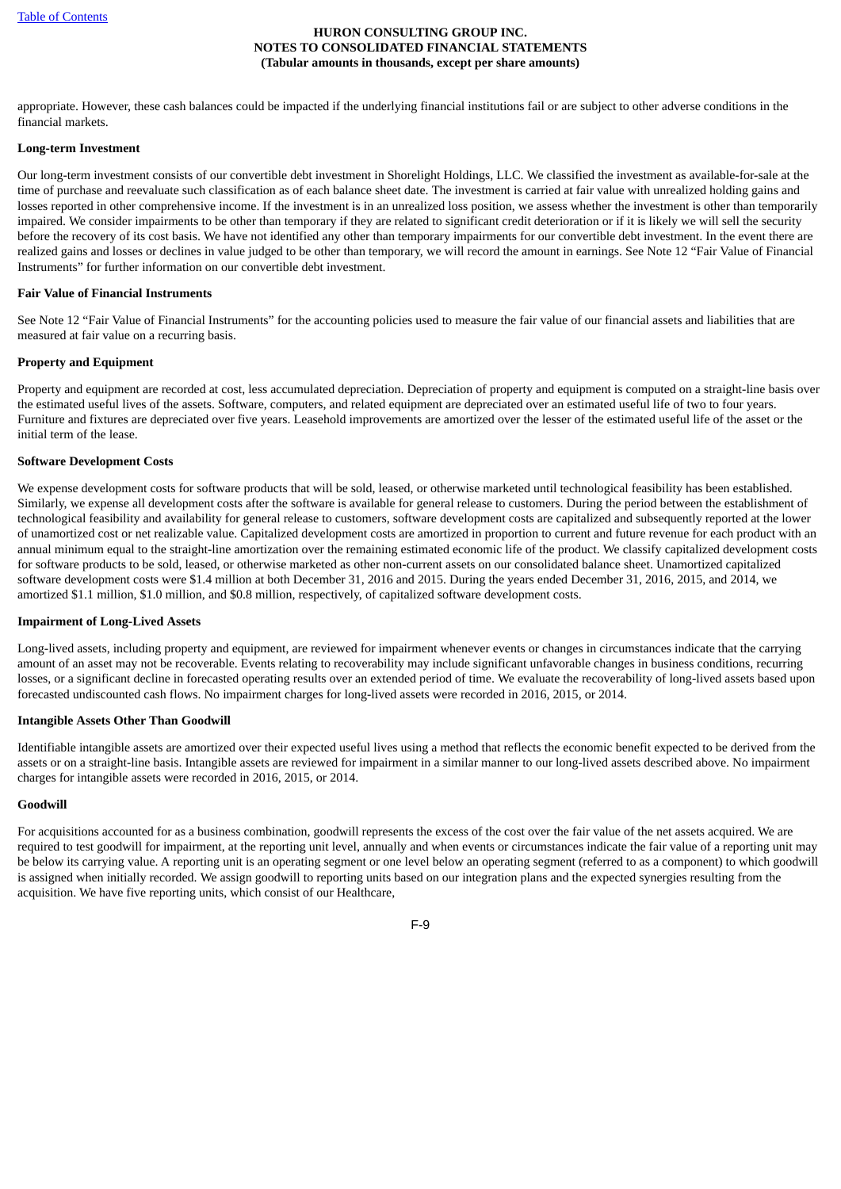appropriate. However, these cash balances could be impacted if the underlying financial institutions fail or are subject to other adverse conditions in the financial markets.

# **Long-term Investment**

Our long-term investment consists of our convertible debt investment in Shorelight Holdings, LLC. We classified the investment as available-for-sale at the time of purchase and reevaluate such classification as of each balance sheet date. The investment is carried at fair value with unrealized holding gains and losses reported in other comprehensive income. If the investment is in an unrealized loss position, we assess whether the investment is other than temporarily impaired. We consider impairments to be other than temporary if they are related to significant credit deterioration or if it is likely we will sell the security before the recovery of its cost basis. We have not identified any other than temporary impairments for our convertible debt investment. In the event there are realized gains and losses or declines in value judged to be other than temporary, we will record the amount in earnings. See Note 12 "Fair Value of Financial Instruments" for further information on our convertible debt investment.

#### **Fair Value of Financial Instruments**

See Note 12 "Fair Value of Financial Instruments" for the accounting policies used to measure the fair value of our financial assets and liabilities that are measured at fair value on a recurring basis.

# **Property and Equipment**

Property and equipment are recorded at cost, less accumulated depreciation. Depreciation of property and equipment is computed on a straight-line basis over the estimated useful lives of the assets. Software, computers, and related equipment are depreciated over an estimated useful life of two to four years. Furniture and fixtures are depreciated over five years. Leasehold improvements are amortized over the lesser of the estimated useful life of the asset or the initial term of the lease.

#### **Software Development Costs**

We expense development costs for software products that will be sold, leased, or otherwise marketed until technological feasibility has been established. Similarly, we expense all development costs after the software is available for general release to customers. During the period between the establishment of technological feasibility and availability for general release to customers, software development costs are capitalized and subsequently reported at the lower of unamortized cost or net realizable value. Capitalized development costs are amortized in proportion to current and future revenue for each product with an annual minimum equal to the straight-line amortization over the remaining estimated economic life of the product. We classify capitalized development costs for software products to be sold, leased, or otherwise marketed as other non-current assets on our consolidated balance sheet. Unamortized capitalized software development costs were \$1.4 million at both December 31, 2016 and 2015. During the years ended December 31, 2016, 2015, and 2014, we amortized \$1.1 million, \$1.0 million, and \$0.8 million, respectively, of capitalized software development costs.

# **Impairment of Long-Lived Assets**

Long-lived assets, including property and equipment, are reviewed for impairment whenever events or changes in circumstances indicate that the carrying amount of an asset may not be recoverable. Events relating to recoverability may include significant unfavorable changes in business conditions, recurring losses, or a significant decline in forecasted operating results over an extended period of time. We evaluate the recoverability of long-lived assets based upon forecasted undiscounted cash flows. No impairment charges for long-lived assets were recorded in 2016, 2015, or 2014.

# **Intangible Assets Other Than Goodwill**

Identifiable intangible assets are amortized over their expected useful lives using a method that reflects the economic benefit expected to be derived from the assets or on a straight-line basis. Intangible assets are reviewed for impairment in a similar manner to our long-lived assets described above. No impairment charges for intangible assets were recorded in 2016, 2015, or 2014.

#### **Goodwill**

For acquisitions accounted for as a business combination, goodwill represents the excess of the cost over the fair value of the net assets acquired. We are required to test goodwill for impairment, at the reporting unit level, annually and when events or circumstances indicate the fair value of a reporting unit may be below its carrying value. A reporting unit is an operating segment or one level below an operating segment (referred to as a component) to which goodwill is assigned when initially recorded. We assign goodwill to reporting units based on our integration plans and the expected synergies resulting from the acquisition. We have five reporting units, which consist of our Healthcare,

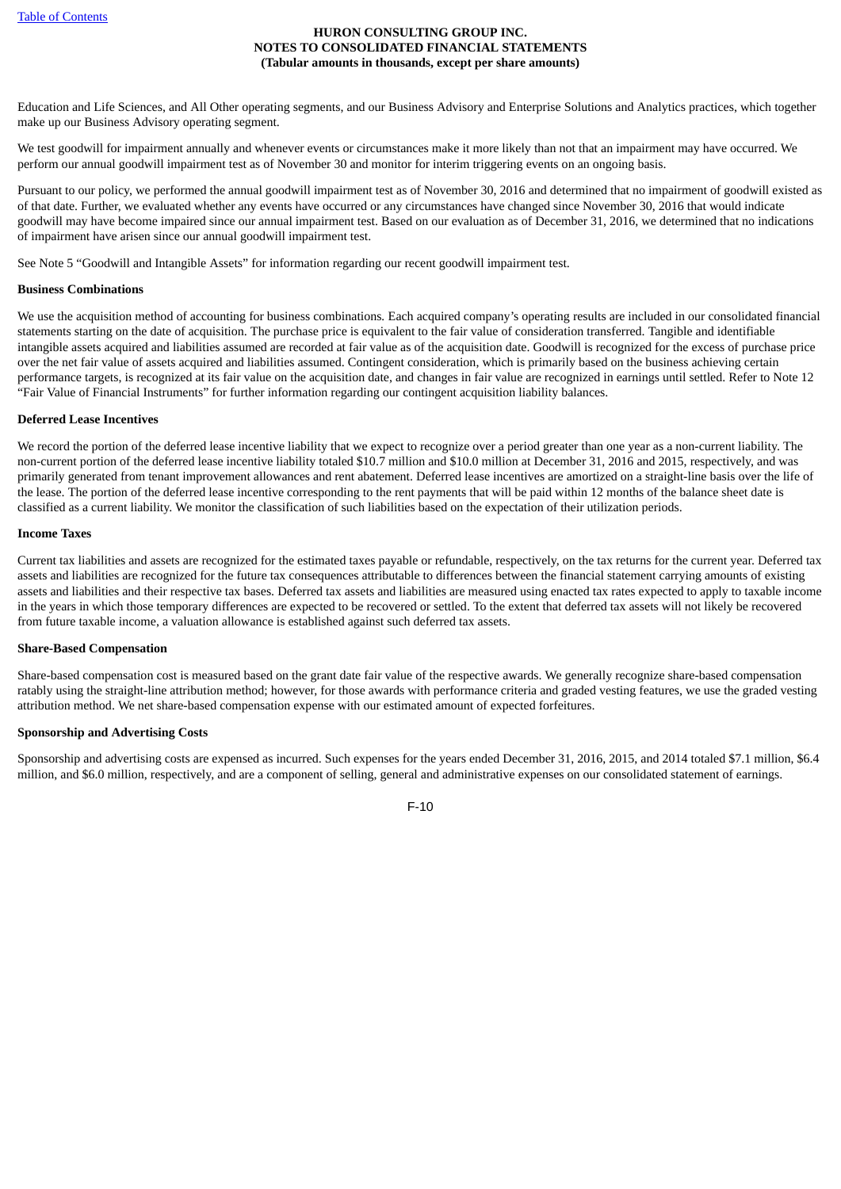Education and Life Sciences, and All Other operating segments, and our Business Advisory and Enterprise Solutions and Analytics practices, which together make up our Business Advisory operating segment.

We test goodwill for impairment annually and whenever events or circumstances make it more likely than not that an impairment may have occurred. We perform our annual goodwill impairment test as of November 30 and monitor for interim triggering events on an ongoing basis.

Pursuant to our policy, we performed the annual goodwill impairment test as of November 30, 2016 and determined that no impairment of goodwill existed as of that date. Further, we evaluated whether any events have occurred or any circumstances have changed since November 30, 2016 that would indicate goodwill may have become impaired since our annual impairment test. Based on our evaluation as of December 31, 2016, we determined that no indications of impairment have arisen since our annual goodwill impairment test.

See Note 5 "Goodwill and Intangible Assets" for information regarding our recent goodwill impairment test.

## **Business Combinations**

We use the acquisition method of accounting for business combinations*.* Each acquired company's operating results are included in our consolidated financial statements starting on the date of acquisition. The purchase price is equivalent to the fair value of consideration transferred. Tangible and identifiable intangible assets acquired and liabilities assumed are recorded at fair value as of the acquisition date. Goodwill is recognized for the excess of purchase price over the net fair value of assets acquired and liabilities assumed. Contingent consideration, which is primarily based on the business achieving certain performance targets, is recognized at its fair value on the acquisition date, and changes in fair value are recognized in earnings until settled. Refer to Note 12 "Fair Value of Financial Instruments" for further information regarding our contingent acquisition liability balances.

# **Deferred Lease Incentives**

We record the portion of the deferred lease incentive liability that we expect to recognize over a period greater than one year as a non-current liability. The non-current portion of the deferred lease incentive liability totaled \$10.7 million and \$10.0 million at December 31, 2016 and 2015, respectively, and was primarily generated from tenant improvement allowances and rent abatement. Deferred lease incentives are amortized on a straight-line basis over the life of the lease. The portion of the deferred lease incentive corresponding to the rent payments that will be paid within 12 months of the balance sheet date is classified as a current liability. We monitor the classification of such liabilities based on the expectation of their utilization periods.

#### **Income Taxes**

Current tax liabilities and assets are recognized for the estimated taxes payable or refundable, respectively, on the tax returns for the current year. Deferred tax assets and liabilities are recognized for the future tax consequences attributable to differences between the financial statement carrying amounts of existing assets and liabilities and their respective tax bases. Deferred tax assets and liabilities are measured using enacted tax rates expected to apply to taxable income in the years in which those temporary differences are expected to be recovered or settled. To the extent that deferred tax assets will not likely be recovered from future taxable income, a valuation allowance is established against such deferred tax assets.

#### **Share-Based Compensation**

Share-based compensation cost is measured based on the grant date fair value of the respective awards. We generally recognize share-based compensation ratably using the straight-line attribution method; however, for those awards with performance criteria and graded vesting features, we use the graded vesting attribution method. We net share-based compensation expense with our estimated amount of expected forfeitures.

# **Sponsorship and Advertising Costs**

Sponsorship and advertising costs are expensed as incurred. Such expenses for the years ended December 31, 2016, 2015, and 2014 totaled \$7.1 million, \$6.4 million, and \$6.0 million, respectively, and are a component of selling, general and administrative expenses on our consolidated statement of earnings.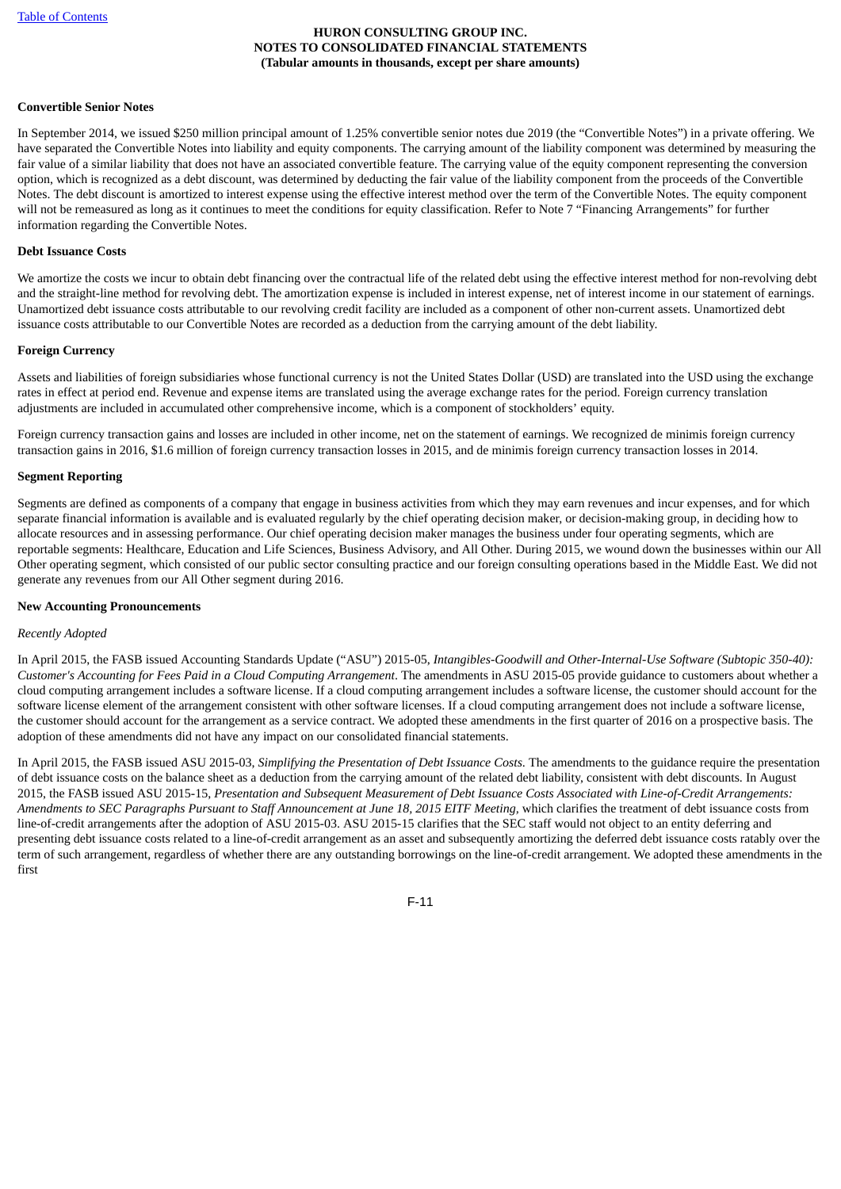# **Convertible Senior Notes**

In September 2014, we issued \$250 million principal amount of 1.25% convertible senior notes due 2019 (the "Convertible Notes") in a private offering. We have separated the Convertible Notes into liability and equity components. The carrying amount of the liability component was determined by measuring the fair value of a similar liability that does not have an associated convertible feature. The carrying value of the equity component representing the conversion option, which is recognized as a debt discount, was determined by deducting the fair value of the liability component from the proceeds of the Convertible Notes. The debt discount is amortized to interest expense using the effective interest method over the term of the Convertible Notes. The equity component will not be remeasured as long as it continues to meet the conditions for equity classification. Refer to Note 7 "Financing Arrangements" for further information regarding the Convertible Notes.

# **Debt Issuance Costs**

We amortize the costs we incur to obtain debt financing over the contractual life of the related debt using the effective interest method for non-revolving debt and the straight-line method for revolving debt. The amortization expense is included in interest expense, net of interest income in our statement of earnings. Unamortized debt issuance costs attributable to our revolving credit facility are included as a component of other non-current assets. Unamortized debt issuance costs attributable to our Convertible Notes are recorded as a deduction from the carrying amount of the debt liability.

#### **Foreign Currency**

Assets and liabilities of foreign subsidiaries whose functional currency is not the United States Dollar (USD) are translated into the USD using the exchange rates in effect at period end. Revenue and expense items are translated using the average exchange rates for the period. Foreign currency translation adjustments are included in accumulated other comprehensive income, which is a component of stockholders' equity.

Foreign currency transaction gains and losses are included in other income, net on the statement of earnings. We recognized de minimis foreign currency transaction gains in 2016, \$1.6 million of foreign currency transaction losses in 2015, and de minimis foreign currency transaction losses in 2014.

# **Segment Reporting**

Segments are defined as components of a company that engage in business activities from which they may earn revenues and incur expenses, and for which separate financial information is available and is evaluated regularly by the chief operating decision maker, or decision-making group, in deciding how to allocate resources and in assessing performance. Our chief operating decision maker manages the business under four operating segments, which are reportable segments: Healthcare, Education and Life Sciences, Business Advisory, and All Other. During 2015, we wound down the businesses within our All Other operating segment, which consisted of our public sector consulting practice and our foreign consulting operations based in the Middle East. We did not generate any revenues from our All Other segment during 2016.

# **New Accounting Pronouncements**

# *Recently Adopted*

In April 2015, the FASB issued Accounting Standards Update ("ASU") 2015-05, *Intangibles-Goodwill and Other-Internal-Use Software (Subtopic 350-40): Customer's Accounting for Fees Paid in a Cloud Computing Arrangement*. The amendments in ASU 2015-05 provide guidance to customers about whether a cloud computing arrangement includes a software license. If a cloud computing arrangement includes a software license, the customer should account for the software license element of the arrangement consistent with other software licenses. If a cloud computing arrangement does not include a software license, the customer should account for the arrangement as a service contract. We adopted these amendments in the first quarter of 2016 on a prospective basis. The adoption of these amendments did not have any impact on our consolidated financial statements.

In April 2015, the FASB issued ASU 2015-03, *Simplifying the Presentation of Debt Issuance Costs*. The amendments to the guidance require the presentation of debt issuance costs on the balance sheet as a deduction from the carrying amount of the related debt liability, consistent with debt discounts. In August 2015, the FASB issued ASU 2015-15, Presentation and Subsequent Measurement of Debt Issuance Costs Associated with Line-of-Credit Arrangements: Amendments to SEC Paragraphs Pursuant to Staff Announcement at June 18, 2015 EITF Meeting, which clarifies the treatment of debt issuance costs from line-of-credit arrangements after the adoption of ASU 2015-03. ASU 2015-15 clarifies that the SEC staff would not object to an entity deferring and presenting debt issuance costs related to a line-of-credit arrangement as an asset and subsequently amortizing the deferred debt issuance costs ratably over the term of such arrangement, regardless of whether there are any outstanding borrowings on the line-of-credit arrangement. We adopted these amendments in the first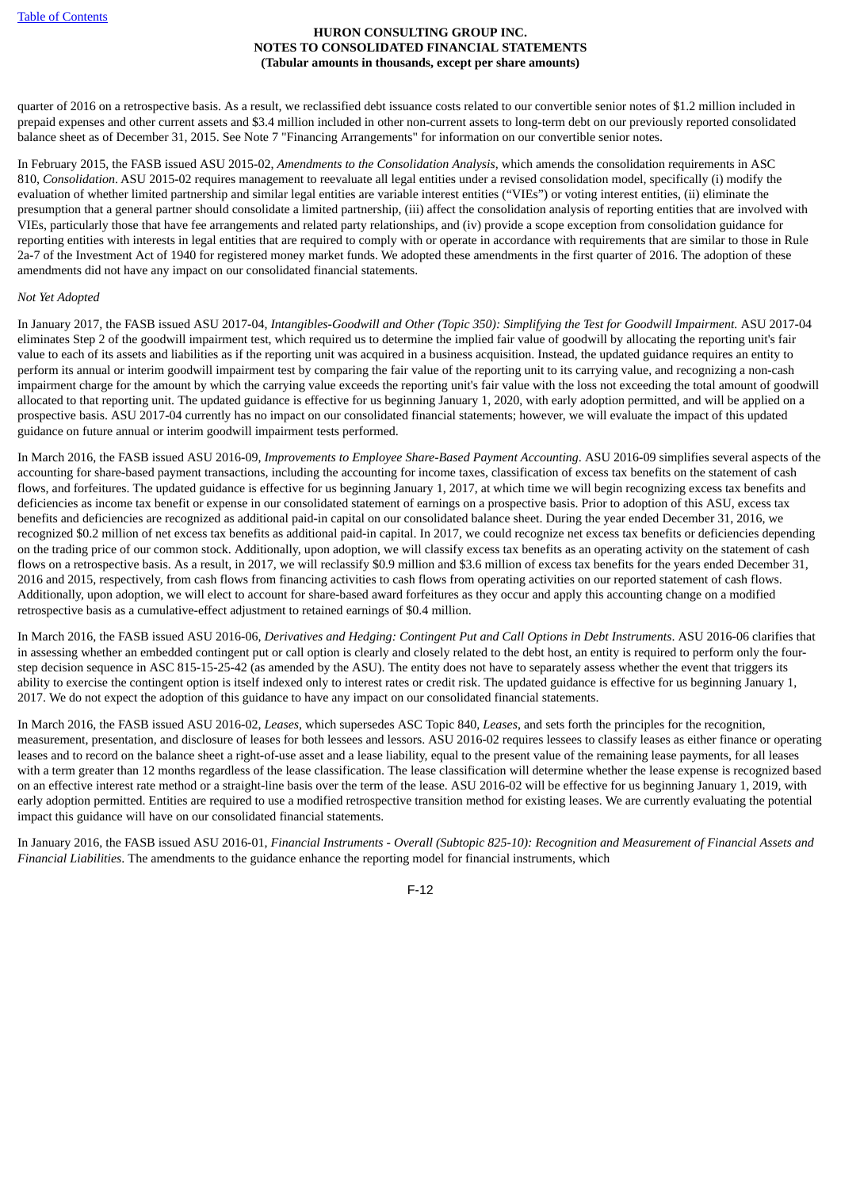quarter of 2016 on a retrospective basis. As a result, we reclassified debt issuance costs related to our convertible senior notes of \$1.2 million included in prepaid expenses and other current assets and \$3.4 million included in other non-current assets to long-term debt on our previously reported consolidated balance sheet as of December 31, 2015. See Note 7 "Financing Arrangements" for information on our convertible senior notes.

In February 2015, the FASB issued ASU 2015-02, *Amendments to the Consolidation Analysis*, which amends the consolidation requirements in ASC 810, *Consolidation*. ASU 2015-02 requires management to reevaluate all legal entities under a revised consolidation model, specifically (i) modify the evaluation of whether limited partnership and similar legal entities are variable interest entities ("VIEs") or voting interest entities, (ii) eliminate the presumption that a general partner should consolidate a limited partnership, (iii) affect the consolidation analysis of reporting entities that are involved with VIEs, particularly those that have fee arrangements and related party relationships, and (iv) provide a scope exception from consolidation guidance for reporting entities with interests in legal entities that are required to comply with or operate in accordance with requirements that are similar to those in Rule 2a-7 of the Investment Act of 1940 for registered money market funds. We adopted these amendments in the first quarter of 2016. The adoption of these amendments did not have any impact on our consolidated financial statements.

## *Not Yet Adopted*

In January 2017, the FASB issued ASU 2017-04, *Intangibles-Goodwill and Other (Topic 350): Simplifying the Test for Goodwill Impairment.* ASU 2017-04 eliminates Step 2 of the goodwill impairment test, which required us to determine the implied fair value of goodwill by allocating the reporting unit's fair value to each of its assets and liabilities as if the reporting unit was acquired in a business acquisition. Instead, the updated guidance requires an entity to perform its annual or interim goodwill impairment test by comparing the fair value of the reporting unit to its carrying value, and recognizing a non-cash impairment charge for the amount by which the carrying value exceeds the reporting unit's fair value with the loss not exceeding the total amount of goodwill allocated to that reporting unit. The updated guidance is effective for us beginning January 1, 2020, with early adoption permitted, and will be applied on a prospective basis. ASU 2017-04 currently has no impact on our consolidated financial statements; however, we will evaluate the impact of this updated guidance on future annual or interim goodwill impairment tests performed.

In March 2016, the FASB issued ASU 2016-09, *Improvements to Employee Share-Based Payment Accounting*. ASU 2016-09 simplifies several aspects of the accounting for share-based payment transactions, including the accounting for income taxes, classification of excess tax benefits on the statement of cash flows, and forfeitures. The updated guidance is effective for us beginning January 1, 2017, at which time we will begin recognizing excess tax benefits and deficiencies as income tax benefit or expense in our consolidated statement of earnings on a prospective basis. Prior to adoption of this ASU, excess tax benefits and deficiencies are recognized as additional paid-in capital on our consolidated balance sheet. During the year ended December 31, 2016, we recognized \$0.2 million of net excess tax benefits as additional paid-in capital. In 2017, we could recognize net excess tax benefits or deficiencies depending on the trading price of our common stock. Additionally, upon adoption, we will classify excess tax benefits as an operating activity on the statement of cash flows on a retrospective basis. As a result, in 2017, we will reclassify \$0.9 million and \$3.6 million of excess tax benefits for the years ended December 31, 2016 and 2015, respectively, from cash flows from financing activities to cash flows from operating activities on our reported statement of cash flows. Additionally, upon adoption, we will elect to account for share-based award forfeitures as they occur and apply this accounting change on a modified retrospective basis as a cumulative-effect adjustment to retained earnings of \$0.4 million.

In March 2016, the FASB issued ASU 2016-06, Derivatives and Hedging: Contingent Put and Call Options in Debt Instruments. ASU 2016-06 clarifies that in assessing whether an embedded contingent put or call option is clearly and closely related to the debt host, an entity is required to perform only the fourstep decision sequence in ASC 815-15-25-42 (as amended by the ASU). The entity does not have to separately assess whether the event that triggers its ability to exercise the contingent option is itself indexed only to interest rates or credit risk. The updated guidance is effective for us beginning January 1, 2017. We do not expect the adoption of this guidance to have any impact on our consolidated financial statements.

In March 2016, the FASB issued ASU 2016-02, *Leases*, which supersedes ASC Topic 840, *Leases*, and sets forth the principles for the recognition, measurement, presentation, and disclosure of leases for both lessees and lessors. ASU 2016-02 requires lessees to classify leases as either finance or operating leases and to record on the balance sheet a right-of-use asset and a lease liability, equal to the present value of the remaining lease payments, for all leases with a term greater than 12 months regardless of the lease classification. The lease classification will determine whether the lease expense is recognized based on an effective interest rate method or a straight-line basis over the term of the lease. ASU 2016-02 will be effective for us beginning January 1, 2019, with early adoption permitted. Entities are required to use a modified retrospective transition method for existing leases. We are currently evaluating the potential impact this guidance will have on our consolidated financial statements.

In January 2016, the FASB issued ASU 2016-01, Financial Instruments - Overall (Subtopic 825-10): Recognition and Measurement of Financial Assets and *Financial Liabilities*. The amendments to the guidance enhance the reporting model for financial instruments, which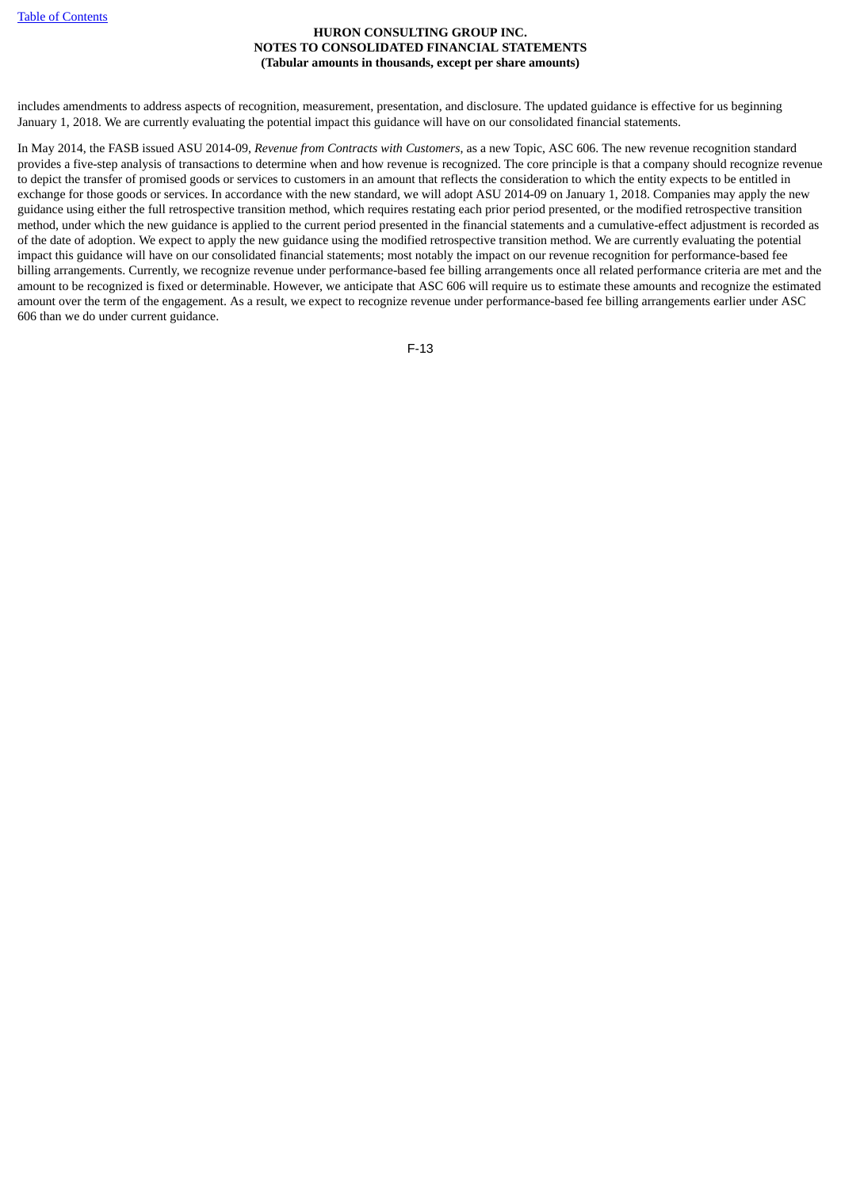includes amendments to address aspects of recognition, measurement, presentation, and disclosure. The updated guidance is effective for us beginning January 1, 2018. We are currently evaluating the potential impact this guidance will have on our consolidated financial statements.

In May 2014, the FASB issued ASU 2014-09, *Revenue from Contracts with Customers*, as a new Topic, ASC 606. The new revenue recognition standard provides a five-step analysis of transactions to determine when and how revenue is recognized. The core principle is that a company should recognize revenue to depict the transfer of promised goods or services to customers in an amount that reflects the consideration to which the entity expects to be entitled in exchange for those goods or services. In accordance with the new standard, we will adopt ASU 2014-09 on January 1, 2018. Companies may apply the new guidance using either the full retrospective transition method, which requires restating each prior period presented, or the modified retrospective transition method, under which the new guidance is applied to the current period presented in the financial statements and a cumulative-effect adjustment is recorded as of the date of adoption. We expect to apply the new guidance using the modified retrospective transition method. We are currently evaluating the potential impact this guidance will have on our consolidated financial statements; most notably the impact on our revenue recognition for performance-based fee billing arrangements. Currently, we recognize revenue under performance-based fee billing arrangements once all related performance criteria are met and the amount to be recognized is fixed or determinable. However, we anticipate that ASC 606 will require us to estimate these amounts and recognize the estimated amount over the term of the engagement. As a result, we expect to recognize revenue under performance-based fee billing arrangements earlier under ASC 606 than we do under current guidance.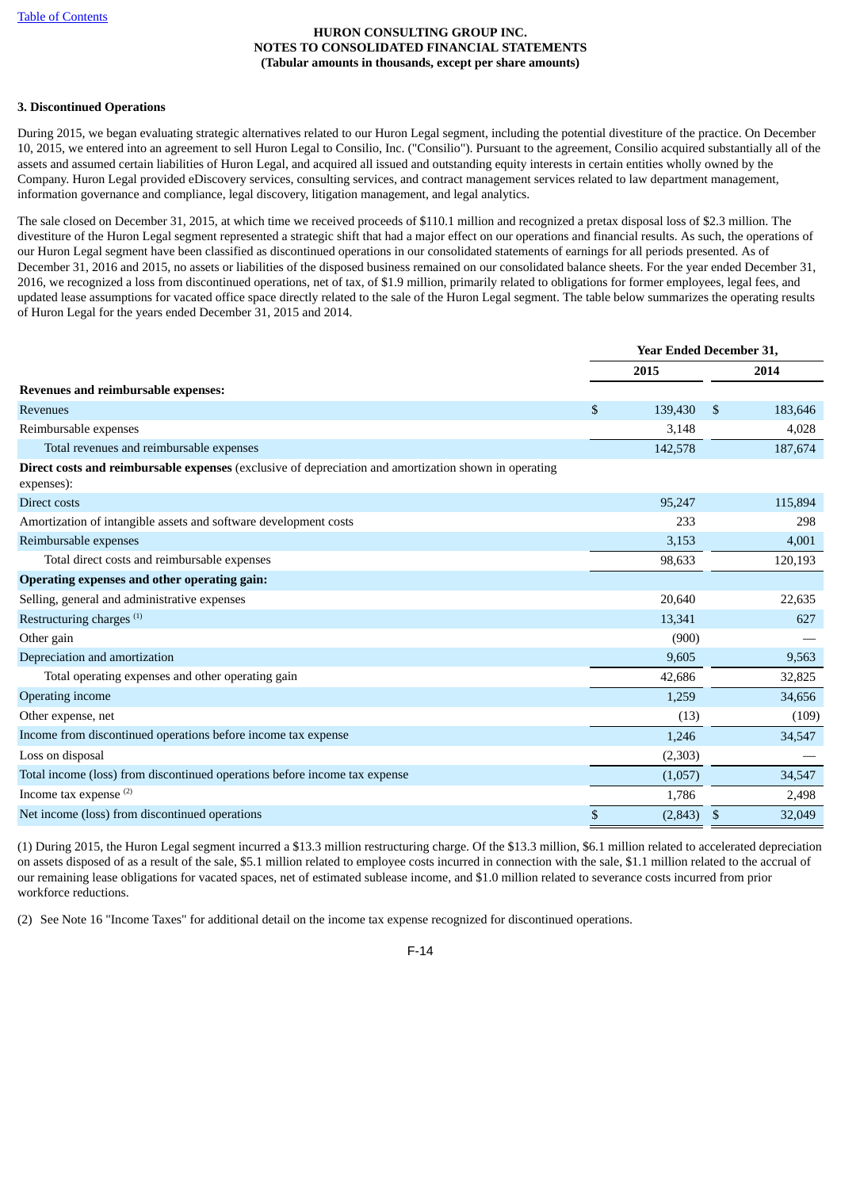# **3. Discontinued Operations**

During 2015, we began evaluating strategic alternatives related to our Huron Legal segment, including the potential divestiture of the practice. On December 10, 2015, we entered into an agreement to sell Huron Legal to Consilio, Inc. ("Consilio"). Pursuant to the agreement, Consilio acquired substantially all of the assets and assumed certain liabilities of Huron Legal, and acquired all issued and outstanding equity interests in certain entities wholly owned by the Company. Huron Legal provided eDiscovery services, consulting services, and contract management services related to law department management, information governance and compliance, legal discovery, litigation management, and legal analytics.

The sale closed on December 31, 2015, at which time we received proceeds of \$110.1 million and recognized a pretax disposal loss of \$2.3 million. The divestiture of the Huron Legal segment represented a strategic shift that had a major effect on our operations and financial results. As such, the operations of our Huron Legal segment have been classified as discontinued operations in our consolidated statements of earnings for all periods presented. As of December 31, 2016 and 2015, no assets or liabilities of the disposed business remained on our consolidated balance sheets. For the year ended December 31, 2016, we recognized a loss from discontinued operations, net of tax, of \$1.9 million, primarily related to obligations for former employees, legal fees, and updated lease assumptions for vacated office space directly related to the sale of the Huron Legal segment. The table below summarizes the operating results of Huron Legal for the years ended December 31, 2015 and 2014.

|                                                                                                                     | <b>Year Ended December 31,</b> |         |    |         |
|---------------------------------------------------------------------------------------------------------------------|--------------------------------|---------|----|---------|
|                                                                                                                     |                                | 2015    |    | 2014    |
| Revenues and reimbursable expenses:                                                                                 |                                |         |    |         |
| <b>Revenues</b>                                                                                                     | \$                             | 139,430 | \$ | 183,646 |
| Reimbursable expenses                                                                                               |                                | 3,148   |    | 4,028   |
| Total revenues and reimbursable expenses                                                                            |                                | 142,578 |    | 187,674 |
| Direct costs and reimbursable expenses (exclusive of depreciation and amortization shown in operating<br>expenses): |                                |         |    |         |
| Direct costs                                                                                                        |                                | 95,247  |    | 115,894 |
| Amortization of intangible assets and software development costs                                                    |                                | 233     |    | 298     |
| Reimbursable expenses                                                                                               |                                | 3,153   |    | 4,001   |
| Total direct costs and reimbursable expenses                                                                        |                                | 98,633  |    | 120,193 |
| Operating expenses and other operating gain:                                                                        |                                |         |    |         |
| Selling, general and administrative expenses                                                                        |                                | 20,640  |    | 22,635  |
| Restructuring charges <sup>(1)</sup>                                                                                |                                | 13,341  |    | 627     |
| Other gain                                                                                                          |                                | (900)   |    |         |
| Depreciation and amortization                                                                                       |                                | 9,605   |    | 9,563   |
| Total operating expenses and other operating gain                                                                   |                                | 42,686  |    | 32,825  |
| Operating income                                                                                                    |                                | 1,259   |    | 34,656  |
| Other expense, net                                                                                                  |                                | (13)    |    | (109)   |
| Income from discontinued operations before income tax expense                                                       |                                | 1,246   |    | 34,547  |
| Loss on disposal                                                                                                    |                                | (2,303) |    |         |
| Total income (loss) from discontinued operations before income tax expense                                          |                                | (1,057) |    | 34,547  |
| Income tax expense <sup>(2)</sup>                                                                                   |                                | 1,786   |    | 2,498   |
| Net income (loss) from discontinued operations                                                                      | \$                             | (2,843) | \$ | 32,049  |
|                                                                                                                     |                                |         |    |         |

(1) During 2015, the Huron Legal segment incurred a \$13.3 million restructuring charge. Of the \$13.3 million, \$6.1 million related to accelerated depreciation on assets disposed of as a result of the sale, \$5.1 million related to employee costs incurred in connection with the sale, \$1.1 million related to the accrual of our remaining lease obligations for vacated spaces, net of estimated sublease income, and \$1.0 million related to severance costs incurred from prior workforce reductions.

(2) See Note 16 "Income Taxes" for additional detail on the income tax expense recognized for discontinued operations.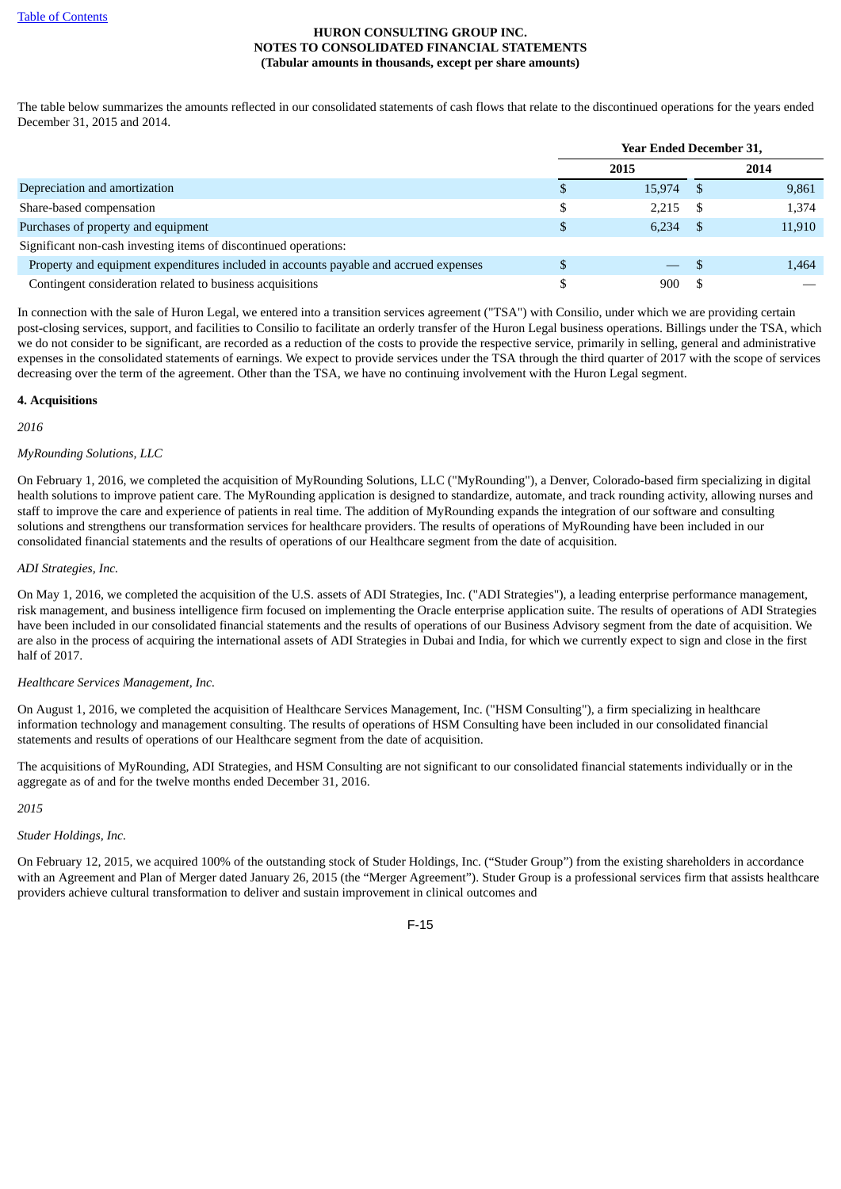The table below summarizes the amounts reflected in our consolidated statements of cash flows that relate to the discontinued operations for the years ended December 31, 2015 and 2014.

|                                                                                       | <b>Year Ended December 31,</b> |                          |  |        |  |
|---------------------------------------------------------------------------------------|--------------------------------|--------------------------|--|--------|--|
|                                                                                       |                                | 2015                     |  | 2014   |  |
| Depreciation and amortization                                                         |                                | 15,974                   |  | 9,861  |  |
| Share-based compensation                                                              |                                | 2,215                    |  | 1,374  |  |
| Purchases of property and equipment                                                   | S                              | 6.234                    |  | 11,910 |  |
| Significant non-cash investing items of discontinued operations:                      |                                |                          |  |        |  |
| Property and equipment expenditures included in accounts payable and accrued expenses |                                | $\overline{\phantom{0}}$ |  | 1,464  |  |
| Contingent consideration related to business acquisitions                             |                                | 900                      |  |        |  |

In connection with the sale of Huron Legal, we entered into a transition services agreement ("TSA") with Consilio, under which we are providing certain post-closing services, support, and facilities to Consilio to facilitate an orderly transfer of the Huron Legal business operations. Billings under the TSA, which we do not consider to be significant, are recorded as a reduction of the costs to provide the respective service, primarily in selling, general and administrative expenses in the consolidated statements of earnings. We expect to provide services under the TSA through the third quarter of 2017 with the scope of services decreasing over the term of the agreement. Other than the TSA, we have no continuing involvement with the Huron Legal segment.

#### **4. Acquisitions**

*2016*

# *MyRounding Solutions, LLC*

On February 1, 2016, we completed the acquisition of MyRounding Solutions, LLC ("MyRounding"), a Denver, Colorado-based firm specializing in digital health solutions to improve patient care. The MyRounding application is designed to standardize, automate, and track rounding activity, allowing nurses and staff to improve the care and experience of patients in real time. The addition of MyRounding expands the integration of our software and consulting solutions and strengthens our transformation services for healthcare providers. The results of operations of MyRounding have been included in our consolidated financial statements and the results of operations of our Healthcare segment from the date of acquisition.

#### *ADI Strategies, Inc.*

On May 1, 2016, we completed the acquisition of the U.S. assets of ADI Strategies, Inc. ("ADI Strategies"), a leading enterprise performance management, risk management, and business intelligence firm focused on implementing the Oracle enterprise application suite. The results of operations of ADI Strategies have been included in our consolidated financial statements and the results of operations of our Business Advisory segment from the date of acquisition. We are also in the process of acquiring the international assets of ADI Strategies in Dubai and India, for which we currently expect to sign and close in the first half of 2017.

# *Healthcare Services Management, Inc.*

On August 1, 2016, we completed the acquisition of Healthcare Services Management, Inc. ("HSM Consulting"), a firm specializing in healthcare information technology and management consulting. The results of operations of HSM Consulting have been included in our consolidated financial statements and results of operations of our Healthcare segment from the date of acquisition.

The acquisitions of MyRounding, ADI Strategies, and HSM Consulting are not significant to our consolidated financial statements individually or in the aggregate as of and for the twelve months ended December 31, 2016.

#### *2015*

#### *Studer Holdings, Inc.*

On February 12, 2015, we acquired 100% of the outstanding stock of Studer Holdings, Inc. ("Studer Group") from the existing shareholders in accordance with an Agreement and Plan of Merger dated January 26, 2015 (the "Merger Agreement"). Studer Group is a professional services firm that assists healthcare providers achieve cultural transformation to deliver and sustain improvement in clinical outcomes and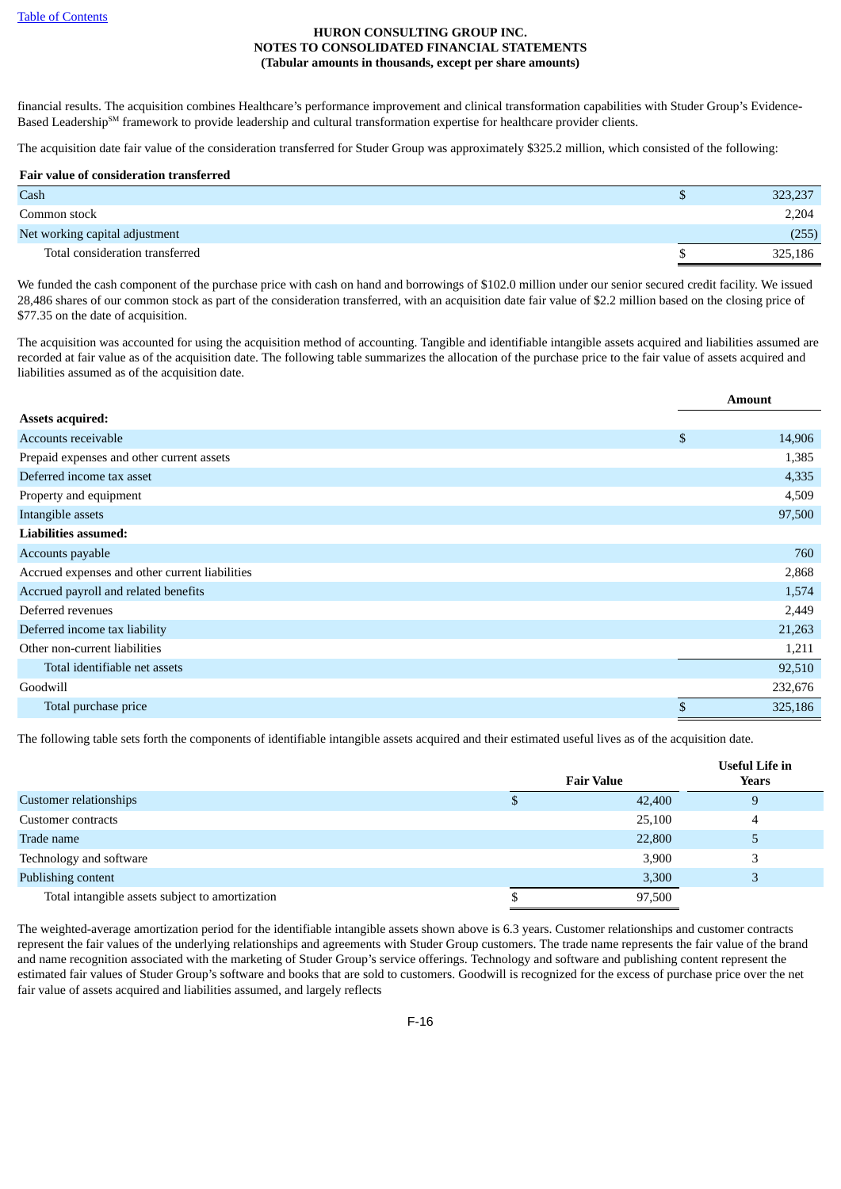financial results. The acquisition combines Healthcare's performance improvement and clinical transformation capabilities with Studer Group's Evidence-Based Leadership<sup>sM</sup> framework to provide leadership and cultural transformation expertise for healthcare provider clients.

The acquisition date fair value of the consideration transferred for Studer Group was approximately \$325.2 million, which consisted of the following:

# **Fair value of consideration transferred**

| Cash                            | 323,237 |
|---------------------------------|---------|
| Common stock                    | 2,204   |
| Net working capital adjustment  | (255)   |
| Total consideration transferred | 325,186 |

We funded the cash component of the purchase price with cash on hand and borrowings of \$102.0 million under our senior secured credit facility. We issued 28,486 shares of our common stock as part of the consideration transferred, with an acquisition date fair value of \$2.2 million based on the closing price of \$77.35 on the date of acquisition.

The acquisition was accounted for using the acquisition method of accounting. Tangible and identifiable intangible assets acquired and liabilities assumed are recorded at fair value as of the acquisition date. The following table summarizes the allocation of the purchase price to the fair value of assets acquired and liabilities assumed as of the acquisition date.

|                                                | <b>Amount</b>  |         |
|------------------------------------------------|----------------|---------|
| <b>Assets acquired:</b>                        |                |         |
| Accounts receivable                            | \$             | 14,906  |
| Prepaid expenses and other current assets      |                | 1,385   |
| Deferred income tax asset                      |                | 4,335   |
| Property and equipment                         |                | 4,509   |
| Intangible assets                              |                | 97,500  |
| <b>Liabilities assumed:</b>                    |                |         |
| Accounts payable                               |                | 760     |
| Accrued expenses and other current liabilities |                | 2,868   |
| Accrued payroll and related benefits           |                | 1,574   |
| Deferred revenues                              |                | 2,449   |
| Deferred income tax liability                  |                | 21,263  |
| Other non-current liabilities                  |                | 1,211   |
| Total identifiable net assets                  |                | 92,510  |
| Goodwill                                       |                | 232,676 |
| Total purchase price                           | $\mathfrak{s}$ | 325,186 |

The following table sets forth the components of identifiable intangible assets acquired and their estimated useful lives as of the acquisition date.

|                                                 | <b>Fair Value</b> | <b>Useful Life in</b><br><b>Years</b> |
|-------------------------------------------------|-------------------|---------------------------------------|
| Customer relationships                          | 42,400            | 9                                     |
| Customer contracts                              | 25,100            | 4                                     |
| Trade name                                      | 22,800            | 5                                     |
| Technology and software                         | 3,900             | З                                     |
| Publishing content                              | 3,300             | 3                                     |
| Total intangible assets subject to amortization | 97,500            |                                       |

The weighted-average amortization period for the identifiable intangible assets shown above is 6.3 years. Customer relationships and customer contracts represent the fair values of the underlying relationships and agreements with Studer Group customers. The trade name represents the fair value of the brand and name recognition associated with the marketing of Studer Group's service offerings. Technology and software and publishing content represent the estimated fair values of Studer Group's software and books that are sold to customers. Goodwill is recognized for the excess of purchase price over the net fair value of assets acquired and liabilities assumed, and largely reflects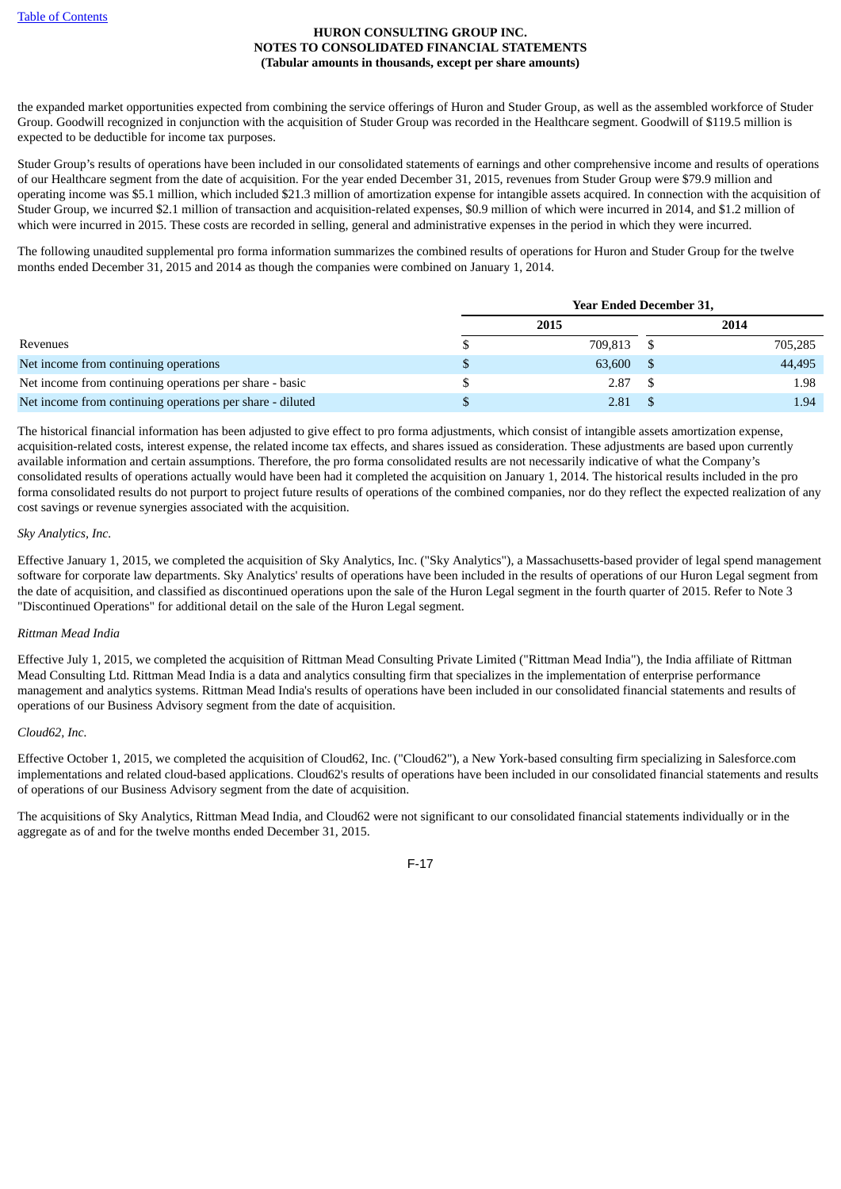the expanded market opportunities expected from combining the service offerings of Huron and Studer Group, as well as the assembled workforce of Studer Group. Goodwill recognized in conjunction with the acquisition of Studer Group was recorded in the Healthcare segment. Goodwill of \$119.5 million is expected to be deductible for income tax purposes.

Studer Group's results of operations have been included in our consolidated statements of earnings and other comprehensive income and results of operations of our Healthcare segment from the date of acquisition. For the year ended December 31, 2015, revenues from Studer Group were \$79.9 million and operating income was \$5.1 million, which included \$21.3 million of amortization expense for intangible assets acquired. In connection with the acquisition of Studer Group, we incurred \$2.1 million of transaction and acquisition-related expenses, \$0.9 million of which were incurred in 2014, and \$1.2 million of which were incurred in 2015. These costs are recorded in selling, general and administrative expenses in the period in which they were incurred.

The following unaudited supplemental pro forma information summarizes the combined results of operations for Huron and Studer Group for the twelve months ended December 31, 2015 and 2014 as though the companies were combined on January 1, 2014.

|                                                           |  | <b>Year Ended December 31,</b> |      |         |  |
|-----------------------------------------------------------|--|--------------------------------|------|---------|--|
|                                                           |  |                                | 2014 |         |  |
| Revenues                                                  |  | 709,813                        |      | 705,285 |  |
| Net income from continuing operations                     |  | 63,600                         |      | 44.495  |  |
| Net income from continuing operations per share - basic   |  | 2.87                           |      | 1.98    |  |
| Net income from continuing operations per share - diluted |  | 2.81                           |      | 1.94    |  |

The historical financial information has been adjusted to give effect to pro forma adjustments, which consist of intangible assets amortization expense, acquisition-related costs, interest expense, the related income tax effects, and shares issued as consideration. These adjustments are based upon currently available information and certain assumptions. Therefore, the pro forma consolidated results are not necessarily indicative of what the Company's consolidated results of operations actually would have been had it completed the acquisition on January 1, 2014. The historical results included in the pro forma consolidated results do not purport to project future results of operations of the combined companies, nor do they reflect the expected realization of any cost savings or revenue synergies associated with the acquisition.

# *Sky Analytics, Inc.*

Effective January 1, 2015, we completed the acquisition of Sky Analytics, Inc. ("Sky Analytics"), a Massachusetts-based provider of legal spend management software for corporate law departments. Sky Analytics' results of operations have been included in the results of operations of our Huron Legal segment from the date of acquisition, and classified as discontinued operations upon the sale of the Huron Legal segment in the fourth quarter of 2015. Refer to Note 3 "Discontinued Operations" for additional detail on the sale of the Huron Legal segment.

# *Rittman Mead India*

Effective July 1, 2015, we completed the acquisition of Rittman Mead Consulting Private Limited ("Rittman Mead India"), the India affiliate of Rittman Mead Consulting Ltd. Rittman Mead India is a data and analytics consulting firm that specializes in the implementation of enterprise performance management and analytics systems. Rittman Mead India's results of operations have been included in our consolidated financial statements and results of operations of our Business Advisory segment from the date of acquisition.

# *Cloud62, Inc.*

Effective October 1, 2015, we completed the acquisition of Cloud62, Inc. ("Cloud62"), a New York-based consulting firm specializing in Salesforce.com implementations and related cloud-based applications. Cloud62's results of operations have been included in our consolidated financial statements and results of operations of our Business Advisory segment from the date of acquisition.

The acquisitions of Sky Analytics, Rittman Mead India, and Cloud62 were not significant to our consolidated financial statements individually or in the aggregate as of and for the twelve months ended December 31, 2015.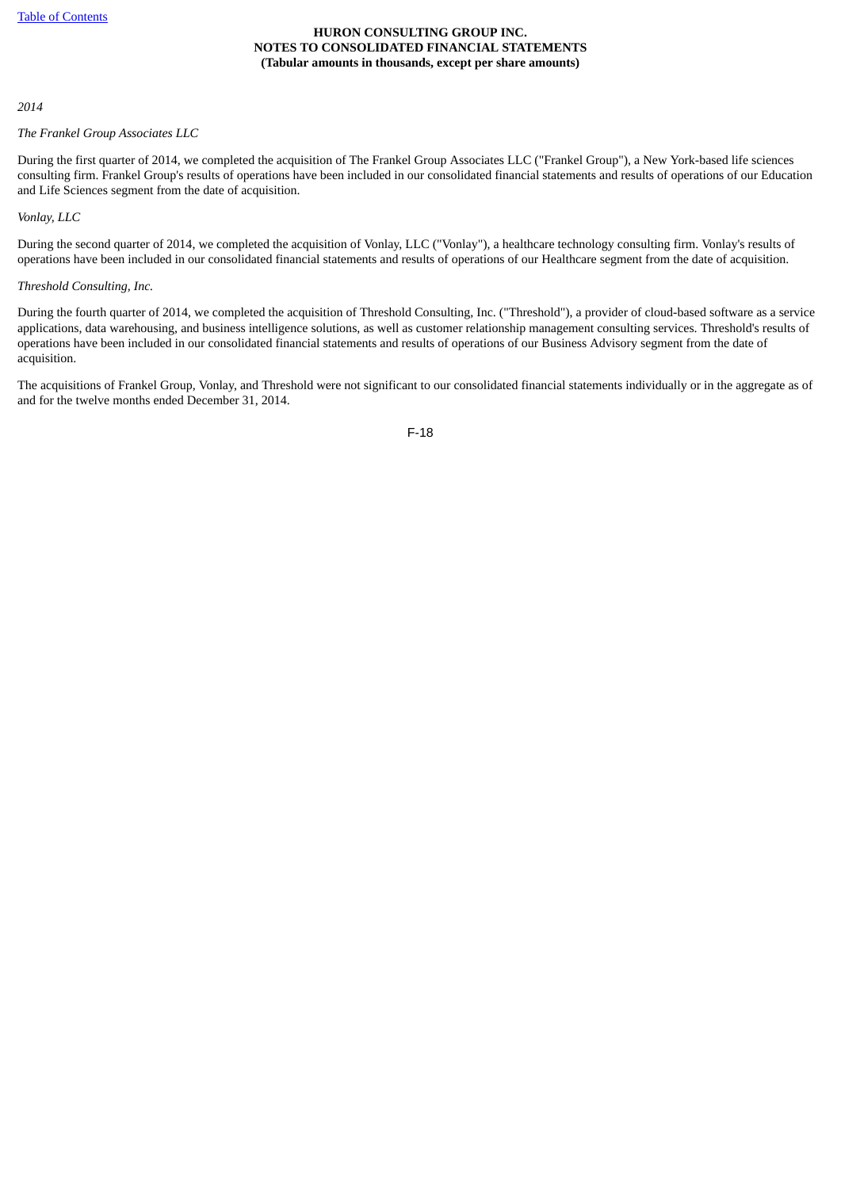# *2014*

#### *The Frankel Group Associates LLC*

During the first quarter of 2014, we completed the acquisition of The Frankel Group Associates LLC ("Frankel Group"), a New York-based life sciences consulting firm. Frankel Group's results of operations have been included in our consolidated financial statements and results of operations of our Education and Life Sciences segment from the date of acquisition.

*Vonlay, LLC*

During the second quarter of 2014, we completed the acquisition of Vonlay, LLC ("Vonlay"), a healthcare technology consulting firm. Vonlay's results of operations have been included in our consolidated financial statements and results of operations of our Healthcare segment from the date of acquisition.

## *Threshold Consulting, Inc.*

During the fourth quarter of 2014, we completed the acquisition of Threshold Consulting, Inc. ("Threshold"), a provider of cloud-based software as a service applications, data warehousing, and business intelligence solutions, as well as customer relationship management consulting services. Threshold's results of operations have been included in our consolidated financial statements and results of operations of our Business Advisory segment from the date of acquisition.

The acquisitions of Frankel Group, Vonlay, and Threshold were not significant to our consolidated financial statements individually or in the aggregate as of and for the twelve months ended December 31, 2014.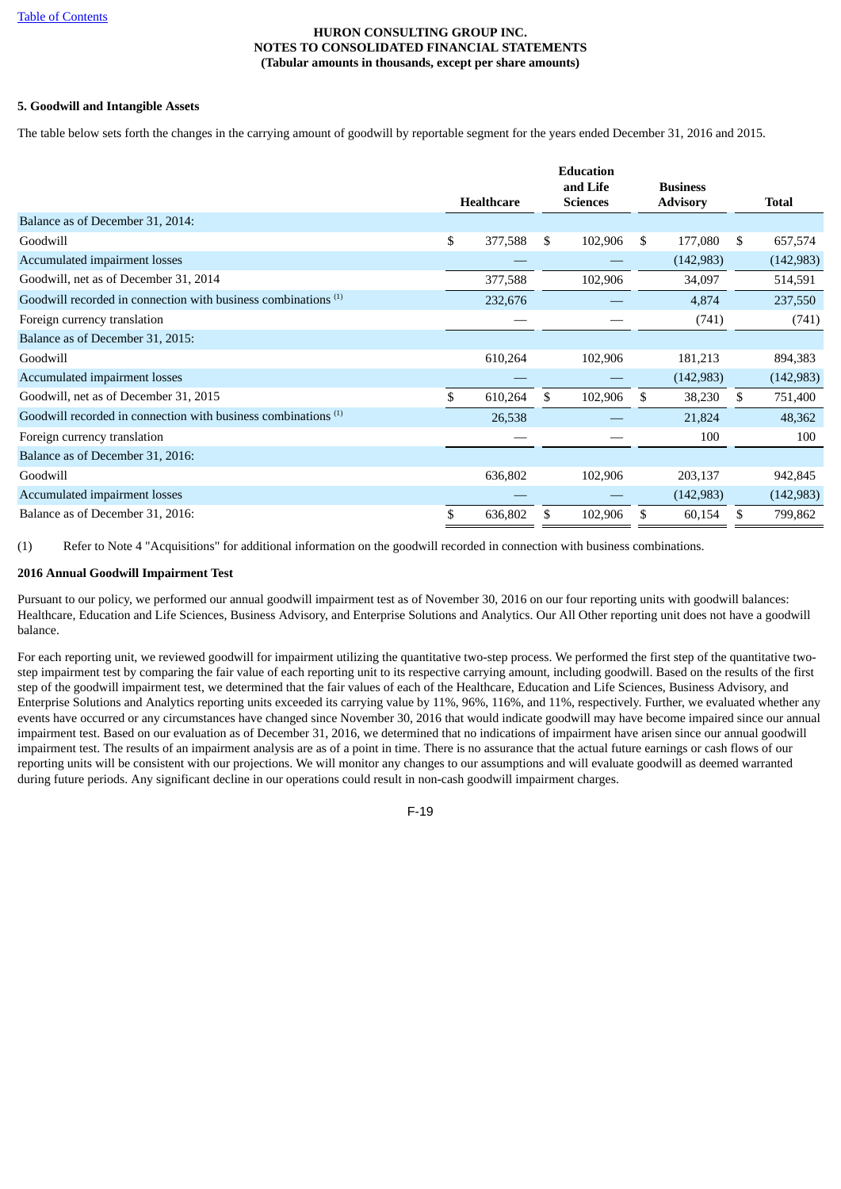## **5. Goodwill and Intangible Assets**

The table below sets forth the changes in the carrying amount of goodwill by reportable segment for the years ended December 31, 2016 and 2015.

|                                                                           |                   |         |                             | <b>Education</b> |                                    |            |    |              |
|---------------------------------------------------------------------------|-------------------|---------|-----------------------------|------------------|------------------------------------|------------|----|--------------|
|                                                                           | <b>Healthcare</b> |         | and Life<br><b>Sciences</b> |                  | <b>Business</b><br><b>Advisory</b> |            |    | <b>Total</b> |
| Balance as of December 31, 2014:                                          |                   |         |                             |                  |                                    |            |    |              |
| Goodwill                                                                  | \$                | 377,588 | \$                          | 102,906          | \$                                 | 177,080    | \$ | 657,574      |
| Accumulated impairment losses                                             |                   |         |                             |                  |                                    | (142, 983) |    | (142, 983)   |
| Goodwill, net as of December 31, 2014                                     |                   | 377,588 |                             | 102,906          |                                    | 34,097     |    | 514,591      |
| Goodwill recorded in connection with business combinations <sup>(1)</sup> |                   | 232,676 |                             |                  |                                    | 4,874      |    | 237,550      |
| Foreign currency translation                                              |                   |         |                             |                  |                                    | (741)      |    | (741)        |
| Balance as of December 31, 2015:                                          |                   |         |                             |                  |                                    |            |    |              |
| Goodwill                                                                  |                   | 610,264 |                             | 102,906          |                                    | 181,213    |    | 894,383      |
| Accumulated impairment losses                                             |                   |         |                             |                  |                                    | (142, 983) |    | (142, 983)   |
| Goodwill, net as of December 31, 2015                                     | \$                | 610,264 | \$                          | 102,906          | \$                                 | 38,230     | S  | 751,400      |
| Goodwill recorded in connection with business combinations (1)            |                   | 26,538  |                             |                  |                                    | 21,824     |    | 48,362       |
| Foreign currency translation                                              |                   |         |                             |                  |                                    | 100        |    | 100          |
| Balance as of December 31, 2016:                                          |                   |         |                             |                  |                                    |            |    |              |
| Goodwill                                                                  |                   | 636,802 |                             | 102,906          |                                    | 203,137    |    | 942,845      |
| Accumulated impairment losses                                             |                   |         |                             |                  |                                    | (142, 983) |    | (142, 983)   |
| Balance as of December 31, 2016:                                          | \$                | 636,802 | \$                          | 102,906          | \$                                 | 60,154     | S  | 799,862      |

(1) Refer to Note 4 "Acquisitions" for additional information on the goodwill recorded in connection with business combinations.

### **2016 Annual Goodwill Impairment Test**

Pursuant to our policy, we performed our annual goodwill impairment test as of November 30, 2016 on our four reporting units with goodwill balances: Healthcare, Education and Life Sciences, Business Advisory, and Enterprise Solutions and Analytics. Our All Other reporting unit does not have a goodwill balance.

For each reporting unit, we reviewed goodwill for impairment utilizing the quantitative two-step process. We performed the first step of the quantitative twostep impairment test by comparing the fair value of each reporting unit to its respective carrying amount, including goodwill. Based on the results of the first step of the goodwill impairment test, we determined that the fair values of each of the Healthcare, Education and Life Sciences, Business Advisory, and Enterprise Solutions and Analytics reporting units exceeded its carrying value by 11%, 96%, 116%, and 11%, respectively. Further, we evaluated whether any events have occurred or any circumstances have changed since November 30, 2016 that would indicate goodwill may have become impaired since our annual impairment test. Based on our evaluation as of December 31, 2016, we determined that no indications of impairment have arisen since our annual goodwill impairment test. The results of an impairment analysis are as of a point in time. There is no assurance that the actual future earnings or cash flows of our reporting units will be consistent with our projections. We will monitor any changes to our assumptions and will evaluate goodwill as deemed warranted during future periods. Any significant decline in our operations could result in non-cash goodwill impairment charges.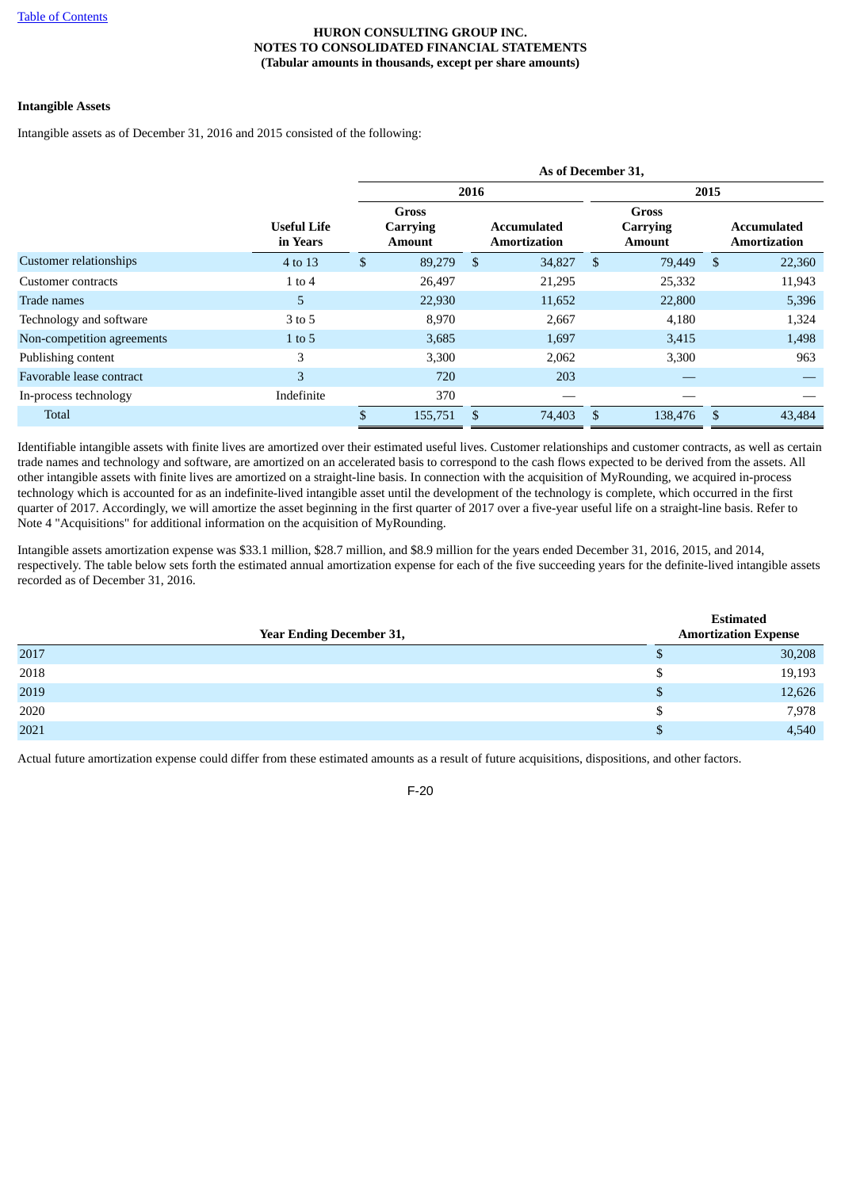## **Intangible Assets**

Intangible assets as of December 31, 2016 and 2015 consisted of the following:

|                            |                                | As of December 31, |                                    |      |                                    |      |                             |      |                                    |  |  |
|----------------------------|--------------------------------|--------------------|------------------------------------|------|------------------------------------|------|-----------------------------|------|------------------------------------|--|--|
|                            |                                | 2016               |                                    |      |                                    |      | 2015                        |      |                                    |  |  |
|                            | <b>Useful Life</b><br>in Years |                    | Gross<br>Carrying<br><b>Amount</b> |      | Accumulated<br><b>Amortization</b> |      | Gross<br>Carrying<br>Amount |      | Accumulated<br><b>Amortization</b> |  |  |
| Customer relationships     | 4 to 13                        | \$                 | 89,279                             | - \$ | 34,827                             | - \$ | 79,449                      | - \$ | 22,360                             |  |  |
| Customer contracts         | $1$ to $4$                     |                    | 26,497                             |      | 21,295                             |      | 25,332                      |      | 11,943                             |  |  |
| Trade names                | 5                              |                    | 22,930                             |      | 11,652                             |      | 22,800                      |      | 5,396                              |  |  |
| Technology and software    | 3 to 5                         |                    | 8,970                              |      | 2,667                              |      | 4,180                       |      | 1,324                              |  |  |
| Non-competition agreements | $1$ to 5                       |                    | 3,685                              |      | 1,697                              |      | 3,415                       |      | 1,498                              |  |  |
| Publishing content         | 3                              |                    | 3,300                              |      | 2,062                              |      | 3,300                       |      | 963                                |  |  |
| Favorable lease contract   | 3                              |                    | 720                                |      | 203                                |      |                             |      |                                    |  |  |
| In-process technology      | Indefinite                     |                    | 370                                |      |                                    |      |                             |      |                                    |  |  |
| Total                      |                                |                    | 155,751                            | -S   | 74,403                             | -S   | 138,476                     | - \$ | 43,484                             |  |  |

Identifiable intangible assets with finite lives are amortized over their estimated useful lives. Customer relationships and customer contracts, as well as certain trade names and technology and software, are amortized on an accelerated basis to correspond to the cash flows expected to be derived from the assets. All other intangible assets with finite lives are amortized on a straight-line basis. In connection with the acquisition of MyRounding, we acquired in-process technology which is accounted for as an indefinite-lived intangible asset until the development of the technology is complete, which occurred in the first quarter of 2017. Accordingly, we will amortize the asset beginning in the first quarter of 2017 over a five-year useful life on a straight-line basis. Refer to Note 4 "Acquisitions" for additional information on the acquisition of MyRounding.

Intangible assets amortization expense was \$33.1 million, \$28.7 million, and \$8.9 million for the years ended December 31, 2016, 2015, and 2014, respectively. The table below sets forth the estimated annual amortization expense for each of the five succeeding years for the definite-lived intangible assets recorded as of December 31, 2016.

|      |                                 |               | <b>Estimated</b>            |  |  |
|------|---------------------------------|---------------|-----------------------------|--|--|
|      | <b>Year Ending December 31,</b> |               | <b>Amortization Expense</b> |  |  |
| 2017 |                                 | Φ             | 30,208                      |  |  |
| 2018 |                                 | \$            | 19,193                      |  |  |
| 2019 |                                 | <sup>\$</sup> | 12,626                      |  |  |
| 2020 |                                 |               | 7,978                       |  |  |
| 2021 |                                 | S             | 4,540                       |  |  |

Actual future amortization expense could differ from these estimated amounts as a result of future acquisitions, dispositions, and other factors.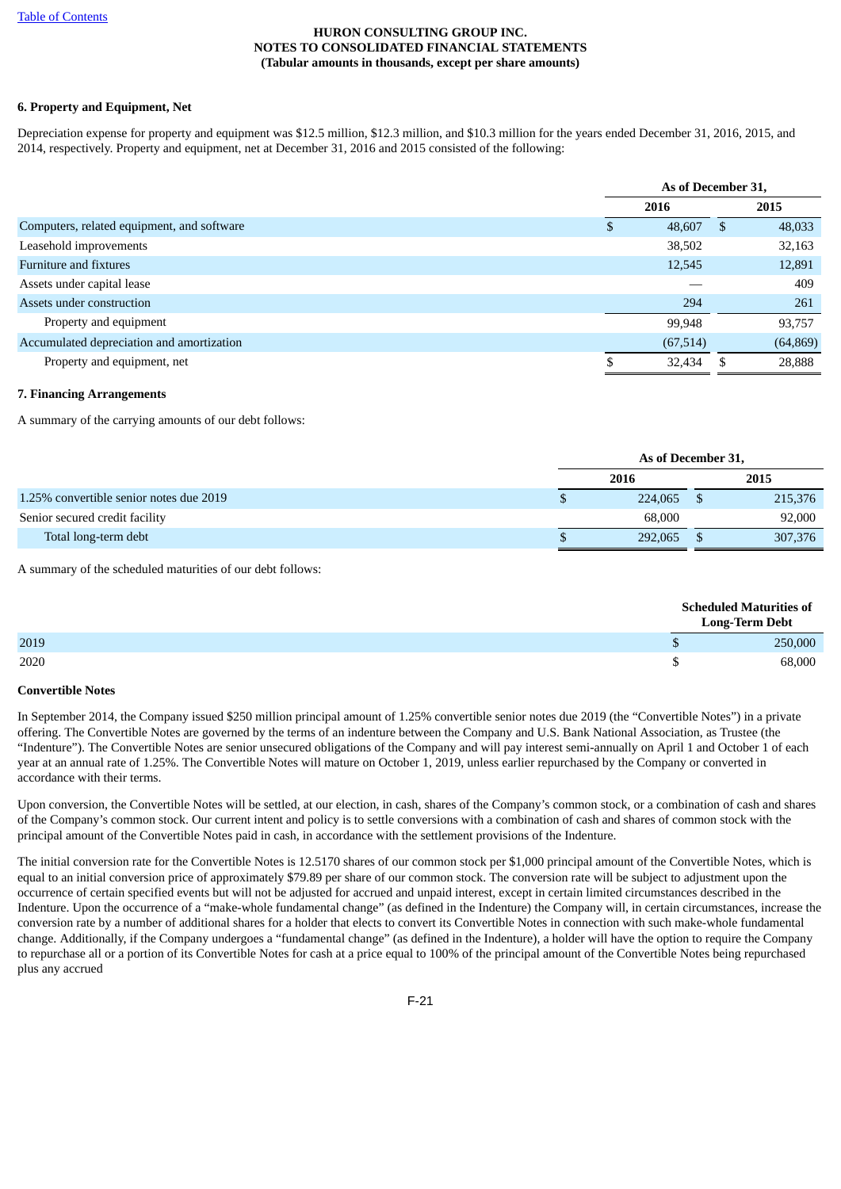## **6. Property and Equipment, Net**

Depreciation expense for property and equipment was \$12.5 million, \$12.3 million, and \$10.3 million for the years ended December 31, 2016, 2015, and 2014, respectively. Property and equipment, net at December 31, 2016 and 2015 consisted of the following:

|                                            | As of December 31, |           |      |           |
|--------------------------------------------|--------------------|-----------|------|-----------|
|                                            |                    | 2016      |      | 2015      |
| Computers, related equipment, and software | S                  | 48,607    | - \$ | 48,033    |
| Leasehold improvements                     |                    | 38,502    |      | 32,163    |
| Furniture and fixtures                     |                    | 12,545    |      | 12,891    |
| Assets under capital lease                 |                    |           |      | 409       |
| Assets under construction                  |                    | 294       |      | 261       |
| Property and equipment                     |                    | 99,948    |      | 93,757    |
| Accumulated depreciation and amortization  |                    | (67, 514) |      | (64, 869) |
| Property and equipment, net                |                    | 32,434    | - S  | 28,888    |

# **7. Financing Arrangements**

A summary of the carrying amounts of our debt follows:

|                                         | As of December 31, |         |      |         |  |
|-----------------------------------------|--------------------|---------|------|---------|--|
|                                         |                    | 2016    | 2015 |         |  |
| 1.25% convertible senior notes due 2019 |                    | 224,065 |      | 215,376 |  |
| Senior secured credit facility          |                    | 68,000  |      | 92,000  |  |
| Total long-term debt                    |                    | 292,065 |      | 307,376 |  |

A summary of the scheduled maturities of our debt follows:

|      | <b>Scheduled Maturities of</b><br><b>Long-Term Debt</b> |
|------|---------------------------------------------------------|
| 2019 | 250,000                                                 |
| 2020 | 68,000                                                  |

#### **Convertible Notes**

In September 2014, the Company issued \$250 million principal amount of 1.25% convertible senior notes due 2019 (the "Convertible Notes") in a private offering. The Convertible Notes are governed by the terms of an indenture between the Company and U.S. Bank National Association, as Trustee (the "Indenture"). The Convertible Notes are senior unsecured obligations of the Company and will pay interest semi-annually on April 1 and October 1 of each year at an annual rate of 1.25%. The Convertible Notes will mature on October 1, 2019, unless earlier repurchased by the Company or converted in accordance with their terms.

Upon conversion, the Convertible Notes will be settled, at our election, in cash, shares of the Company's common stock, or a combination of cash and shares of the Company's common stock. Our current intent and policy is to settle conversions with a combination of cash and shares of common stock with the principal amount of the Convertible Notes paid in cash, in accordance with the settlement provisions of the Indenture.

The initial conversion rate for the Convertible Notes is 12.5170 shares of our common stock per \$1,000 principal amount of the Convertible Notes, which is equal to an initial conversion price of approximately \$79.89 per share of our common stock. The conversion rate will be subject to adjustment upon the occurrence of certain specified events but will not be adjusted for accrued and unpaid interest, except in certain limited circumstances described in the Indenture. Upon the occurrence of a "make-whole fundamental change" (as defined in the Indenture) the Company will, in certain circumstances, increase the conversion rate by a number of additional shares for a holder that elects to convert its Convertible Notes in connection with such make-whole fundamental change. Additionally, if the Company undergoes a "fundamental change" (as defined in the Indenture), a holder will have the option to require the Company to repurchase all or a portion of its Convertible Notes for cash at a price equal to 100% of the principal amount of the Convertible Notes being repurchased plus any accrued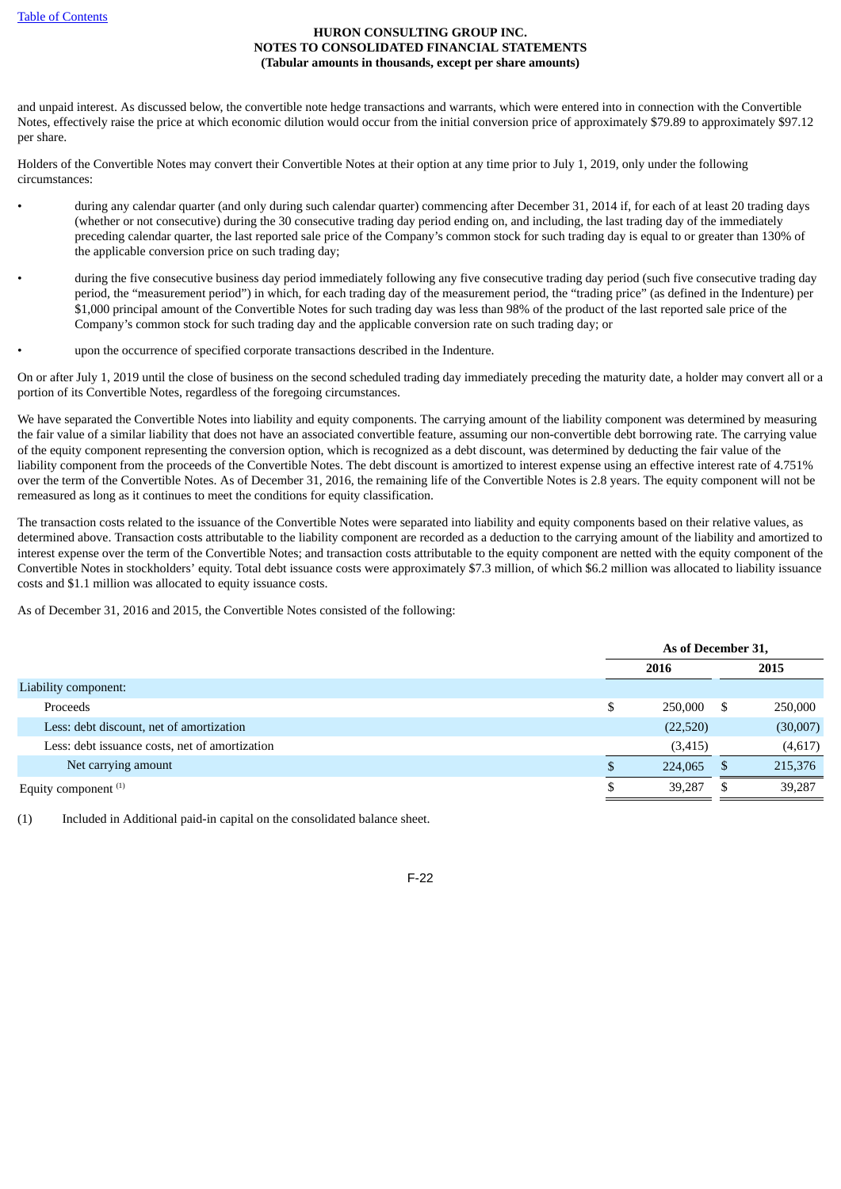and unpaid interest. As discussed below, the convertible note hedge transactions and warrants, which were entered into in connection with the Convertible Notes, effectively raise the price at which economic dilution would occur from the initial conversion price of approximately \$79.89 to approximately \$97.12 per share.

Holders of the Convertible Notes may convert their Convertible Notes at their option at any time prior to July 1, 2019, only under the following circumstances:

- during any calendar quarter (and only during such calendar quarter) commencing after December 31, 2014 if, for each of at least 20 trading days (whether or not consecutive) during the 30 consecutive trading day period ending on, and including, the last trading day of the immediately preceding calendar quarter, the last reported sale price of the Company's common stock for such trading day is equal to or greater than 130% of the applicable conversion price on such trading day;
	- during the five consecutive business day period immediately following any five consecutive trading day period (such five consecutive trading day period, the "measurement period") in which, for each trading day of the measurement period, the "trading price" (as defined in the Indenture) per \$1,000 principal amount of the Convertible Notes for such trading day was less than 98% of the product of the last reported sale price of the Company's common stock for such trading day and the applicable conversion rate on such trading day; or
		- upon the occurrence of specified corporate transactions described in the Indenture.

On or after July 1, 2019 until the close of business on the second scheduled trading day immediately preceding the maturity date, a holder may convert all or a portion of its Convertible Notes, regardless of the foregoing circumstances.

We have separated the Convertible Notes into liability and equity components. The carrying amount of the liability component was determined by measuring the fair value of a similar liability that does not have an associated convertible feature, assuming our non-convertible debt borrowing rate. The carrying value of the equity component representing the conversion option, which is recognized as a debt discount, was determined by deducting the fair value of the liability component from the proceeds of the Convertible Notes. The debt discount is amortized to interest expense using an effective interest rate of 4.751% over the term of the Convertible Notes. As of December 31, 2016, the remaining life of the Convertible Notes is 2.8 years. The equity component will not be remeasured as long as it continues to meet the conditions for equity classification.

The transaction costs related to the issuance of the Convertible Notes were separated into liability and equity components based on their relative values, as determined above. Transaction costs attributable to the liability component are recorded as a deduction to the carrying amount of the liability and amortized to interest expense over the term of the Convertible Notes; and transaction costs attributable to the equity component are netted with the equity component of the Convertible Notes in stockholders' equity. Total debt issuance costs were approximately \$7.3 million, of which \$6.2 million was allocated to liability issuance costs and \$1.1 million was allocated to equity issuance costs.

As of December 31, 2016 and 2015, the Convertible Notes consisted of the following:

|                                                | As of December 31, |    |          |  |
|------------------------------------------------|--------------------|----|----------|--|
|                                                | 2016               |    | 2015     |  |
| Liability component:                           |                    |    |          |  |
| Proceeds                                       | 250,000            | -S | 250,000  |  |
| Less: debt discount, net of amortization       | (22,520)           |    | (30,007) |  |
| Less: debt issuance costs, net of amortization | (3, 415)           |    | (4,617)  |  |
| Net carrying amount                            | 224,065            | -S | 215,376  |  |
| Equity component <sup>(1)</sup>                | 39,287             | S  | 39,287   |  |
|                                                |                    |    |          |  |

(1) Included in Additional paid-in capital on the consolidated balance sheet.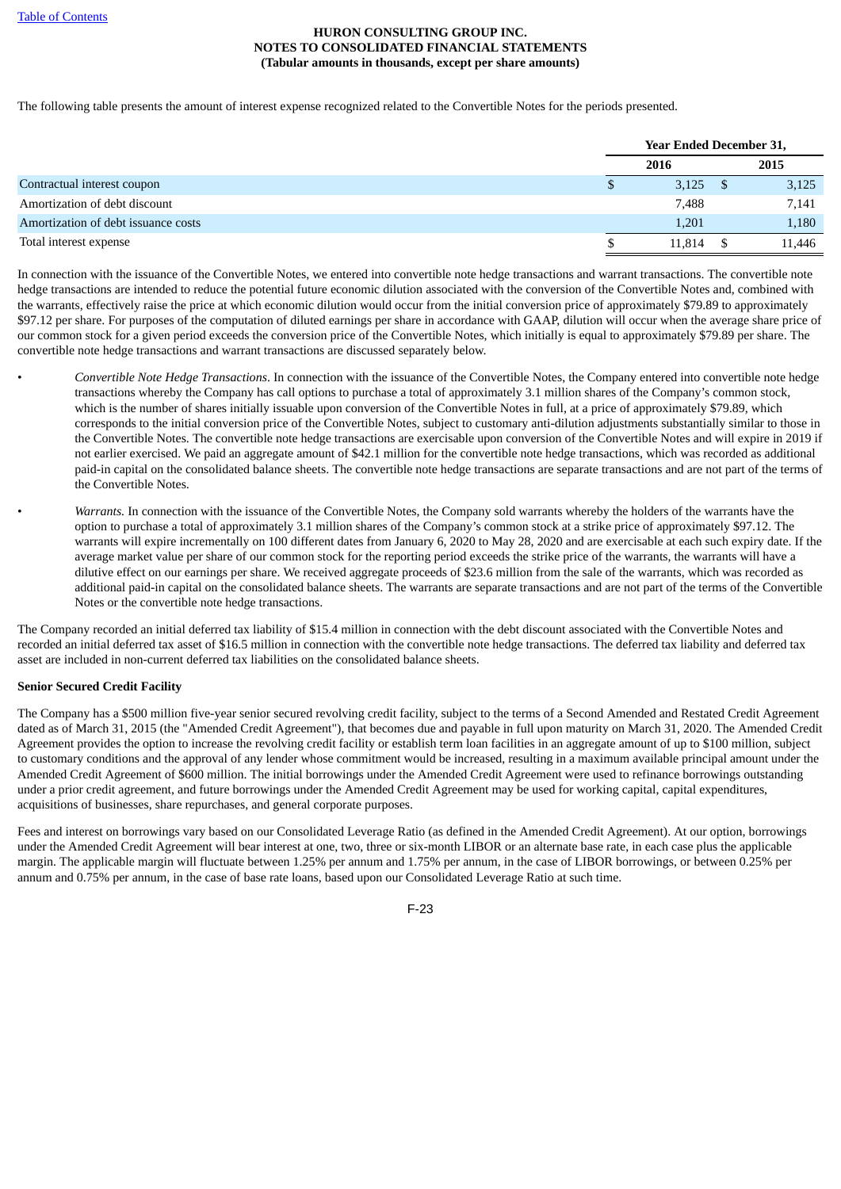The following table presents the amount of interest expense recognized related to the Convertible Notes for the periods presented.

|                                     | <b>Year Ended December 31,</b> |  |        |  |
|-------------------------------------|--------------------------------|--|--------|--|
|                                     | 2016                           |  | 2015   |  |
| Contractual interest coupon         | 3,125                          |  | 3,125  |  |
| Amortization of debt discount       | 7,488                          |  | 7,141  |  |
| Amortization of debt issuance costs | 1,201                          |  | 1,180  |  |
| Total interest expense              | 11,814                         |  | 11,446 |  |

In connection with the issuance of the Convertible Notes, we entered into convertible note hedge transactions and warrant transactions. The convertible note hedge transactions are intended to reduce the potential future economic dilution associated with the conversion of the Convertible Notes and, combined with the warrants, effectively raise the price at which economic dilution would occur from the initial conversion price of approximately \$79.89 to approximately \$97.12 per share. For purposes of the computation of diluted earnings per share in accordance with GAAP, dilution will occur when the average share price of our common stock for a given period exceeds the conversion price of the Convertible Notes, which initially is equal to approximately \$79.89 per share. The convertible note hedge transactions and warrant transactions are discussed separately below.

• *Convertible Note Hedge Transactions*. In connection with the issuance of the Convertible Notes, the Company entered into convertible note hedge transactions whereby the Company has call options to purchase a total of approximately 3.1 million shares of the Company's common stock, which is the number of shares initially issuable upon conversion of the Convertible Notes in full, at a price of approximately \$79.89, which corresponds to the initial conversion price of the Convertible Notes, subject to customary anti-dilution adjustments substantially similar to those in the Convertible Notes. The convertible note hedge transactions are exercisable upon conversion of the Convertible Notes and will expire in 2019 if not earlier exercised. We paid an aggregate amount of \$42.1 million for the convertible note hedge transactions, which was recorded as additional paid-in capital on the consolidated balance sheets. The convertible note hedge transactions are separate transactions and are not part of the terms of the Convertible Notes.

• *Warrants.* In connection with the issuance of the Convertible Notes, the Company sold warrants whereby the holders of the warrants have the option to purchase a total of approximately 3.1 million shares of the Company's common stock at a strike price of approximately \$97.12. The warrants will expire incrementally on 100 different dates from January 6, 2020 to May 28, 2020 and are exercisable at each such expiry date. If the average market value per share of our common stock for the reporting period exceeds the strike price of the warrants, the warrants will have a dilutive effect on our earnings per share. We received aggregate proceeds of \$23.6 million from the sale of the warrants, which was recorded as additional paid-in capital on the consolidated balance sheets. The warrants are separate transactions and are not part of the terms of the Convertible Notes or the convertible note hedge transactions.

The Company recorded an initial deferred tax liability of \$15.4 million in connection with the debt discount associated with the Convertible Notes and recorded an initial deferred tax asset of \$16.5 million in connection with the convertible note hedge transactions. The deferred tax liability and deferred tax asset are included in non-current deferred tax liabilities on the consolidated balance sheets.

### **Senior Secured Credit Facility**

The Company has a \$500 million five-year senior secured revolving credit facility, subject to the terms of a Second Amended and Restated Credit Agreement dated as of March 31, 2015 (the "Amended Credit Agreement"), that becomes due and payable in full upon maturity on March 31, 2020. The Amended Credit Agreement provides the option to increase the revolving credit facility or establish term loan facilities in an aggregate amount of up to \$100 million, subject to customary conditions and the approval of any lender whose commitment would be increased, resulting in a maximum available principal amount under the Amended Credit Agreement of \$600 million. The initial borrowings under the Amended Credit Agreement were used to refinance borrowings outstanding under a prior credit agreement, and future borrowings under the Amended Credit Agreement may be used for working capital, capital expenditures, acquisitions of businesses, share repurchases, and general corporate purposes.

Fees and interest on borrowings vary based on our Consolidated Leverage Ratio (as defined in the Amended Credit Agreement). At our option, borrowings under the Amended Credit Agreement will bear interest at one, two, three or six-month LIBOR or an alternate base rate, in each case plus the applicable margin. The applicable margin will fluctuate between 1.25% per annum and 1.75% per annum, in the case of LIBOR borrowings, or between 0.25% per annum and 0.75% per annum, in the case of base rate loans, based upon our Consolidated Leverage Ratio at such time.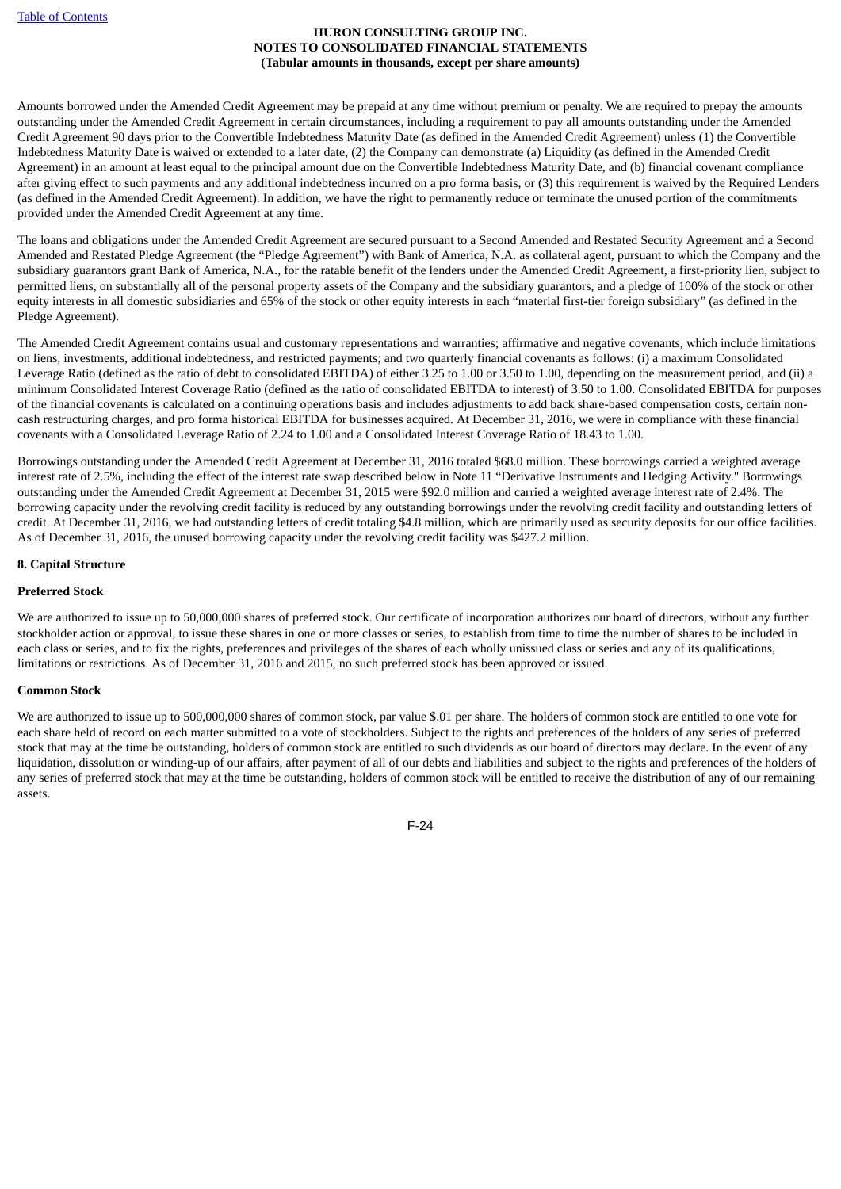Amounts borrowed under the Amended Credit Agreement may be prepaid at any time without premium or penalty. We are required to prepay the amounts outstanding under the Amended Credit Agreement in certain circumstances, including a requirement to pay all amounts outstanding under the Amended Credit Agreement 90 days prior to the Convertible Indebtedness Maturity Date (as defined in the Amended Credit Agreement) unless (1) the Convertible Indebtedness Maturity Date is waived or extended to a later date, (2) the Company can demonstrate (a) Liquidity (as defined in the Amended Credit Agreement) in an amount at least equal to the principal amount due on the Convertible Indebtedness Maturity Date, and (b) financial covenant compliance after giving effect to such payments and any additional indebtedness incurred on a pro forma basis, or (3) this requirement is waived by the Required Lenders (as defined in the Amended Credit Agreement). In addition, we have the right to permanently reduce or terminate the unused portion of the commitments provided under the Amended Credit Agreement at any time.

The loans and obligations under the Amended Credit Agreement are secured pursuant to a Second Amended and Restated Security Agreement and a Second Amended and Restated Pledge Agreement (the "Pledge Agreement") with Bank of America, N.A. as collateral agent, pursuant to which the Company and the subsidiary guarantors grant Bank of America, N.A., for the ratable benefit of the lenders under the Amended Credit Agreement, a first-priority lien, subject to permitted liens, on substantially all of the personal property assets of the Company and the subsidiary guarantors, and a pledge of 100% of the stock or other equity interests in all domestic subsidiaries and 65% of the stock or other equity interests in each "material first-tier foreign subsidiary" (as defined in the Pledge Agreement).

The Amended Credit Agreement contains usual and customary representations and warranties; affirmative and negative covenants, which include limitations on liens, investments, additional indebtedness, and restricted payments; and two quarterly financial covenants as follows: (i) a maximum Consolidated Leverage Ratio (defined as the ratio of debt to consolidated EBITDA) of either 3.25 to 1.00 or 3.50 to 1.00, depending on the measurement period, and (ii) a minimum Consolidated Interest Coverage Ratio (defined as the ratio of consolidated EBITDA to interest) of 3.50 to 1.00. Consolidated EBITDA for purposes of the financial covenants is calculated on a continuing operations basis and includes adjustments to add back share-based compensation costs, certain noncash restructuring charges, and pro forma historical EBITDA for businesses acquired. At December 31, 2016, we were in compliance with these financial covenants with a Consolidated Leverage Ratio of 2.24 to 1.00 and a Consolidated Interest Coverage Ratio of 18.43 to 1.00.

Borrowings outstanding under the Amended Credit Agreement at December 31, 2016 totaled \$68.0 million. These borrowings carried a weighted average interest rate of 2.5%, including the effect of the interest rate swap described below in Note 11 "Derivative Instruments and Hedging Activity." Borrowings outstanding under the Amended Credit Agreement at December 31, 2015 were \$92.0 million and carried a weighted average interest rate of 2.4%. The borrowing capacity under the revolving credit facility is reduced by any outstanding borrowings under the revolving credit facility and outstanding letters of credit. At December 31, 2016, we had outstanding letters of credit totaling \$4.8 million, which are primarily used as security deposits for our office facilities. As of December 31, 2016, the unused borrowing capacity under the revolving credit facility was \$427.2 million.

### **8. Capital Structure**

### **Preferred Stock**

We are authorized to issue up to 50,000,000 shares of preferred stock. Our certificate of incorporation authorizes our board of directors, without any further stockholder action or approval, to issue these shares in one or more classes or series, to establish from time to time the number of shares to be included in each class or series, and to fix the rights, preferences and privileges of the shares of each wholly unissued class or series and any of its qualifications, limitations or restrictions. As of December 31, 2016 and 2015, no such preferred stock has been approved or issued.

### **Common Stock**

We are authorized to issue up to 500,000,000 shares of common stock, par value \$.01 per share. The holders of common stock are entitled to one vote for each share held of record on each matter submitted to a vote of stockholders. Subject to the rights and preferences of the holders of any series of preferred stock that may at the time be outstanding, holders of common stock are entitled to such dividends as our board of directors may declare. In the event of any liquidation, dissolution or winding-up of our affairs, after payment of all of our debts and liabilities and subject to the rights and preferences of the holders of any series of preferred stock that may at the time be outstanding, holders of common stock will be entitled to receive the distribution of any of our remaining assets.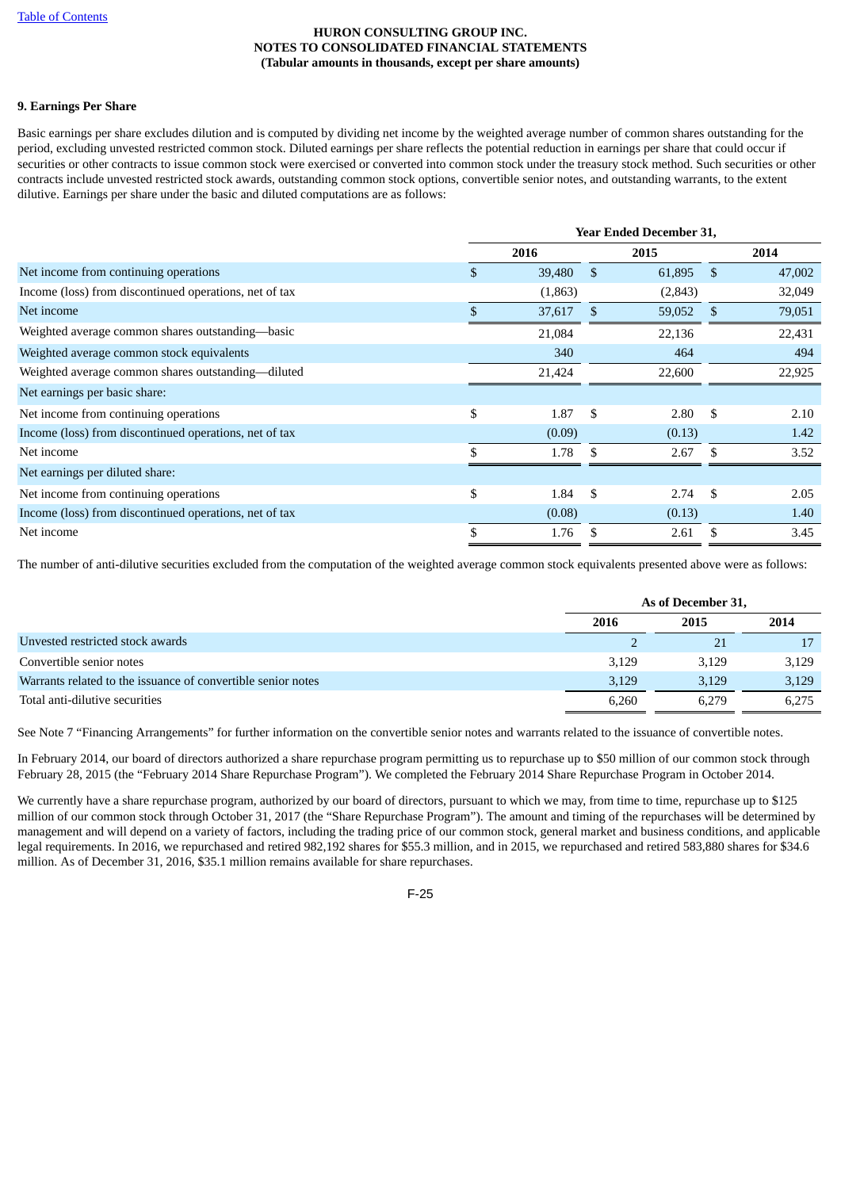## **9. Earnings Per Share**

Basic earnings per share excludes dilution and is computed by dividing net income by the weighted average number of common shares outstanding for the period, excluding unvested restricted common stock. Diluted earnings per share reflects the potential reduction in earnings per share that could occur if securities or other contracts to issue common stock were exercised or converted into common stock under the treasury stock method. Such securities or other contracts include unvested restricted stock awards, outstanding common stock options, convertible senior notes, and outstanding warrants, to the extent dilutive. Earnings per share under the basic and diluted computations are as follows:

|                                                        | <b>Year Ended December 31,</b> |         |     |         |      |        |
|--------------------------------------------------------|--------------------------------|---------|-----|---------|------|--------|
|                                                        |                                | 2016    |     | 2015    |      | 2014   |
| Net income from continuing operations                  | \$                             | 39,480  | -\$ | 61,895  | - \$ | 47,002 |
| Income (loss) from discontinued operations, net of tax |                                | (1,863) |     | (2,843) |      | 32,049 |
| Net income                                             |                                | 37,617  | \$. | 59,052  |      | 79,051 |
| Weighted average common shares outstanding—basic       |                                | 21,084  |     | 22,136  |      | 22,431 |
| Weighted average common stock equivalents              |                                | 340     |     | 464     |      | 494    |
| Weighted average common shares outstanding—diluted     |                                | 21,424  |     | 22,600  |      | 22,925 |
| Net earnings per basic share:                          |                                |         |     |         |      |        |
| Net income from continuing operations                  | \$                             | 1.87    | S.  | 2.80    | -S   | 2.10   |
| Income (loss) from discontinued operations, net of tax |                                | (0.09)  |     | (0.13)  |      | 1.42   |
| Net income                                             | \$                             | 1.78    |     | 2.67    |      | 3.52   |
| Net earnings per diluted share:                        |                                |         |     |         |      |        |
| Net income from continuing operations                  | \$                             | 1.84    | -\$ | 2.74    | -S   | 2.05   |
| Income (loss) from discontinued operations, net of tax |                                | (0.08)  |     | (0.13)  |      | 1.40   |
| Net income                                             | \$                             | 1.76    |     | 2.61    |      | 3.45   |

The number of anti-dilutive securities excluded from the computation of the weighted average common stock equivalents presented above were as follows:

|                                                              | As of December 31, |       |       |  |  |
|--------------------------------------------------------------|--------------------|-------|-------|--|--|
|                                                              | 2016               | 2015  | 2014  |  |  |
| Unvested restricted stock awards                             |                    | 21    | 17    |  |  |
| Convertible senior notes                                     | 3,129              | 3,129 | 3,129 |  |  |
| Warrants related to the issuance of convertible senior notes | 3,129              | 3,129 | 3,129 |  |  |
| Total anti-dilutive securities                               | 6.260              | 6.279 | 6.275 |  |  |

See Note 7 "Financing Arrangements" for further information on the convertible senior notes and warrants related to the issuance of convertible notes.

In February 2014, our board of directors authorized a share repurchase program permitting us to repurchase up to \$50 million of our common stock through February 28, 2015 (the "February 2014 Share Repurchase Program"). We completed the February 2014 Share Repurchase Program in October 2014.

We currently have a share repurchase program, authorized by our board of directors, pursuant to which we may, from time to time, repurchase up to \$125 million of our common stock through October 31, 2017 (the "Share Repurchase Program"). The amount and timing of the repurchases will be determined by management and will depend on a variety of factors, including the trading price of our common stock, general market and business conditions, and applicable legal requirements. In 2016, we repurchased and retired 982,192 shares for \$55.3 million, and in 2015, we repurchased and retired 583,880 shares for \$34.6 million. As of December 31, 2016, \$35.1 million remains available for share repurchases.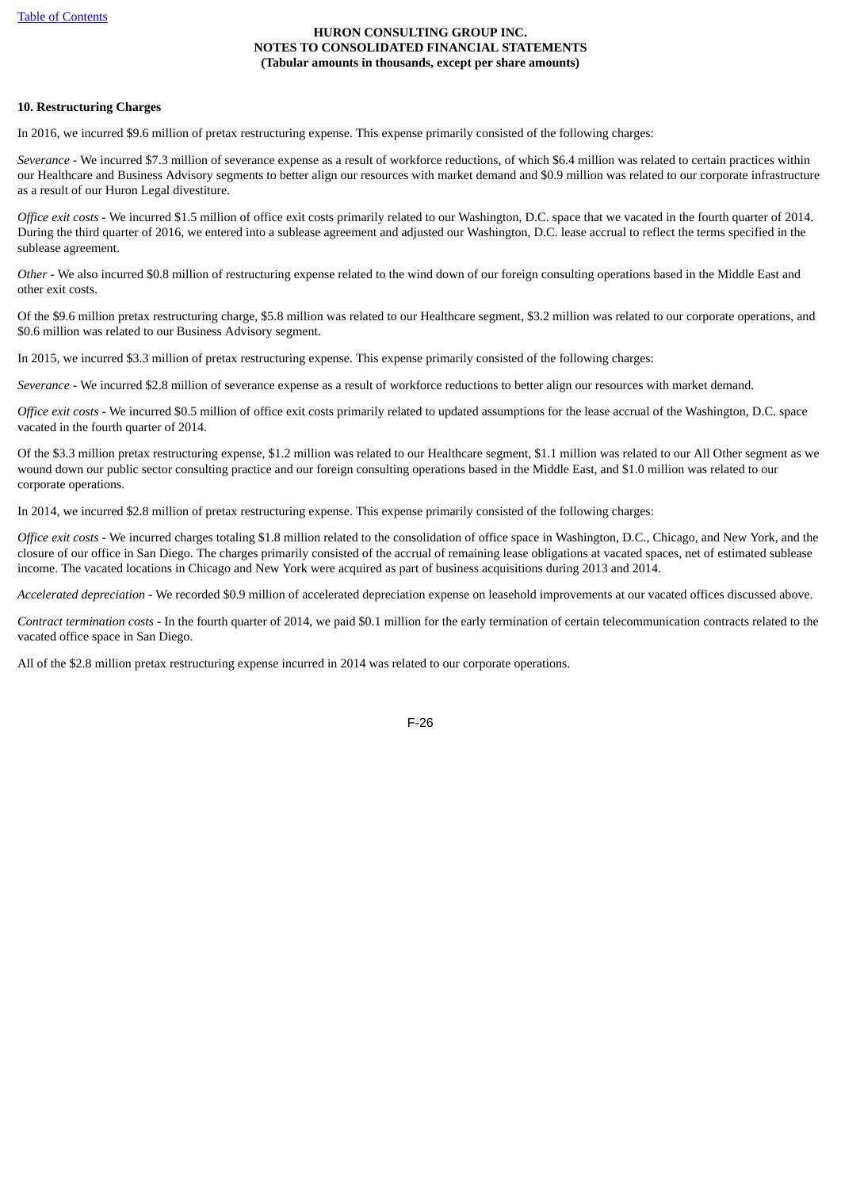## **10. Restructuring Charges**

In 2016, we incurred \$9.6 million of pretax restructuring expense. This expense primarily consisted of the following charges:

*Severance* - We incurred \$7.3 million of severance expense as a result of workforce reductions, of which \$6.4 million was related to certain practices within our Healthcare and Business Advisory segments to better align our resources with market demand and \$0.9 million was related to our corporate infrastructure as a result of our Huron Legal divestiture.

*Office exit costs* - We incurred \$1.5 million of office exit costs primarily related to our Washington, D.C. space that we vacated in the fourth quarter of 2014. During the third quarter of 2016, we entered into a sublease agreement and adjusted our Washington, D.C. lease accrual to reflect the terms specified in the sublease agreement.

*Other* - We also incurred \$0.8 million of restructuring expense related to the wind down of our foreign consulting operations based in the Middle East and other exit costs.

Of the \$9.6 million pretax restructuring charge, \$5.8 million was related to our Healthcare segment, \$3.2 million was related to our corporate operations, and \$0.6 million was related to our Business Advisory segment.

In 2015, we incurred \$3.3 million of pretax restructuring expense. This expense primarily consisted of the following charges:

*Severance -* We incurred \$2.8 million of severance expense as a result of workforce reductions to better align our resources with market demand.

*Office exit costs -* We incurred \$0.5 million of office exit costs primarily related to updated assumptions for the lease accrual of the Washington, D.C. space vacated in the fourth quarter of 2014.

Of the \$3.3 million pretax restructuring expense, \$1.2 million was related to our Healthcare segment, \$1.1 million was related to our All Other segment as we wound down our public sector consulting practice and our foreign consulting operations based in the Middle East, and \$1.0 million was related to our corporate operations.

In 2014, we incurred \$2.8 million of pretax restructuring expense. This expense primarily consisted of the following charges:

*Office exit costs -* We incurred charges totaling \$1.8 million related to the consolidation of office space in Washington, D.C., Chicago, and New York, and the closure of our office in San Diego. The charges primarily consisted of the accrual of remaining lease obligations at vacated spaces, net of estimated sublease income. The vacated locations in Chicago and New York were acquired as part of business acquisitions during 2013 and 2014.

*Accelerated depreciation -* We recorded \$0.9 million of accelerated depreciation expense on leasehold improvements at our vacated offices discussed above.

*Contract termination costs -* In the fourth quarter of 2014, we paid \$0.1 million for the early termination of certain telecommunication contracts related to the vacated office space in San Diego.

All of the \$2.8 million pretax restructuring expense incurred in 2014 was related to our corporate operations.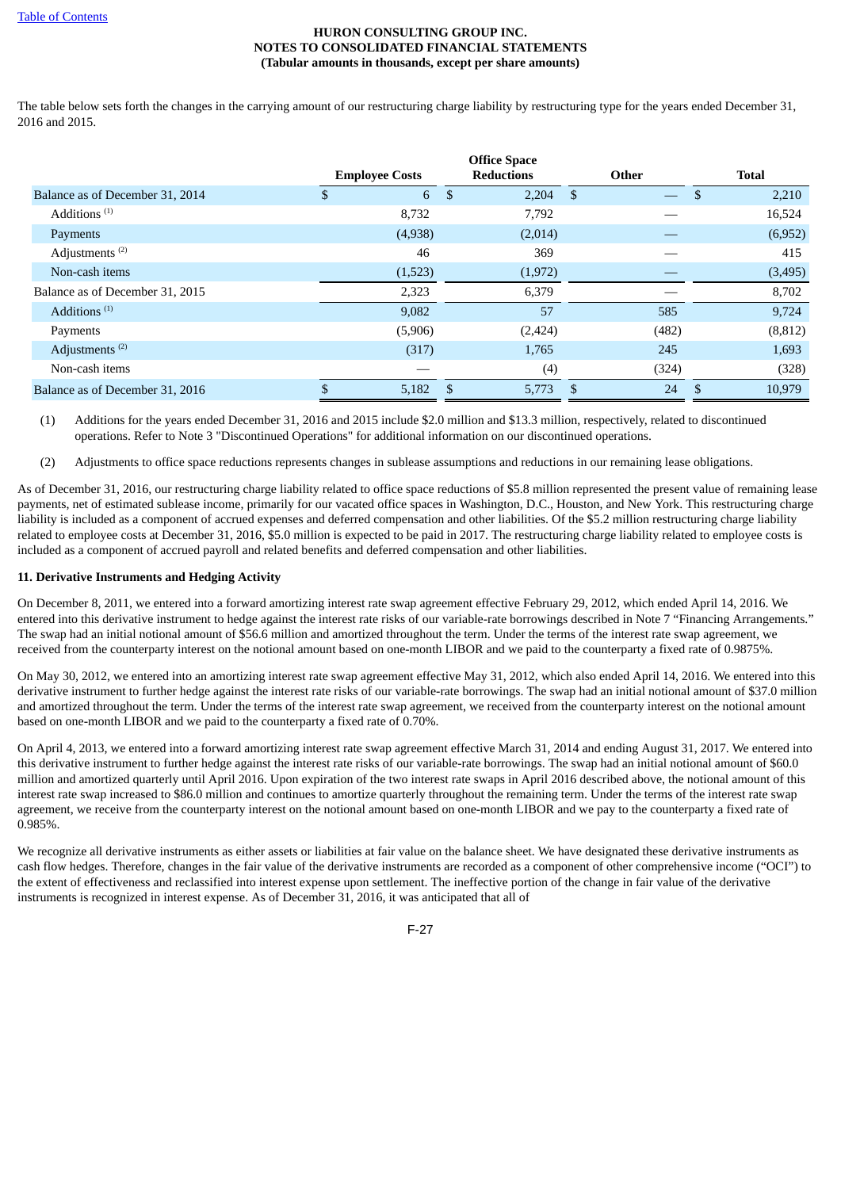The table below sets forth the changes in the carrying amount of our restructuring charge liability by restructuring type for the years ended December 31, 2016 and 2015.

|                                       |                       |     | <b>Office Space</b> |           |       |              |
|---------------------------------------|-----------------------|-----|---------------------|-----------|-------|--------------|
|                                       | <b>Employee Costs</b> |     | <b>Reductions</b>   |           | Other | <b>Total</b> |
| Balance as of December 31, 2014       | \$<br>6               | \$  | 2,204               | $\sim$ \$ |       | 2,210        |
| Additions <sup>(1)</sup>              | 8,732                 |     | 7,792               |           |       | 16,524       |
| Payments                              | (4,938)               |     | (2,014)             |           |       | (6,952)      |
| Adjustments <sup>(2)</sup>            | 46                    |     | 369                 |           |       | 415          |
| Non-cash items                        | (1,523)               |     | (1,972)             |           |       | (3,495)      |
| Balance as of December 31, 2015       | 2,323                 |     | 6,379               |           |       | 8,702        |
| Additions <sup><math>(1)</math></sup> | 9,082                 |     | 57                  |           | 585   | 9,724        |
| Payments                              | (5,906)               |     | (2, 424)            |           | (482) | (8, 812)     |
| Adjustments <sup>(2)</sup>            | (317)                 |     | 1,765               |           | 245   | 1,693        |
| Non-cash items                        |                       |     | (4)                 |           | (324) | (328)        |
| Balance as of December 31, 2016       | \$<br>5,182           | \$. | 5,773               | -S        | 24    | 10,979       |

(1) Additions for the years ended December 31, 2016 and 2015 include \$2.0 million and \$13.3 million, respectively, related to discontinued operations. Refer to Note 3 "Discontinued Operations" for additional information on our discontinued operations.

(2) Adjustments to office space reductions represents changes in sublease assumptions and reductions in our remaining lease obligations.

As of December 31, 2016, our restructuring charge liability related to office space reductions of \$5.8 million represented the present value of remaining lease payments, net of estimated sublease income, primarily for our vacated office spaces in Washington, D.C., Houston, and New York. This restructuring charge liability is included as a component of accrued expenses and deferred compensation and other liabilities. Of the \$5.2 million restructuring charge liability related to employee costs at December 31, 2016, \$5.0 million is expected to be paid in 2017. The restructuring charge liability related to employee costs is included as a component of accrued payroll and related benefits and deferred compensation and other liabilities.

### **11. Derivative Instruments and Hedging Activity**

On December 8, 2011, we entered into a forward amortizing interest rate swap agreement effective February 29, 2012, which ended April 14, 2016. We entered into this derivative instrument to hedge against the interest rate risks of our variable-rate borrowings described in Note 7 "Financing Arrangements." The swap had an initial notional amount of \$56.6 million and amortized throughout the term. Under the terms of the interest rate swap agreement, we received from the counterparty interest on the notional amount based on one-month LIBOR and we paid to the counterparty a fixed rate of 0.9875%.

On May 30, 2012, we entered into an amortizing interest rate swap agreement effective May 31, 2012, which also ended April 14, 2016. We entered into this derivative instrument to further hedge against the interest rate risks of our variable-rate borrowings. The swap had an initial notional amount of \$37.0 million and amortized throughout the term. Under the terms of the interest rate swap agreement, we received from the counterparty interest on the notional amount based on one-month LIBOR and we paid to the counterparty a fixed rate of 0.70%.

On April 4, 2013, we entered into a forward amortizing interest rate swap agreement effective March 31, 2014 and ending August 31, 2017. We entered into this derivative instrument to further hedge against the interest rate risks of our variable-rate borrowings. The swap had an initial notional amount of \$60.0 million and amortized quarterly until April 2016. Upon expiration of the two interest rate swaps in April 2016 described above, the notional amount of this interest rate swap increased to \$86.0 million and continues to amortize quarterly throughout the remaining term. Under the terms of the interest rate swap agreement, we receive from the counterparty interest on the notional amount based on one-month LIBOR and we pay to the counterparty a fixed rate of 0.985%.

We recognize all derivative instruments as either assets or liabilities at fair value on the balance sheet. We have designated these derivative instruments as cash flow hedges. Therefore, changes in the fair value of the derivative instruments are recorded as a component of other comprehensive income ("OCI") to the extent of effectiveness and reclassified into interest expense upon settlement. The ineffective portion of the change in fair value of the derivative instruments is recognized in interest expense. As of December 31, 2016, it was anticipated that all of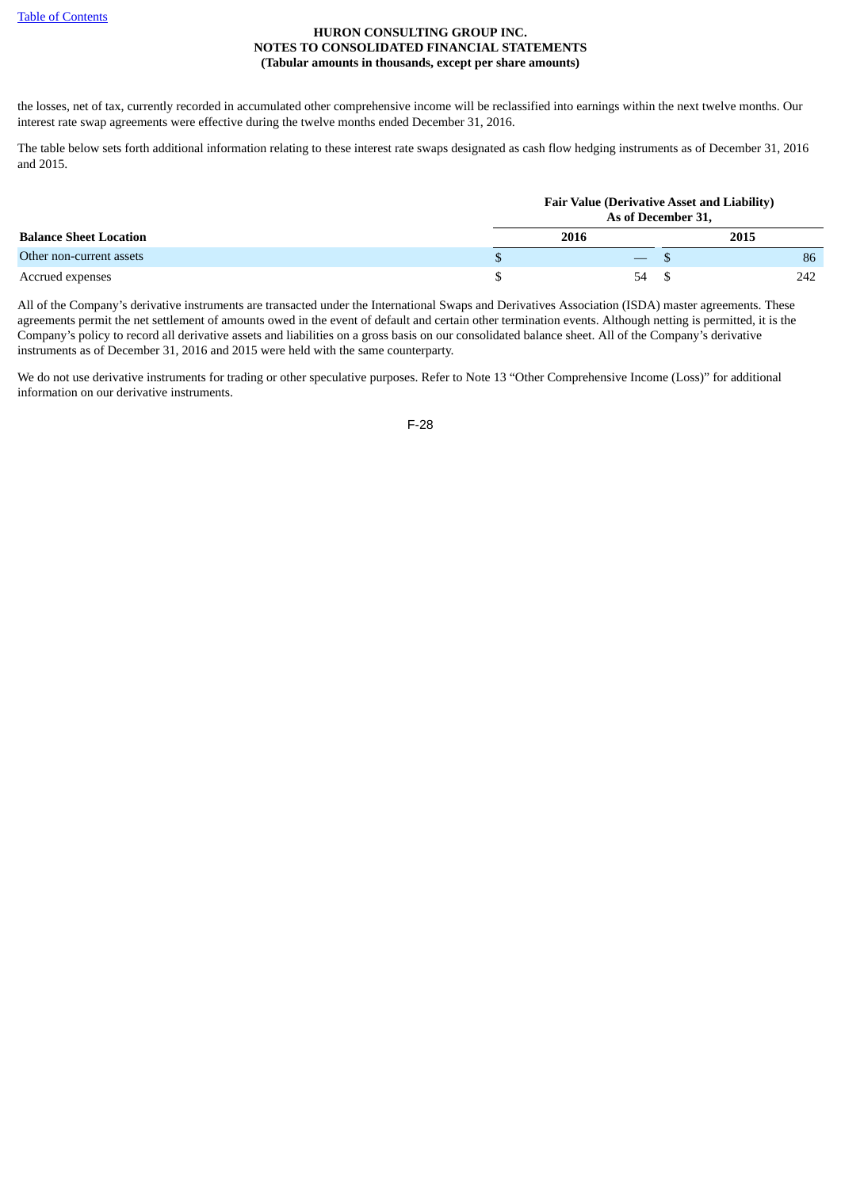the losses, net of tax, currently recorded in accumulated other comprehensive income will be reclassified into earnings within the next twelve months. Our interest rate swap agreements were effective during the twelve months ended December 31, 2016.

The table below sets forth additional information relating to these interest rate swaps designated as cash flow hedging instruments as of December 31, 2016 and 2015.

|                               | <b>Fair Value (Derivative Asset and Liability)</b><br>As of December 31, |                                |      |     |  |  |  |  |
|-------------------------------|--------------------------------------------------------------------------|--------------------------------|------|-----|--|--|--|--|
| <b>Balance Sheet Location</b> |                                                                          | 2016                           | 2015 |     |  |  |  |  |
| Other non-current assets      |                                                                          | $\qquad \qquad \longleftarrow$ |      | 86  |  |  |  |  |
| Accrued expenses              |                                                                          | 54                             |      | 242 |  |  |  |  |

All of the Company's derivative instruments are transacted under the International Swaps and Derivatives Association (ISDA) master agreements. These agreements permit the net settlement of amounts owed in the event of default and certain other termination events. Although netting is permitted, it is the Company's policy to record all derivative assets and liabilities on a gross basis on our consolidated balance sheet. All of the Company's derivative instruments as of December 31, 2016 and 2015 were held with the same counterparty.

We do not use derivative instruments for trading or other speculative purposes. Refer to Note 13 "Other Comprehensive Income (Loss)" for additional information on our derivative instruments.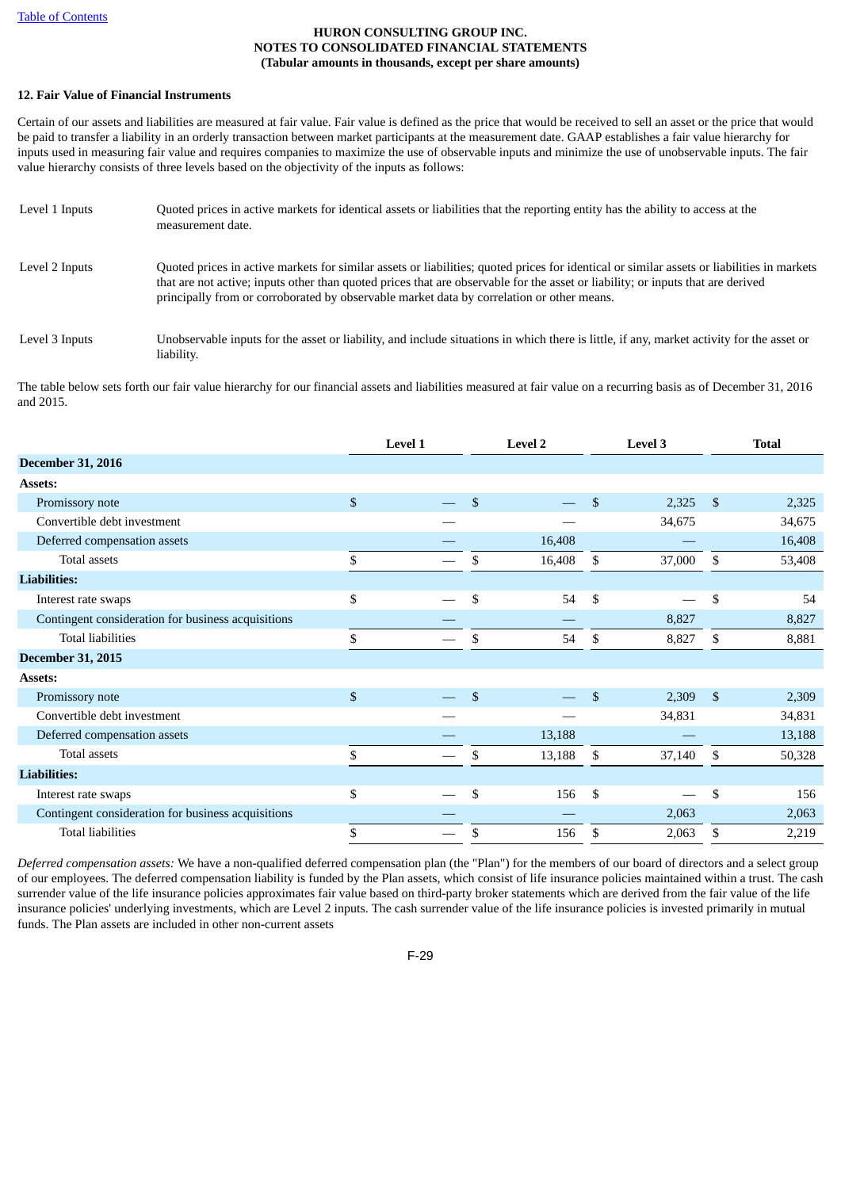### **12. Fair Value of Financial Instruments**

Certain of our assets and liabilities are measured at fair value. Fair value is defined as the price that would be received to sell an asset or the price that would be paid to transfer a liability in an orderly transaction between market participants at the measurement date. GAAP establishes a fair value hierarchy for inputs used in measuring fair value and requires companies to maximize the use of observable inputs and minimize the use of unobservable inputs. The fair value hierarchy consists of three levels based on the objectivity of the inputs as follows:

| Level 1 Inputs | Quoted prices in active markets for identical assets or liabilities that the reporting entity has the ability to access at the<br>measurement date.                                                                                                                                                                                                                        |
|----------------|----------------------------------------------------------------------------------------------------------------------------------------------------------------------------------------------------------------------------------------------------------------------------------------------------------------------------------------------------------------------------|
| Level 2 Inputs | Quoted prices in active markets for similar assets or liabilities; quoted prices for identical or similar assets or liabilities in markets<br>that are not active; inputs other than quoted prices that are observable for the asset or liability; or inputs that are derived<br>principally from or corroborated by observable market data by correlation or other means. |
| Level 3 Inputs | Unobservable inputs for the asset or liability, and include situations in which there is little, if any, market activity for the asset or<br>liability.                                                                                                                                                                                                                    |

The table below sets forth our fair value hierarchy for our financial assets and liabilities measured at fair value on a recurring basis as of December 31, 2016 and 2015.

|                                                    | Level 1 | <b>Level 2</b> |        | <b>Level 3</b> |        | <b>Total</b> |        |
|----------------------------------------------------|---------|----------------|--------|----------------|--------|--------------|--------|
| <b>December 31, 2016</b>                           |         |                |        |                |        |              |        |
| Assets:                                            |         |                |        |                |        |              |        |
| Promissory note                                    | \$      | \$             |        | $\mathbf{s}$   | 2,325  | \$           | 2,325  |
| Convertible debt investment                        |         |                |        |                | 34,675 |              | 34,675 |
| Deferred compensation assets                       |         |                | 16,408 |                |        |              | 16,408 |
| Total assets                                       | \$      | \$             | 16,408 | \$             | 37,000 | \$           | 53,408 |
| <b>Liabilities:</b>                                |         |                |        |                |        |              |        |
| Interest rate swaps                                | \$      | \$             | 54     | \$             |        | \$           | 54     |
| Contingent consideration for business acquisitions |         |                |        |                | 8,827  |              | 8,827  |
| <b>Total liabilities</b>                           | \$      | \$             | 54     | \$             | 8,827  | \$           | 8,881  |
| <b>December 31, 2015</b>                           |         |                |        |                |        |              |        |
| Assets:                                            |         |                |        |                |        |              |        |
| Promissory note                                    | \$      | $\mathbb{S}$   |        | $\mathbf{s}$   | 2,309  | $\mathbb{S}$ | 2,309  |
| Convertible debt investment                        |         |                |        |                | 34,831 |              | 34,831 |
| Deferred compensation assets                       |         |                | 13,188 |                |        |              | 13,188 |
| Total assets                                       | \$      | \$             | 13,188 | \$             | 37,140 | \$           | 50,328 |
| <b>Liabilities:</b>                                |         |                |        |                |        |              |        |
| Interest rate swaps                                | \$      | \$             | 156    | \$             |        | \$           | 156    |
| Contingent consideration for business acquisitions |         |                |        |                | 2,063  |              | 2,063  |
| <b>Total liabilities</b>                           | \$      | \$             | 156    | \$             | 2,063  | \$           | 2,219  |
|                                                    |         |                |        |                |        |              |        |

*Deferred compensation assets:* We have a non-qualified deferred compensation plan (the "Plan") for the members of our board of directors and a select group of our employees. The deferred compensation liability is funded by the Plan assets, which consist of life insurance policies maintained within a trust. The cash surrender value of the life insurance policies approximates fair value based on third-party broker statements which are derived from the fair value of the life insurance policies' underlying investments, which are Level 2 inputs. The cash surrender value of the life insurance policies is invested primarily in mutual funds. The Plan assets are included in other non-current assets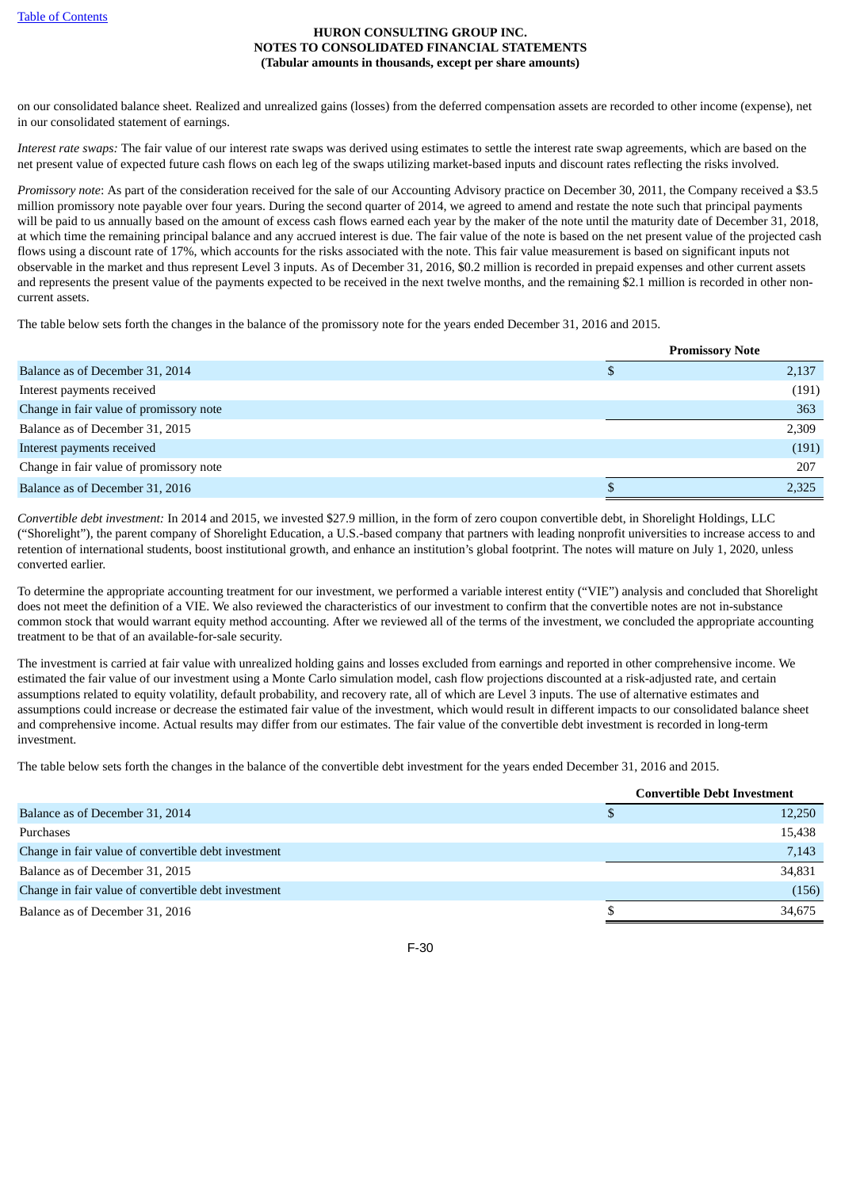on our consolidated balance sheet. Realized and unrealized gains (losses) from the deferred compensation assets are recorded to other income (expense), net in our consolidated statement of earnings.

*Interest rate swaps:* The fair value of our interest rate swaps was derived using estimates to settle the interest rate swap agreements, which are based on the net present value of expected future cash flows on each leg of the swaps utilizing market-based inputs and discount rates reflecting the risks involved.

*Promissory note*: As part of the consideration received for the sale of our Accounting Advisory practice on December 30, 2011, the Company received a \$3.5 million promissory note payable over four years. During the second quarter of 2014, we agreed to amend and restate the note such that principal payments will be paid to us annually based on the amount of excess cash flows earned each year by the maker of the note until the maturity date of December 31, 2018, at which time the remaining principal balance and any accrued interest is due. The fair value of the note is based on the net present value of the projected cash flows using a discount rate of 17%, which accounts for the risks associated with the note. This fair value measurement is based on significant inputs not observable in the market and thus represent Level 3 inputs. As of December 31, 2016, \$0.2 million is recorded in prepaid expenses and other current assets and represents the present value of the payments expected to be received in the next twelve months, and the remaining \$2.1 million is recorded in other noncurrent assets.

The table below sets forth the changes in the balance of the promissory note for the years ended December 31, 2016 and 2015.

|                                         | <b>Promissory Note</b> |
|-----------------------------------------|------------------------|
| Balance as of December 31, 2014         | 2,137                  |
| Interest payments received              | (191)                  |
| Change in fair value of promissory note | 363                    |
| Balance as of December 31, 2015         | 2,309                  |
| Interest payments received              | (191)                  |
| Change in fair value of promissory note | 207                    |
| Balance as of December 31, 2016         | 2,325                  |

*Convertible debt investment:* In 2014 and 2015, we invested \$27.9 million, in the form of zero coupon convertible debt, in Shorelight Holdings, LLC ("Shorelight"), the parent company of Shorelight Education, a U.S.-based company that partners with leading nonprofit universities to increase access to and retention of international students, boost institutional growth, and enhance an institution's global footprint. The notes will mature on July 1, 2020, unless converted earlier.

To determine the appropriate accounting treatment for our investment, we performed a variable interest entity ("VIE") analysis and concluded that Shorelight does not meet the definition of a VIE. We also reviewed the characteristics of our investment to confirm that the convertible notes are not in-substance common stock that would warrant equity method accounting. After we reviewed all of the terms of the investment, we concluded the appropriate accounting treatment to be that of an available-for-sale security.

The investment is carried at fair value with unrealized holding gains and losses excluded from earnings and reported in other comprehensive income. We estimated the fair value of our investment using a Monte Carlo simulation model, cash flow projections discounted at a risk-adjusted rate, and certain assumptions related to equity volatility, default probability, and recovery rate, all of which are Level 3 inputs. The use of alternative estimates and assumptions could increase or decrease the estimated fair value of the investment, which would result in different impacts to our consolidated balance sheet and comprehensive income. Actual results may differ from our estimates. The fair value of the convertible debt investment is recorded in long-term investment.

The table below sets forth the changes in the balance of the convertible debt investment for the years ended December 31, 2016 and 2015.

|                                                     | <b>Convertible Debt Investment</b> |        |
|-----------------------------------------------------|------------------------------------|--------|
| Balance as of December 31, 2014                     |                                    | 12,250 |
| Purchases                                           |                                    | 15,438 |
| Change in fair value of convertible debt investment |                                    | 7,143  |
| Balance as of December 31, 2015                     |                                    | 34,831 |
| Change in fair value of convertible debt investment |                                    | (156)  |
| Balance as of December 31, 2016                     |                                    | 34,675 |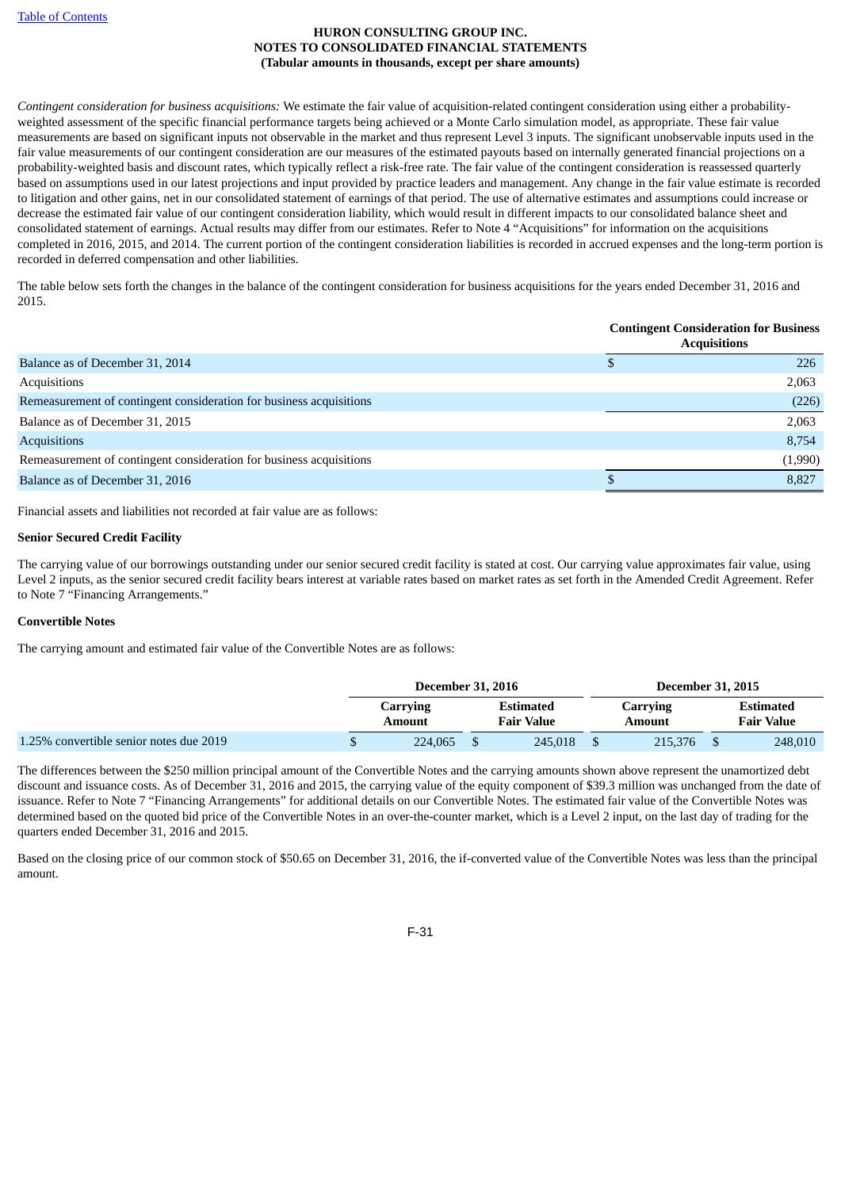*Contingent consideration for business acquisitions:* We estimate the fair value of acquisition-related contingent consideration using either a probabilityweighted assessment of the specific financial performance targets being achieved or a Monte Carlo simulation model, as appropriate. These fair value measurements are based on significant inputs not observable in the market and thus represent Level 3 inputs. The significant unobservable inputs used in the fair value measurements of our contingent consideration are our measures of the estimated payouts based on internally generated financial projections on a probability-weighted basis and discount rates, which typically reflect a risk-free rate. The fair value of the contingent consideration is reassessed quarterly based on assumptions used in our latest projections and input provided by practice leaders and management. Any change in the fair value estimate is recorded to litigation and other gains, net in our consolidated statement of earnings of that period. The use of alternative estimates and assumptions could increase or decrease the estimated fair value of our contingent consideration liability, which would result in different impacts to our consolidated balance sheet and consolidated statement of earnings. Actual results may differ from our estimates. Refer to Note 4 "Acquisitions" for information on the acquisitions completed in 2016, 2015, and 2014. The current portion of the contingent consideration liabilities is recorded in accrued expenses and the long-term portion is recorded in deferred compensation and other liabilities.

The table below sets forth the changes in the balance of the contingent consideration for business acquisitions for the years ended December 31, 2016 and 2015.

|                                                                     | <b>Contingent Consideration for Business</b><br><b>Acquisitions</b> |
|---------------------------------------------------------------------|---------------------------------------------------------------------|
| Balance as of December 31, 2014                                     | 226                                                                 |
| Acquisitions                                                        | 2,063                                                               |
| Remeasurement of contingent consideration for business acquisitions | (226)                                                               |
| Balance as of December 31, 2015                                     | 2,063                                                               |
| <b>Acquisitions</b>                                                 | 8,754                                                               |
| Remeasurement of contingent consideration for business acquisitions | (1,990)                                                             |
| Balance as of December 31, 2016                                     | 8,827                                                               |
|                                                                     |                                                                     |

Financial assets and liabilities not recorded at fair value are as follows:

### **Senior Secured Credit Facility**

The carrying value of our borrowings outstanding under our senior secured credit facility is stated at cost. Our carrying value approximates fair value, using Level 2 inputs, as the senior secured credit facility bears interest at variable rates based on market rates as set forth in the Amended Credit Agreement. Refer to Note 7 "Financing Arrangements."

#### **Convertible Notes**

The carrying amount and estimated fair value of the Convertible Notes are as follows:

|                                         | <b>December 31, 2016</b> |                                       |         | <b>December 31, 2015</b> |         |                                |         |
|-----------------------------------------|--------------------------|---------------------------------------|---------|--------------------------|---------|--------------------------------|---------|
|                                         | Carrying<br>Amount       | <b>Estimated</b><br><b>Fair Value</b> |         | Carrying<br>Amount       |         | Estimated<br><b>Fair Value</b> |         |
| 1.25% convertible senior notes due 2019 | 224,065                  |                                       | 245,018 |                          | 215,376 |                                | 248,010 |

The differences between the \$250 million principal amount of the Convertible Notes and the carrying amounts shown above represent the unamortized debt discount and issuance costs. As of December 31, 2016 and 2015, the carrying value of the equity component of \$39.3 million was unchanged from the date of issuance. Refer to Note 7 "Financing Arrangements" for additional details on our Convertible Notes. The estimated fair value of the Convertible Notes was determined based on the quoted bid price of the Convertible Notes in an over-the-counter market, which is a Level 2 input, on the last day of trading for the quarters ended December 31, 2016 and 2015.

Based on the closing price of our common stock of \$50.65 on December 31, 2016, the if-converted value of the Convertible Notes was less than the principal amount.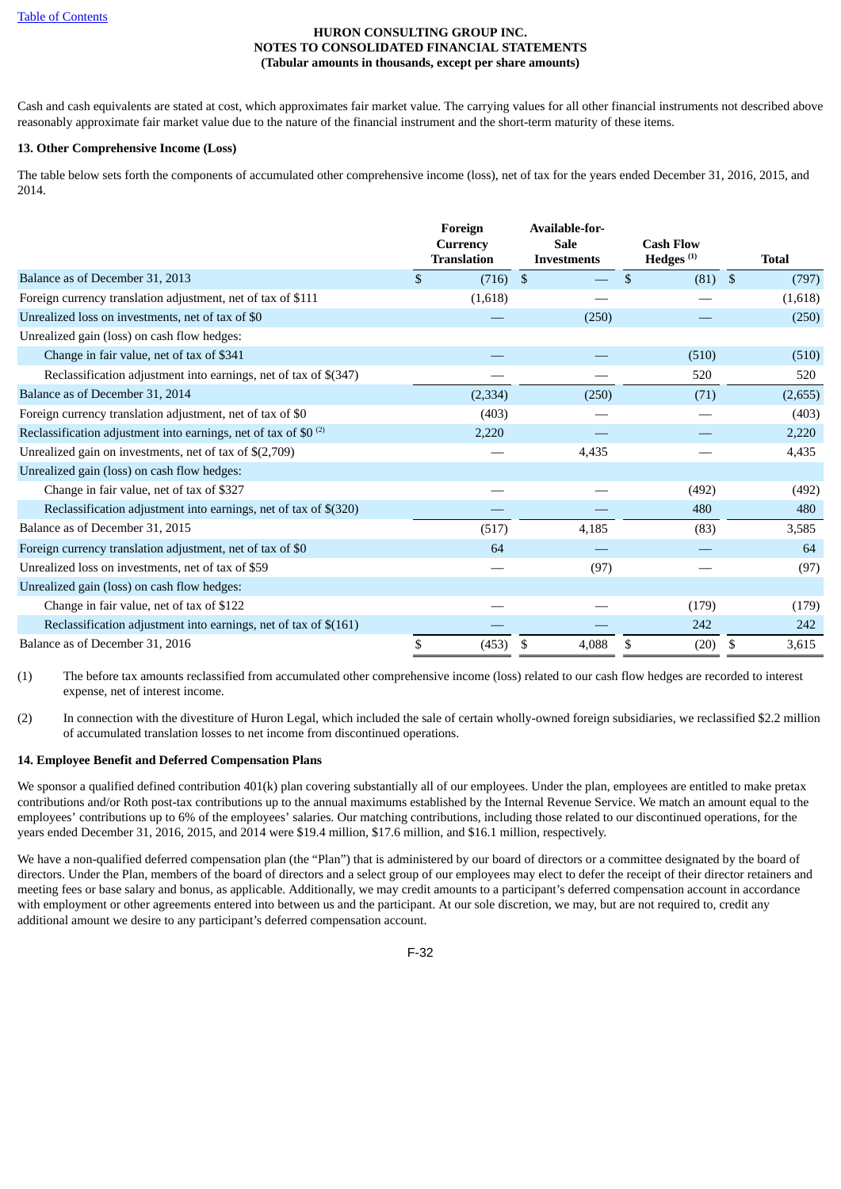Cash and cash equivalents are stated at cost, which approximates fair market value. The carrying values for all other financial instruments not described above reasonably approximate fair market value due to the nature of the financial instrument and the short-term maturity of these items.

### **13. Other Comprehensive Income (Loss)**

The table below sets forth the components of accumulated other comprehensive income (loss), net of tax for the years ended December 31, 2016, 2015, and 2014.

|                                                                    | Foreign<br><b>Currency</b><br><b>Translation</b> | <b>Available-for-</b><br><b>Sale</b><br><b>Investments</b> | <b>Cash Flow</b><br>Hedges <sup>(1)</sup> |               | <b>Total</b> |
|--------------------------------------------------------------------|--------------------------------------------------|------------------------------------------------------------|-------------------------------------------|---------------|--------------|
| Balance as of December 31, 2013                                    | \$<br>(716)                                      | $\boldsymbol{\mathsf{S}}$                                  | \$<br>$(81)$ \$                           |               | (797)        |
| Foreign currency translation adjustment, net of tax of \$111       | (1,618)                                          |                                                            |                                           |               | (1,618)      |
| Unrealized loss on investments, net of tax of \$0                  |                                                  | (250)                                                      |                                           |               | (250)        |
| Unrealized gain (loss) on cash flow hedges:                        |                                                  |                                                            |                                           |               |              |
| Change in fair value, net of tax of \$341                          |                                                  |                                                            | (510)                                     |               | (510)        |
| Reclassification adjustment into earnings, net of tax of \$(347)   |                                                  |                                                            | 520                                       |               | 520          |
| Balance as of December 31, 2014                                    | (2, 334)                                         | (250)                                                      | (71)                                      |               | (2,655)      |
| Foreign currency translation adjustment, net of tax of \$0         | (403)                                            |                                                            |                                           |               | (403)        |
| Reclassification adjustment into earnings, net of tax of \$0 $(2)$ | 2,220                                            |                                                            |                                           |               | 2,220        |
| Unrealized gain on investments, net of tax of $\S(2,709)$          |                                                  | 4,435                                                      |                                           |               | 4,435        |
| Unrealized gain (loss) on cash flow hedges:                        |                                                  |                                                            |                                           |               |              |
| Change in fair value, net of tax of \$327                          |                                                  |                                                            | (492)                                     |               | (492)        |
| Reclassification adjustment into earnings, net of tax of \$(320)   |                                                  |                                                            | 480                                       |               | 480          |
| Balance as of December 31, 2015                                    | (517)                                            | 4,185                                                      | (83)                                      |               | 3,585        |
| Foreign currency translation adjustment, net of tax of \$0         | 64                                               |                                                            |                                           |               | 64           |
| Unrealized loss on investments, net of tax of \$59                 |                                                  | (97)                                                       |                                           |               | (97)         |
| Unrealized gain (loss) on cash flow hedges:                        |                                                  |                                                            |                                           |               |              |
| Change in fair value, net of tax of \$122                          |                                                  |                                                            | (179)                                     |               | (179)        |
| Reclassification adjustment into earnings, net of tax of \$(161)   |                                                  |                                                            | 242                                       |               | 242          |
| Balance as of December 31, 2016                                    | \$<br>(453)                                      | \$<br>4,088                                                | \$<br>(20)                                | <sup>\$</sup> | 3,615        |

(1) The before tax amounts reclassified from accumulated other comprehensive income (loss) related to our cash flow hedges are recorded to interest expense, net of interest income.

(2) In connection with the divestiture of Huron Legal, which included the sale of certain wholly-owned foreign subsidiaries, we reclassified \$2.2 million of accumulated translation losses to net income from discontinued operations.

### **14. Employee Benefit and Deferred Compensation Plans**

We sponsor a qualified defined contribution 401(k) plan covering substantially all of our employees. Under the plan, employees are entitled to make pretax contributions and/or Roth post-tax contributions up to the annual maximums established by the Internal Revenue Service. We match an amount equal to the employees' contributions up to 6% of the employees' salaries. Our matching contributions, including those related to our discontinued operations, for the years ended December 31, 2016, 2015, and 2014 were \$19.4 million, \$17.6 million, and \$16.1 million, respectively.

We have a non-qualified deferred compensation plan (the "Plan") that is administered by our board of directors or a committee designated by the board of directors. Under the Plan, members of the board of directors and a select group of our employees may elect to defer the receipt of their director retainers and meeting fees or base salary and bonus, as applicable. Additionally, we may credit amounts to a participant's deferred compensation account in accordance with employment or other agreements entered into between us and the participant. At our sole discretion, we may, but are not required to, credit any additional amount we desire to any participant's deferred compensation account.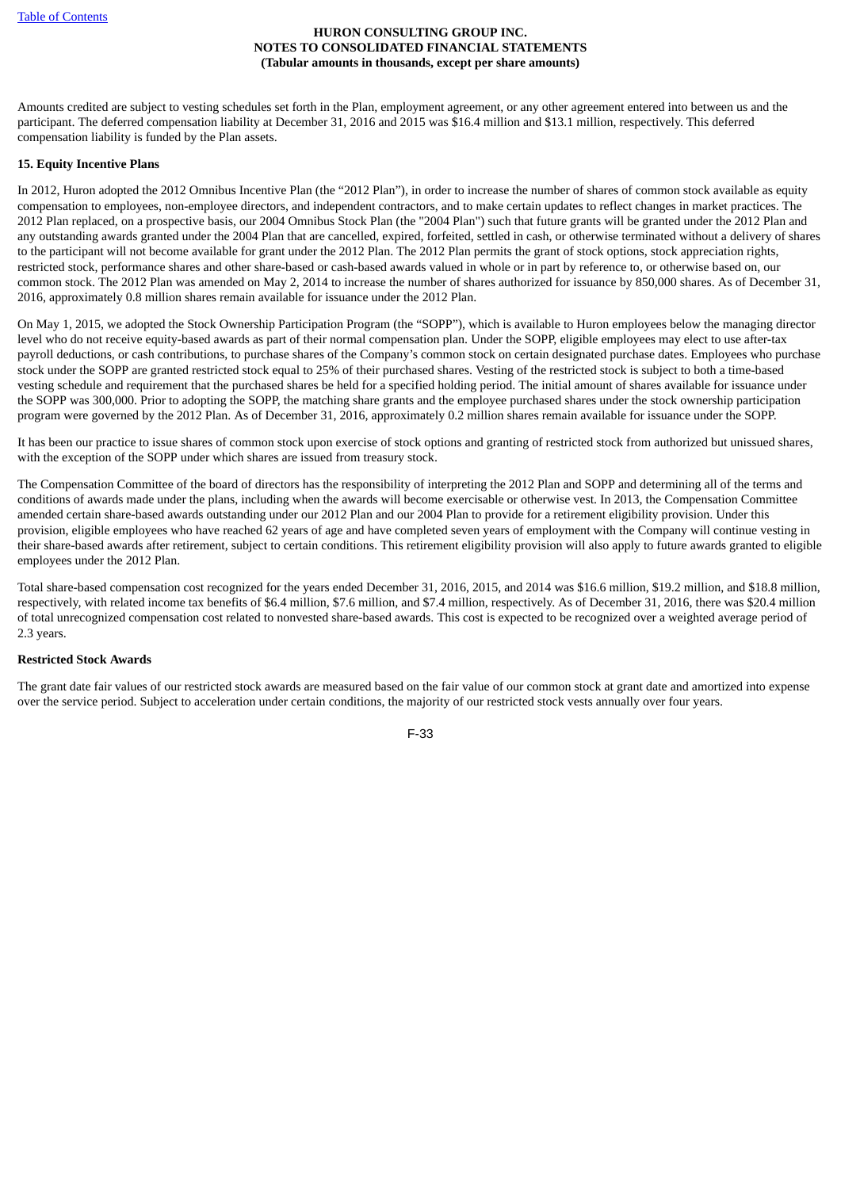Amounts credited are subject to vesting schedules set forth in the Plan, employment agreement, or any other agreement entered into between us and the participant. The deferred compensation liability at December 31, 2016 and 2015 was \$16.4 million and \$13.1 million, respectively. This deferred compensation liability is funded by the Plan assets.

### **15. Equity Incentive Plans**

In 2012, Huron adopted the 2012 Omnibus Incentive Plan (the "2012 Plan"), in order to increase the number of shares of common stock available as equity compensation to employees, non-employee directors, and independent contractors, and to make certain updates to reflect changes in market practices. The 2012 Plan replaced, on a prospective basis, our 2004 Omnibus Stock Plan (the "2004 Plan") such that future grants will be granted under the 2012 Plan and any outstanding awards granted under the 2004 Plan that are cancelled, expired, forfeited, settled in cash, or otherwise terminated without a delivery of shares to the participant will not become available for grant under the 2012 Plan. The 2012 Plan permits the grant of stock options, stock appreciation rights, restricted stock, performance shares and other share-based or cash-based awards valued in whole or in part by reference to, or otherwise based on, our common stock. The 2012 Plan was amended on May 2, 2014 to increase the number of shares authorized for issuance by 850,000 shares. As of December 31, 2016, approximately 0.8 million shares remain available for issuance under the 2012 Plan.

On May 1, 2015, we adopted the Stock Ownership Participation Program (the "SOPP"), which is available to Huron employees below the managing director level who do not receive equity-based awards as part of their normal compensation plan. Under the SOPP, eligible employees may elect to use after-tax payroll deductions, or cash contributions, to purchase shares of the Company's common stock on certain designated purchase dates. Employees who purchase stock under the SOPP are granted restricted stock equal to 25% of their purchased shares. Vesting of the restricted stock is subject to both a time-based vesting schedule and requirement that the purchased shares be held for a specified holding period. The initial amount of shares available for issuance under the SOPP was 300,000. Prior to adopting the SOPP, the matching share grants and the employee purchased shares under the stock ownership participation program were governed by the 2012 Plan. As of December 31, 2016, approximately 0.2 million shares remain available for issuance under the SOPP.

It has been our practice to issue shares of common stock upon exercise of stock options and granting of restricted stock from authorized but unissued shares, with the exception of the SOPP under which shares are issued from treasury stock.

The Compensation Committee of the board of directors has the responsibility of interpreting the 2012 Plan and SOPP and determining all of the terms and conditions of awards made under the plans, including when the awards will become exercisable or otherwise vest. In 2013, the Compensation Committee amended certain share-based awards outstanding under our 2012 Plan and our 2004 Plan to provide for a retirement eligibility provision. Under this provision, eligible employees who have reached 62 years of age and have completed seven years of employment with the Company will continue vesting in their share-based awards after retirement, subject to certain conditions. This retirement eligibility provision will also apply to future awards granted to eligible employees under the 2012 Plan.

Total share-based compensation cost recognized for the years ended December 31, 2016, 2015, and 2014 was \$16.6 million, \$19.2 million, and \$18.8 million, respectively, with related income tax benefits of \$6.4 million, \$7.6 million, and \$7.4 million, respectively. As of December 31, 2016, there was \$20.4 million of total unrecognized compensation cost related to nonvested share-based awards. This cost is expected to be recognized over a weighted average period of 2.3 years.

### **Restricted Stock Awards**

The grant date fair values of our restricted stock awards are measured based on the fair value of our common stock at grant date and amortized into expense over the service period. Subject to acceleration under certain conditions, the majority of our restricted stock vests annually over four years.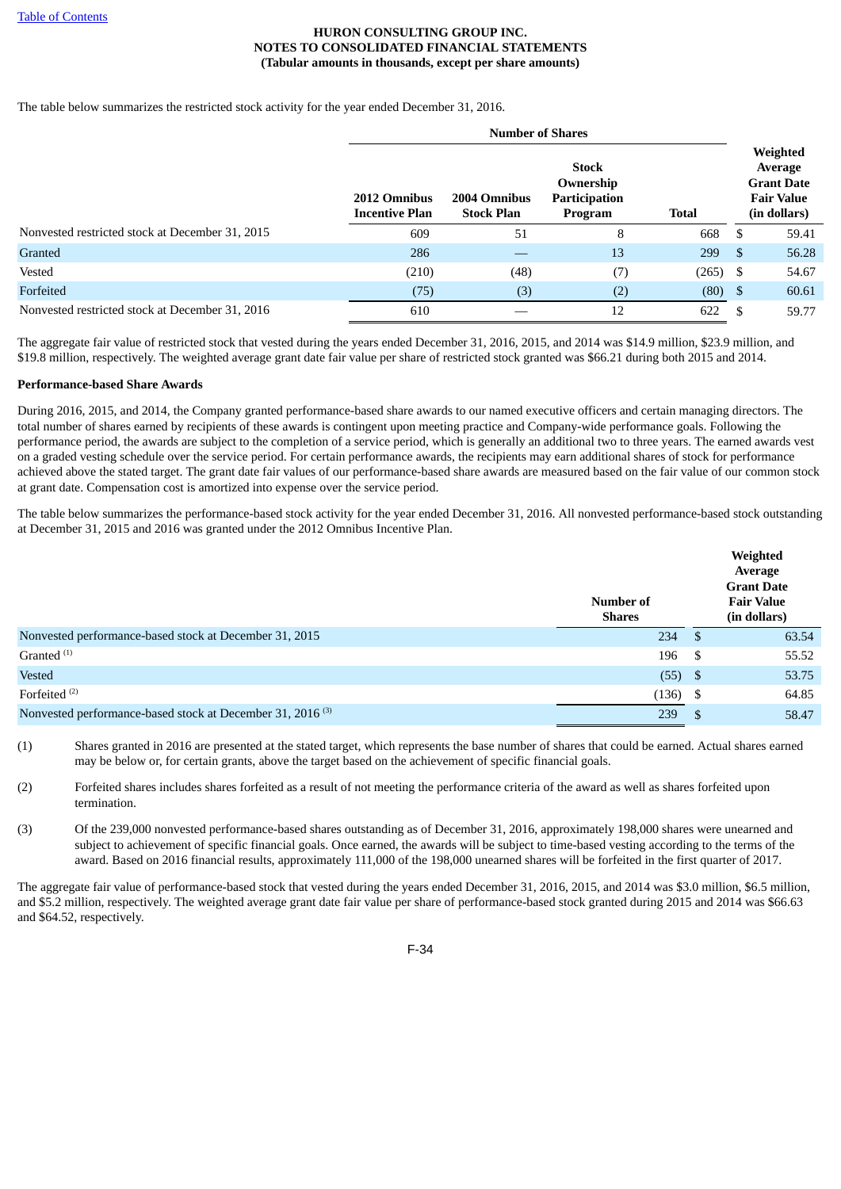The table below summarizes the restricted stock activity for the year ended December 31, 2016.

|                                                 | 2012 Omnibus<br><b>Incentive Plan</b> | 2004 Omnibus<br><b>Stock Plan</b> | <b>Stock</b><br>Ownership<br>Participation<br>Program | <b>Total</b> |               | Weighted<br>Average<br><b>Grant Date</b><br><b>Fair Value</b><br>(in dollars) |
|-------------------------------------------------|---------------------------------------|-----------------------------------|-------------------------------------------------------|--------------|---------------|-------------------------------------------------------------------------------|
| Nonvested restricted stock at December 31, 2015 | 609                                   | 51                                | 8                                                     | 668          | S             | 59.41                                                                         |
| Granted                                         | 286                                   |                                   | 13                                                    | 299          | <sup>\$</sup> | 56.28                                                                         |
| Vested                                          | (210)                                 | (48)                              | (7)                                                   | (265)        | - \$          | 54.67                                                                         |
| Forfeited                                       | (75)                                  | (3)                               | (2)                                                   | (80)         | -S            | 60.61                                                                         |
| Nonvested restricted stock at December 31, 2016 | 610                                   |                                   | 12                                                    | 622          | \$.           | 59.77                                                                         |

The aggregate fair value of restricted stock that vested during the years ended December 31, 2016, 2015, and 2014 was \$14.9 million, \$23.9 million, and \$19.8 million, respectively. The weighted average grant date fair value per share of restricted stock granted was \$66.21 during both 2015 and 2014.

### **Performance-based Share Awards**

During 2016, 2015, and 2014, the Company granted performance-based share awards to our named executive officers and certain managing directors. The total number of shares earned by recipients of these awards is contingent upon meeting practice and Company-wide performance goals. Following the performance period, the awards are subject to the completion of a service period, which is generally an additional two to three years. The earned awards vest on a graded vesting schedule over the service period. For certain performance awards, the recipients may earn additional shares of stock for performance achieved above the stated target. The grant date fair values of our performance-based share awards are measured based on the fair value of our common stock at grant date. Compensation cost is amortized into expense over the service period.

The table below summarizes the performance-based stock activity for the year ended December 31, 2016. All nonvested performance-based stock outstanding at December 31, 2015 and 2016 was granted under the 2012 Omnibus Incentive Plan.

|                                                                       | Number of<br><b>Shares</b> |               | Weighted<br>Average<br><b>Grant Date</b><br><b>Fair Value</b><br>(in dollars) |
|-----------------------------------------------------------------------|----------------------------|---------------|-------------------------------------------------------------------------------|
| Nonvested performance-based stock at December 31, 2015                | 234                        | -S            | 63.54                                                                         |
| Granted <sup>(1)</sup>                                                | 196                        | - \$          | 55.52                                                                         |
| Vested                                                                | $(55)$ \$                  |               | 53.75                                                                         |
| Forfeited $(2)$                                                       | (136)                      | - \$          | 64.85                                                                         |
| Nonvested performance-based stock at December 31, 2016 <sup>(3)</sup> | 239                        | <sup>\$</sup> | 58.47                                                                         |

(1) Shares granted in 2016 are presented at the stated target, which represents the base number of shares that could be earned. Actual shares earned may be below or, for certain grants, above the target based on the achievement of specific financial goals.

- (2) Forfeited shares includes shares forfeited as a result of not meeting the performance criteria of the award as well as shares forfeited upon termination.
- (3) Of the 239,000 nonvested performance-based shares outstanding as of December 31, 2016, approximately 198,000 shares were unearned and subject to achievement of specific financial goals. Once earned, the awards will be subject to time-based vesting according to the terms of the award. Based on 2016 financial results, approximately 111,000 of the 198,000 unearned shares will be forfeited in the first quarter of 2017.

The aggregate fair value of performance-based stock that vested during the years ended December 31, 2016, 2015, and 2014 was \$3.0 million, \$6.5 million, and \$5.2 million, respectively. The weighted average grant date fair value per share of performance-based stock granted during 2015 and 2014 was \$66.63 and \$64.52, respectively.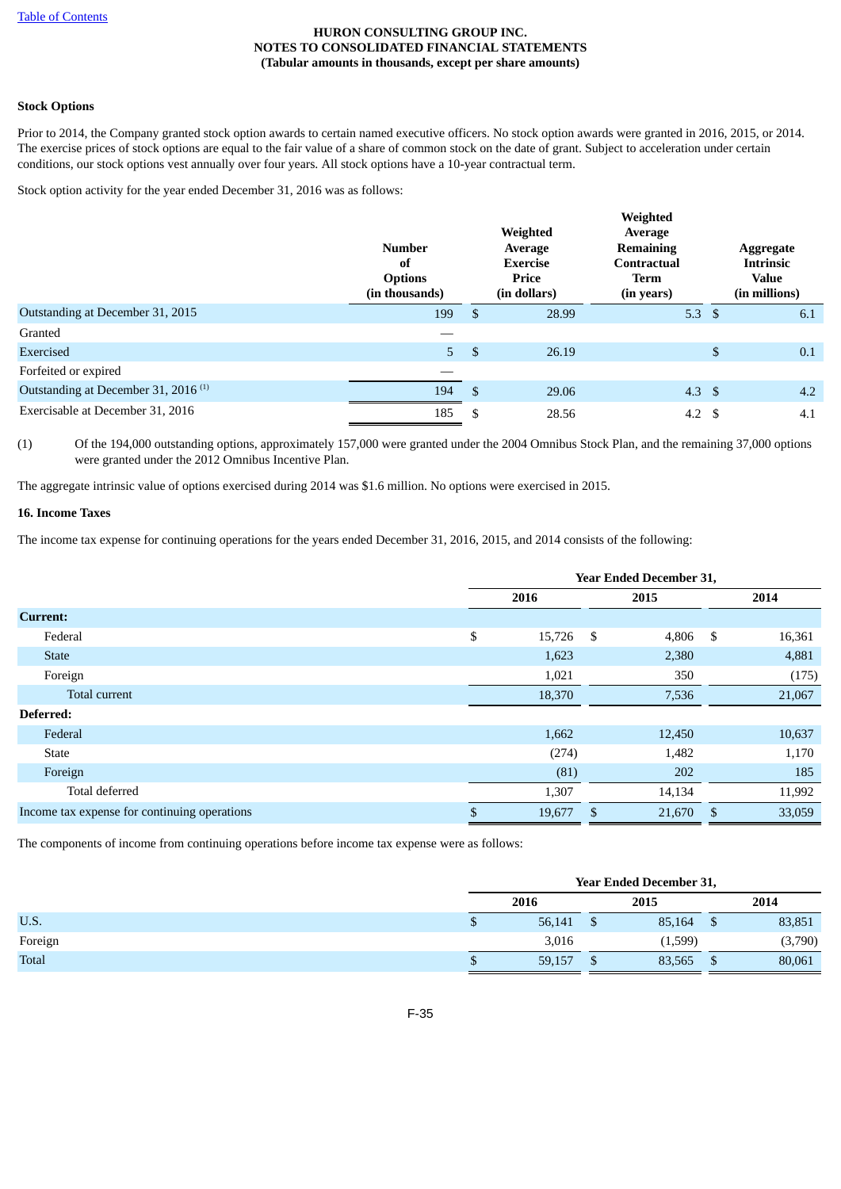# **Stock Options**

Prior to 2014, the Company granted stock option awards to certain named executive officers. No stock option awards were granted in 2016, 2015, or 2014. The exercise prices of stock options are equal to the fair value of a share of common stock on the date of grant. Subject to acceleration under certain conditions, our stock options vest annually over four years. All stock options have a 10-year contractual term.

Stock option activity for the year ended December 31, 2016 was as follows:

|                                                 | <b>Number</b><br>of<br><b>Options</b><br>(in thousands) |     | Weighted<br>Average<br><b>Exercise</b><br>Price<br>(in dollars) | Weighted<br>Average<br><b>Remaining</b><br><b>Contractual</b><br>Term<br>(in years) |     | <b>Aggregate</b><br><b>Intrinsic</b><br><b>Value</b><br>(in millions) |
|-------------------------------------------------|---------------------------------------------------------|-----|-----------------------------------------------------------------|-------------------------------------------------------------------------------------|-----|-----------------------------------------------------------------------|
| Outstanding at December 31, 2015                | 199                                                     | S   | 28.99                                                           | 5.3 $$$                                                                             |     | 6.1                                                                   |
| Granted                                         |                                                         |     |                                                                 |                                                                                     |     |                                                                       |
| Exercised                                       | 5 <sup>1</sup>                                          | \$  | 26.19                                                           |                                                                                     | \$  | 0.1                                                                   |
| Forfeited or expired                            |                                                         |     |                                                                 |                                                                                     |     |                                                                       |
| Outstanding at December 31, 2016 <sup>(1)</sup> | 194                                                     | -\$ | 29.06                                                           | 4.3 \$                                                                              |     | 4.2                                                                   |
| Exercisable at December 31, 2016                | 185                                                     |     | 28.56                                                           | 4.2                                                                                 | -\$ | 4.1                                                                   |

(1) Of the 194,000 outstanding options, approximately 157,000 were granted under the 2004 Omnibus Stock Plan, and the remaining 37,000 options were granted under the 2012 Omnibus Incentive Plan.

The aggregate intrinsic value of options exercised during 2014 was \$1.6 million. No options were exercised in 2015.

### **16. Income Taxes**

The income tax expense for continuing operations for the years ended December 31, 2016, 2015, and 2014 consists of the following:

|                                              | <b>Year Ended December 31,</b> |        |              |      |        |  |
|----------------------------------------------|--------------------------------|--------|--------------|------|--------|--|
|                                              |                                | 2016   | 2015         |      | 2014   |  |
| <b>Current:</b>                              |                                |        |              |      |        |  |
| Federal                                      | \$                             | 15,726 | -\$<br>4,806 | -\$  | 16,361 |  |
| <b>State</b>                                 |                                | 1,623  | 2,380        |      | 4,881  |  |
| Foreign                                      |                                | 1,021  | 350          |      | (175)  |  |
| Total current                                |                                | 18,370 | 7,536        |      | 21,067 |  |
| Deferred:                                    |                                |        |              |      |        |  |
| Federal                                      |                                | 1,662  | 12,450       |      | 10,637 |  |
| <b>State</b>                                 |                                | (274)  | 1,482        |      | 1,170  |  |
| Foreign                                      |                                | (81)   | 202          |      | 185    |  |
| Total deferred                               |                                | 1,307  | 14,134       |      | 11,992 |  |
| Income tax expense for continuing operations | \$                             | 19,677 | 21,670<br>\$ | - \$ | 33,059 |  |

The components of income from continuing operations before income tax expense were as follows:

|              | <b>Year Ended December 31,</b> |    |          |  |         |  |  |
|--------------|--------------------------------|----|----------|--|---------|--|--|
|              | 2016                           |    | 2015     |  | 2014    |  |  |
| <b>U.S.</b>  | 56,141                         |    | 85,164   |  | 83,851  |  |  |
| Foreign      | 3,016                          |    | (1, 599) |  | (3,790) |  |  |
| <b>Total</b> | 59,157                         | \$ | 83,565   |  | 80,061  |  |  |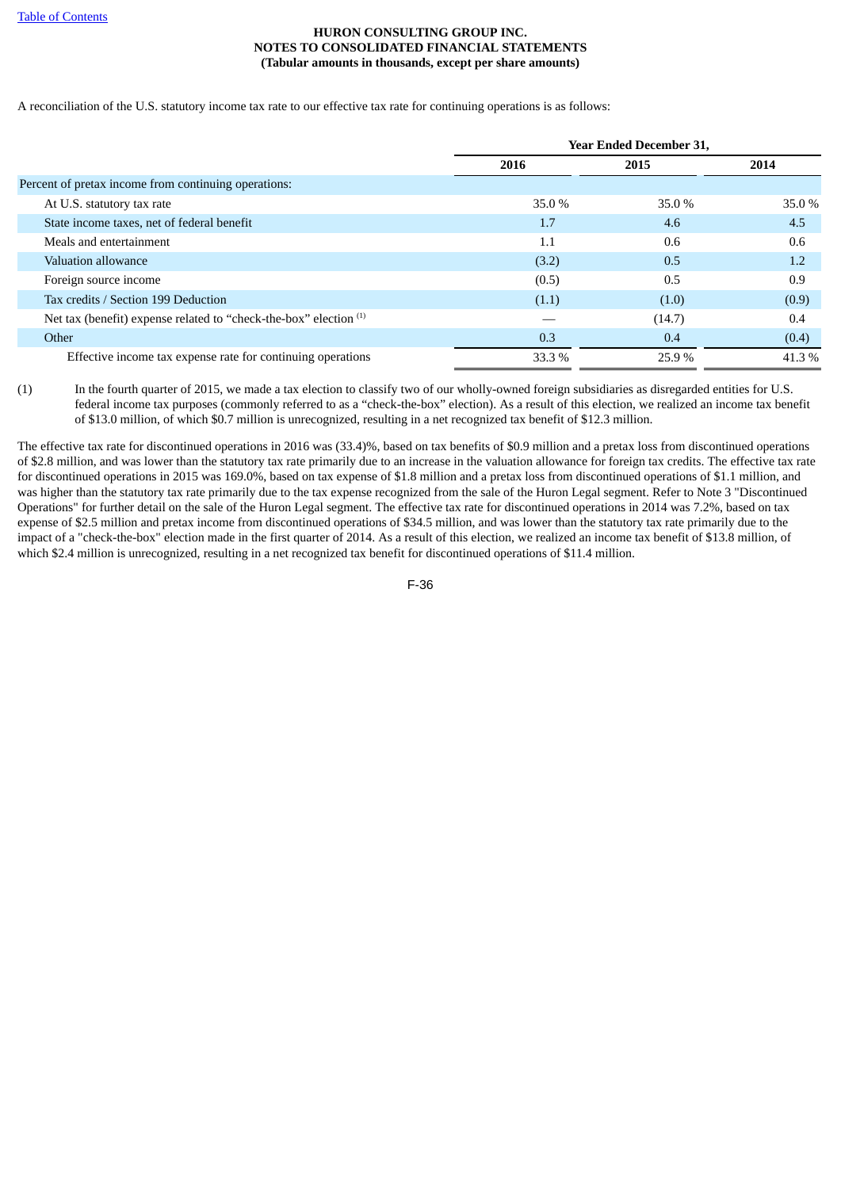A reconciliation of the U.S. statutory income tax rate to our effective tax rate for continuing operations is as follows:

|                                                                              | <b>Year Ended December 31,</b> |        |        |  |  |  |
|------------------------------------------------------------------------------|--------------------------------|--------|--------|--|--|--|
|                                                                              | 2016                           | 2015   | 2014   |  |  |  |
| Percent of pretax income from continuing operations:                         |                                |        |        |  |  |  |
| At U.S. statutory tax rate                                                   | 35.0 %                         | 35.0 % | 35.0 % |  |  |  |
| State income taxes, net of federal benefit                                   | 1.7                            | 4.6    | 4.5    |  |  |  |
| Meals and entertainment                                                      | 1.1                            | 0.6    | 0.6    |  |  |  |
| Valuation allowance                                                          | (3.2)                          | 0.5    | 1.2    |  |  |  |
| Foreign source income                                                        | (0.5)                          | 0.5    | 0.9    |  |  |  |
| Tax credits / Section 199 Deduction                                          | (1.1)                          | (1.0)  | (0.9)  |  |  |  |
| Net tax (benefit) expense related to "check-the-box" election <sup>(1)</sup> |                                | (14.7) | 0.4    |  |  |  |
| Other                                                                        | 0.3                            | 0.4    | (0.4)  |  |  |  |
| Effective income tax expense rate for continuing operations                  | 33.3 %                         | 25.9%  | 41.3%  |  |  |  |

(1) In the fourth quarter of 2015, we made a tax election to classify two of our wholly-owned foreign subsidiaries as disregarded entities for U.S. federal income tax purposes (commonly referred to as a "check-the-box" election). As a result of this election, we realized an income tax benefit of \$13.0 million, of which \$0.7 million is unrecognized, resulting in a net recognized tax benefit of \$12.3 million.

The effective tax rate for discontinued operations in 2016 was (33.4)%, based on tax benefits of \$0.9 million and a pretax loss from discontinued operations of \$2.8 million, and was lower than the statutory tax rate primarily due to an increase in the valuation allowance for foreign tax credits. The effective tax rate for discontinued operations in 2015 was 169.0%, based on tax expense of \$1.8 million and a pretax loss from discontinued operations of \$1.1 million, and was higher than the statutory tax rate primarily due to the tax expense recognized from the sale of the Huron Legal segment. Refer to Note 3 "Discontinued Operations" for further detail on the sale of the Huron Legal segment. The effective tax rate for discontinued operations in 2014 was 7.2%, based on tax expense of \$2.5 million and pretax income from discontinued operations of \$34.5 million, and was lower than the statutory tax rate primarily due to the impact of a "check-the-box" election made in the first quarter of 2014. As a result of this election, we realized an income tax benefit of \$13.8 million, of which \$2.4 million is unrecognized, resulting in a net recognized tax benefit for discontinued operations of \$11.4 million.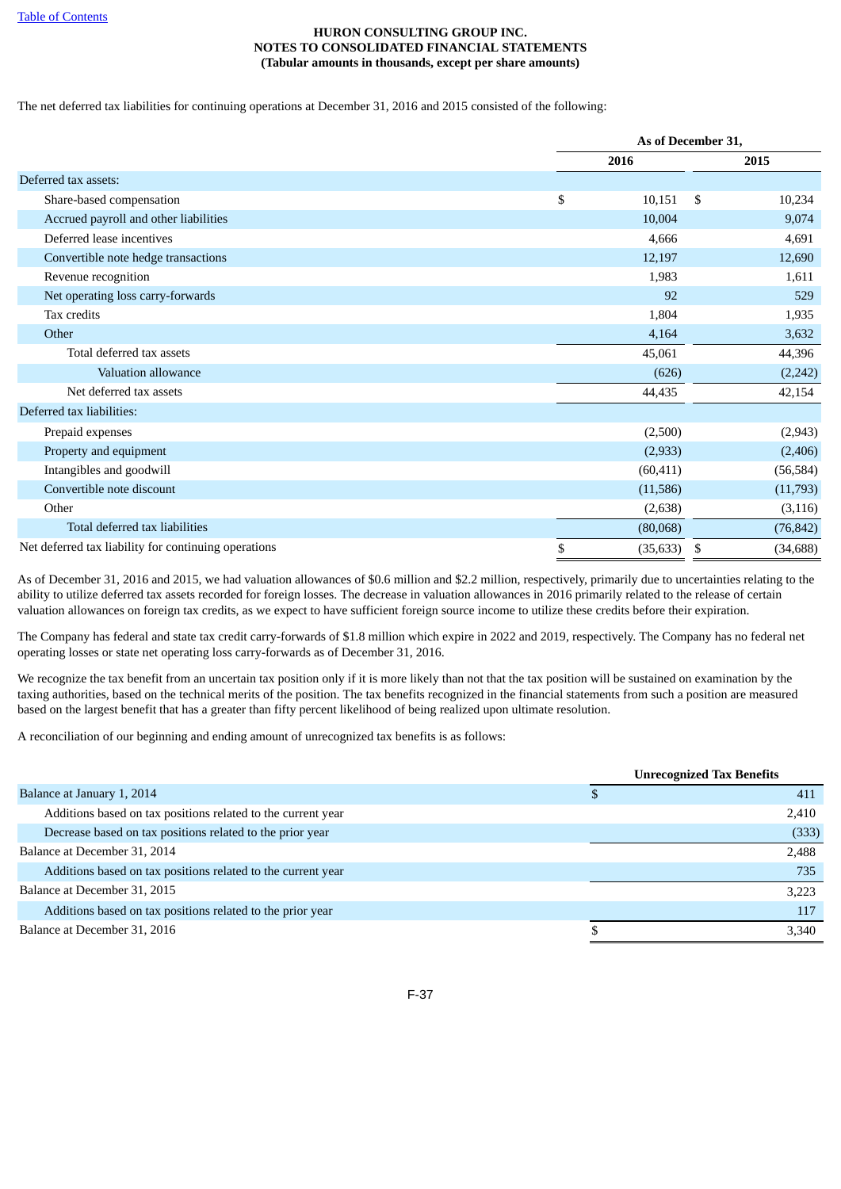The net deferred tax liabilities for continuing operations at December 31, 2016 and 2015 consisted of the following:

|                                                      | As of December 31, |    |           |  |  |
|------------------------------------------------------|--------------------|----|-----------|--|--|
|                                                      | 2016               |    | 2015      |  |  |
| Deferred tax assets:                                 |                    |    |           |  |  |
| Share-based compensation                             | \$<br>10,151       | \$ | 10,234    |  |  |
| Accrued payroll and other liabilities                | 10,004             |    | 9,074     |  |  |
| Deferred lease incentives                            | 4,666              |    | 4,691     |  |  |
| Convertible note hedge transactions                  | 12,197             |    | 12,690    |  |  |
| Revenue recognition                                  | 1,983              |    | 1,611     |  |  |
| Net operating loss carry-forwards                    | 92                 |    | 529       |  |  |
| Tax credits                                          | 1,804              |    | 1,935     |  |  |
| Other                                                | 4,164              |    | 3,632     |  |  |
| Total deferred tax assets                            | 45,061             |    | 44,396    |  |  |
| Valuation allowance                                  | (626)              |    | (2, 242)  |  |  |
| Net deferred tax assets                              | 44,435             |    | 42,154    |  |  |
| Deferred tax liabilities:                            |                    |    |           |  |  |
| Prepaid expenses                                     | (2,500)            |    | (2, 943)  |  |  |
| Property and equipment                               | (2,933)            |    | (2,406)   |  |  |
| Intangibles and goodwill                             | (60, 411)          |    | (56, 584) |  |  |
| Convertible note discount                            | (11,586)           |    | (11,793)  |  |  |
| Other                                                | (2,638)            |    | (3, 116)  |  |  |
| Total deferred tax liabilities                       | (80,068)           |    | (76, 842) |  |  |
| Net deferred tax liability for continuing operations | \$<br>(35, 633)    | \$ | (34, 688) |  |  |

As of December 31, 2016 and 2015, we had valuation allowances of \$0.6 million and \$2.2 million, respectively, primarily due to uncertainties relating to the ability to utilize deferred tax assets recorded for foreign losses. The decrease in valuation allowances in 2016 primarily related to the release of certain valuation allowances on foreign tax credits, as we expect to have sufficient foreign source income to utilize these credits before their expiration.

The Company has federal and state tax credit carry-forwards of \$1.8 million which expire in 2022 and 2019, respectively. The Company has no federal net operating losses or state net operating loss carry-forwards as of December 31, 2016.

We recognize the tax benefit from an uncertain tax position only if it is more likely than not that the tax position will be sustained on examination by the taxing authorities, based on the technical merits of the position. The tax benefits recognized in the financial statements from such a position are measured based on the largest benefit that has a greater than fifty percent likelihood of being realized upon ultimate resolution.

A reconciliation of our beginning and ending amount of unrecognized tax benefits is as follows:

|                                                              | <b>Unrecognized Tax Benefits</b> |
|--------------------------------------------------------------|----------------------------------|
| Balance at January 1, 2014                                   | 411                              |
| Additions based on tax positions related to the current year | 2,410                            |
| Decrease based on tax positions related to the prior year    | (333)                            |
| Balance at December 31, 2014                                 | 2,488                            |
| Additions based on tax positions related to the current year | 735                              |
| Balance at December 31, 2015                                 | 3,223                            |
| Additions based on tax positions related to the prior year   | 117                              |
| Balance at December 31, 2016                                 | 3,340                            |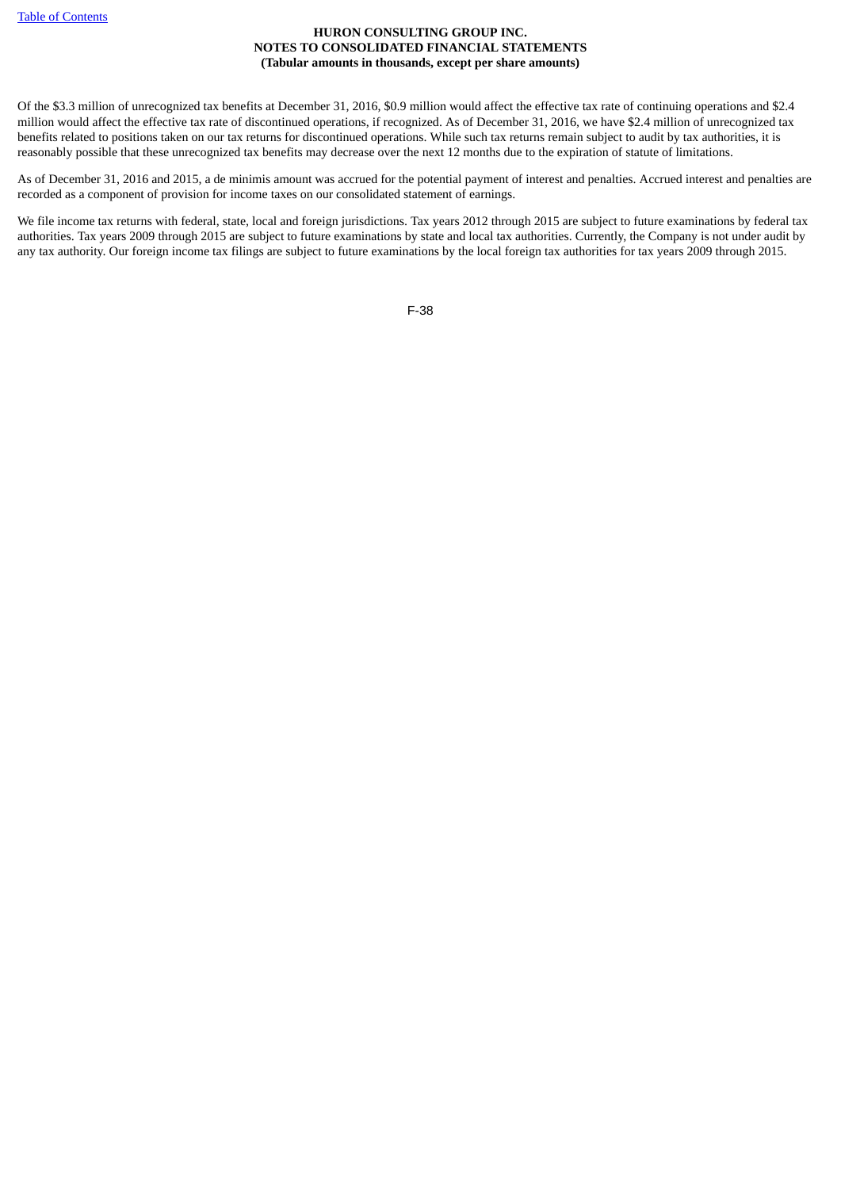Of the \$3.3 million of unrecognized tax benefits at December 31, 2016, \$0.9 million would affect the effective tax rate of continuing operations and \$2.4 million would affect the effective tax rate of discontinued operations, if recognized. As of December 31, 2016, we have \$2.4 million of unrecognized tax benefits related to positions taken on our tax returns for discontinued operations. While such tax returns remain subject to audit by tax authorities, it is reasonably possible that these unrecognized tax benefits may decrease over the next 12 months due to the expiration of statute of limitations.

As of December 31, 2016 and 2015, a de minimis amount was accrued for the potential payment of interest and penalties. Accrued interest and penalties are recorded as a component of provision for income taxes on our consolidated statement of earnings.

We file income tax returns with federal, state, local and foreign jurisdictions. Tax years 2012 through 2015 are subject to future examinations by federal tax authorities. Tax years 2009 through 2015 are subject to future examinations by state and local tax authorities. Currently, the Company is not under audit by any tax authority. Our foreign income tax filings are subject to future examinations by the local foreign tax authorities for tax years 2009 through 2015.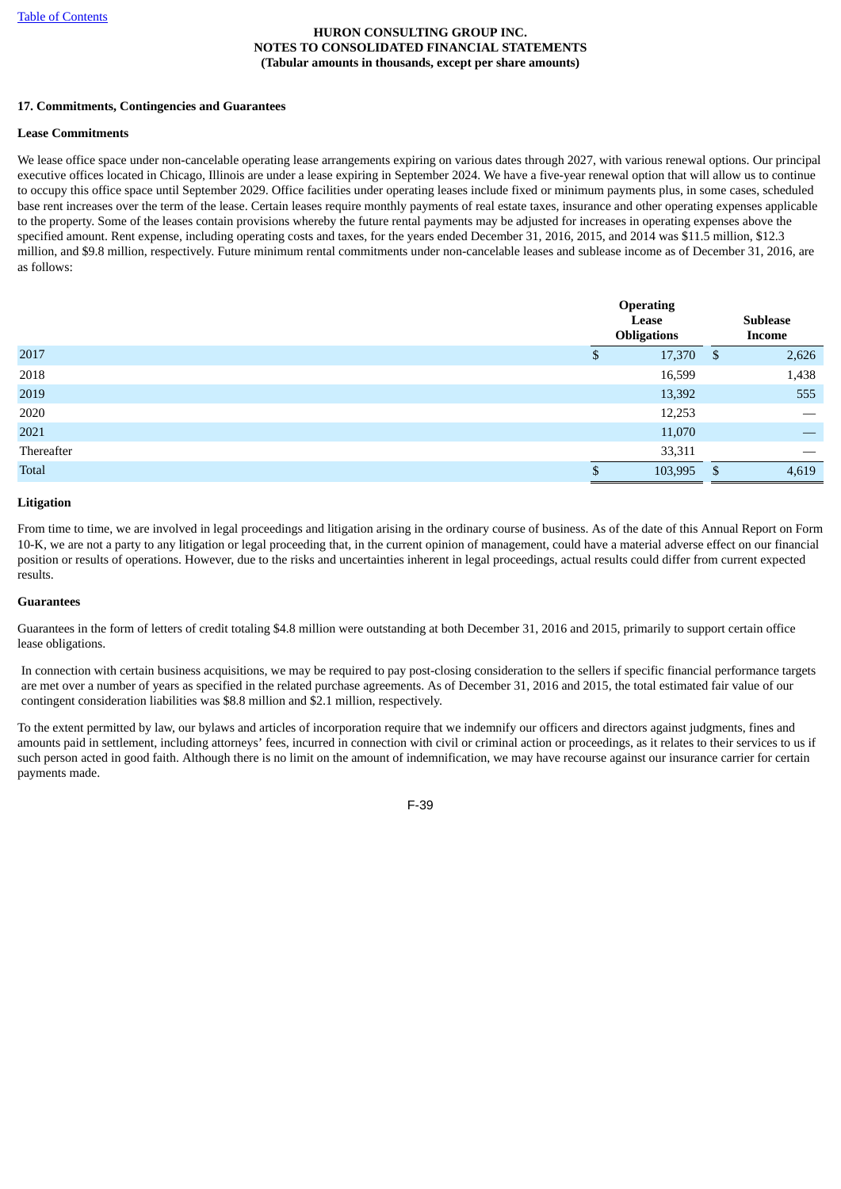### **17. Commitments, Contingencies and Guarantees**

#### **Lease Commitments**

We lease office space under non-cancelable operating lease arrangements expiring on various dates through 2027, with various renewal options. Our principal executive offices located in Chicago, Illinois are under a lease expiring in September 2024. We have a five-year renewal option that will allow us to continue to occupy this office space until September 2029. Office facilities under operating leases include fixed or minimum payments plus, in some cases, scheduled base rent increases over the term of the lease. Certain leases require monthly payments of real estate taxes, insurance and other operating expenses applicable to the property. Some of the leases contain provisions whereby the future rental payments may be adjusted for increases in operating expenses above the specified amount. Rent expense, including operating costs and taxes, for the years ended December 31, 2016, 2015, and 2014 was \$11.5 million, \$12.3 million, and \$9.8 million, respectively. Future minimum rental commitments under non-cancelable leases and sublease income as of December 31, 2016, are as follows:

|              |   | <b>Operating</b><br>Lease<br><b>Obligations</b> |              | <b>Sublease</b><br><b>Income</b> |
|--------------|---|-------------------------------------------------|--------------|----------------------------------|
| 2017         | D | 17,370 \$                                       |              | 2,626                            |
| 2018         |   | 16,599                                          |              | 1,438                            |
| 2019         |   | 13,392                                          |              | 555                              |
| 2020         |   | 12,253                                          |              |                                  |
| 2021         |   | 11,070                                          |              |                                  |
| Thereafter   |   | 33,311                                          |              |                                  |
| <b>Total</b> |   | 103,995                                         | $\mathsf{S}$ | 4,619                            |

### **Litigation**

From time to time, we are involved in legal proceedings and litigation arising in the ordinary course of business. As of the date of this Annual Report on Form 10-K, we are not a party to any litigation or legal proceeding that, in the current opinion of management, could have a material adverse effect on our financial position or results of operations. However, due to the risks and uncertainties inherent in legal proceedings, actual results could differ from current expected results.

### **Guarantees**

Guarantees in the form of letters of credit totaling \$4.8 million were outstanding at both December 31, 2016 and 2015, primarily to support certain office lease obligations.

In connection with certain business acquisitions, we may be required to pay post-closing consideration to the sellers if specific financial performance targets are met over a number of years as specified in the related purchase agreements. As of December 31, 2016 and 2015, the total estimated fair value of our contingent consideration liabilities was \$8.8 million and \$2.1 million, respectively.

To the extent permitted by law, our bylaws and articles of incorporation require that we indemnify our officers and directors against judgments, fines and amounts paid in settlement, including attorneys' fees, incurred in connection with civil or criminal action or proceedings, as it relates to their services to us if such person acted in good faith. Although there is no limit on the amount of indemnification, we may have recourse against our insurance carrier for certain payments made.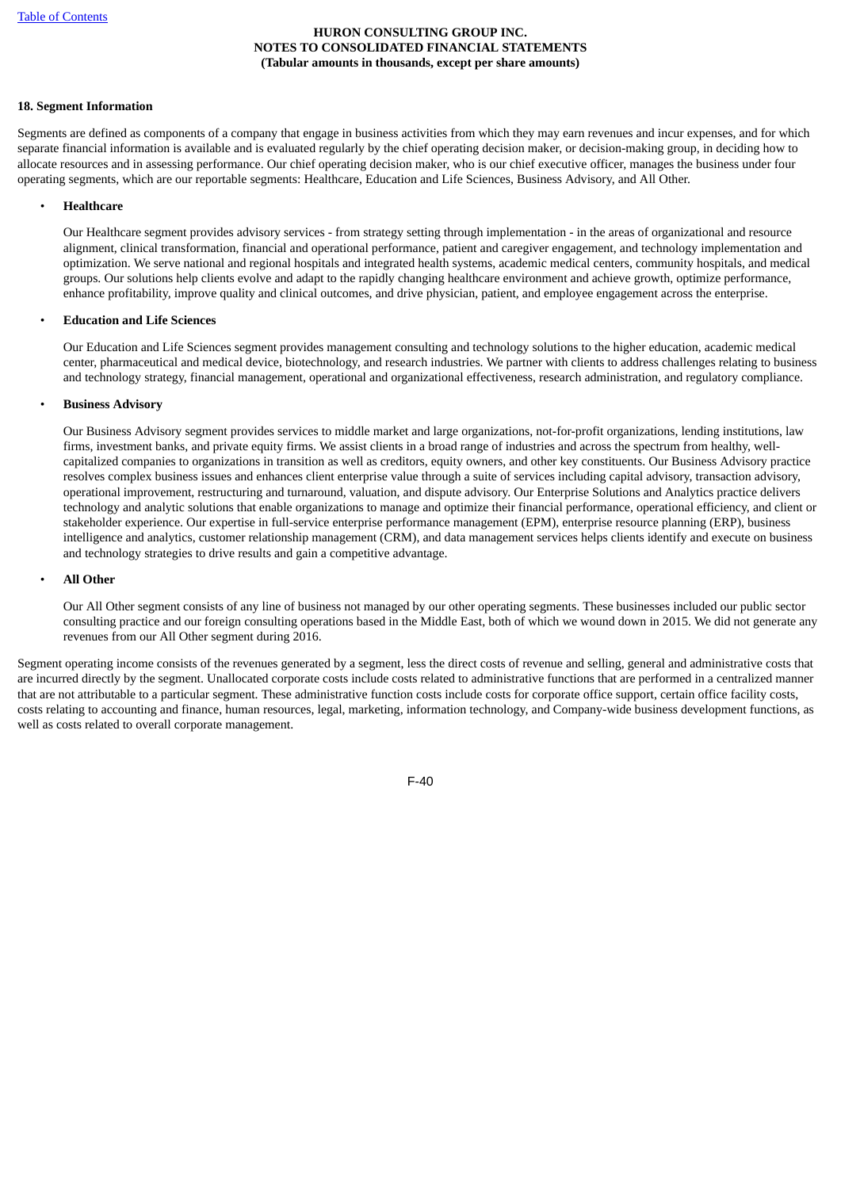### **18. Segment Information**

Segments are defined as components of a company that engage in business activities from which they may earn revenues and incur expenses, and for which separate financial information is available and is evaluated regularly by the chief operating decision maker, or decision-making group, in deciding how to allocate resources and in assessing performance. Our chief operating decision maker, who is our chief executive officer, manages the business under four operating segments, which are our reportable segments: Healthcare, Education and Life Sciences, Business Advisory, and All Other.

### • **Healthcare**

Our Healthcare segment provides advisory services - from strategy setting through implementation - in the areas of organizational and resource alignment, clinical transformation, financial and operational performance, patient and caregiver engagement, and technology implementation and optimization. We serve national and regional hospitals and integrated health systems, academic medical centers, community hospitals, and medical groups. Our solutions help clients evolve and adapt to the rapidly changing healthcare environment and achieve growth, optimize performance, enhance profitability, improve quality and clinical outcomes, and drive physician, patient, and employee engagement across the enterprise.

#### • **Education and Life Sciences**

Our Education and Life Sciences segment provides management consulting and technology solutions to the higher education, academic medical center, pharmaceutical and medical device, biotechnology, and research industries. We partner with clients to address challenges relating to business and technology strategy, financial management, operational and organizational effectiveness, research administration, and regulatory compliance.

#### • **Business Advisory**

Our Business Advisory segment provides services to middle market and large organizations, not-for-profit organizations, lending institutions, law firms, investment banks, and private equity firms. We assist clients in a broad range of industries and across the spectrum from healthy, wellcapitalized companies to organizations in transition as well as creditors, equity owners, and other key constituents. Our Business Advisory practice resolves complex business issues and enhances client enterprise value through a suite of services including capital advisory, transaction advisory, operational improvement, restructuring and turnaround, valuation, and dispute advisory. Our Enterprise Solutions and Analytics practice delivers technology and analytic solutions that enable organizations to manage and optimize their financial performance, operational efficiency, and client or stakeholder experience. Our expertise in full-service enterprise performance management (EPM), enterprise resource planning (ERP), business intelligence and analytics, customer relationship management (CRM), and data management services helps clients identify and execute on business and technology strategies to drive results and gain a competitive advantage.

### • **All Other**

Our All Other segment consists of any line of business not managed by our other operating segments. These businesses included our public sector consulting practice and our foreign consulting operations based in the Middle East, both of which we wound down in 2015. We did not generate any revenues from our All Other segment during 2016.

Segment operating income consists of the revenues generated by a segment, less the direct costs of revenue and selling, general and administrative costs that are incurred directly by the segment. Unallocated corporate costs include costs related to administrative functions that are performed in a centralized manner that are not attributable to a particular segment. These administrative function costs include costs for corporate office support, certain office facility costs, costs relating to accounting and finance, human resources, legal, marketing, information technology, and Company-wide business development functions, as well as costs related to overall corporate management.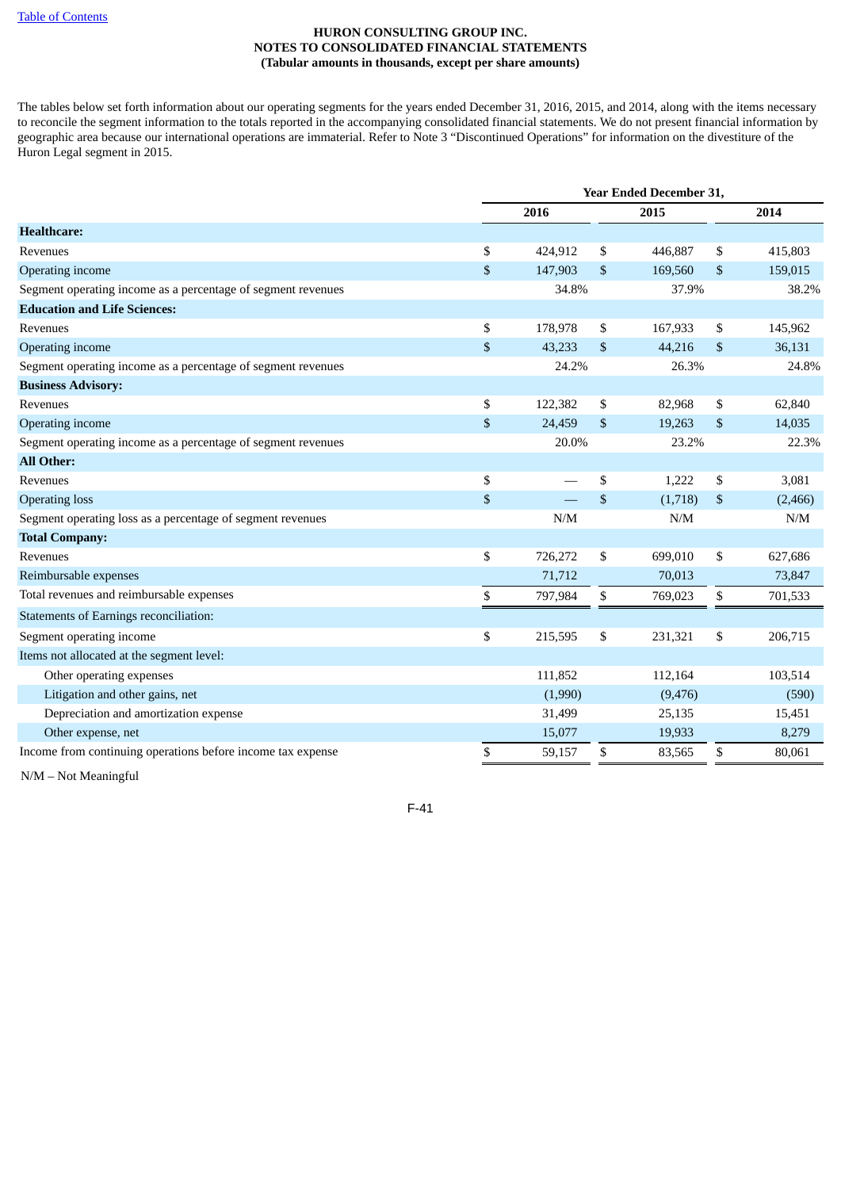The tables below set forth information about our operating segments for the years ended December 31, 2016, 2015, and 2014, along with the items necessary to reconcile the segment information to the totals reported in the accompanying consolidated financial statements. We do not present financial information by geographic area because our international operations are immaterial. Refer to Note 3 "Discontinued Operations" for information on the divestiture of the Huron Legal segment in 2015.

|                                                              | <b>Year Ended December 31,</b> |         |               |          |              |         |  |
|--------------------------------------------------------------|--------------------------------|---------|---------------|----------|--------------|---------|--|
|                                                              | 2016                           |         |               | 2015     |              | 2014    |  |
| <b>Healthcare:</b>                                           |                                |         |               |          |              |         |  |
| Revenues                                                     | \$                             | 424,912 | \$            | 446,887  | \$           | 415,803 |  |
| Operating income                                             | \$                             | 147,903 | \$            | 169,560  | \$           | 159,015 |  |
| Segment operating income as a percentage of segment revenues |                                | 34.8%   |               | 37.9%    |              | 38.2%   |  |
| <b>Education and Life Sciences:</b>                          |                                |         |               |          |              |         |  |
| Revenues                                                     | \$                             | 178,978 | \$            | 167,933  | \$           | 145,962 |  |
| Operating income                                             | \$                             | 43,233  | \$            | 44,216   | $\mathbb{S}$ | 36,131  |  |
| Segment operating income as a percentage of segment revenues |                                | 24.2%   |               | 26.3%    |              | 24.8%   |  |
| <b>Business Advisory:</b>                                    |                                |         |               |          |              |         |  |
| <b>Revenues</b>                                              | \$                             | 122,382 | \$            | 82,968   | \$           | 62,840  |  |
| Operating income                                             | \$                             | 24,459  | \$            | 19,263   | $\mathbb{S}$ | 14,035  |  |
| Segment operating income as a percentage of segment revenues |                                | 20.0%   |               | 23.2%    | 22.3%        |         |  |
| <b>All Other:</b>                                            |                                |         |               |          |              |         |  |
| <b>Revenues</b>                                              | \$                             |         | \$            | 1,222    | \$           | 3,081   |  |
| <b>Operating loss</b>                                        | $\mathbb{S}$                   |         | $\mathsf{\$}$ | (1,718)  | \$           | (2,466) |  |
| Segment operating loss as a percentage of segment revenues   |                                | N/M     |               | N/M      |              | N/M     |  |
| <b>Total Company:</b>                                        |                                |         |               |          |              |         |  |
| Revenues                                                     | \$                             | 726,272 | \$            | 699,010  | \$           | 627,686 |  |
| Reimbursable expenses                                        |                                | 71,712  |               | 70,013   |              | 73,847  |  |
| Total revenues and reimbursable expenses                     | \$                             | 797,984 | \$            | 769,023  | \$           | 701,533 |  |
| <b>Statements of Earnings reconciliation:</b>                |                                |         |               |          |              |         |  |
| Segment operating income                                     | \$                             | 215,595 | \$            | 231,321  | \$           | 206,715 |  |
| Items not allocated at the segment level:                    |                                |         |               |          |              |         |  |
| Other operating expenses                                     |                                | 111,852 |               | 112,164  |              | 103,514 |  |
| Litigation and other gains, net                              |                                | (1,990) |               | (9, 476) |              | (590)   |  |
| Depreciation and amortization expense                        |                                | 31,499  |               | 25,135   |              | 15,451  |  |
| Other expense, net                                           |                                | 15,077  |               | 19,933   |              | 8,279   |  |
| Income from continuing operations before income tax expense  | \$                             | 59,157  | \$            | 83,565   | \$           | 80,061  |  |

N/M – Not Meaningful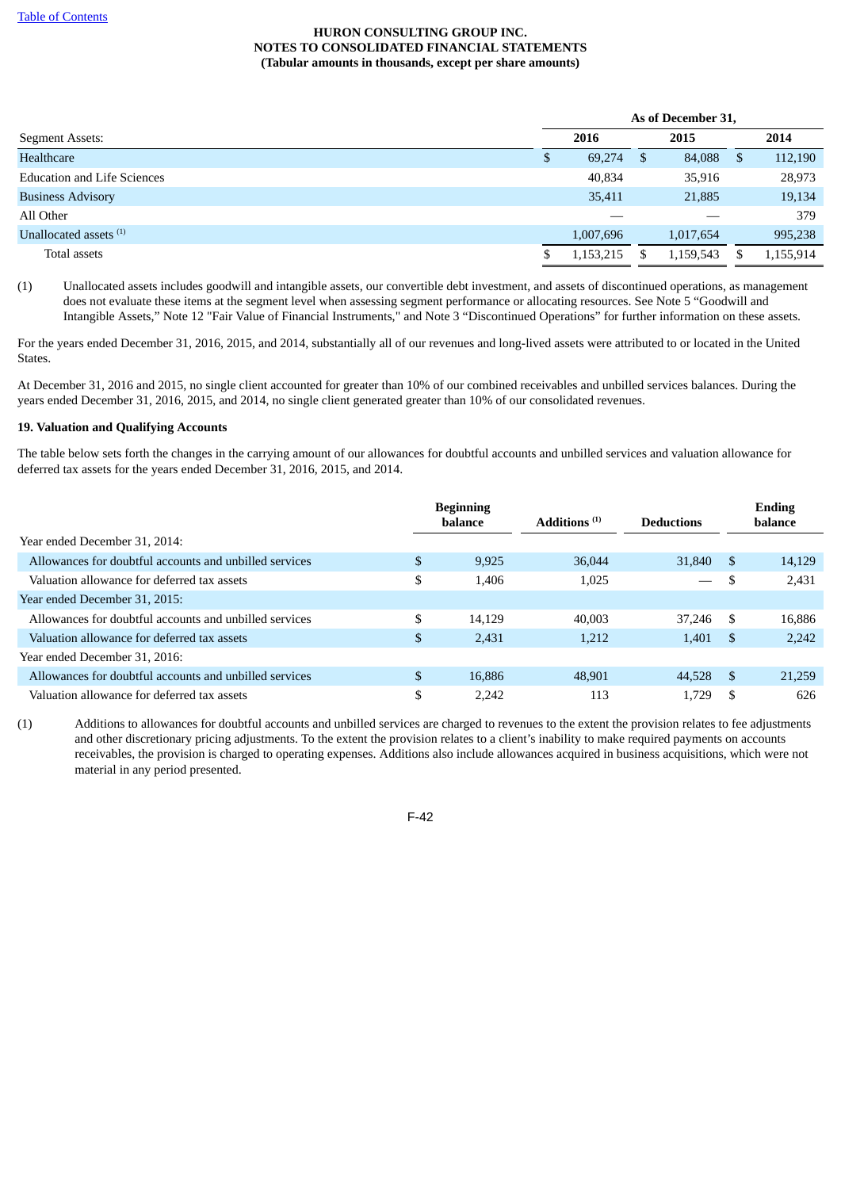|                                    | As of December 31, |           |               |           |  |           |  |  |
|------------------------------------|--------------------|-----------|---------------|-----------|--|-----------|--|--|
| <b>Segment Assets:</b>             |                    | 2016      |               | 2015      |  | 2014      |  |  |
| Healthcare                         | \$                 | 69,274    | <sup>\$</sup> | 84,088    |  | 112,190   |  |  |
| <b>Education and Life Sciences</b> |                    | 40,834    |               | 35,916    |  | 28,973    |  |  |
| <b>Business Advisory</b>           |                    | 35,411    |               | 21,885    |  | 19,134    |  |  |
| All Other                          |                    |           |               |           |  | 379       |  |  |
| Unallocated assets <sup>(1)</sup>  |                    | 1,007,696 |               | 1,017,654 |  | 995,238   |  |  |
| Total assets                       |                    | 1,153,215 |               | 1,159,543 |  | 1,155,914 |  |  |

(1) Unallocated assets includes goodwill and intangible assets, our convertible debt investment, and assets of discontinued operations, as management does not evaluate these items at the segment level when assessing segment performance or allocating resources. See Note 5 "Goodwill and Intangible Assets," Note 12 "Fair Value of Financial Instruments," and Note 3 "Discontinued Operations" for further information on these assets.

For the years ended December 31, 2016, 2015, and 2014, substantially all of our revenues and long-lived assets were attributed to or located in the United States.

At December 31, 2016 and 2015, no single client accounted for greater than 10% of our combined receivables and unbilled services balances. During the years ended December 31, 2016, 2015, and 2014, no single client generated greater than 10% of our consolidated revenues.

### **19. Valuation and Qualifying Accounts**

The table below sets forth the changes in the carrying amount of our allowances for doubtful accounts and unbilled services and valuation allowance for deferred tax assets for the years ended December 31, 2016, 2015, and 2014.

|                                                        |        | <b>Beginning</b><br><b>balance</b> | Additions <sup>(1)</sup> | <b>Deductions</b>             |      | Ending<br>balance |  |
|--------------------------------------------------------|--------|------------------------------------|--------------------------|-------------------------------|------|-------------------|--|
| Year ended December 31, 2014:                          |        |                                    |                          |                               |      |                   |  |
| Allowances for doubtful accounts and unbilled services | \$     | 9.925                              | 36,044                   | 31,840                        | - \$ | 14.129            |  |
| Valuation allowance for deferred tax assets            | \$     | 1.406                              | 1.025                    | $\overbrace{\phantom{12333}}$ | S    | 2,431             |  |
| Year ended December 31, 2015:                          |        |                                    |                          |                               |      |                   |  |
| Allowances for doubtful accounts and unbilled services | \$     | 14.129                             | 40,003                   | 37.246                        | - \$ | 16.886            |  |
| Valuation allowance for deferred tax assets            | \$     | 2.431                              | 1.212                    | 1.401                         | -S   | 2.242             |  |
| Year ended December 31, 2016:                          |        |                                    |                          |                               |      |                   |  |
| Allowances for doubtful accounts and unbilled services | \$     | 16.886                             | 48.901                   | 44.528                        | -\$  | 21.259            |  |
| Valuation allowance for deferred tax assets            | ¢<br>Œ | 2.242                              | 113                      | 1.729                         | -S   | 626               |  |

(1) Additions to allowances for doubtful accounts and unbilled services are charged to revenues to the extent the provision relates to fee adjustments and other discretionary pricing adjustments. To the extent the provision relates to a client's inability to make required payments on accounts receivables, the provision is charged to operating expenses. Additions also include allowances acquired in business acquisitions, which were not material in any period presented.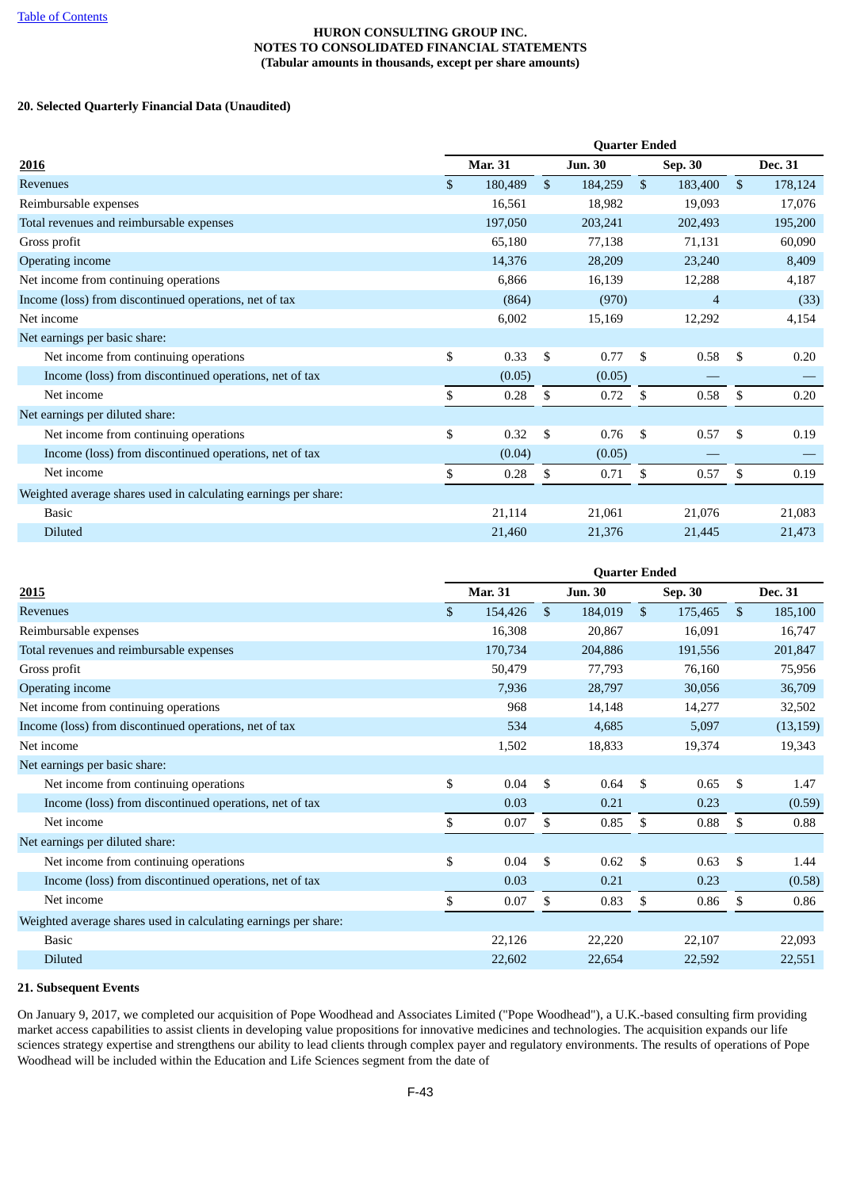# **20. Selected Quarterly Financial Data (Unaudited)**

|                                                                 | <b>Quarter Ended</b> |                |    |                |              |                |              |                |
|-----------------------------------------------------------------|----------------------|----------------|----|----------------|--------------|----------------|--------------|----------------|
| 2016                                                            |                      | <b>Mar. 31</b> |    | <b>Jun. 30</b> |              | <b>Sep. 30</b> |              | <b>Dec. 31</b> |
| <b>Revenues</b>                                                 | \$                   | 180,489        | \$ | 184,259        | $\mathbf{s}$ | 183,400        | $\mathbb{S}$ | 178,124        |
| Reimbursable expenses                                           |                      | 16,561         |    | 18,982         |              | 19,093         |              | 17,076         |
| Total revenues and reimbursable expenses                        |                      | 197,050        |    | 203,241        |              | 202,493        |              | 195,200        |
| Gross profit                                                    |                      | 65,180         |    | 77,138         |              | 71,131         |              | 60,090         |
| Operating income                                                |                      | 14,376         |    | 28,209         |              | 23,240         |              | 8,409          |
| Net income from continuing operations                           |                      | 6,866          |    | 16,139         |              | 12,288         |              | 4,187          |
| Income (loss) from discontinued operations, net of tax          |                      | (864)          |    | (970)          |              | $\overline{4}$ |              | (33)           |
| Net income                                                      |                      | 6,002          |    | 15,169         |              | 12,292         |              | 4,154          |
| Net earnings per basic share:                                   |                      |                |    |                |              |                |              |                |
| Net income from continuing operations                           | \$                   | 0.33           | \$ | 0.77           | \$           | 0.58           | S            | 0.20           |
| Income (loss) from discontinued operations, net of tax          |                      | (0.05)         |    | (0.05)         |              |                |              |                |
| Net income                                                      | \$                   | 0.28           | \$ | 0.72           | \$           | 0.58           | \$           | 0.20           |
| Net earnings per diluted share:                                 |                      |                |    |                |              |                |              |                |
| Net income from continuing operations                           | \$                   | 0.32           | \$ | 0.76           | \$           | 0.57           | \$           | 0.19           |
| Income (loss) from discontinued operations, net of tax          |                      | (0.04)         |    | (0.05)         |              |                |              |                |
| Net income                                                      | \$                   | 0.28           | \$ | 0.71           | \$           | 0.57           | \$           | 0.19           |
| Weighted average shares used in calculating earnings per share: |                      |                |    |                |              |                |              |                |
| <b>Basic</b>                                                    |                      | 21,114         |    | 21,061         |              | 21,076         |              | 21,083         |
| Diluted                                                         |                      | 21,460         |    | 21,376         |              | 21,445         |              | 21,473         |

|                                                                 | <b>Quarter Ended</b> |                |    |                |              |                |    |                |
|-----------------------------------------------------------------|----------------------|----------------|----|----------------|--------------|----------------|----|----------------|
| 2015                                                            |                      | <b>Mar. 31</b> |    | <b>Jun. 30</b> |              | <b>Sep. 30</b> |    | <b>Dec. 31</b> |
| Revenues                                                        | \$                   | 154,426        | \$ | 184,019        | $\mathbb{S}$ | 175,465        | \$ | 185,100        |
| Reimbursable expenses                                           |                      | 16,308         |    | 20,867         |              | 16,091         |    | 16,747         |
| Total revenues and reimbursable expenses                        |                      | 170,734        |    | 204,886        |              | 191,556        |    | 201,847        |
| Gross profit                                                    |                      | 50,479         |    | 77,793         |              | 76,160         |    | 75,956         |
| Operating income                                                |                      | 7,936          |    | 28,797         |              | 30,056         |    | 36,709         |
| Net income from continuing operations                           |                      | 968            |    | 14,148         |              | 14,277         |    | 32,502         |
| Income (loss) from discontinued operations, net of tax          |                      | 534            |    | 4,685          |              | 5,097          |    | (13, 159)      |
| Net income                                                      |                      | 1,502          |    | 18,833         |              | 19,374         |    | 19,343         |
| Net earnings per basic share:                                   |                      |                |    |                |              |                |    |                |
| Net income from continuing operations                           | \$                   | 0.04           | \$ | 0.64           | \$           | 0.65           | \$ | 1.47           |
| Income (loss) from discontinued operations, net of tax          |                      | 0.03           |    | 0.21           |              | 0.23           |    | (0.59)         |
| Net income                                                      | \$                   | 0.07           | \$ | 0.85           | \$           | 0.88           | \$ | 0.88           |
| Net earnings per diluted share:                                 |                      |                |    |                |              |                |    |                |
| Net income from continuing operations                           | \$                   | 0.04           | \$ | 0.62           | \$           | 0.63           | \$ | 1.44           |
| Income (loss) from discontinued operations, net of tax          |                      | 0.03           |    | 0.21           |              | 0.23           |    | (0.58)         |
| Net income                                                      | \$                   | 0.07           | \$ | 0.83           | \$           | 0.86           | \$ | 0.86           |
| Weighted average shares used in calculating earnings per share: |                      |                |    |                |              |                |    |                |
| <b>Basic</b>                                                    |                      | 22,126         |    | 22,220         |              | 22,107         |    | 22,093         |
| <b>Diluted</b>                                                  |                      | 22,602         |    | 22,654         |              | 22,592         |    | 22,551         |

# **21. Subsequent Events**

On January 9, 2017, we completed our acquisition of Pope Woodhead and Associates Limited ("Pope Woodhead"), a U.K.-based consulting firm providing market access capabilities to assist clients in developing value propositions for innovative medicines and technologies. The acquisition expands our life sciences strategy expertise and strengthens our ability to lead clients through complex payer and regulatory environments. The results of operations of Pope Woodhead will be included within the Education and Life Sciences segment from the date of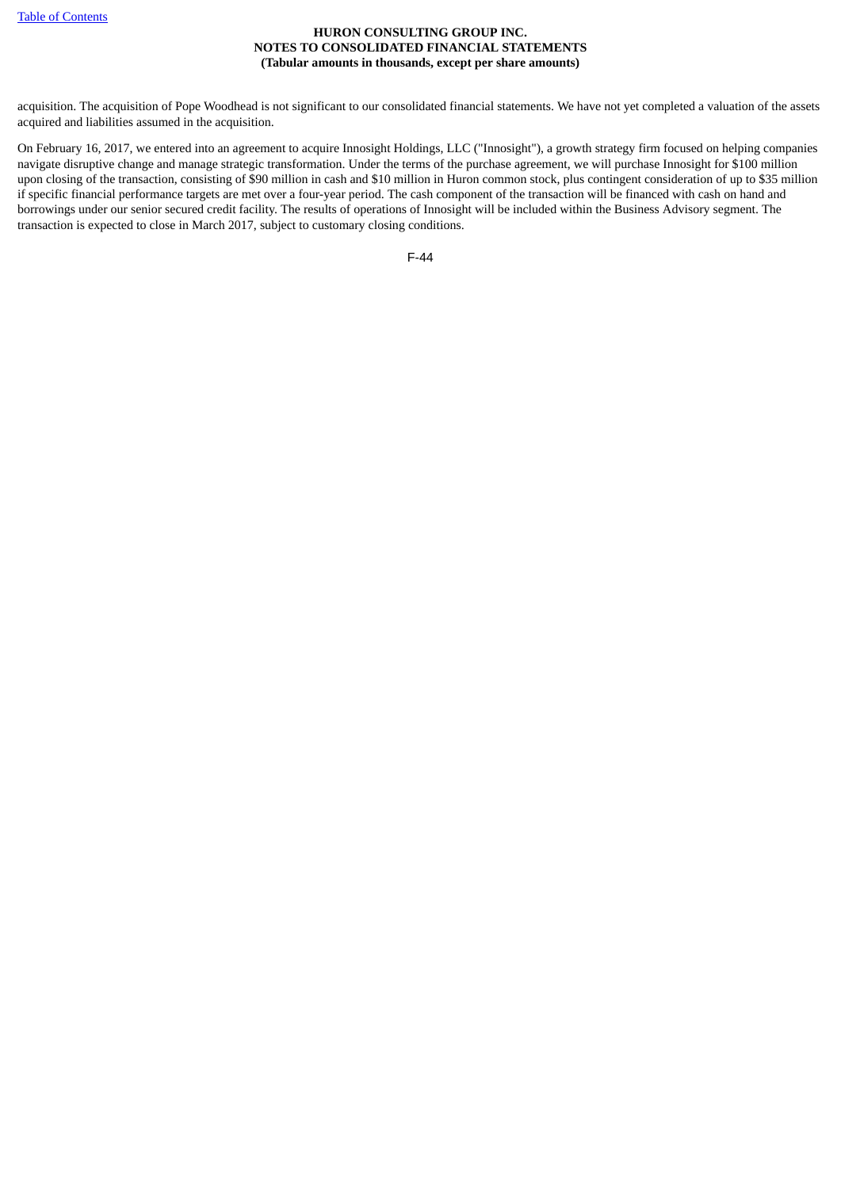acquisition. The acquisition of Pope Woodhead is not significant to our consolidated financial statements. We have not yet completed a valuation of the assets acquired and liabilities assumed in the acquisition.

On February 16, 2017, we entered into an agreement to acquire Innosight Holdings, LLC ("Innosight"), a growth strategy firm focused on helping companies navigate disruptive change and manage strategic transformation. Under the terms of the purchase agreement, we will purchase Innosight for \$100 million upon closing of the transaction, consisting of \$90 million in cash and \$10 million in Huron common stock, plus contingent consideration of up to \$35 million if specific financial performance targets are met over a four-year period. The cash component of the transaction will be financed with cash on hand and borrowings under our senior secured credit facility. The results of operations of Innosight will be included within the Business Advisory segment. The transaction is expected to close in March 2017, subject to customary closing conditions.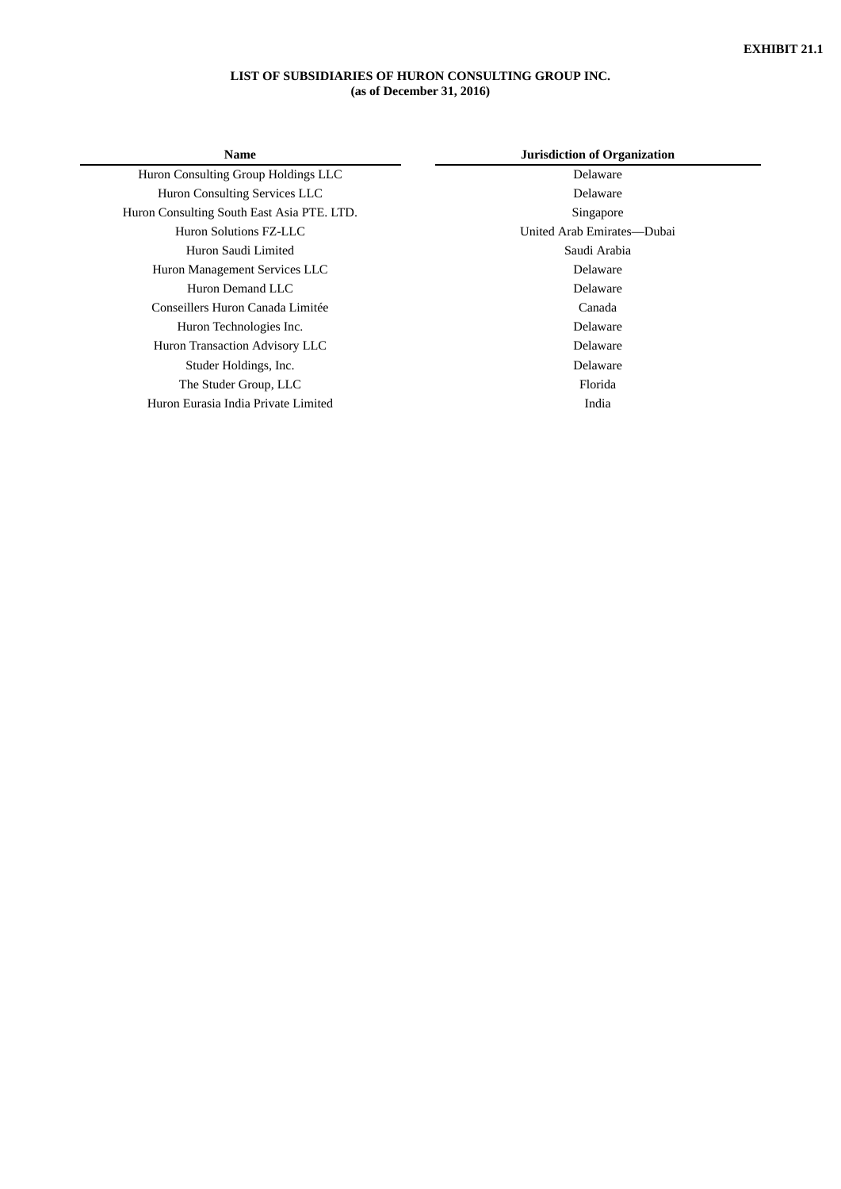$\overline{a}$ 

# **LIST OF SUBSIDIARIES OF HURON CONSULTING GROUP INC. (as of December 31, 2016)**

| <b>Name</b>                                | <b>Jurisdiction of Organization</b> |
|--------------------------------------------|-------------------------------------|
| Huron Consulting Group Holdings LLC        | Delaware                            |
| Huron Consulting Services LLC              | Delaware                            |
| Huron Consulting South East Asia PTE. LTD. | Singapore                           |
| Huron Solutions FZ-LLC                     | United Arab Emirates—Dubai          |
| Huron Saudi Limited                        | Saudi Arabia                        |
| Huron Management Services LLC              | Delaware                            |
| Huron Demand LLC                           | Delaware                            |
| Conseillers Huron Canada Limitée           | Canada                              |
| Huron Technologies Inc.                    | Delaware                            |
| Huron Transaction Advisory LLC             | Delaware                            |
| Studer Holdings, Inc.                      | Delaware                            |
| The Studer Group, LLC                      | Florida                             |
| Huron Eurasia India Private Limited        | India                               |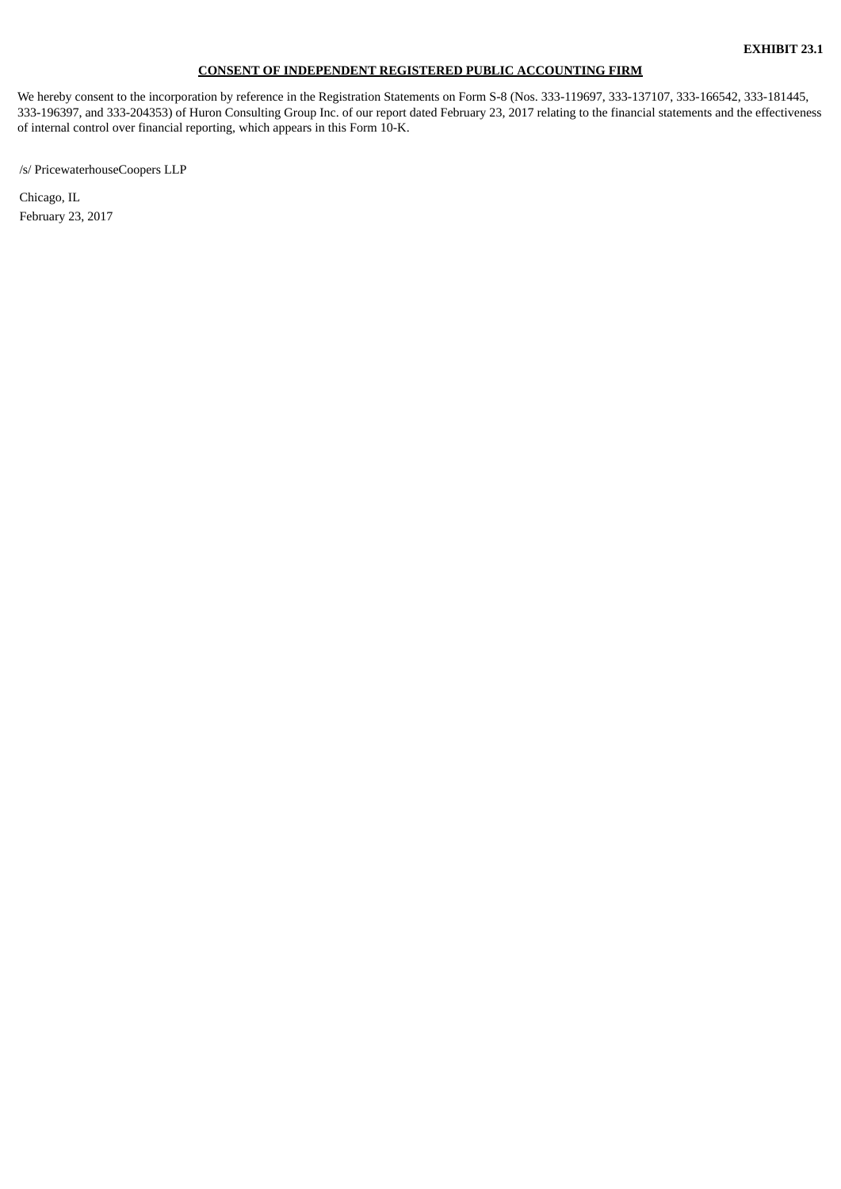### **CONSENT OF INDEPENDENT REGISTERED PUBLIC ACCOUNTING FIRM**

We hereby consent to the incorporation by reference in the Registration Statements on Form S-8 (Nos. 333-119697, 333-137107, 333-166542, 333-181445, 333-196397, and 333-204353) of Huron Consulting Group Inc. of our report dated February 23, 2017 relating to the financial statements and the effectiveness of internal control over financial reporting, which appears in this Form 10-K.

/s/ PricewaterhouseCoopers LLP

Chicago, IL February 23, 2017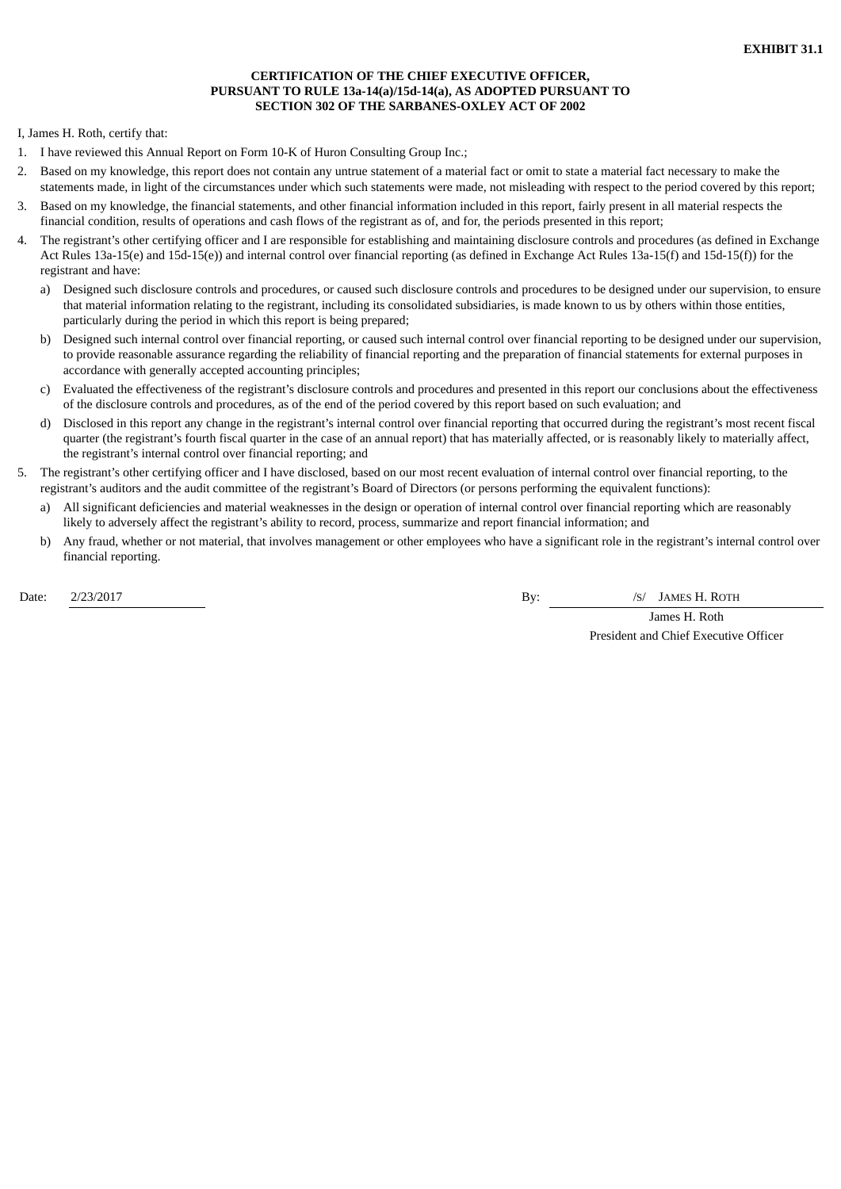## **CERTIFICATION OF THE CHIEF EXECUTIVE OFFICER, PURSUANT TO RULE 13a-14(a)/15d-14(a), AS ADOPTED PURSUANT TO SECTION 302 OF THE SARBANES-OXLEY ACT OF 2002**

I, James H. Roth, certify that:

- 1. I have reviewed this Annual Report on Form 10-K of Huron Consulting Group Inc.;
- 2. Based on my knowledge, this report does not contain any untrue statement of a material fact or omit to state a material fact necessary to make the statements made, in light of the circumstances under which such statements were made, not misleading with respect to the period covered by this report;
- 3. Based on my knowledge, the financial statements, and other financial information included in this report, fairly present in all material respects the financial condition, results of operations and cash flows of the registrant as of, and for, the periods presented in this report;
- 4. The registrant's other certifying officer and I are responsible for establishing and maintaining disclosure controls and procedures (as defined in Exchange Act Rules 13a-15(e) and 15d-15(e)) and internal control over financial reporting (as defined in Exchange Act Rules 13a-15(f) and 15d-15(f)) for the registrant and have:
	- a) Designed such disclosure controls and procedures, or caused such disclosure controls and procedures to be designed under our supervision, to ensure that material information relating to the registrant, including its consolidated subsidiaries, is made known to us by others within those entities, particularly during the period in which this report is being prepared;
	- b) Designed such internal control over financial reporting, or caused such internal control over financial reporting to be designed under our supervision, to provide reasonable assurance regarding the reliability of financial reporting and the preparation of financial statements for external purposes in accordance with generally accepted accounting principles;
	- c) Evaluated the effectiveness of the registrant's disclosure controls and procedures and presented in this report our conclusions about the effectiveness of the disclosure controls and procedures, as of the end of the period covered by this report based on such evaluation; and
	- d) Disclosed in this report any change in the registrant's internal control over financial reporting that occurred during the registrant's most recent fiscal quarter (the registrant's fourth fiscal quarter in the case of an annual report) that has materially affected, or is reasonably likely to materially affect, the registrant's internal control over financial reporting; and
- 5. The registrant's other certifying officer and I have disclosed, based on our most recent evaluation of internal control over financial reporting, to the registrant's auditors and the audit committee of the registrant's Board of Directors (or persons performing the equivalent functions):
	- a) All significant deficiencies and material weaknesses in the design or operation of internal control over financial reporting which are reasonably likely to adversely affect the registrant's ability to record, process, summarize and report financial information; and
	- b) Any fraud, whether or not material, that involves management or other employees who have a significant role in the registrant's internal control over financial reporting.

Date: 2/23/2017 By: /s/ JAMES H. ROTH

James H. Roth President and Chief Executive Officer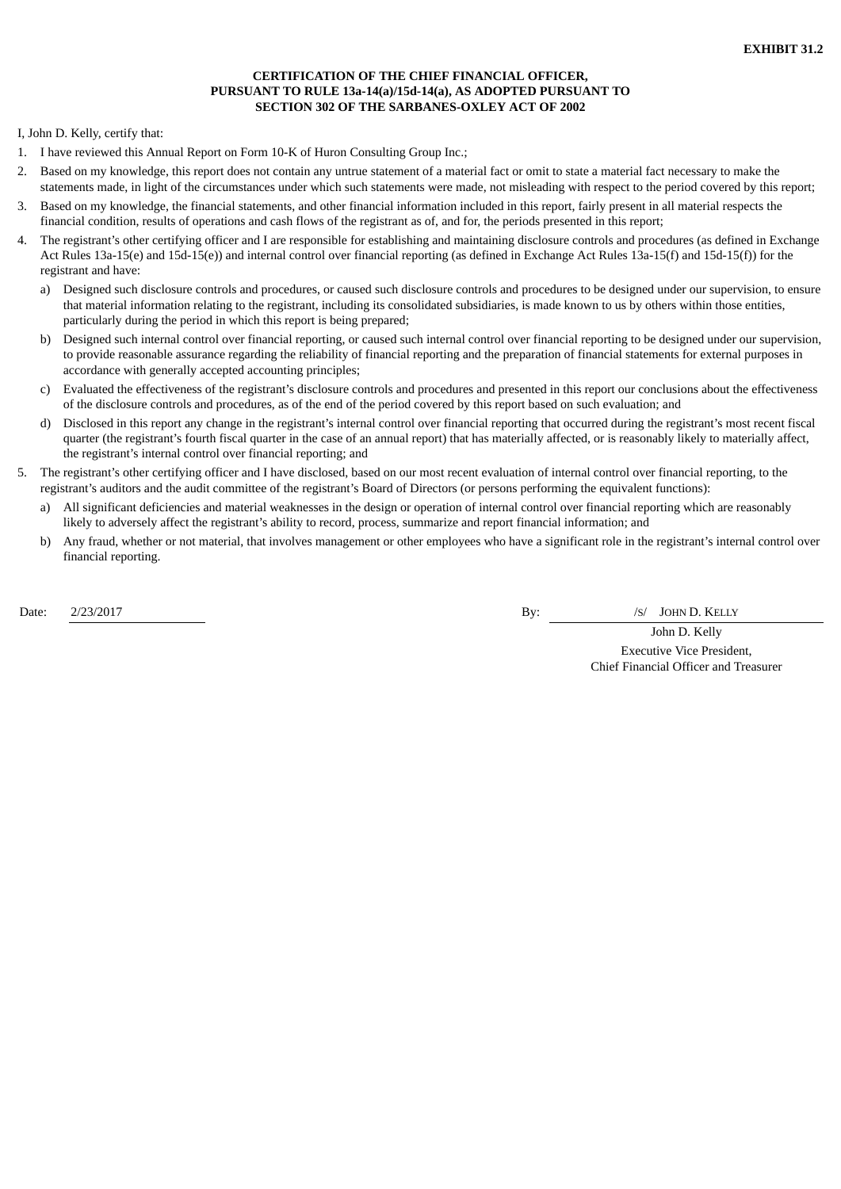## **CERTIFICATION OF THE CHIEF FINANCIAL OFFICER, PURSUANT TO RULE 13a-14(a)/15d-14(a), AS ADOPTED PURSUANT TO SECTION 302 OF THE SARBANES-OXLEY ACT OF 2002**

I, John D. Kelly, certify that:

- 1. I have reviewed this Annual Report on Form 10-K of Huron Consulting Group Inc.;
- 2. Based on my knowledge, this report does not contain any untrue statement of a material fact or omit to state a material fact necessary to make the statements made, in light of the circumstances under which such statements were made, not misleading with respect to the period covered by this report;
- 3. Based on my knowledge, the financial statements, and other financial information included in this report, fairly present in all material respects the financial condition, results of operations and cash flows of the registrant as of, and for, the periods presented in this report;
- 4. The registrant's other certifying officer and I are responsible for establishing and maintaining disclosure controls and procedures (as defined in Exchange Act Rules 13a-15(e) and 15d-15(e)) and internal control over financial reporting (as defined in Exchange Act Rules 13a-15(f) and 15d-15(f)) for the registrant and have:
	- a) Designed such disclosure controls and procedures, or caused such disclosure controls and procedures to be designed under our supervision, to ensure that material information relating to the registrant, including its consolidated subsidiaries, is made known to us by others within those entities, particularly during the period in which this report is being prepared;
	- b) Designed such internal control over financial reporting, or caused such internal control over financial reporting to be designed under our supervision, to provide reasonable assurance regarding the reliability of financial reporting and the preparation of financial statements for external purposes in accordance with generally accepted accounting principles;
	- c) Evaluated the effectiveness of the registrant's disclosure controls and procedures and presented in this report our conclusions about the effectiveness of the disclosure controls and procedures, as of the end of the period covered by this report based on such evaluation; and
	- d) Disclosed in this report any change in the registrant's internal control over financial reporting that occurred during the registrant's most recent fiscal quarter (the registrant's fourth fiscal quarter in the case of an annual report) that has materially affected, or is reasonably likely to materially affect, the registrant's internal control over financial reporting; and
- 5. The registrant's other certifying officer and I have disclosed, based on our most recent evaluation of internal control over financial reporting, to the registrant's auditors and the audit committee of the registrant's Board of Directors (or persons performing the equivalent functions):
	- a) All significant deficiencies and material weaknesses in the design or operation of internal control over financial reporting which are reasonably likely to adversely affect the registrant's ability to record, process, summarize and report financial information; and
	- b) Any fraud, whether or not material, that involves management or other employees who have a significant role in the registrant's internal control over financial reporting.

Date: 2/23/2017 By: /S/ JOHN D. KELLY

John D. Kelly Executive Vice President, Chief Financial Officer and Treasurer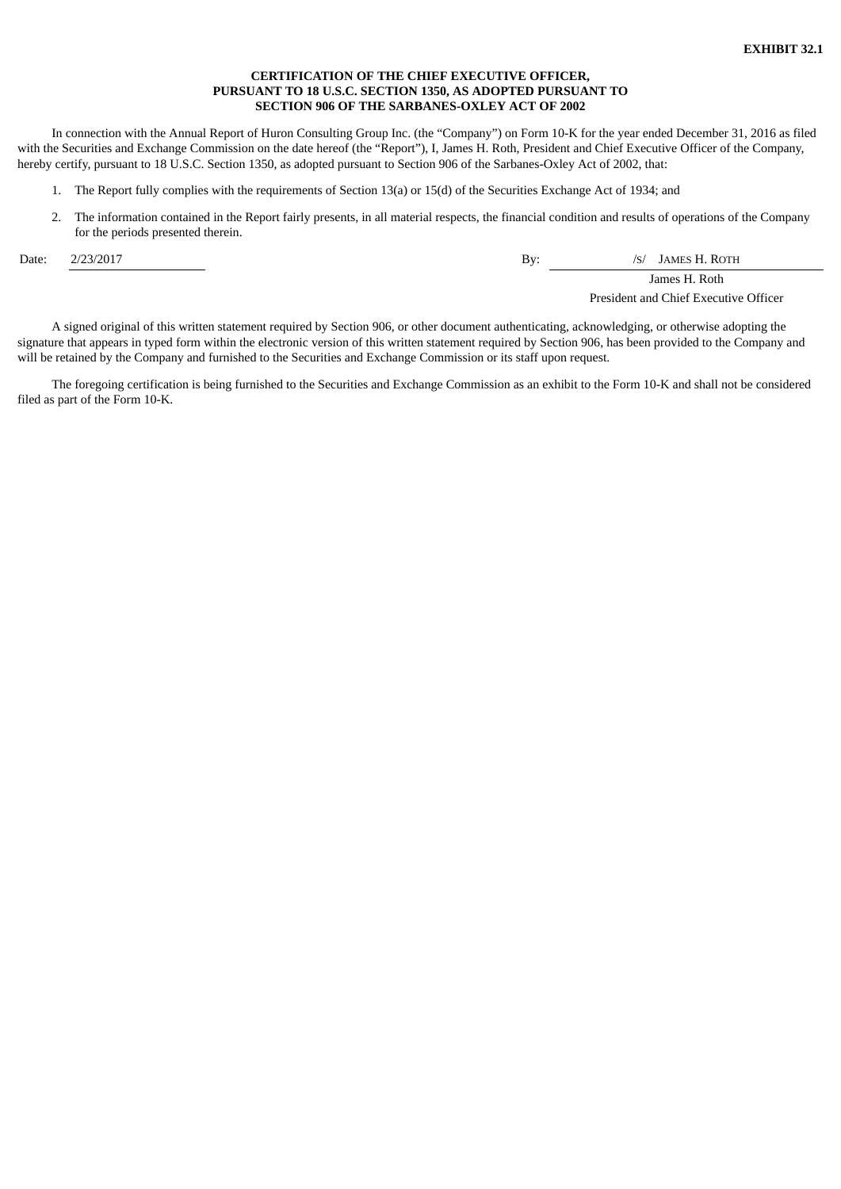## **CERTIFICATION OF THE CHIEF EXECUTIVE OFFICER, PURSUANT TO 18 U.S.C. SECTION 1350, AS ADOPTED PURSUANT TO SECTION 906 OF THE SARBANES-OXLEY ACT OF 2002**

In connection with the Annual Report of Huron Consulting Group Inc. (the "Company") on Form 10-K for the year ended December 31, 2016 as filed with the Securities and Exchange Commission on the date hereof (the "Report"), I, James H. Roth, President and Chief Executive Officer of the Company, hereby certify, pursuant to 18 U.S.C. Section 1350, as adopted pursuant to Section 906 of the Sarbanes-Oxley Act of 2002, that:

- 1. The Report fully complies with the requirements of Section 13(a) or 15(d) of the Securities Exchange Act of 1934; and
- 2. The information contained in the Report fairly presents, in all material respects, the financial condition and results of operations of the Company for the periods presented therein.

Date: 2/23/2017 By: /S/ JAMES H. ROTH

James H. Roth

President and Chief Executive Officer

A signed original of this written statement required by Section 906, or other document authenticating, acknowledging, or otherwise adopting the signature that appears in typed form within the electronic version of this written statement required by Section 906, has been provided to the Company and will be retained by the Company and furnished to the Securities and Exchange Commission or its staff upon request.

The foregoing certification is being furnished to the Securities and Exchange Commission as an exhibit to the Form 10-K and shall not be considered filed as part of the Form 10-K.